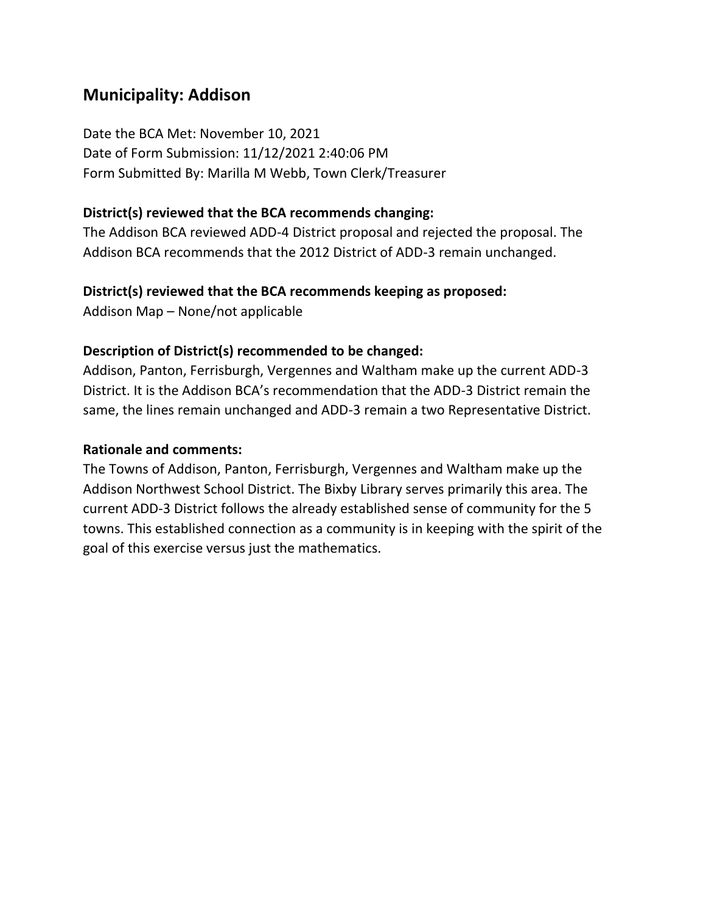## **Municipality: Addison**

Date the BCA Met: November 10, 2021 Date of Form Submission: 11/12/2021 2:40:06 PM Form Submitted By: Marilla M Webb, Town Clerk/Treasurer

#### **District(s) reviewed that the BCA recommends changing:**

The Addison BCA reviewed ADD-4 District proposal and rejected the proposal. The Addison BCA recommends that the 2012 District of ADD-3 remain unchanged.

#### **District(s) reviewed that the BCA recommends keeping as proposed:**

Addison Map – None/not applicable

#### **Description of District(s) recommended to be changed:**

Addison, Panton, Ferrisburgh, Vergennes and Waltham make up the current ADD-3 District. It is the Addison BCA's recommendation that the ADD-3 District remain the same, the lines remain unchanged and ADD-3 remain a two Representative District.

#### **Rationale and comments:**

The Towns of Addison, Panton, Ferrisburgh, Vergennes and Waltham make up the Addison Northwest School District. The Bixby Library serves primarily this area. The current ADD-3 District follows the already established sense of community for the 5 towns. This established connection as a community is in keeping with the spirit of the goal of this exercise versus just the mathematics.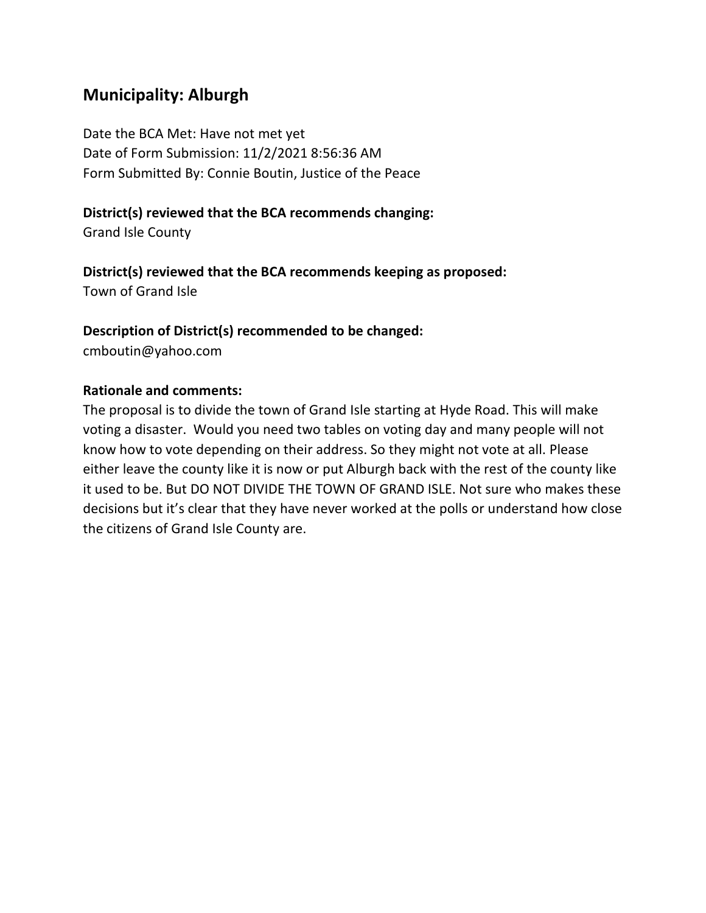## **Municipality: Alburgh**

Date the BCA Met: Have not met yet Date of Form Submission: 11/2/2021 8:56:36 AM Form Submitted By: Connie Boutin, Justice of the Peace

### **District(s) reviewed that the BCA recommends changing:**

Grand Isle County

### **District(s) reviewed that the BCA recommends keeping as proposed:**

Town of Grand Isle

### **Description of District(s) recommended to be changed:**

cmboutin@yahoo.com

### **Rationale and comments:**

The proposal is to divide the town of Grand Isle starting at Hyde Road. This will make voting a disaster. Would you need two tables on voting day and many people will not know how to vote depending on their address. So they might not vote at all. Please either leave the county like it is now or put Alburgh back with the rest of the county like it used to be. But DO NOT DIVIDE THE TOWN OF GRAND ISLE. Not sure who makes these decisions but it's clear that they have never worked at the polls or understand how close the citizens of Grand Isle County are.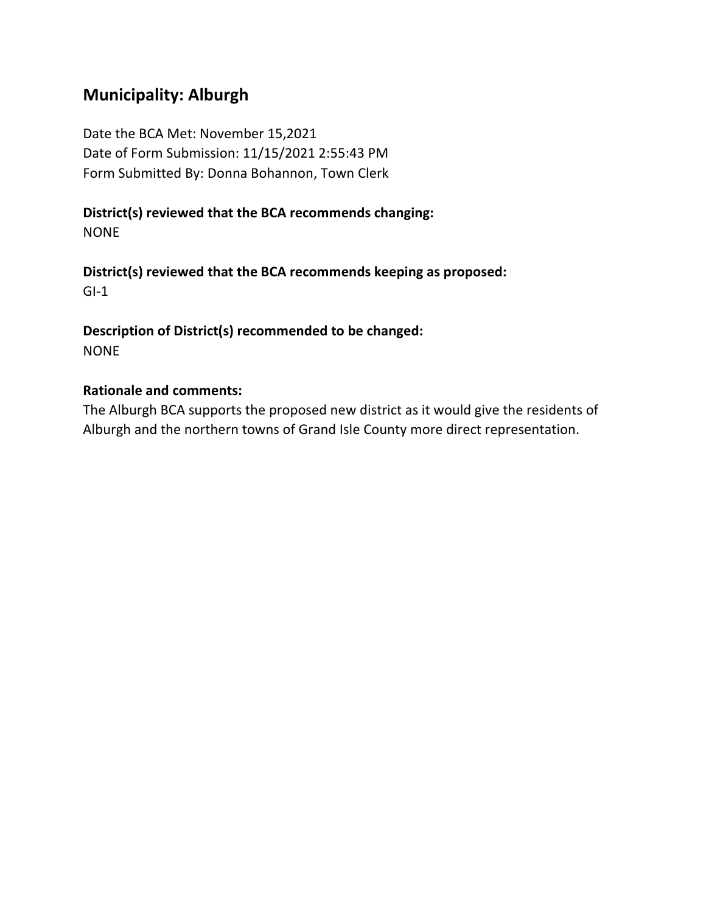## **Municipality: Alburgh**

Date the BCA Met: November 15,2021 Date of Form Submission: 11/15/2021 2:55:43 PM Form Submitted By: Donna Bohannon, Town Clerk

#### **District(s) reviewed that the BCA recommends changing:** NONE

**District(s) reviewed that the BCA recommends keeping as proposed:**  $GI-1$ 

**Description of District(s) recommended to be changed:** NONE

#### **Rationale and comments:**

The Alburgh BCA supports the proposed new district as it would give the residents of Alburgh and the northern towns of Grand Isle County more direct representation.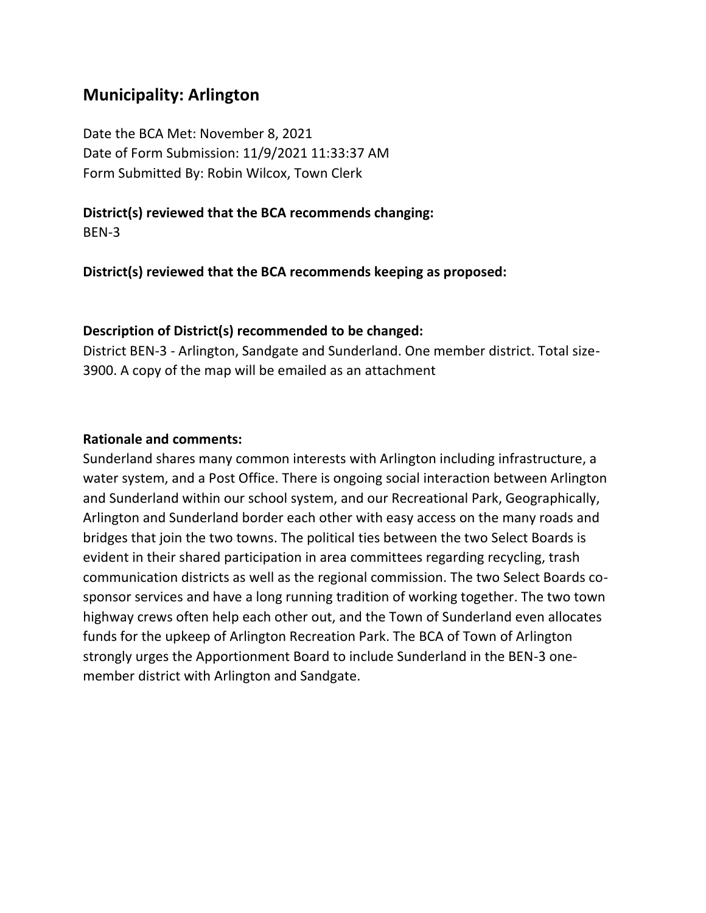## **Municipality: Arlington**

Date the BCA Met: November 8, 2021 Date of Form Submission: 11/9/2021 11:33:37 AM Form Submitted By: Robin Wilcox, Town Clerk

**District(s) reviewed that the BCA recommends changing:**

BEN-3

**District(s) reviewed that the BCA recommends keeping as proposed:**

#### **Description of District(s) recommended to be changed:**

District BEN-3 - Arlington, Sandgate and Sunderland. One member district. Total size-3900. A copy of the map will be emailed as an attachment

#### **Rationale and comments:**

Sunderland shares many common interests with Arlington including infrastructure, a water system, and a Post Office. There is ongoing social interaction between Arlington and Sunderland within our school system, and our Recreational Park, Geographically, Arlington and Sunderland border each other with easy access on the many roads and bridges that join the two towns. The political ties between the two Select Boards is evident in their shared participation in area committees regarding recycling, trash communication districts as well as the regional commission. The two Select Boards cosponsor services and have a long running tradition of working together. The two town highway crews often help each other out, and the Town of Sunderland even allocates funds for the upkeep of Arlington Recreation Park. The BCA of Town of Arlington strongly urges the Apportionment Board to include Sunderland in the BEN-3 onemember district with Arlington and Sandgate.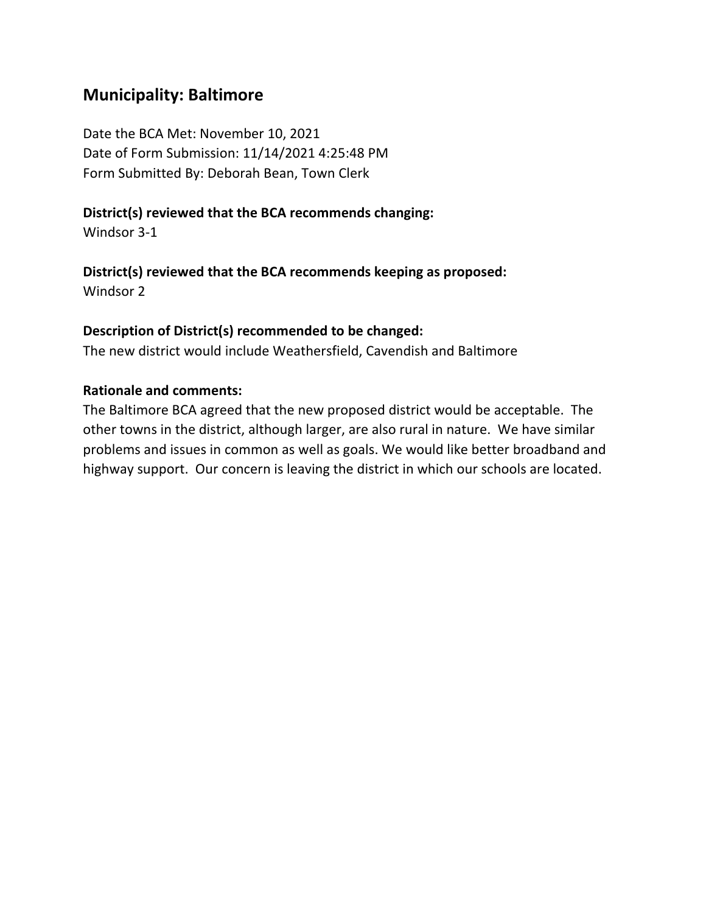## **Municipality: Baltimore**

Date the BCA Met: November 10, 2021 Date of Form Submission: 11/14/2021 4:25:48 PM Form Submitted By: Deborah Bean, Town Clerk

#### **District(s) reviewed that the BCA recommends changing:**

Windsor 3-1

### **District(s) reviewed that the BCA recommends keeping as proposed:**

Windsor 2

#### **Description of District(s) recommended to be changed:**

The new district would include Weathersfield, Cavendish and Baltimore

### **Rationale and comments:**

The Baltimore BCA agreed that the new proposed district would be acceptable. The other towns in the district, although larger, are also rural in nature. We have similar problems and issues in common as well as goals. We would like better broadband and highway support. Our concern is leaving the district in which our schools are located.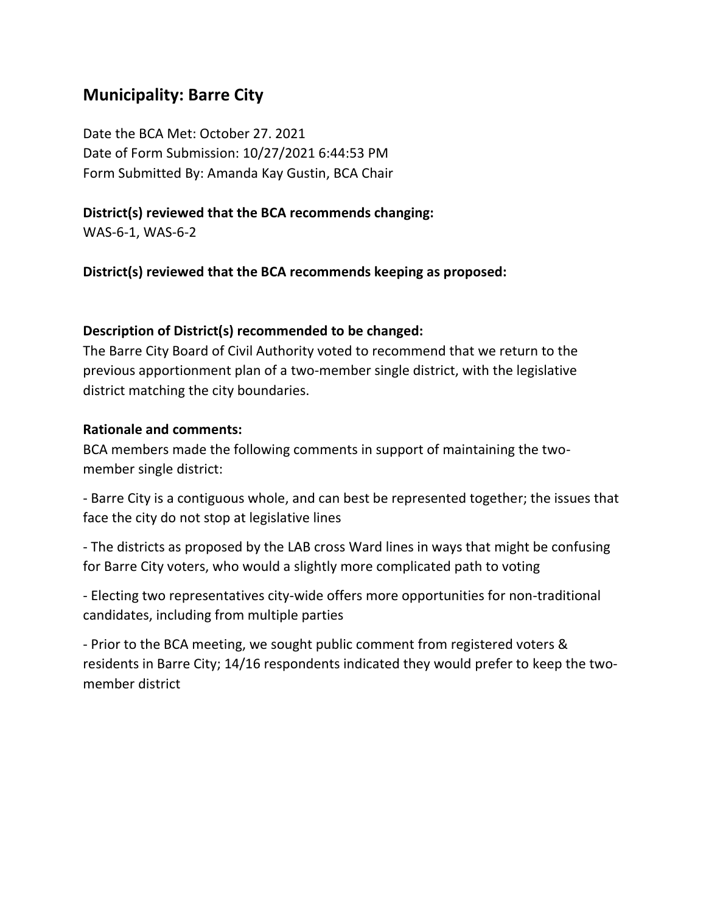## **Municipality: Barre City**

Date the BCA Met: October 27. 2021 Date of Form Submission: 10/27/2021 6:44:53 PM Form Submitted By: Amanda Kay Gustin, BCA Chair

#### **District(s) reviewed that the BCA recommends changing:**

WAS-6-1, WAS-6-2

**District(s) reviewed that the BCA recommends keeping as proposed:**

### **Description of District(s) recommended to be changed:**

The Barre City Board of Civil Authority voted to recommend that we return to the previous apportionment plan of a two-member single district, with the legislative district matching the city boundaries.

#### **Rationale and comments:**

BCA members made the following comments in support of maintaining the twomember single district:

- Barre City is a contiguous whole, and can best be represented together; the issues that face the city do not stop at legislative lines

- The districts as proposed by the LAB cross Ward lines in ways that might be confusing for Barre City voters, who would a slightly more complicated path to voting

- Electing two representatives city-wide offers more opportunities for non-traditional candidates, including from multiple parties

- Prior to the BCA meeting, we sought public comment from registered voters & residents in Barre City; 14/16 respondents indicated they would prefer to keep the twomember district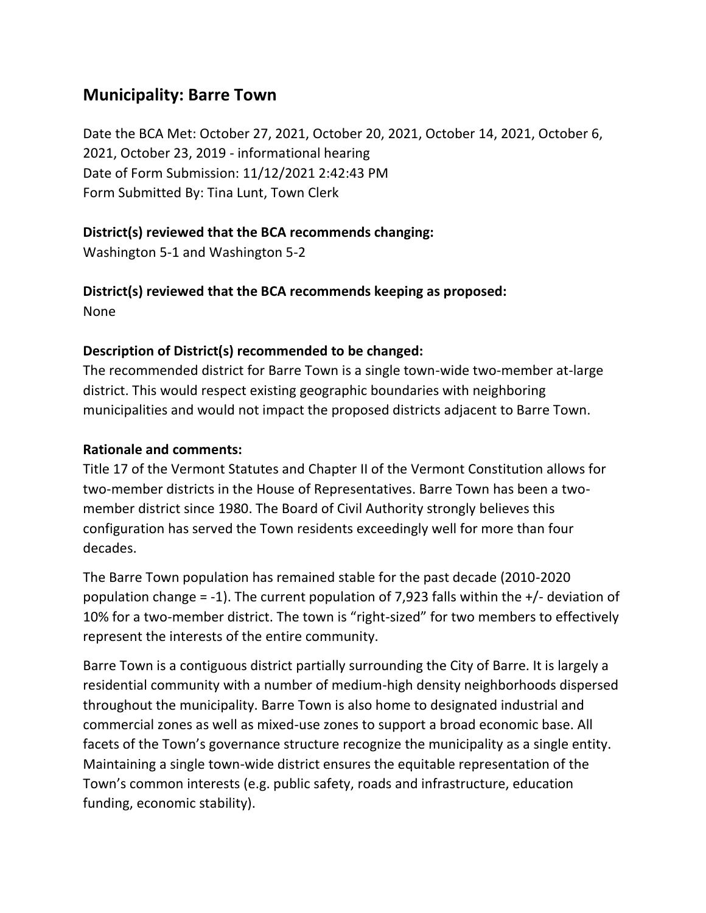## **Municipality: Barre Town**

Date the BCA Met: October 27, 2021, October 20, 2021, October 14, 2021, October 6, 2021, October 23, 2019 - informational hearing Date of Form Submission: 11/12/2021 2:42:43 PM Form Submitted By: Tina Lunt, Town Clerk

## **District(s) reviewed that the BCA recommends changing:**

Washington 5-1 and Washington 5-2

### **District(s) reviewed that the BCA recommends keeping as proposed:** None

## **Description of District(s) recommended to be changed:**

The recommended district for Barre Town is a single town-wide two-member at-large district. This would respect existing geographic boundaries with neighboring municipalities and would not impact the proposed districts adjacent to Barre Town.

## **Rationale and comments:**

Title 17 of the Vermont Statutes and Chapter II of the Vermont Constitution allows for two-member districts in the House of Representatives. Barre Town has been a twomember district since 1980. The Board of Civil Authority strongly believes this configuration has served the Town residents exceedingly well for more than four decades.

The Barre Town population has remained stable for the past decade (2010-2020 population change = -1). The current population of 7,923 falls within the  $+/-$  deviation of 10% for a two-member district. The town is "right-sized" for two members to effectively represent the interests of the entire community.

Barre Town is a contiguous district partially surrounding the City of Barre. It is largely a residential community with a number of medium-high density neighborhoods dispersed throughout the municipality. Barre Town is also home to designated industrial and commercial zones as well as mixed-use zones to support a broad economic base. All facets of the Town's governance structure recognize the municipality as a single entity. Maintaining a single town-wide district ensures the equitable representation of the Town's common interests (e.g. public safety, roads and infrastructure, education funding, economic stability).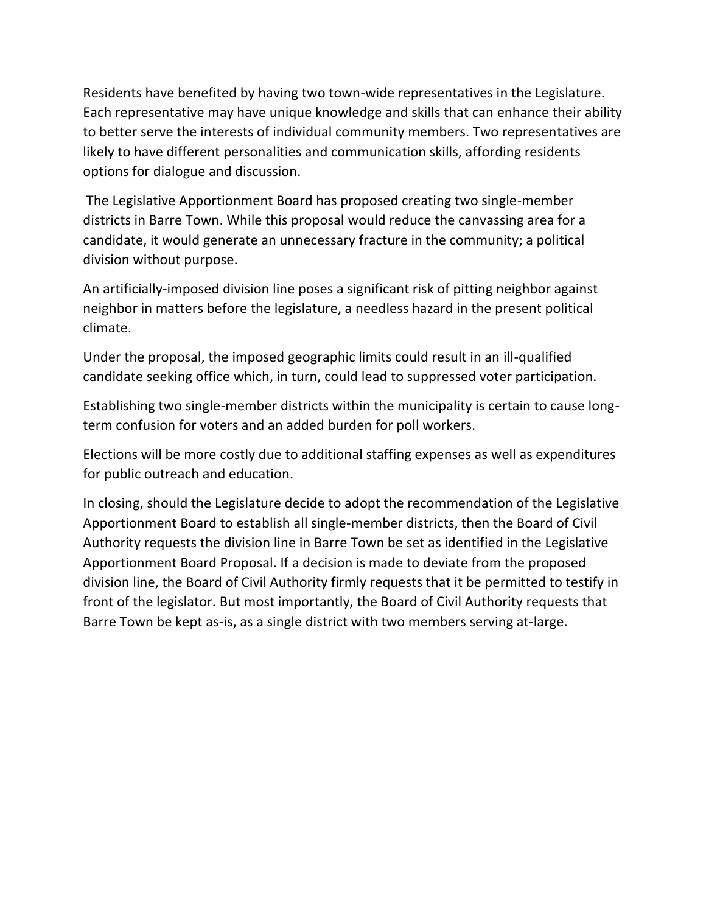Residents have benefited by having two town-wide representatives in the Legislature. Each representative may have unique knowledge and skills that can enhance their ability to better serve the interests of individual community members. Two representatives are likely to have different personalities and communication skills, affording residents options for dialogue and discussion.

The Legislative Apportionment Board has proposed creating two single-member districts in Barre Town. While this proposal would reduce the canvassing area for a candidate, it would generate an unnecessary fracture in the community; a political division without purpose.

An artificially-imposed division line poses a significant risk of pitting neighbor against neighbor in matters before the legislature, a needless hazard in the present political climate.

Under the proposal, the imposed geographic limits could result in an ill-qualified candidate seeking office which, in turn, could lead to suppressed voter participation.

Establishing two single-member districts within the municipality is certain to cause longterm confusion for voters and an added burden for poll workers.

Elections will be more costly due to additional staffing expenses as well as expenditures for public outreach and education.

In closing, should the Legislature decide to adopt the recommendation of the Legislative Apportionment Board to establish all single-member districts, then the Board of Civil Authority requests the division line in Barre Town be set as identified in the Legislative Apportionment Board Proposal. If a decision is made to deviate from the proposed division line, the Board of Civil Authority firmly requests that it be permitted to testify in front of the legislator. But most importantly, the Board of Civil Authority requests that Barre Town be kept as-is, as a single district with two members serving at-large.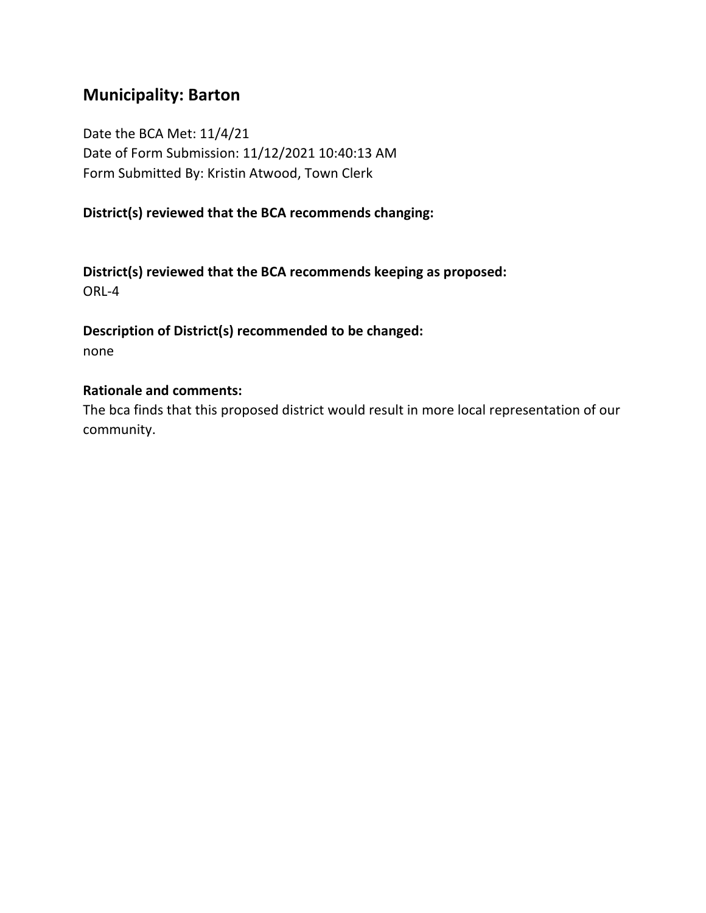## **Municipality: Barton**

Date the BCA Met: 11/4/21 Date of Form Submission: 11/12/2021 10:40:13 AM Form Submitted By: Kristin Atwood, Town Clerk

### **District(s) reviewed that the BCA recommends changing:**

**District(s) reviewed that the BCA recommends keeping as proposed:** ORL-4

**Description of District(s) recommended to be changed:** none

#### **Rationale and comments:**

The bca finds that this proposed district would result in more local representation of our community.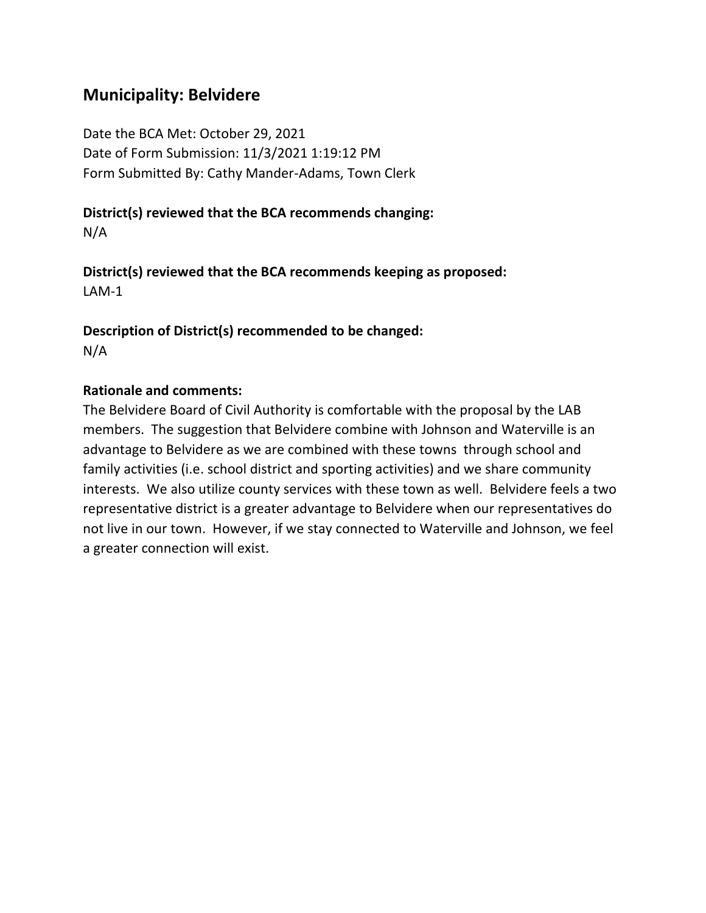## **Municipality: Belvidere**

Date the BCA Met: October 29, 2021 Date of Form Submission: 11/3/2021 1:19:12 PM Form Submitted By: Cathy Mander-Adams, Town Clerk

# **District(s) reviewed that the BCA recommends changing:**

N/A

**District(s) reviewed that the BCA recommends keeping as proposed:** LAM-1

**Description of District(s) recommended to be changed:** N/A

#### **Rationale and comments:**

The Belvidere Board of Civil Authority is comfortable with the proposal by the LAB members. The suggestion that Belvidere combine with Johnson and Waterville is an advantage to Belvidere as we are combined with these towns through school and family activities (i.e. school district and sporting activities) and we share community interests. We also utilize county services with these town as well. Belvidere feels a two representative district is a greater advantage to Belvidere when our representatives do not live in our town. However, if we stay connected to Waterville and Johnson, we feel a greater connection will exist.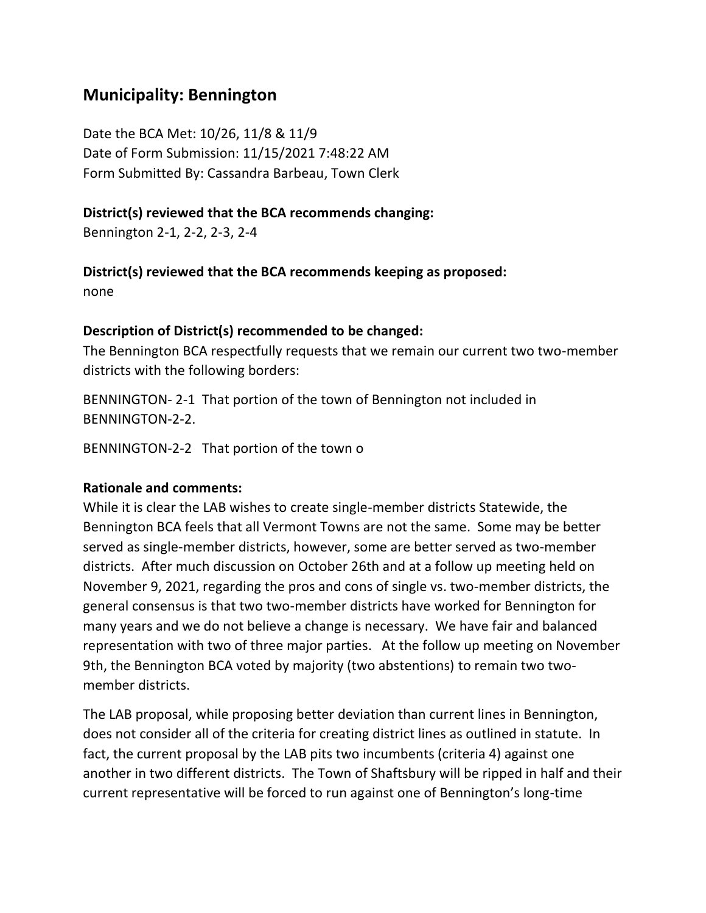## **Municipality: Bennington**

Date the BCA Met: 10/26, 11/8 & 11/9 Date of Form Submission: 11/15/2021 7:48:22 AM Form Submitted By: Cassandra Barbeau, Town Clerk

#### **District(s) reviewed that the BCA recommends changing:**

Bennington 2-1, 2-2, 2-3, 2-4

#### **District(s) reviewed that the BCA recommends keeping as proposed:**

none

#### **Description of District(s) recommended to be changed:**

The Bennington BCA respectfully requests that we remain our current two two-member districts with the following borders:

BENNINGTON- 2-1 That portion of the town of Bennington not included in BENNINGTON-2-2.

BENNINGTON-2-2 That portion of the town o

#### **Rationale and comments:**

While it is clear the LAB wishes to create single-member districts Statewide, the Bennington BCA feels that all Vermont Towns are not the same. Some may be better served as single-member districts, however, some are better served as two-member districts. After much discussion on October 26th and at a follow up meeting held on November 9, 2021, regarding the pros and cons of single vs. two-member districts, the general consensus is that two two-member districts have worked for Bennington for many years and we do not believe a change is necessary. We have fair and balanced representation with two of three major parties. At the follow up meeting on November 9th, the Bennington BCA voted by majority (two abstentions) to remain two twomember districts.

The LAB proposal, while proposing better deviation than current lines in Bennington, does not consider all of the criteria for creating district lines as outlined in statute. In fact, the current proposal by the LAB pits two incumbents (criteria 4) against one another in two different districts. The Town of Shaftsbury will be ripped in half and their current representative will be forced to run against one of Bennington's long-time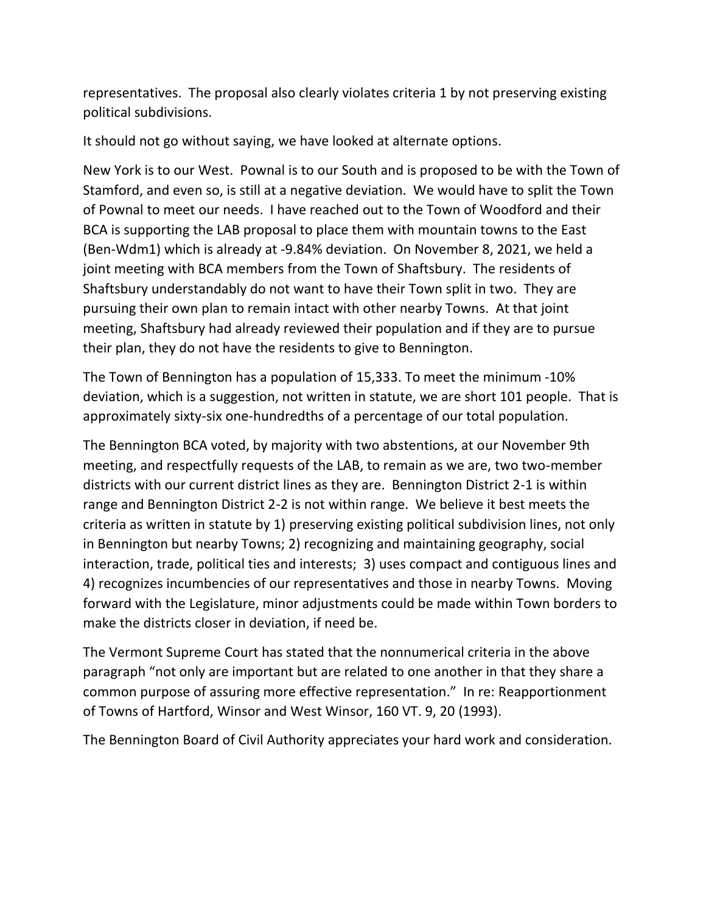representatives. The proposal also clearly violates criteria 1 by not preserving existing political subdivisions.

It should not go without saying, we have looked at alternate options.

New York is to our West. Pownal is to our South and is proposed to be with the Town of Stamford, and even so, is still at a negative deviation. We would have to split the Town of Pownal to meet our needs. I have reached out to the Town of Woodford and their BCA is supporting the LAB proposal to place them with mountain towns to the East (Ben-Wdm1) which is already at -9.84% deviation. On November 8, 2021, we held a joint meeting with BCA members from the Town of Shaftsbury. The residents of Shaftsbury understandably do not want to have their Town split in two. They are pursuing their own plan to remain intact with other nearby Towns. At that joint meeting, Shaftsbury had already reviewed their population and if they are to pursue their plan, they do not have the residents to give to Bennington.

The Town of Bennington has a population of 15,333. To meet the minimum -10% deviation, which is a suggestion, not written in statute, we are short 101 people. That is approximately sixty-six one-hundredths of a percentage of our total population.

The Bennington BCA voted, by majority with two abstentions, at our November 9th meeting, and respectfully requests of the LAB, to remain as we are, two two-member districts with our current district lines as they are. Bennington District 2-1 is within range and Bennington District 2-2 is not within range. We believe it best meets the criteria as written in statute by 1) preserving existing political subdivision lines, not only in Bennington but nearby Towns; 2) recognizing and maintaining geography, social interaction, trade, political ties and interests; 3) uses compact and contiguous lines and 4) recognizes incumbencies of our representatives and those in nearby Towns. Moving forward with the Legislature, minor adjustments could be made within Town borders to make the districts closer in deviation, if need be.

The Vermont Supreme Court has stated that the nonnumerical criteria in the above paragraph "not only are important but are related to one another in that they share a common purpose of assuring more effective representation." In re: Reapportionment of Towns of Hartford, Winsor and West Winsor, 160 VT. 9, 20 (1993).

The Bennington Board of Civil Authority appreciates your hard work and consideration.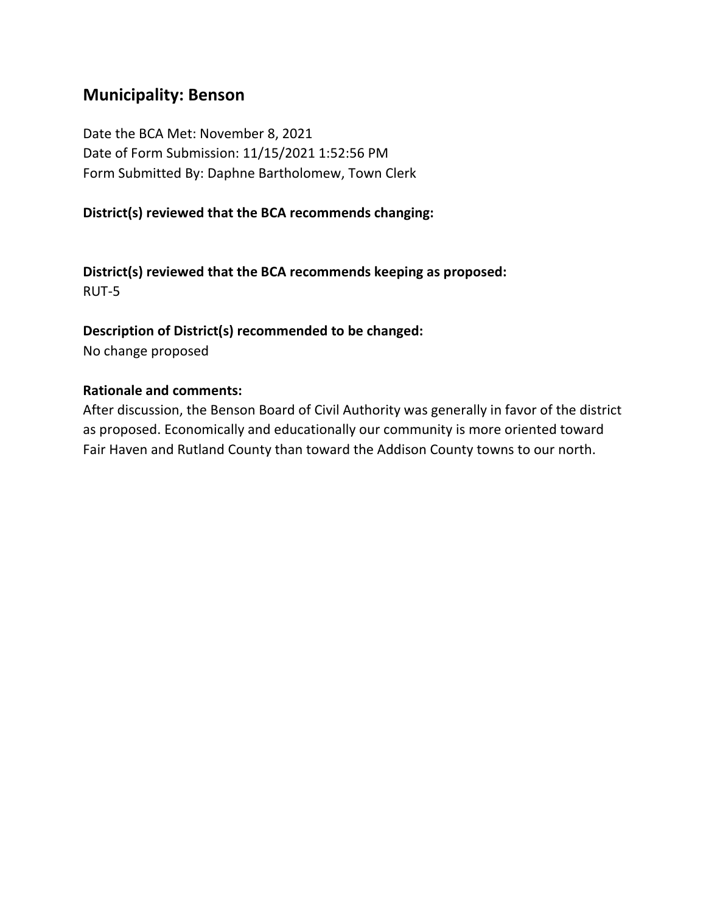## **Municipality: Benson**

Date the BCA Met: November 8, 2021 Date of Form Submission: 11/15/2021 1:52:56 PM Form Submitted By: Daphne Bartholomew, Town Clerk

#### **District(s) reviewed that the BCA recommends changing:**

**District(s) reviewed that the BCA recommends keeping as proposed:** RUT-5

#### **Description of District(s) recommended to be changed:**

No change proposed

#### **Rationale and comments:**

After discussion, the Benson Board of Civil Authority was generally in favor of the district as proposed. Economically and educationally our community is more oriented toward Fair Haven and Rutland County than toward the Addison County towns to our north.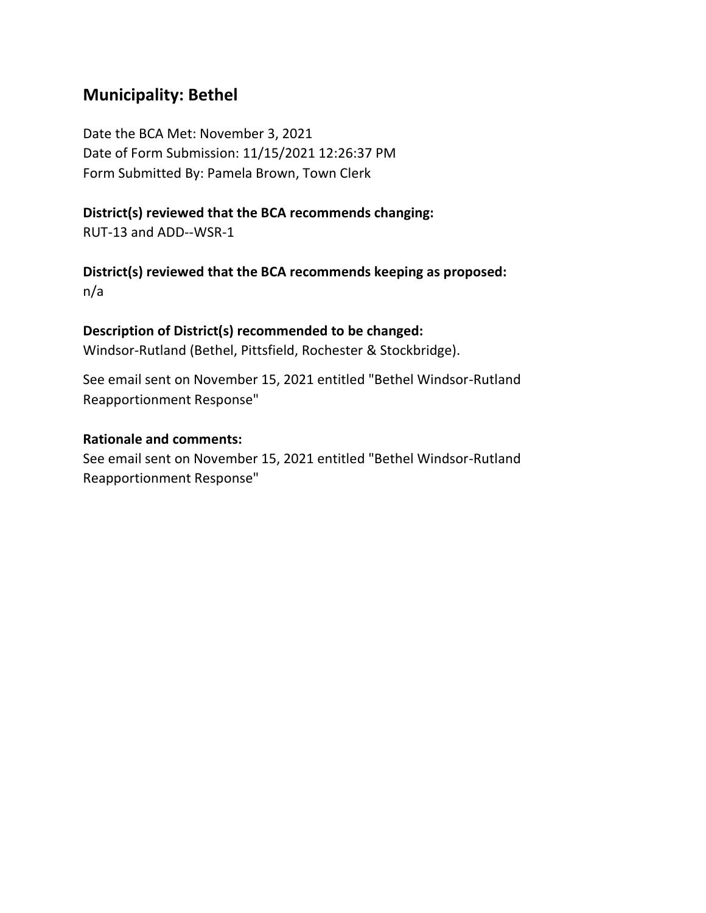## **Municipality: Bethel**

Date the BCA Met: November 3, 2021 Date of Form Submission: 11/15/2021 12:26:37 PM Form Submitted By: Pamela Brown, Town Clerk

#### **District(s) reviewed that the BCA recommends changing:**

RUT-13 and ADD--WSR-1

**District(s) reviewed that the BCA recommends keeping as proposed:** n/a

#### **Description of District(s) recommended to be changed:**

Windsor-Rutland (Bethel, Pittsfield, Rochester & Stockbridge).

See email sent on November 15, 2021 entitled "Bethel Windsor-Rutland Reapportionment Response"

#### **Rationale and comments:**

See email sent on November 15, 2021 entitled "Bethel Windsor-Rutland Reapportionment Response"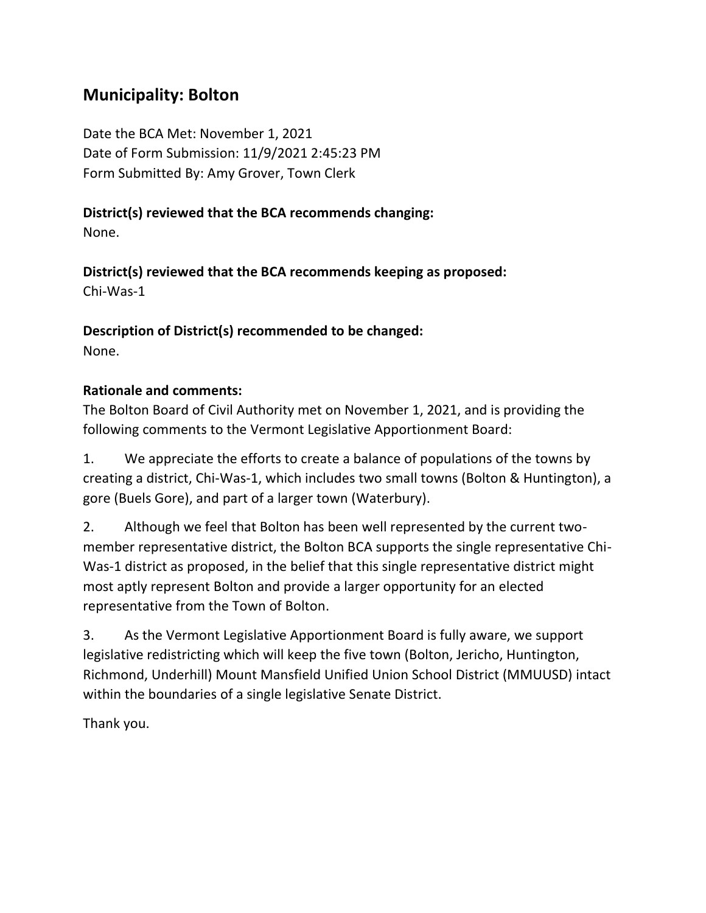## **Municipality: Bolton**

Date the BCA Met: November 1, 2021 Date of Form Submission: 11/9/2021 2:45:23 PM Form Submitted By: Amy Grover, Town Clerk

## **District(s) reviewed that the BCA recommends changing:**

None.

**District(s) reviewed that the BCA recommends keeping as proposed:** Chi-Was-1

**Description of District(s) recommended to be changed:** None.

## **Rationale and comments:**

The Bolton Board of Civil Authority met on November 1, 2021, and is providing the following comments to the Vermont Legislative Apportionment Board:

1. We appreciate the efforts to create a balance of populations of the towns by creating a district, Chi-Was-1, which includes two small towns (Bolton & Huntington), a gore (Buels Gore), and part of a larger town (Waterbury).

2. Although we feel that Bolton has been well represented by the current twomember representative district, the Bolton BCA supports the single representative Chi-Was-1 district as proposed, in the belief that this single representative district might most aptly represent Bolton and provide a larger opportunity for an elected representative from the Town of Bolton.

3. As the Vermont Legislative Apportionment Board is fully aware, we support legislative redistricting which will keep the five town (Bolton, Jericho, Huntington, Richmond, Underhill) Mount Mansfield Unified Union School District (MMUUSD) intact within the boundaries of a single legislative Senate District.

Thank you.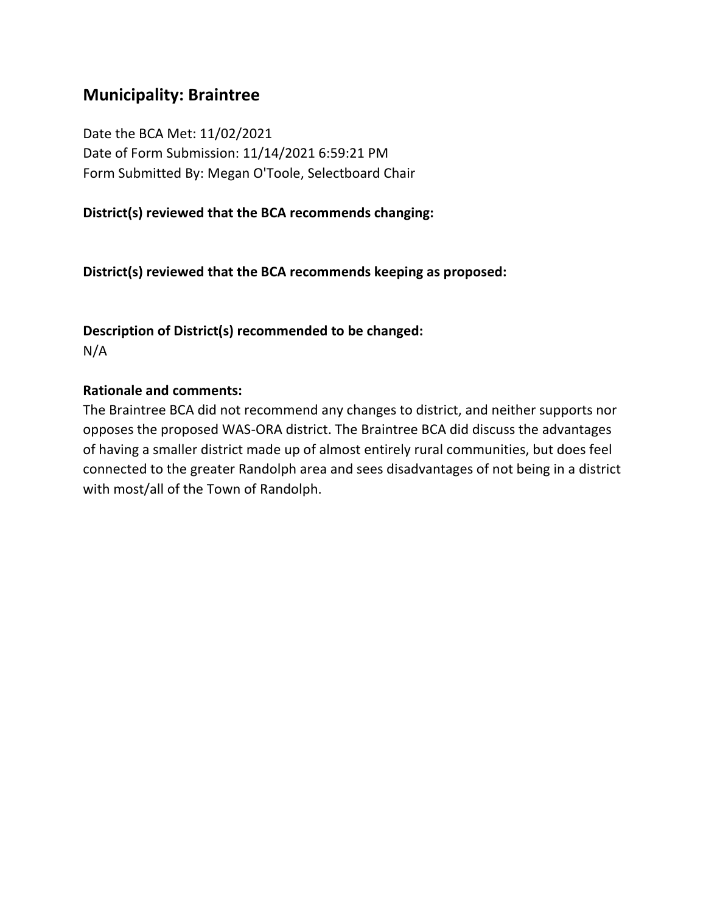## **Municipality: Braintree**

Date the BCA Met: 11/02/2021 Date of Form Submission: 11/14/2021 6:59:21 PM Form Submitted By: Megan O'Toole, Selectboard Chair

#### **District(s) reviewed that the BCA recommends changing:**

**District(s) reviewed that the BCA recommends keeping as proposed:**

**Description of District(s) recommended to be changed:** N/A

#### **Rationale and comments:**

The Braintree BCA did not recommend any changes to district, and neither supports nor opposes the proposed WAS-ORA district. The Braintree BCA did discuss the advantages of having a smaller district made up of almost entirely rural communities, but does feel connected to the greater Randolph area and sees disadvantages of not being in a district with most/all of the Town of Randolph.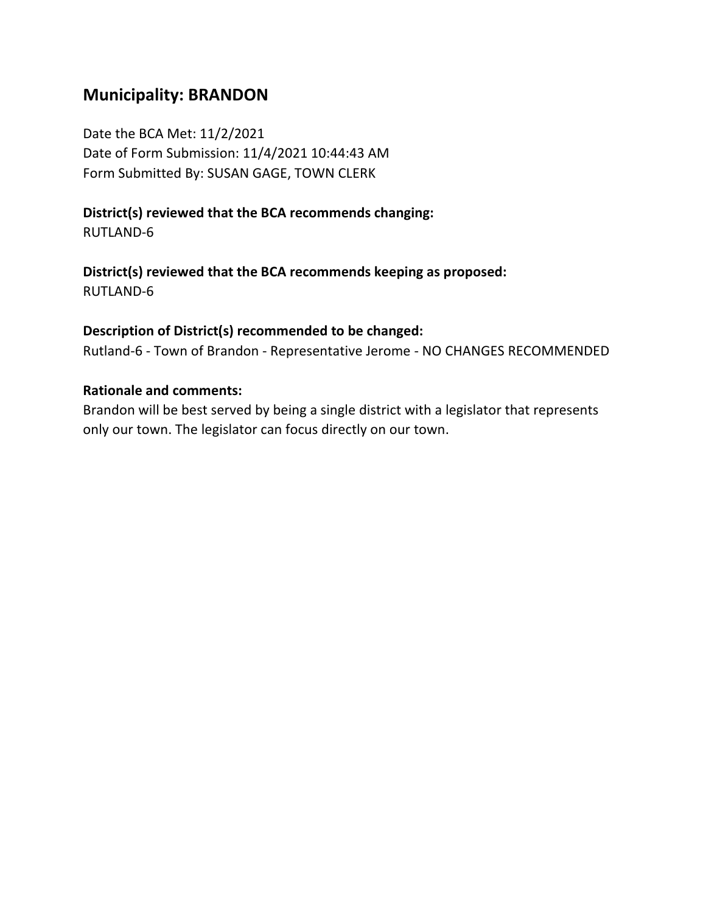## **Municipality: BRANDON**

Date the BCA Met: 11/2/2021 Date of Form Submission: 11/4/2021 10:44:43 AM Form Submitted By: SUSAN GAGE, TOWN CLERK

**District(s) reviewed that the BCA recommends changing:** RUTLAND-6

**District(s) reviewed that the BCA recommends keeping as proposed:** RUTLAND-6

#### **Description of District(s) recommended to be changed:**

Rutland-6 - Town of Brandon - Representative Jerome - NO CHANGES RECOMMENDED

#### **Rationale and comments:**

Brandon will be best served by being a single district with a legislator that represents only our town. The legislator can focus directly on our town.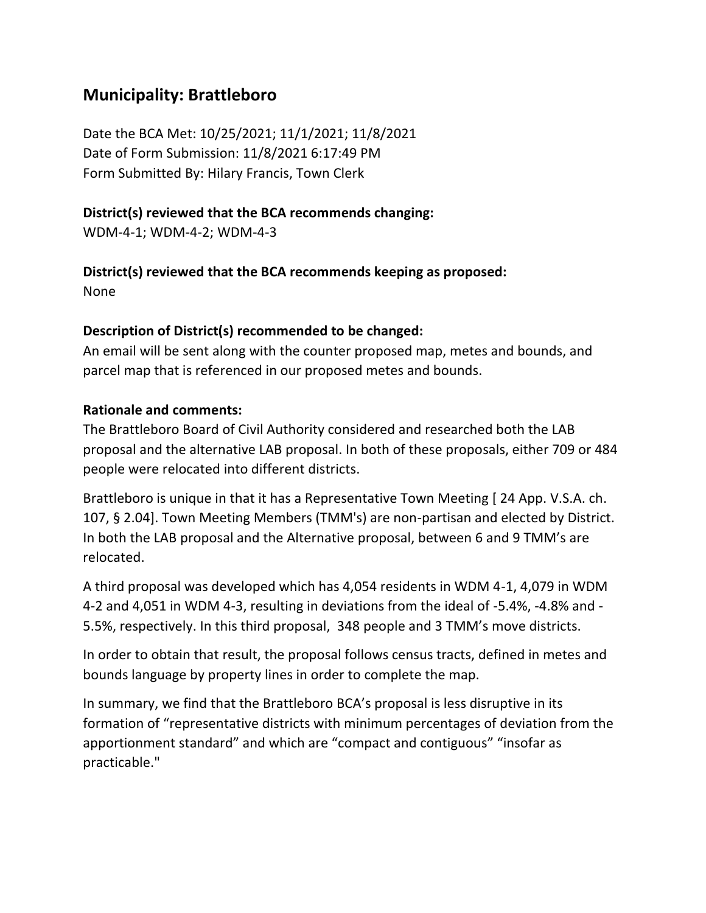## **Municipality: Brattleboro**

Date the BCA Met: 10/25/2021; 11/1/2021; 11/8/2021 Date of Form Submission: 11/8/2021 6:17:49 PM Form Submitted By: Hilary Francis, Town Clerk

#### **District(s) reviewed that the BCA recommends changing:**

WDM-4-1; WDM-4-2; WDM-4-3

### **District(s) reviewed that the BCA recommends keeping as proposed:**

None

### **Description of District(s) recommended to be changed:**

An email will be sent along with the counter proposed map, metes and bounds, and parcel map that is referenced in our proposed metes and bounds.

#### **Rationale and comments:**

The Brattleboro Board of Civil Authority considered and researched both the LAB proposal and the alternative LAB proposal. In both of these proposals, either 709 or 484 people were relocated into different districts.

Brattleboro is unique in that it has a Representative Town Meeting [ 24 App. V.S.A. ch. 107, § 2.04]. Town Meeting Members (TMM's) are non-partisan and elected by District. In both the LAB proposal and the Alternative proposal, between 6 and 9 TMM's are relocated.

A third proposal was developed which has 4,054 residents in WDM 4-1, 4,079 in WDM 4-2 and 4,051 in WDM 4-3, resulting in deviations from the ideal of -5.4%, -4.8% and - 5.5%, respectively. In this third proposal, 348 people and 3 TMM's move districts.

In order to obtain that result, the proposal follows census tracts, defined in metes and bounds language by property lines in order to complete the map.

In summary, we find that the Brattleboro BCA's proposal is less disruptive in its formation of "representative districts with minimum percentages of deviation from the apportionment standard" and which are "compact and contiguous" "insofar as practicable."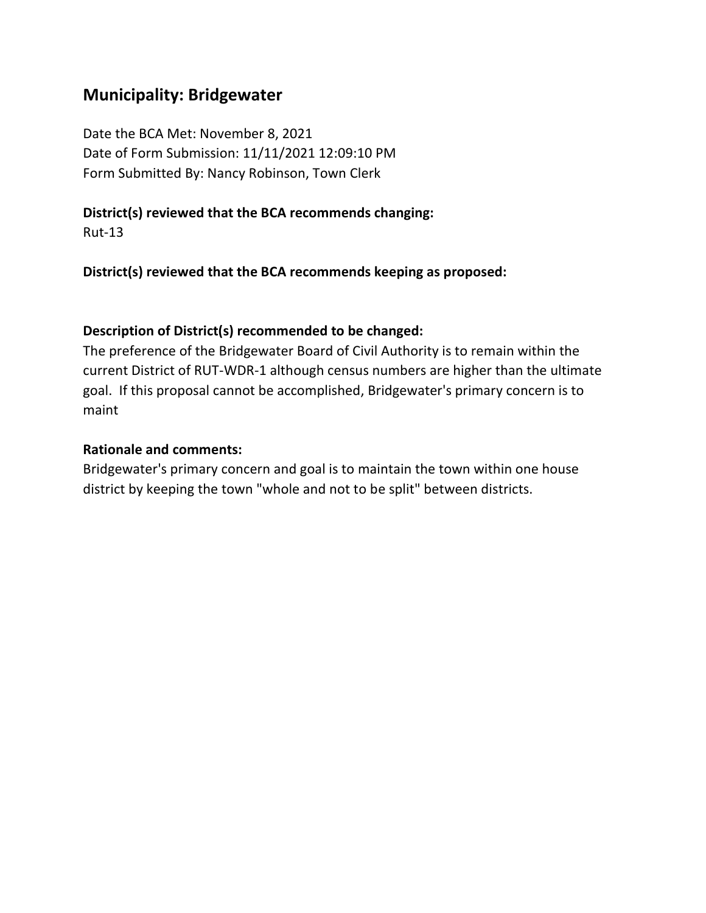## **Municipality: Bridgewater**

Date the BCA Met: November 8, 2021 Date of Form Submission: 11/11/2021 12:09:10 PM Form Submitted By: Nancy Robinson, Town Clerk

#### **District(s) reviewed that the BCA recommends changing:**

Rut-13

**District(s) reviewed that the BCA recommends keeping as proposed:**

#### **Description of District(s) recommended to be changed:**

The preference of the Bridgewater Board of Civil Authority is to remain within the current District of RUT-WDR-1 although census numbers are higher than the ultimate goal. If this proposal cannot be accomplished, Bridgewater's primary concern is to maint

#### **Rationale and comments:**

Bridgewater's primary concern and goal is to maintain the town within one house district by keeping the town "whole and not to be split" between districts.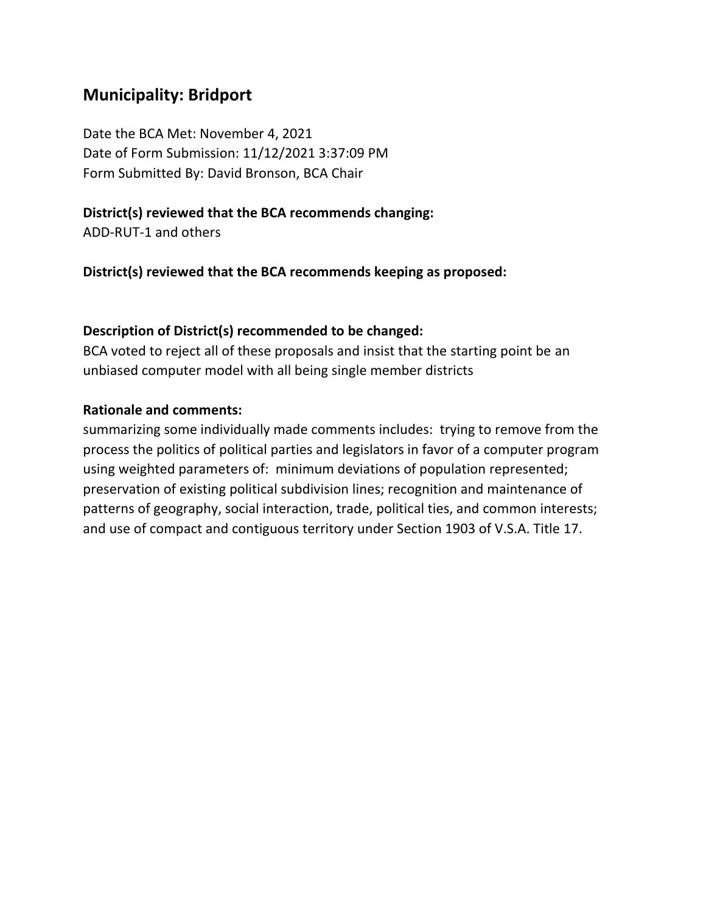## **Municipality: Bridport**

Date the BCA Met: November 4, 2021 Date of Form Submission: 11/12/2021 3:37:09 PM Form Submitted By: David Bronson, BCA Chair

### **District(s) reviewed that the BCA recommends changing:**

ADD-RUT-1 and others

**District(s) reviewed that the BCA recommends keeping as proposed:**

### **Description of District(s) recommended to be changed:**

BCA voted to reject all of these proposals and insist that the starting point be an unbiased computer model with all being single member districts

### **Rationale and comments:**

summarizing some individually made comments includes: trying to remove from the process the politics of political parties and legislators in favor of a computer program using weighted parameters of: minimum deviations of population represented; preservation of existing political subdivision lines; recognition and maintenance of patterns of geography, social interaction, trade, political ties, and common interests; and use of compact and contiguous territory under Section 1903 of V.S.A. Title 17.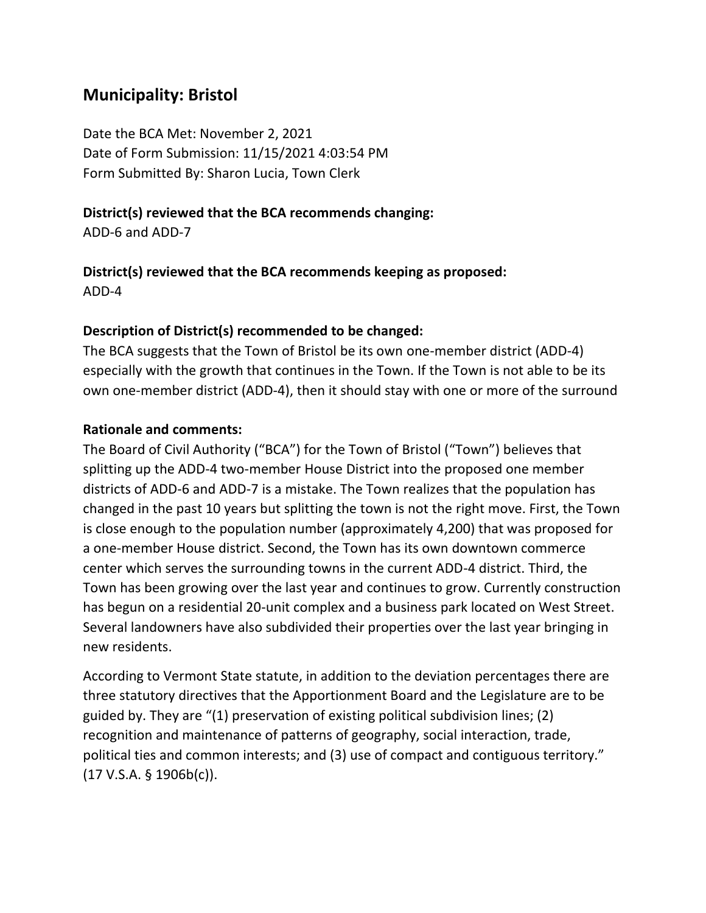## **Municipality: Bristol**

Date the BCA Met: November 2, 2021 Date of Form Submission: 11/15/2021 4:03:54 PM Form Submitted By: Sharon Lucia, Town Clerk

### **District(s) reviewed that the BCA recommends changing:**

ADD-6 and ADD-7

## **District(s) reviewed that the BCA recommends keeping as proposed:** ADD-4

## **Description of District(s) recommended to be changed:**

The BCA suggests that the Town of Bristol be its own one-member district (ADD-4) especially with the growth that continues in the Town. If the Town is not able to be its own one-member district (ADD-4), then it should stay with one or more of the surround

## **Rationale and comments:**

The Board of Civil Authority ("BCA") for the Town of Bristol ("Town") believes that splitting up the ADD-4 two-member House District into the proposed one member districts of ADD-6 and ADD-7 is a mistake. The Town realizes that the population has changed in the past 10 years but splitting the town is not the right move. First, the Town is close enough to the population number (approximately 4,200) that was proposed for a one-member House district. Second, the Town has its own downtown commerce center which serves the surrounding towns in the current ADD-4 district. Third, the Town has been growing over the last year and continues to grow. Currently construction has begun on a residential 20-unit complex and a business park located on West Street. Several landowners have also subdivided their properties over the last year bringing in new residents.

According to Vermont State statute, in addition to the deviation percentages there are three statutory directives that the Apportionment Board and the Legislature are to be guided by. They are "(1) preservation of existing political subdivision lines; (2) recognition and maintenance of patterns of geography, social interaction, trade, political ties and common interests; and (3) use of compact and contiguous territory." (17 V.S.A. § 1906b(c)).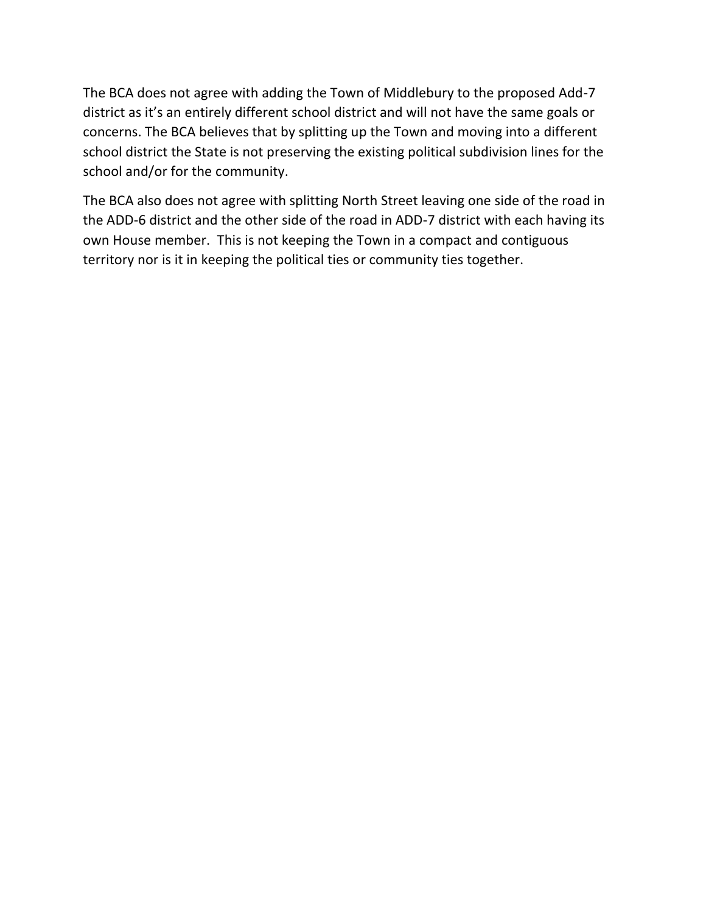The BCA does not agree with adding the Town of Middlebury to the proposed Add-7 district as it's an entirely different school district and will not have the same goals or concerns. The BCA believes that by splitting up the Town and moving into a different school district the State is not preserving the existing political subdivision lines for the school and/or for the community.

The BCA also does not agree with splitting North Street leaving one side of the road in the ADD-6 district and the other side of the road in ADD-7 district with each having its own House member. This is not keeping the Town in a compact and contiguous territory nor is it in keeping the political ties or community ties together.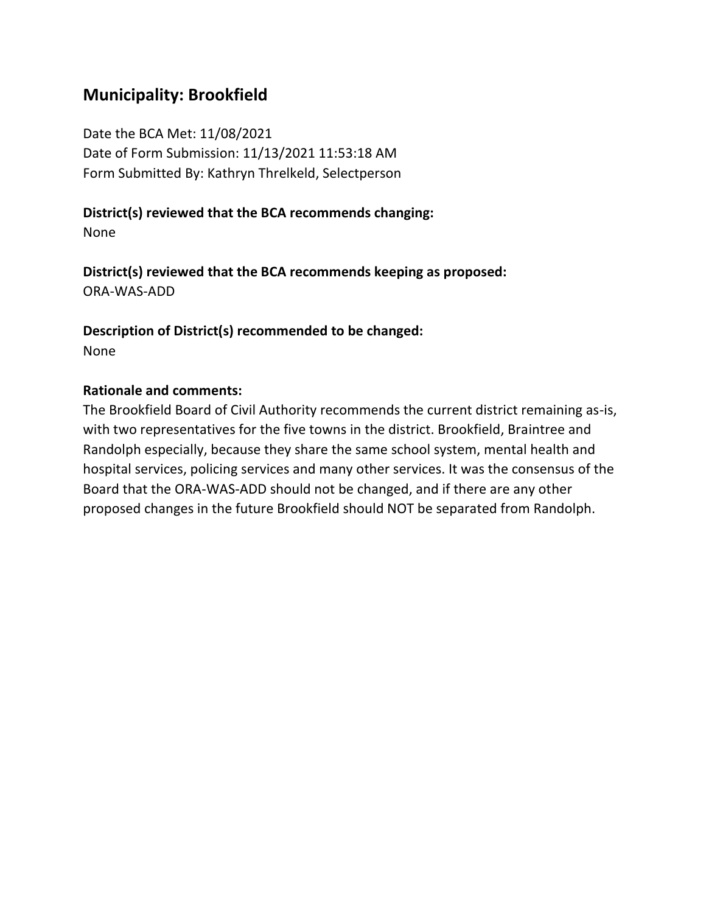## **Municipality: Brookfield**

Date the BCA Met: 11/08/2021 Date of Form Submission: 11/13/2021 11:53:18 AM Form Submitted By: Kathryn Threlkeld, Selectperson

#### **District(s) reviewed that the BCA recommends changing:**

None

**District(s) reviewed that the BCA recommends keeping as proposed:** ORA-WAS-ADD

**Description of District(s) recommended to be changed:** None

#### **Rationale and comments:**

The Brookfield Board of Civil Authority recommends the current district remaining as-is, with two representatives for the five towns in the district. Brookfield, Braintree and Randolph especially, because they share the same school system, mental health and hospital services, policing services and many other services. It was the consensus of the Board that the ORA-WAS-ADD should not be changed, and if there are any other proposed changes in the future Brookfield should NOT be separated from Randolph.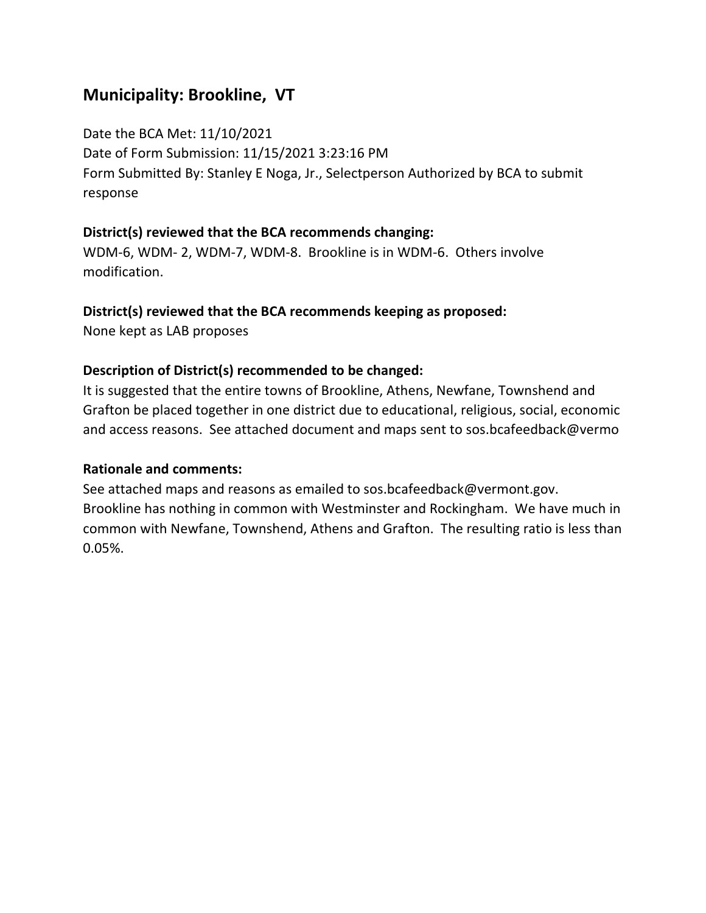## **Municipality: Brookline, VT**

Date the BCA Met: 11/10/2021 Date of Form Submission: 11/15/2021 3:23:16 PM Form Submitted By: Stanley E Noga, Jr., Selectperson Authorized by BCA to submit response

## **District(s) reviewed that the BCA recommends changing:**

WDM-6, WDM- 2, WDM-7, WDM-8. Brookline is in WDM-6. Others involve modification.

#### **District(s) reviewed that the BCA recommends keeping as proposed:**

None kept as LAB proposes

### **Description of District(s) recommended to be changed:**

It is suggested that the entire towns of Brookline, Athens, Newfane, Townshend and Grafton be placed together in one district due to educational, religious, social, economic and access reasons. See attached document and maps sent to sos.bcafeedback@vermo

#### **Rationale and comments:**

See attached maps and reasons as emailed to sos.bcafeedback@vermont.gov. Brookline has nothing in common with Westminster and Rockingham. We have much in common with Newfane, Townshend, Athens and Grafton. The resulting ratio is less than 0.05%.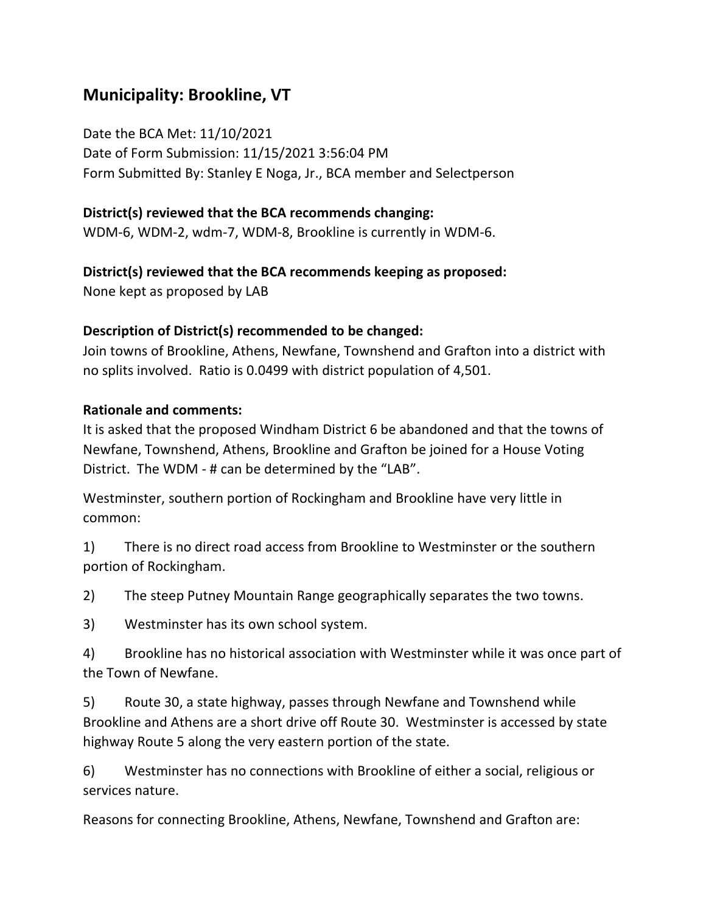## **Municipality: Brookline, VT**

Date the BCA Met: 11/10/2021 Date of Form Submission: 11/15/2021 3:56:04 PM Form Submitted By: Stanley E Noga, Jr., BCA member and Selectperson

## **District(s) reviewed that the BCA recommends changing:**

WDM-6, WDM-2, wdm-7, WDM-8, Brookline is currently in WDM-6.

### **District(s) reviewed that the BCA recommends keeping as proposed:**

None kept as proposed by LAB

## **Description of District(s) recommended to be changed:**

Join towns of Brookline, Athens, Newfane, Townshend and Grafton into a district with no splits involved. Ratio is 0.0499 with district population of 4,501.

### **Rationale and comments:**

It is asked that the proposed Windham District 6 be abandoned and that the towns of Newfane, Townshend, Athens, Brookline and Grafton be joined for a House Voting District. The WDM - # can be determined by the "LAB".

Westminster, southern portion of Rockingham and Brookline have very little in common:

1) There is no direct road access from Brookline to Westminster or the southern portion of Rockingham.

2) The steep Putney Mountain Range geographically separates the two towns.

3) Westminster has its own school system.

4) Brookline has no historical association with Westminster while it was once part of the Town of Newfane.

5) Route 30, a state highway, passes through Newfane and Townshend while Brookline and Athens are a short drive off Route 30. Westminster is accessed by state highway Route 5 along the very eastern portion of the state.

6) Westminster has no connections with Brookline of either a social, religious or services nature.

Reasons for connecting Brookline, Athens, Newfane, Townshend and Grafton are: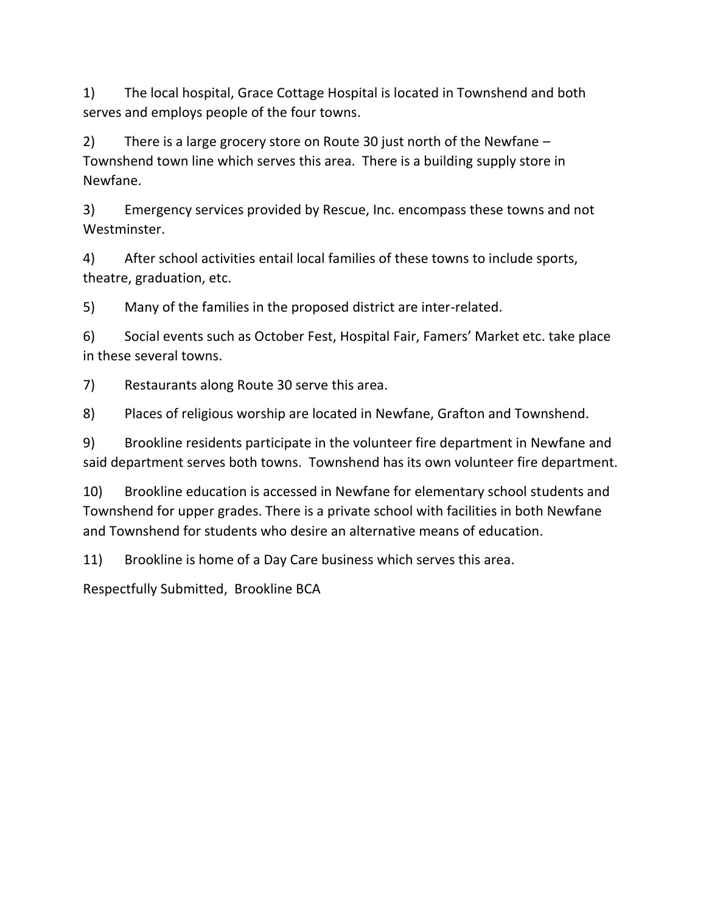1) The local hospital, Grace Cottage Hospital is located in Townshend and both serves and employs people of the four towns.

2) There is a large grocery store on Route 30 just north of the Newfane – Townshend town line which serves this area. There is a building supply store in Newfane.

3) Emergency services provided by Rescue, Inc. encompass these towns and not Westminster.

4) After school activities entail local families of these towns to include sports, theatre, graduation, etc.

5) Many of the families in the proposed district are inter-related.

6) Social events such as October Fest, Hospital Fair, Famers' Market etc. take place in these several towns.

7) Restaurants along Route 30 serve this area.

8) Places of religious worship are located in Newfane, Grafton and Townshend.

9) Brookline residents participate in the volunteer fire department in Newfane and said department serves both towns. Townshend has its own volunteer fire department.

10) Brookline education is accessed in Newfane for elementary school students and Townshend for upper grades. There is a private school with facilities in both Newfane and Townshend for students who desire an alternative means of education.

11) Brookline is home of a Day Care business which serves this area.

Respectfully Submitted, Brookline BCA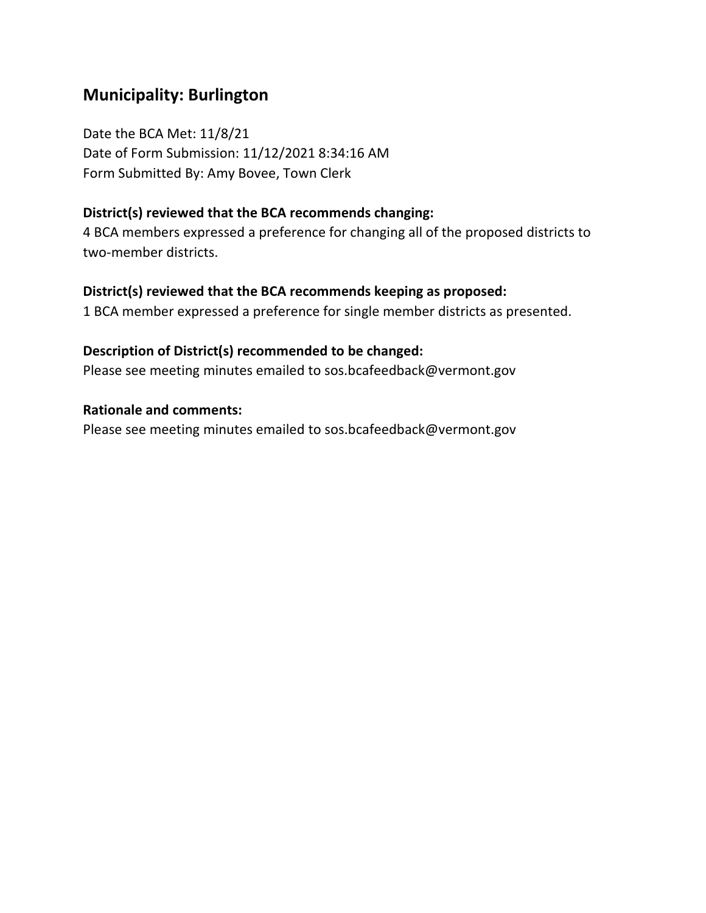## **Municipality: Burlington**

Date the BCA Met: 11/8/21 Date of Form Submission: 11/12/2021 8:34:16 AM Form Submitted By: Amy Bovee, Town Clerk

#### **District(s) reviewed that the BCA recommends changing:**

4 BCA members expressed a preference for changing all of the proposed districts to two-member districts.

#### **District(s) reviewed that the BCA recommends keeping as proposed:**

1 BCA member expressed a preference for single member districts as presented.

### **Description of District(s) recommended to be changed:**

Please see meeting minutes emailed to sos.bcafeedback@vermont.gov

#### **Rationale and comments:**

Please see meeting minutes emailed to sos.bcafeedback@vermont.gov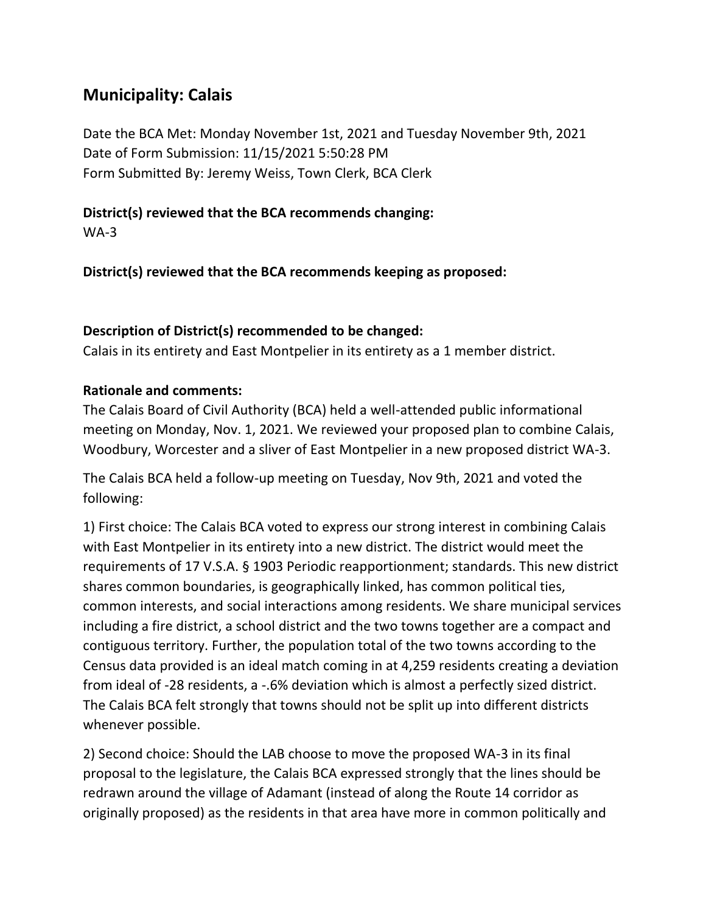## **Municipality: Calais**

Date the BCA Met: Monday November 1st, 2021 and Tuesday November 9th, 2021 Date of Form Submission: 11/15/2021 5:50:28 PM Form Submitted By: Jeremy Weiss, Town Clerk, BCA Clerk

### **District(s) reviewed that the BCA recommends changing:**

WA-3

**District(s) reviewed that the BCA recommends keeping as proposed:**

#### **Description of District(s) recommended to be changed:**

Calais in its entirety and East Montpelier in its entirety as a 1 member district.

### **Rationale and comments:**

The Calais Board of Civil Authority (BCA) held a well-attended public informational meeting on Monday, Nov. 1, 2021. We reviewed your proposed plan to combine Calais, Woodbury, Worcester and a sliver of East Montpelier in a new proposed district WA-3.

The Calais BCA held a follow-up meeting on Tuesday, Nov 9th, 2021 and voted the following:

1) First choice: The Calais BCA voted to express our strong interest in combining Calais with East Montpelier in its entirety into a new district. The district would meet the requirements of 17 V.S.A. § 1903 Periodic reapportionment; standards. This new district shares common boundaries, is geographically linked, has common political ties, common interests, and social interactions among residents. We share municipal services including a fire district, a school district and the two towns together are a compact and contiguous territory. Further, the population total of the two towns according to the Census data provided is an ideal match coming in at 4,259 residents creating a deviation from ideal of -28 residents, a -.6% deviation which is almost a perfectly sized district. The Calais BCA felt strongly that towns should not be split up into different districts whenever possible.

2) Second choice: Should the LAB choose to move the proposed WA-3 in its final proposal to the legislature, the Calais BCA expressed strongly that the lines should be redrawn around the village of Adamant (instead of along the Route 14 corridor as originally proposed) as the residents in that area have more in common politically and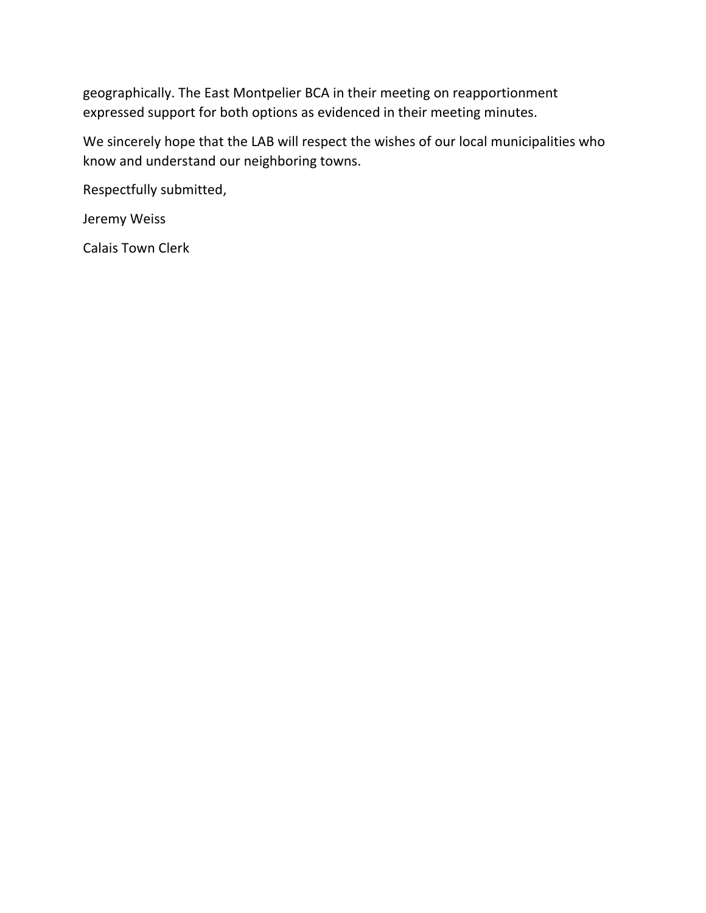geographically. The East Montpelier BCA in their meeting on reapportionment expressed support for both options as evidenced in their meeting minutes.

We sincerely hope that the LAB will respect the wishes of our local municipalities who know and understand our neighboring towns.

Respectfully submitted,

Jeremy Weiss

Calais Town Clerk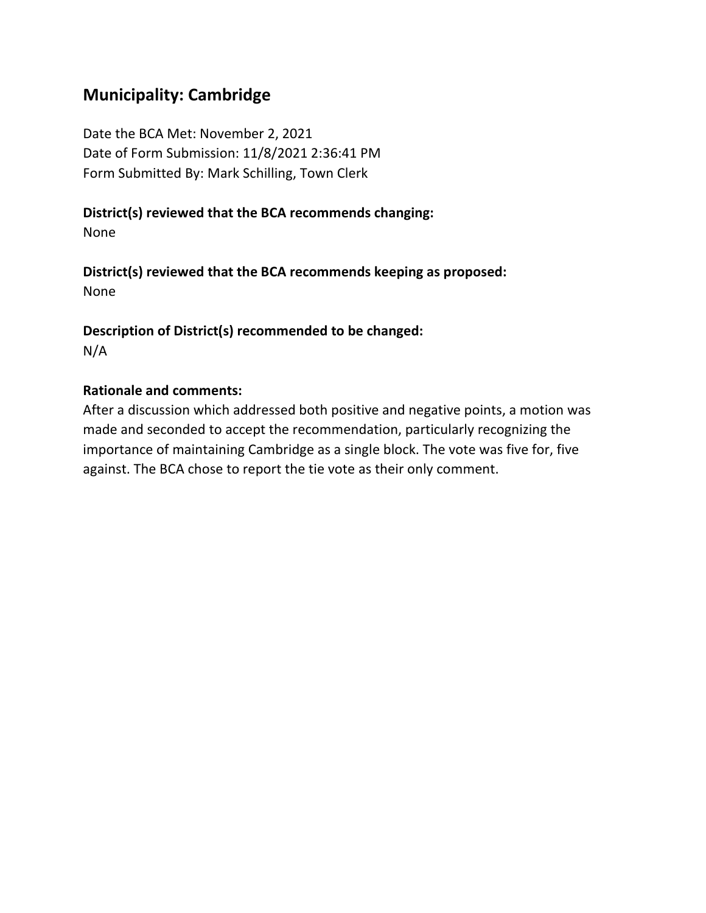## **Municipality: Cambridge**

Date the BCA Met: November 2, 2021 Date of Form Submission: 11/8/2021 2:36:41 PM Form Submitted By: Mark Schilling, Town Clerk

### **District(s) reviewed that the BCA recommends changing:**

None

**District(s) reviewed that the BCA recommends keeping as proposed:** None

#### **Description of District(s) recommended to be changed:** N/A

#### **Rationale and comments:**

After a discussion which addressed both positive and negative points, a motion was made and seconded to accept the recommendation, particularly recognizing the importance of maintaining Cambridge as a single block. The vote was five for, five against. The BCA chose to report the tie vote as their only comment.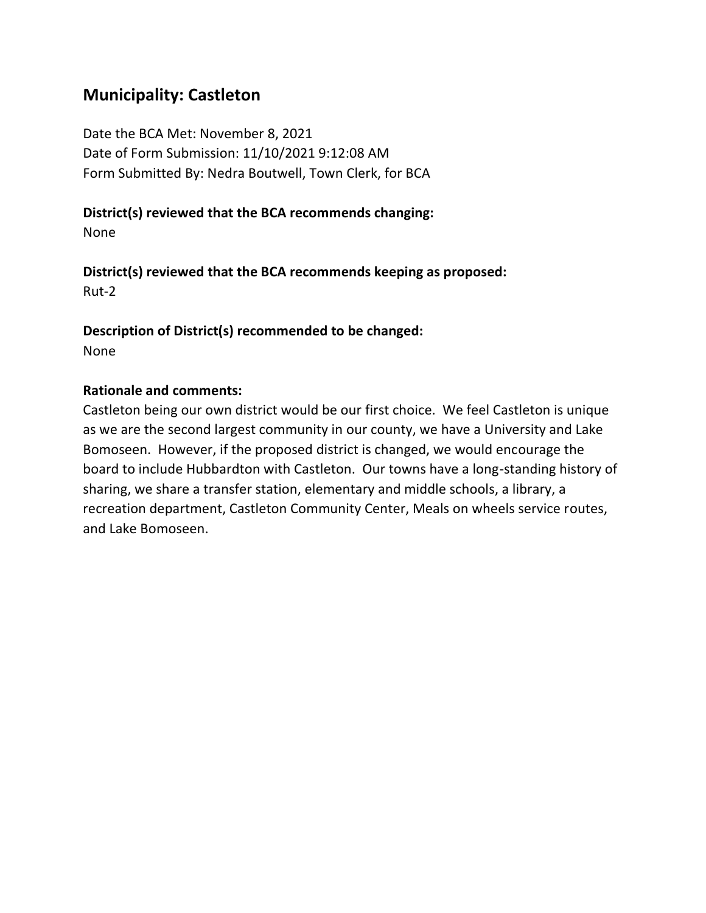## **Municipality: Castleton**

Date the BCA Met: November 8, 2021 Date of Form Submission: 11/10/2021 9:12:08 AM Form Submitted By: Nedra Boutwell, Town Clerk, for BCA

### **District(s) reviewed that the BCA recommends changing:**

None

**District(s) reviewed that the BCA recommends keeping as proposed:** Rut-2

**Description of District(s) recommended to be changed:** None

#### **Rationale and comments:**

Castleton being our own district would be our first choice. We feel Castleton is unique as we are the second largest community in our county, we have a University and Lake Bomoseen. However, if the proposed district is changed, we would encourage the board to include Hubbardton with Castleton. Our towns have a long-standing history of sharing, we share a transfer station, elementary and middle schools, a library, a recreation department, Castleton Community Center, Meals on wheels service routes, and Lake Bomoseen.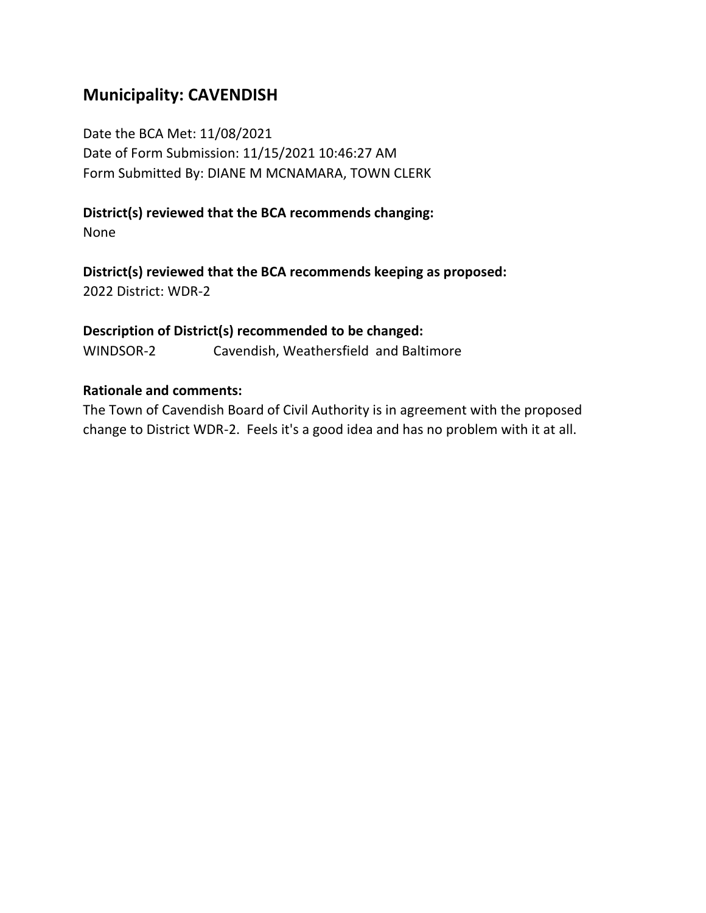## **Municipality: CAVENDISH**

Date the BCA Met: 11/08/2021 Date of Form Submission: 11/15/2021 10:46:27 AM Form Submitted By: DIANE M MCNAMARA, TOWN CLERK

## **District(s) reviewed that the BCA recommends changing:**

None

**District(s) reviewed that the BCA recommends keeping as proposed:** 2022 District: WDR-2

**Description of District(s) recommended to be changed:** WINDSOR-2 Cavendish, Weathersfield and Baltimore

#### **Rationale and comments:**

The Town of Cavendish Board of Civil Authority is in agreement with the proposed change to District WDR-2. Feels it's a good idea and has no problem with it at all.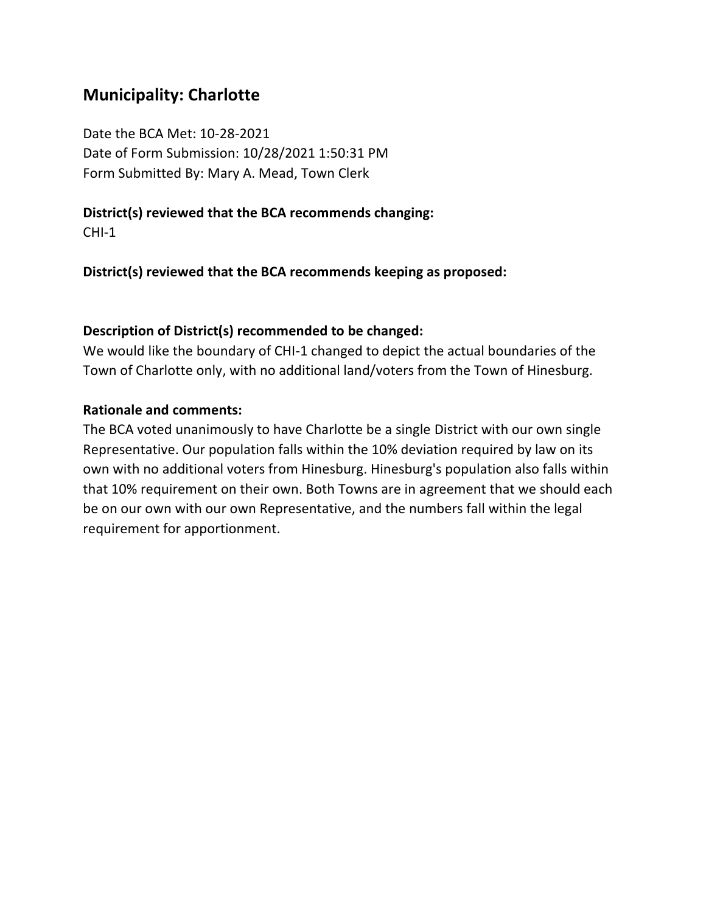## **Municipality: Charlotte**

Date the BCA Met: 10-28-2021 Date of Form Submission: 10/28/2021 1:50:31 PM Form Submitted By: Mary A. Mead, Town Clerk

### **District(s) reviewed that the BCA recommends changing:**

CHI-1

**District(s) reviewed that the BCA recommends keeping as proposed:**

### **Description of District(s) recommended to be changed:**

We would like the boundary of CHI-1 changed to depict the actual boundaries of the Town of Charlotte only, with no additional land/voters from the Town of Hinesburg.

### **Rationale and comments:**

The BCA voted unanimously to have Charlotte be a single District with our own single Representative. Our population falls within the 10% deviation required by law on its own with no additional voters from Hinesburg. Hinesburg's population also falls within that 10% requirement on their own. Both Towns are in agreement that we should each be on our own with our own Representative, and the numbers fall within the legal requirement for apportionment.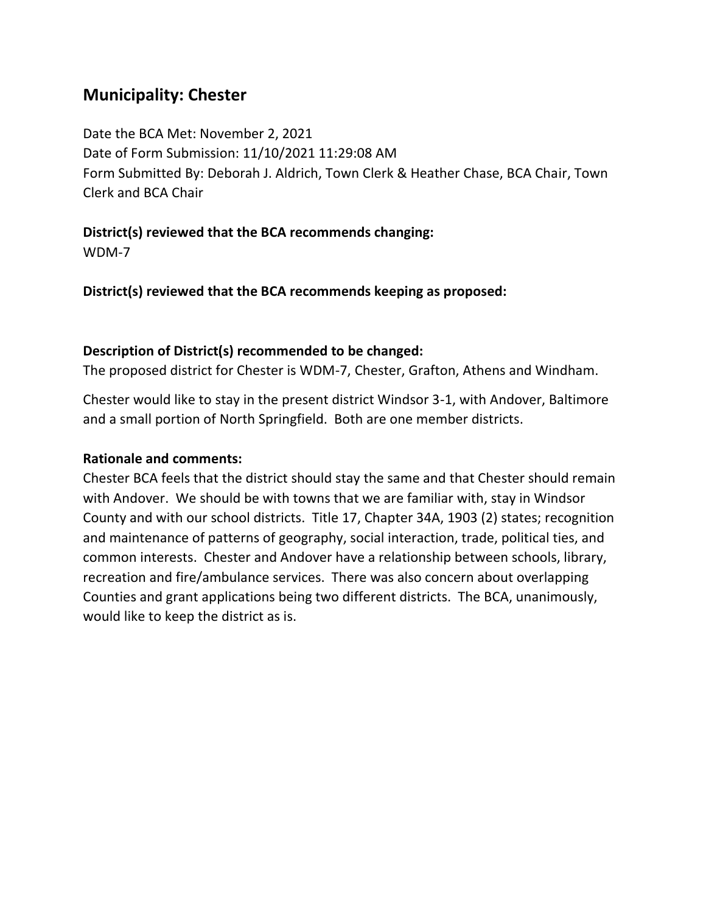## **Municipality: Chester**

Date the BCA Met: November 2, 2021 Date of Form Submission: 11/10/2021 11:29:08 AM Form Submitted By: Deborah J. Aldrich, Town Clerk & Heather Chase, BCA Chair, Town Clerk and BCA Chair

**District(s) reviewed that the BCA recommends changing:**

WDM-7

**District(s) reviewed that the BCA recommends keeping as proposed:**

## **Description of District(s) recommended to be changed:**

The proposed district for Chester is WDM-7, Chester, Grafton, Athens and Windham.

Chester would like to stay in the present district Windsor 3-1, with Andover, Baltimore and a small portion of North Springfield. Both are one member districts.

## **Rationale and comments:**

Chester BCA feels that the district should stay the same and that Chester should remain with Andover. We should be with towns that we are familiar with, stay in Windsor County and with our school districts. Title 17, Chapter 34A, 1903 (2) states; recognition and maintenance of patterns of geography, social interaction, trade, political ties, and common interests. Chester and Andover have a relationship between schools, library, recreation and fire/ambulance services. There was also concern about overlapping Counties and grant applications being two different districts. The BCA, unanimously, would like to keep the district as is.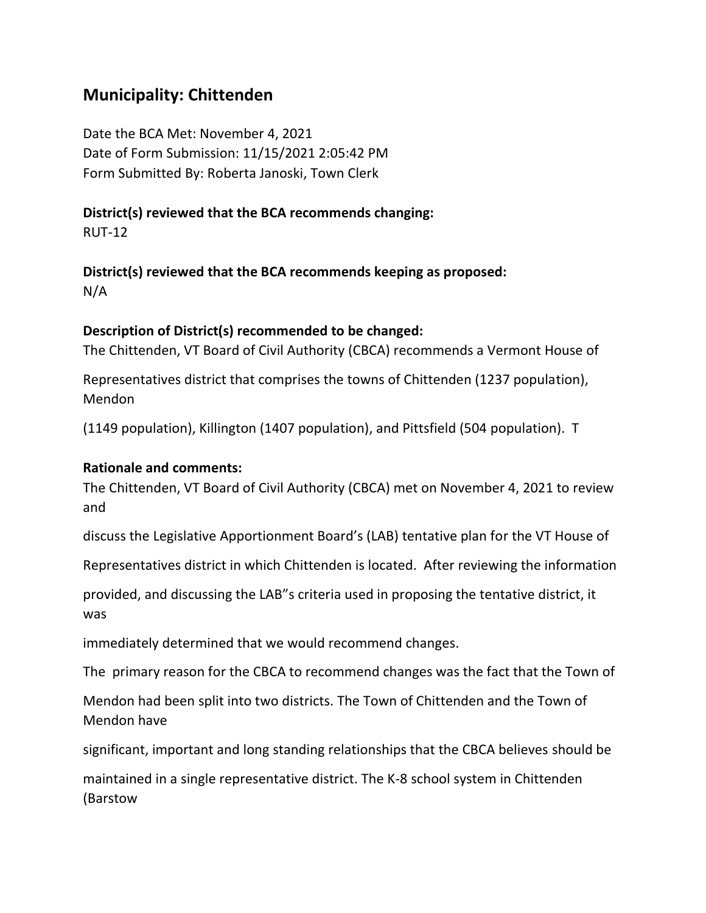## **Municipality: Chittenden**

Date the BCA Met: November 4, 2021 Date of Form Submission: 11/15/2021 2:05:42 PM Form Submitted By: Roberta Janoski, Town Clerk

## **District(s) reviewed that the BCA recommends changing:**

RUT-12

**District(s) reviewed that the BCA recommends keeping as proposed:** N/A

## **Description of District(s) recommended to be changed:**

The Chittenden, VT Board of Civil Authority (CBCA) recommends a Vermont House of

Representatives district that comprises the towns of Chittenden (1237 population), Mendon

(1149 population), Killington (1407 population), and Pittsfield (504 population). T

#### **Rationale and comments:**

The Chittenden, VT Board of Civil Authority (CBCA) met on November 4, 2021 to review and

discuss the Legislative Apportionment Board's (LAB) tentative plan for the VT House of

Representatives district in which Chittenden is located. After reviewing the information

provided, and discussing the LAB"s criteria used in proposing the tentative district, it was

immediately determined that we would recommend changes.

The primary reason for the CBCA to recommend changes was the fact that the Town of

Mendon had been split into two districts. The Town of Chittenden and the Town of Mendon have

significant, important and long standing relationships that the CBCA believes should be

maintained in a single representative district. The K-8 school system in Chittenden (Barstow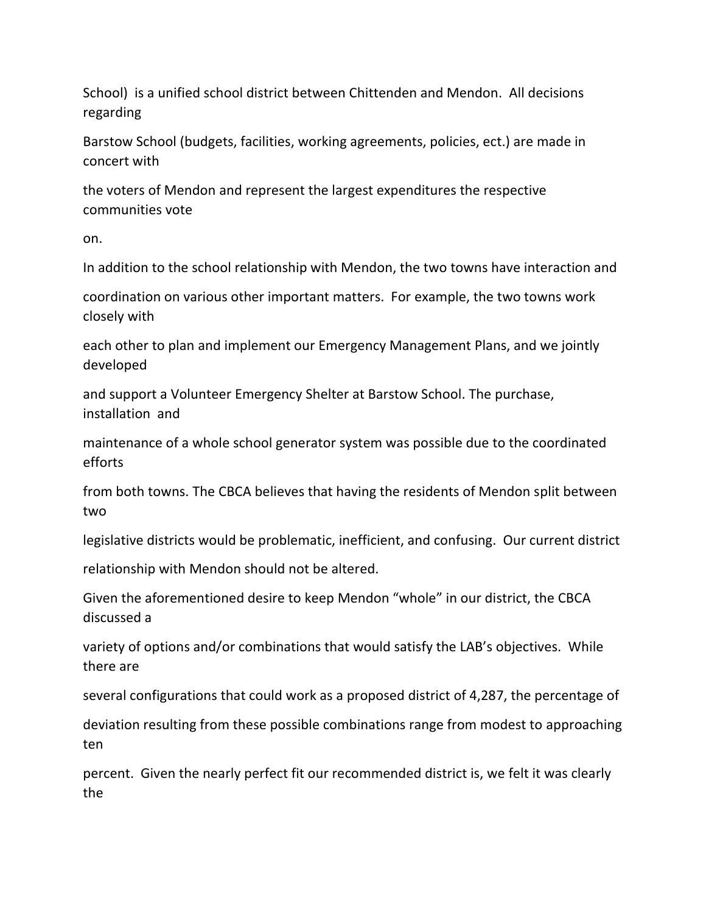School) is a unified school district between Chittenden and Mendon. All decisions regarding

Barstow School (budgets, facilities, working agreements, policies, ect.) are made in concert with

the voters of Mendon and represent the largest expenditures the respective communities vote

on.

In addition to the school relationship with Mendon, the two towns have interaction and

coordination on various other important matters. For example, the two towns work closely with

each other to plan and implement our Emergency Management Plans, and we jointly developed

and support a Volunteer Emergency Shelter at Barstow School. The purchase, installation and

maintenance of a whole school generator system was possible due to the coordinated efforts

from both towns. The CBCA believes that having the residents of Mendon split between two

legislative districts would be problematic, inefficient, and confusing. Our current district

relationship with Mendon should not be altered.

Given the aforementioned desire to keep Mendon "whole" in our district, the CBCA discussed a

variety of options and/or combinations that would satisfy the LAB's objectives. While there are

several configurations that could work as a proposed district of 4,287, the percentage of

deviation resulting from these possible combinations range from modest to approaching ten

percent. Given the nearly perfect fit our recommended district is, we felt it was clearly the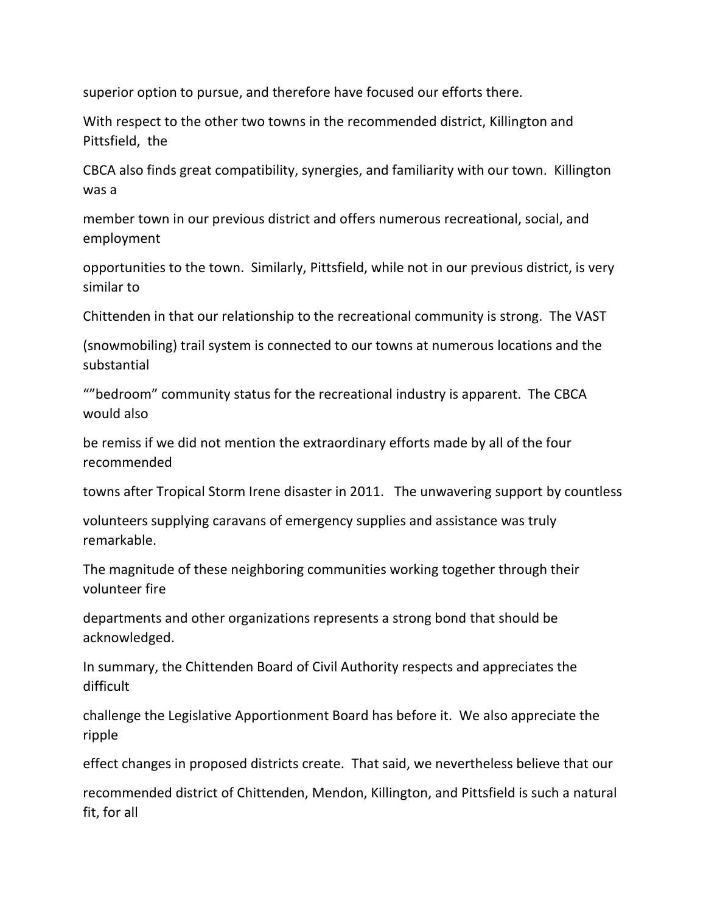superior option to pursue, and therefore have focused our efforts there.

With respect to the other two towns in the recommended district, Killington and Pittsfield, the

CBCA also finds great compatibility, synergies, and familiarity with our town. Killington was a

member town in our previous district and offers numerous recreational, social, and employment

opportunities to the town. Similarly, Pittsfield, while not in our previous district, is very similar to

Chittenden in that our relationship to the recreational community is strong. The VAST

(snowmobiling) trail system is connected to our towns at numerous locations and the substantial

""bedroom" community status for the recreational industry is apparent. The CBCA would also

be remiss if we did not mention the extraordinary efforts made by all of the four recommended

towns after Tropical Storm Irene disaster in 2011. The unwavering support by countless

volunteers supplying caravans of emergency supplies and assistance was truly remarkable.

The magnitude of these neighboring communities working together through their volunteer fire

departments and other organizations represents a strong bond that should be acknowledged.

In summary, the Chittenden Board of Civil Authority respects and appreciates the difficult

challenge the Legislative Apportionment Board has before it. We also appreciate the ripple

effect changes in proposed districts create. That said, we nevertheless believe that our

recommended district of Chittenden, Mendon, Killington, and Pittsfield is such a natural fit, for all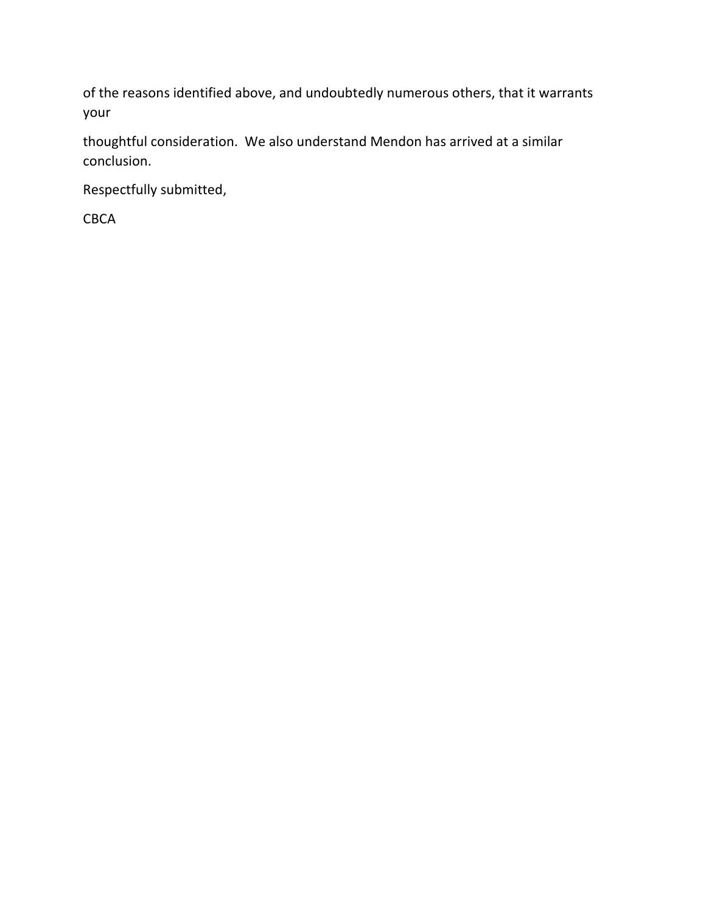of the reasons identified above, and undoubtedly numerous others, that it warrants your

thoughtful consideration. We also understand Mendon has arrived at a similar conclusion.

Respectfully submitted,

CBCA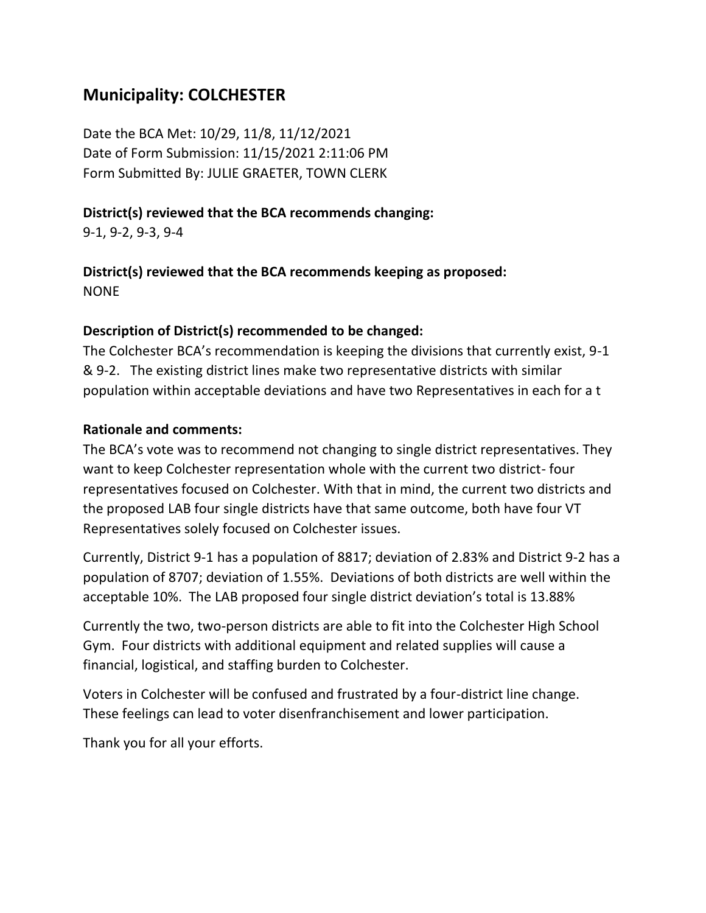# **Municipality: COLCHESTER**

Date the BCA Met: 10/29, 11/8, 11/12/2021 Date of Form Submission: 11/15/2021 2:11:06 PM Form Submitted By: JULIE GRAETER, TOWN CLERK

### **District(s) reviewed that the BCA recommends changing:**

9-1, 9-2, 9-3, 9-4

**District(s) reviewed that the BCA recommends keeping as proposed:** NONE

### **Description of District(s) recommended to be changed:**

The Colchester BCA's recommendation is keeping the divisions that currently exist, 9-1 & 9-2. The existing district lines make two representative districts with similar population within acceptable deviations and have two Representatives in each for a t

### **Rationale and comments:**

The BCA's vote was to recommend not changing to single district representatives. They want to keep Colchester representation whole with the current two district- four representatives focused on Colchester. With that in mind, the current two districts and the proposed LAB four single districts have that same outcome, both have four VT Representatives solely focused on Colchester issues.

Currently, District 9-1 has a population of 8817; deviation of 2.83% and District 9-2 has a population of 8707; deviation of 1.55%. Deviations of both districts are well within the acceptable 10%. The LAB proposed four single district deviation's total is 13.88%

Currently the two, two-person districts are able to fit into the Colchester High School Gym. Four districts with additional equipment and related supplies will cause a financial, logistical, and staffing burden to Colchester.

Voters in Colchester will be confused and frustrated by a four-district line change. These feelings can lead to voter disenfranchisement and lower participation.

Thank you for all your efforts.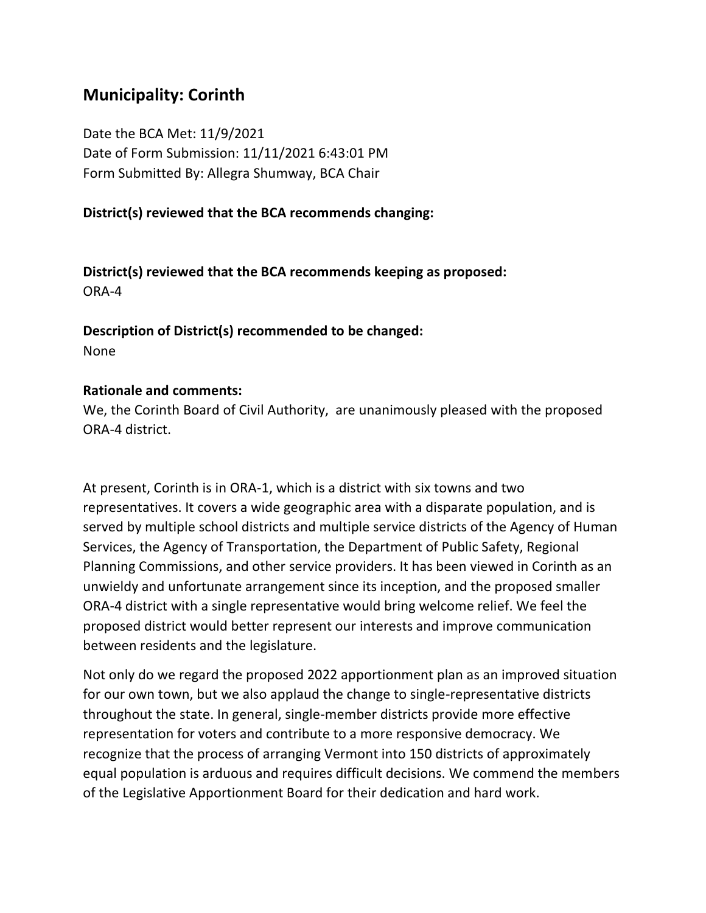# **Municipality: Corinth**

Date the BCA Met: 11/9/2021 Date of Form Submission: 11/11/2021 6:43:01 PM Form Submitted By: Allegra Shumway, BCA Chair

### **District(s) reviewed that the BCA recommends changing:**

**District(s) reviewed that the BCA recommends keeping as proposed:** ORA-4

**Description of District(s) recommended to be changed:** None

#### **Rationale and comments:**

We, the Corinth Board of Civil Authority, are unanimously pleased with the proposed ORA-4 district.

At present, Corinth is in ORA-1, which is a district with six towns and two representatives. It covers a wide geographic area with a disparate population, and is served by multiple school districts and multiple service districts of the Agency of Human Services, the Agency of Transportation, the Department of Public Safety, Regional Planning Commissions, and other service providers. It has been viewed in Corinth as an unwieldy and unfortunate arrangement since its inception, and the proposed smaller ORA-4 district with a single representative would bring welcome relief. We feel the proposed district would better represent our interests and improve communication between residents and the legislature.

Not only do we regard the proposed 2022 apportionment plan as an improved situation for our own town, but we also applaud the change to single-representative districts throughout the state. In general, single-member districts provide more effective representation for voters and contribute to a more responsive democracy. We recognize that the process of arranging Vermont into 150 districts of approximately equal population is arduous and requires difficult decisions. We commend the members of the Legislative Apportionment Board for their dedication and hard work.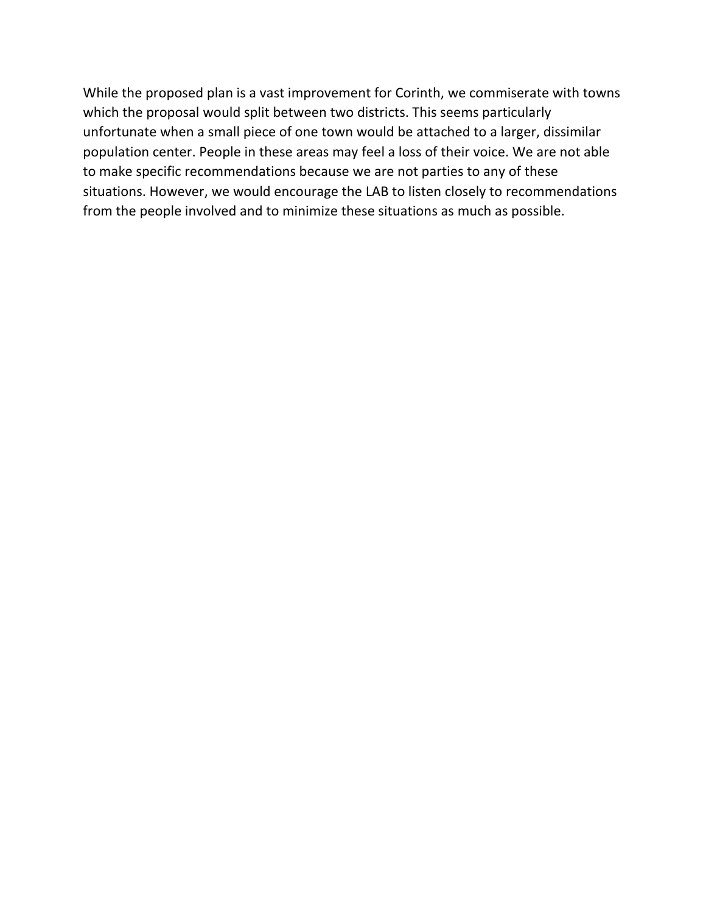While the proposed plan is a vast improvement for Corinth, we commiserate with towns which the proposal would split between two districts. This seems particularly unfortunate when a small piece of one town would be attached to a larger, dissimilar population center. People in these areas may feel a loss of their voice. We are not able to make specific recommendations because we are not parties to any of these situations. However, we would encourage the LAB to listen closely to recommendations from the people involved and to minimize these situations as much as possible.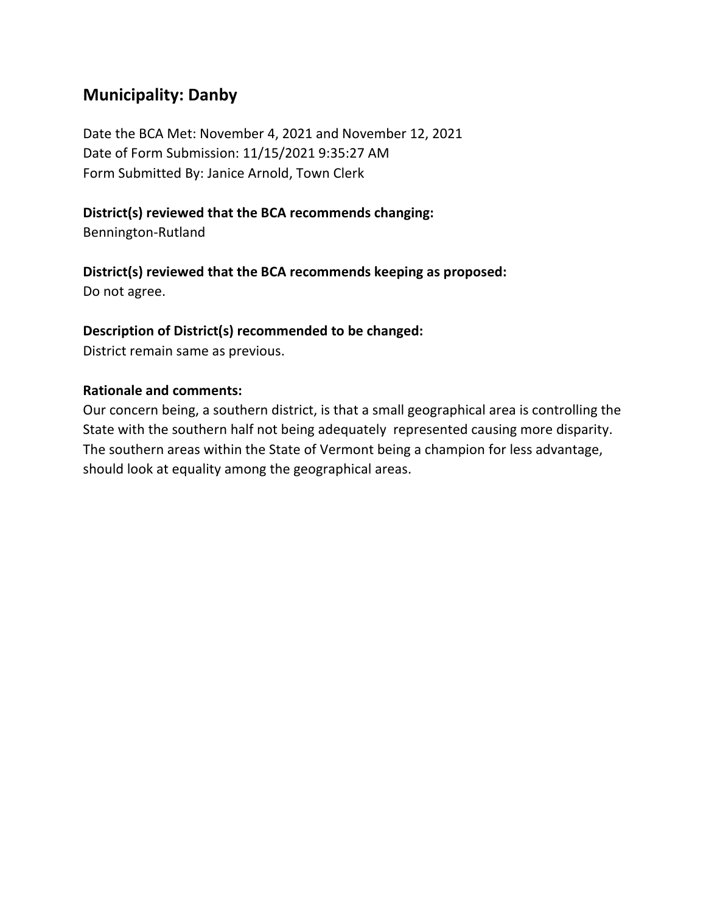# **Municipality: Danby**

Date the BCA Met: November 4, 2021 and November 12, 2021 Date of Form Submission: 11/15/2021 9:35:27 AM Form Submitted By: Janice Arnold, Town Clerk

### **District(s) reviewed that the BCA recommends changing:**

Bennington-Rutland

### **District(s) reviewed that the BCA recommends keeping as proposed:**

Do not agree.

### **Description of District(s) recommended to be changed:**

District remain same as previous.

### **Rationale and comments:**

Our concern being, a southern district, is that a small geographical area is controlling the State with the southern half not being adequately represented causing more disparity. The southern areas within the State of Vermont being a champion for less advantage, should look at equality among the geographical areas.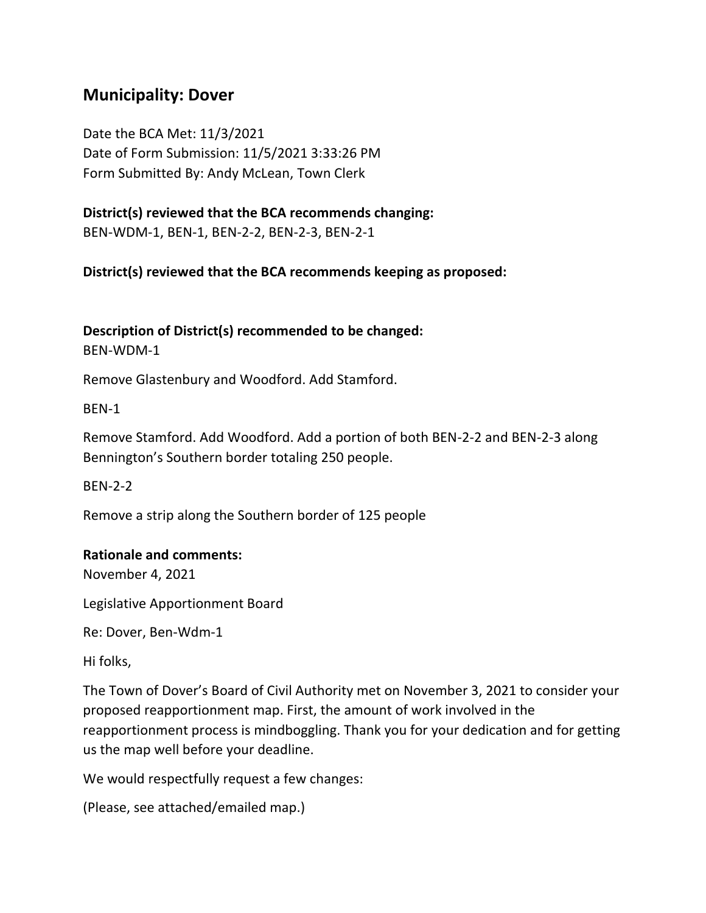### **Municipality: Dover**

Date the BCA Met: 11/3/2021 Date of Form Submission: 11/5/2021 3:33:26 PM Form Submitted By: Andy McLean, Town Clerk

**District(s) reviewed that the BCA recommends changing:** BEN-WDM-1, BEN-1, BEN-2-2, BEN-2-3, BEN-2-1

**District(s) reviewed that the BCA recommends keeping as proposed:**

**Description of District(s) recommended to be changed:** BEN-WDM-1

Remove Glastenbury and Woodford. Add Stamford.

BEN-1

Remove Stamford. Add Woodford. Add a portion of both BEN-2-2 and BEN-2-3 along Bennington's Southern border totaling 250 people.

BEN-2-2

Remove a strip along the Southern border of 125 people

#### **Rationale and comments:**

November 4, 2021

Legislative Apportionment Board

Re: Dover, Ben-Wdm-1

Hi folks,

The Town of Dover's Board of Civil Authority met on November 3, 2021 to consider your proposed reapportionment map. First, the amount of work involved in the reapportionment process is mindboggling. Thank you for your dedication and for getting us the map well before your deadline.

We would respectfully request a few changes:

```
(Please, see attached/emailed map.)
```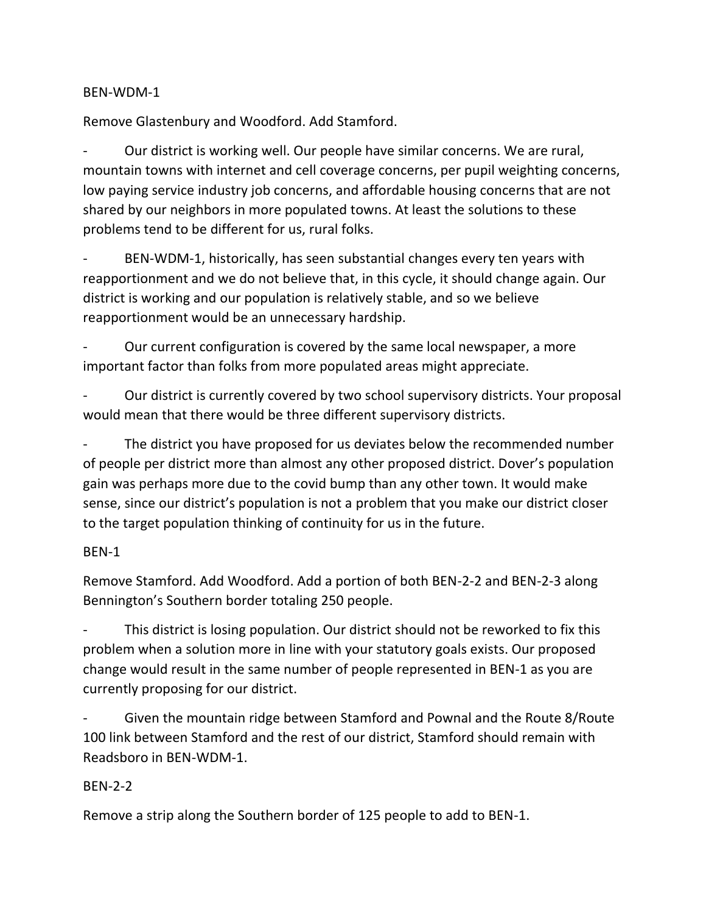#### BEN-WDM-1

Remove Glastenbury and Woodford. Add Stamford.

Our district is working well. Our people have similar concerns. We are rural, mountain towns with internet and cell coverage concerns, per pupil weighting concerns, low paying service industry job concerns, and affordable housing concerns that are not shared by our neighbors in more populated towns. At least the solutions to these problems tend to be different for us, rural folks.

BEN-WDM-1, historically, has seen substantial changes every ten years with reapportionment and we do not believe that, in this cycle, it should change again. Our district is working and our population is relatively stable, and so we believe reapportionment would be an unnecessary hardship.

Our current configuration is covered by the same local newspaper, a more important factor than folks from more populated areas might appreciate.

Our district is currently covered by two school supervisory districts. Your proposal would mean that there would be three different supervisory districts.

The district you have proposed for us deviates below the recommended number of people per district more than almost any other proposed district. Dover's population gain was perhaps more due to the covid bump than any other town. It would make sense, since our district's population is not a problem that you make our district closer to the target population thinking of continuity for us in the future.

#### BEN-1

Remove Stamford. Add Woodford. Add a portion of both BEN-2-2 and BEN-2-3 along Bennington's Southern border totaling 250 people.

This district is losing population. Our district should not be reworked to fix this problem when a solution more in line with your statutory goals exists. Our proposed change would result in the same number of people represented in BEN-1 as you are currently proposing for our district.

- Given the mountain ridge between Stamford and Pownal and the Route 8/Route 100 link between Stamford and the rest of our district, Stamford should remain with Readsboro in BEN-WDM-1.

#### BEN-2-2

Remove a strip along the Southern border of 125 people to add to BEN-1.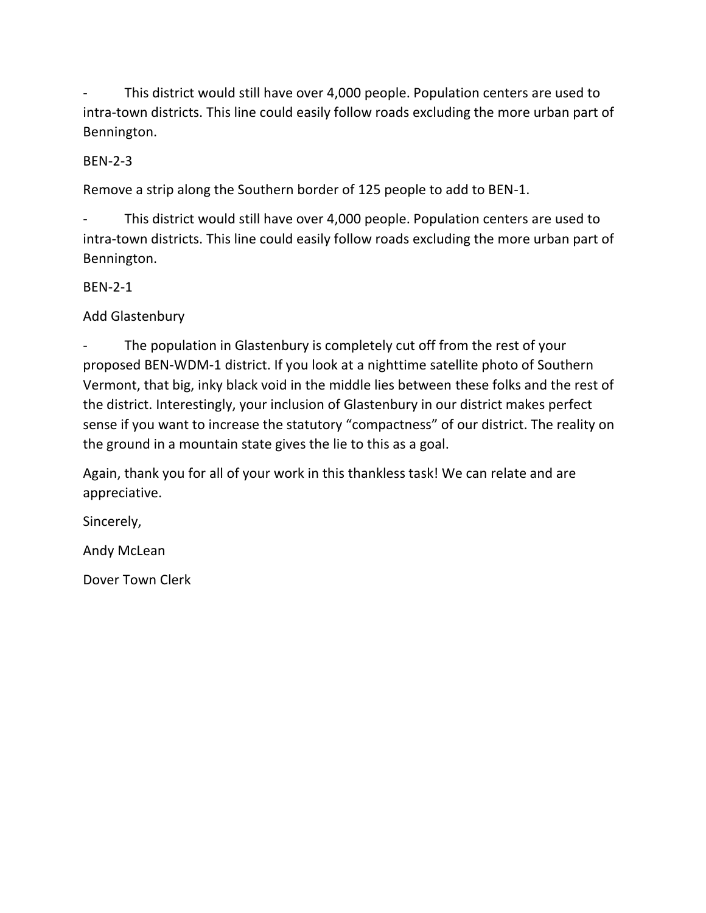This district would still have over 4,000 people. Population centers are used to intra-town districts. This line could easily follow roads excluding the more urban part of Bennington.

### BEN-2-3

Remove a strip along the Southern border of 125 people to add to BEN-1.

This district would still have over 4,000 people. Population centers are used to intra-town districts. This line could easily follow roads excluding the more urban part of Bennington.

#### BEN-2-1

Add Glastenbury

The population in Glastenbury is completely cut off from the rest of your proposed BEN-WDM-1 district. If you look at a nighttime satellite photo of Southern Vermont, that big, inky black void in the middle lies between these folks and the rest of the district. Interestingly, your inclusion of Glastenbury in our district makes perfect sense if you want to increase the statutory "compactness" of our district. The reality on the ground in a mountain state gives the lie to this as a goal.

Again, thank you for all of your work in this thankless task! We can relate and are appreciative.

Sincerely,

Andy McLean

Dover Town Clerk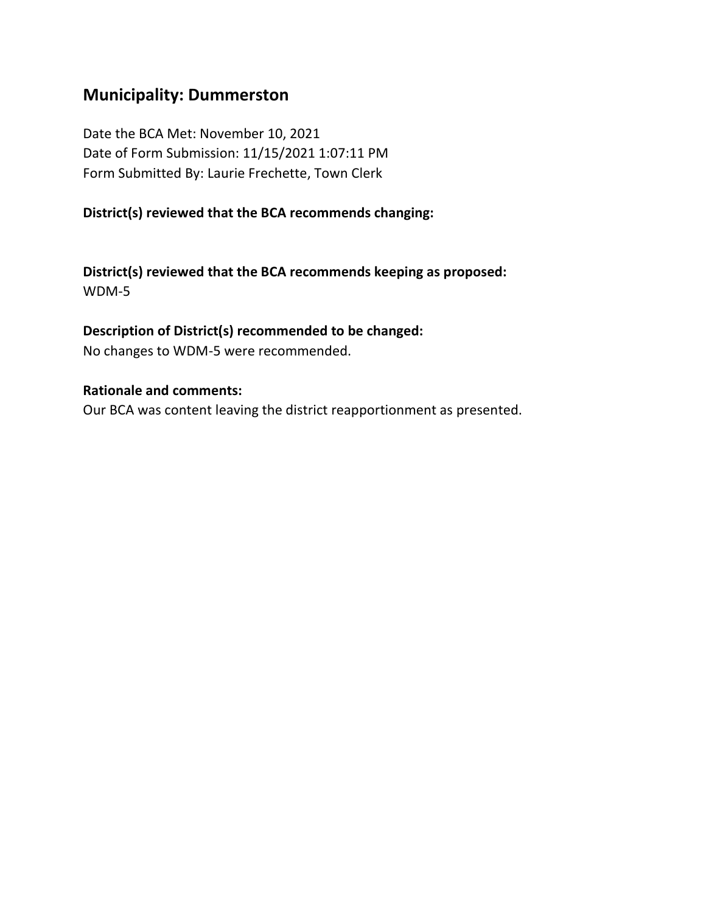### **Municipality: Dummerston**

Date the BCA Met: November 10, 2021 Date of Form Submission: 11/15/2021 1:07:11 PM Form Submitted By: Laurie Frechette, Town Clerk

### **District(s) reviewed that the BCA recommends changing:**

**District(s) reviewed that the BCA recommends keeping as proposed:** WDM-5

### **Description of District(s) recommended to be changed:**

No changes to WDM-5 were recommended.

#### **Rationale and comments:**

Our BCA was content leaving the district reapportionment as presented.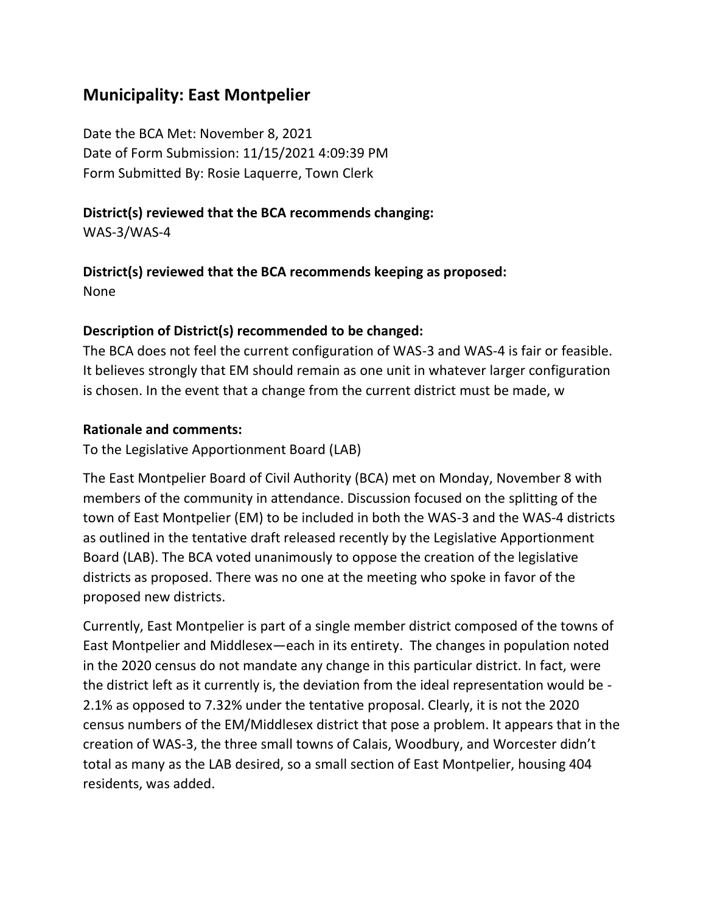# **Municipality: East Montpelier**

Date the BCA Met: November 8, 2021 Date of Form Submission: 11/15/2021 4:09:39 PM Form Submitted By: Rosie Laquerre, Town Clerk

### **District(s) reviewed that the BCA recommends changing:**

WAS-3/WAS-4

# **District(s) reviewed that the BCA recommends keeping as proposed:**

None

### **Description of District(s) recommended to be changed:**

The BCA does not feel the current configuration of WAS-3 and WAS-4 is fair or feasible. It believes strongly that EM should remain as one unit in whatever larger configuration is chosen. In the event that a change from the current district must be made, w

### **Rationale and comments:**

To the Legislative Apportionment Board (LAB)

The East Montpelier Board of Civil Authority (BCA) met on Monday, November 8 with members of the community in attendance. Discussion focused on the splitting of the town of East Montpelier (EM) to be included in both the WAS-3 and the WAS-4 districts as outlined in the tentative draft released recently by the Legislative Apportionment Board (LAB). The BCA voted unanimously to oppose the creation of the legislative districts as proposed. There was no one at the meeting who spoke in favor of the proposed new districts.

Currently, East Montpelier is part of a single member district composed of the towns of East Montpelier and Middlesex―each in its entirety. The changes in population noted in the 2020 census do not mandate any change in this particular district. In fact, were the district left as it currently is, the deviation from the ideal representation would be - 2.1% as opposed to 7.32% under the tentative proposal. Clearly, it is not the 2020 census numbers of the EM/Middlesex district that pose a problem. It appears that in the creation of WAS-3, the three small towns of Calais, Woodbury, and Worcester didn't total as many as the LAB desired, so a small section of East Montpelier, housing 404 residents, was added.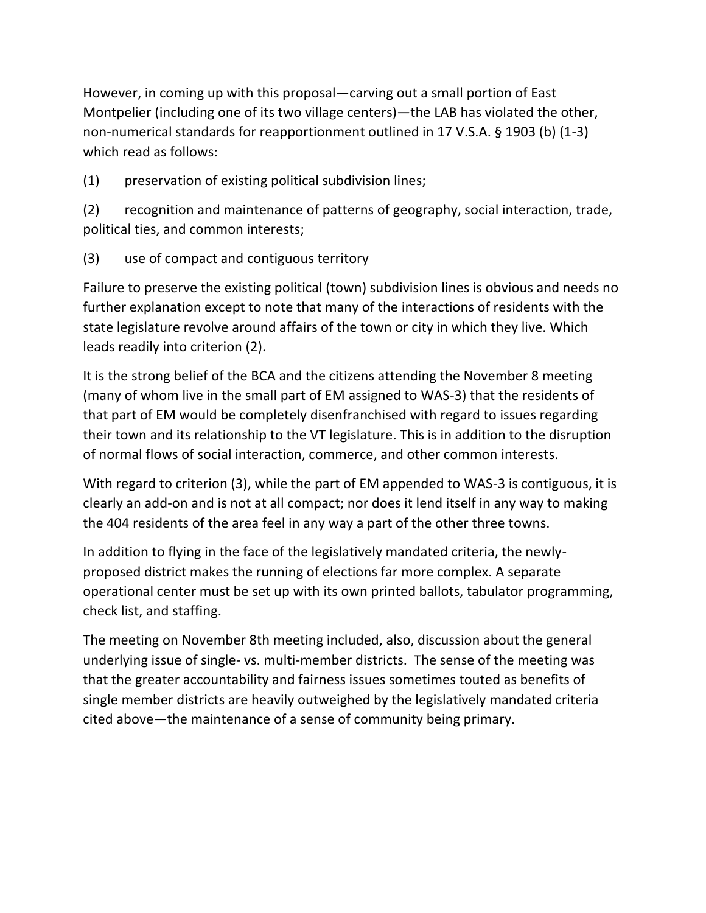However, in coming up with this proposal―carving out a small portion of East Montpelier (including one of its two village centers)―the LAB has violated the other, non-numerical standards for reapportionment outlined in 17 V.S.A. § 1903 (b) (1-3) which read as follows:

(1) preservation of existing political subdivision lines;

(2) recognition and maintenance of patterns of geography, social interaction, trade, political ties, and common interests;

(3) use of compact and contiguous territory

Failure to preserve the existing political (town) subdivision lines is obvious and needs no further explanation except to note that many of the interactions of residents with the state legislature revolve around affairs of the town or city in which they live. Which leads readily into criterion (2).

It is the strong belief of the BCA and the citizens attending the November 8 meeting (many of whom live in the small part of EM assigned to WAS-3) that the residents of that part of EM would be completely disenfranchised with regard to issues regarding their town and its relationship to the VT legislature. This is in addition to the disruption of normal flows of social interaction, commerce, and other common interests.

With regard to criterion (3), while the part of EM appended to WAS-3 is contiguous, it is clearly an add-on and is not at all compact; nor does it lend itself in any way to making the 404 residents of the area feel in any way a part of the other three towns.

In addition to flying in the face of the legislatively mandated criteria, the newlyproposed district makes the running of elections far more complex. A separate operational center must be set up with its own printed ballots, tabulator programming, check list, and staffing.

The meeting on November 8th meeting included, also, discussion about the general underlying issue of single- vs. multi-member districts. The sense of the meeting was that the greater accountability and fairness issues sometimes touted as benefits of single member districts are heavily outweighed by the legislatively mandated criteria cited above―the maintenance of a sense of community being primary.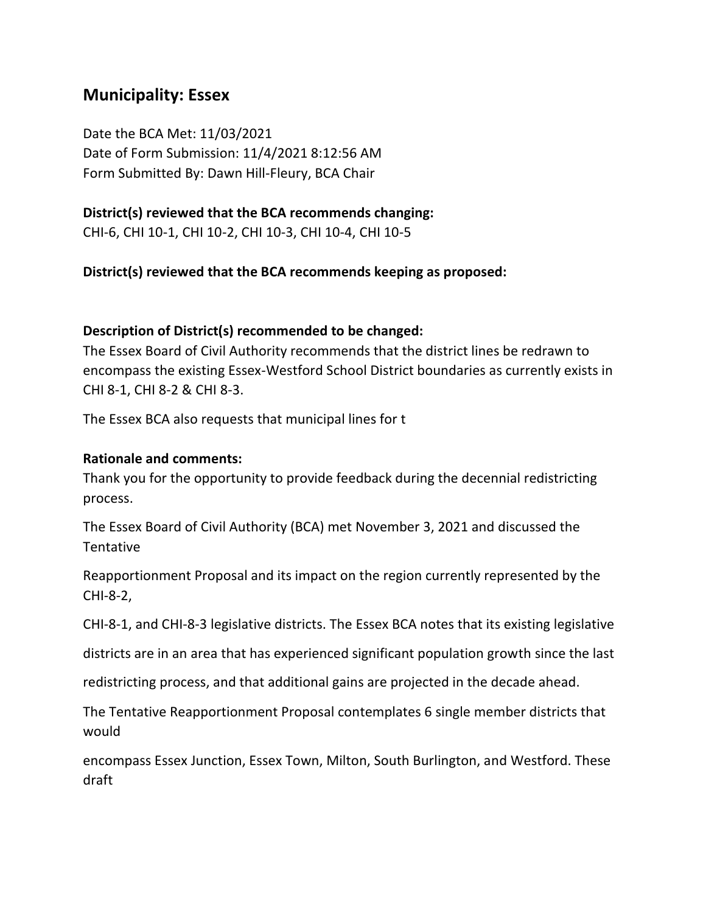### **Municipality: Essex**

Date the BCA Met: 11/03/2021 Date of Form Submission: 11/4/2021 8:12:56 AM Form Submitted By: Dawn Hill-Fleury, BCA Chair

### **District(s) reviewed that the BCA recommends changing:**

CHI-6, CHI 10-1, CHI 10-2, CHI 10-3, CHI 10-4, CHI 10-5

#### **District(s) reviewed that the BCA recommends keeping as proposed:**

#### **Description of District(s) recommended to be changed:**

The Essex Board of Civil Authority recommends that the district lines be redrawn to encompass the existing Essex-Westford School District boundaries as currently exists in CHI 8-1, CHI 8-2 & CHI 8-3.

The Essex BCA also requests that municipal lines for t

#### **Rationale and comments:**

Thank you for the opportunity to provide feedback during the decennial redistricting process.

The Essex Board of Civil Authority (BCA) met November 3, 2021 and discussed the **Tentative** 

Reapportionment Proposal and its impact on the region currently represented by the CHI-8-2,

CHI-8-1, and CHI-8-3 legislative districts. The Essex BCA notes that its existing legislative

districts are in an area that has experienced significant population growth since the last

redistricting process, and that additional gains are projected in the decade ahead.

The Tentative Reapportionment Proposal contemplates 6 single member districts that would

encompass Essex Junction, Essex Town, Milton, South Burlington, and Westford. These draft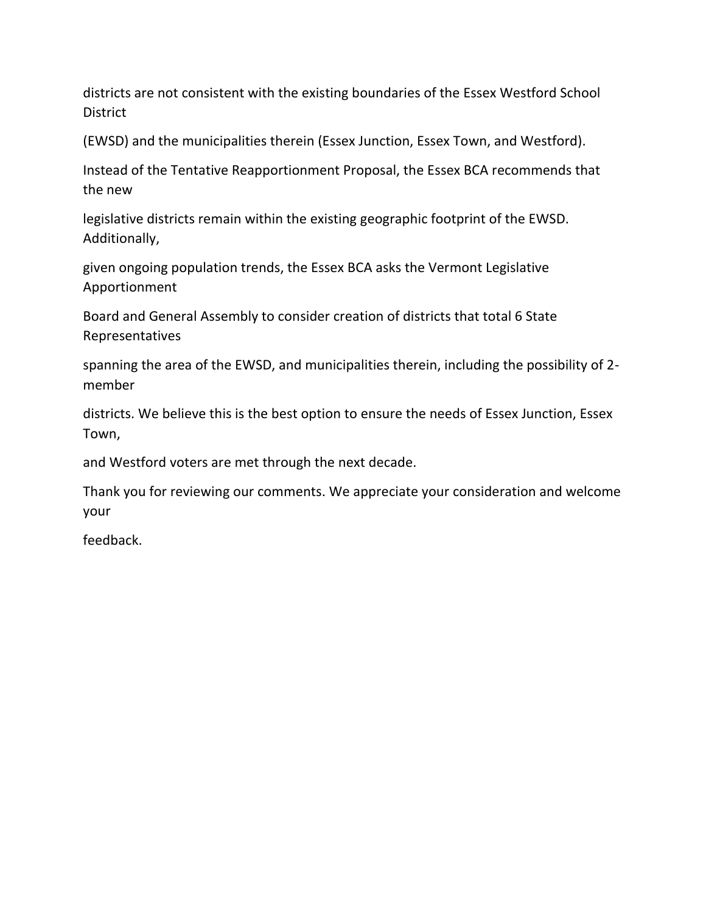districts are not consistent with the existing boundaries of the Essex Westford School District

(EWSD) and the municipalities therein (Essex Junction, Essex Town, and Westford).

Instead of the Tentative Reapportionment Proposal, the Essex BCA recommends that the new

legislative districts remain within the existing geographic footprint of the EWSD. Additionally,

given ongoing population trends, the Essex BCA asks the Vermont Legislative Apportionment

Board and General Assembly to consider creation of districts that total 6 State Representatives

spanning the area of the EWSD, and municipalities therein, including the possibility of 2 member

districts. We believe this is the best option to ensure the needs of Essex Junction, Essex Town,

and Westford voters are met through the next decade.

Thank you for reviewing our comments. We appreciate your consideration and welcome your

feedback.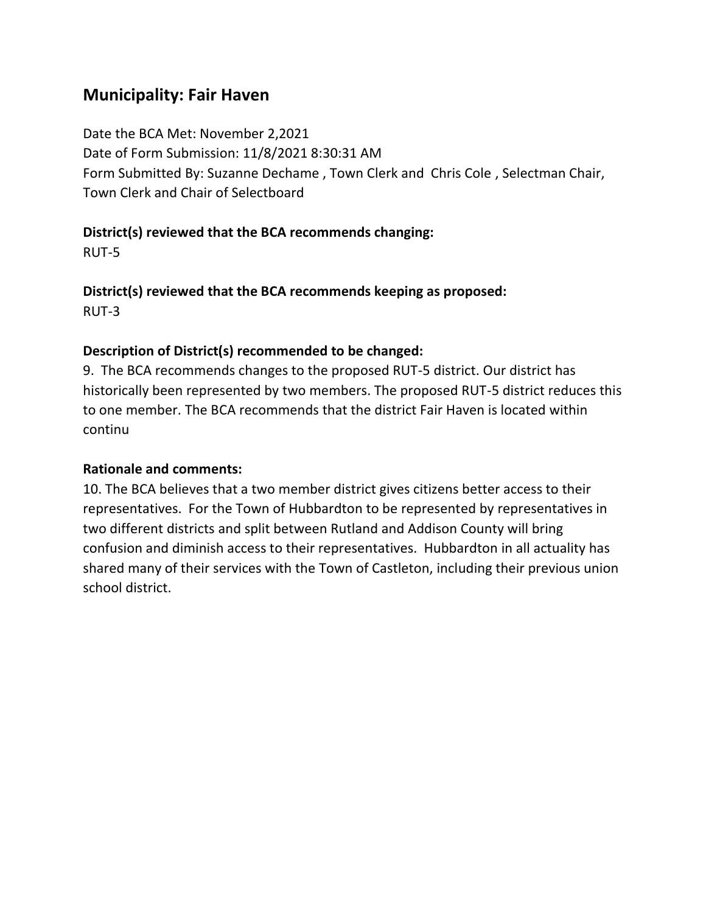# **Municipality: Fair Haven**

Date the BCA Met: November 2,2021 Date of Form Submission: 11/8/2021 8:30:31 AM Form Submitted By: Suzanne Dechame , Town Clerk and Chris Cole , Selectman Chair, Town Clerk and Chair of Selectboard

### **District(s) reviewed that the BCA recommends changing:**

RUT-5

**District(s) reviewed that the BCA recommends keeping as proposed:** RUT-3

### **Description of District(s) recommended to be changed:**

9. The BCA recommends changes to the proposed RUT-5 district. Our district has historically been represented by two members. The proposed RUT-5 district reduces this to one member. The BCA recommends that the district Fair Haven is located within continu

### **Rationale and comments:**

10. The BCA believes that a two member district gives citizens better access to their representatives. For the Town of Hubbardton to be represented by representatives in two different districts and split between Rutland and Addison County will bring confusion and diminish access to their representatives. Hubbardton in all actuality has shared many of their services with the Town of Castleton, including their previous union school district.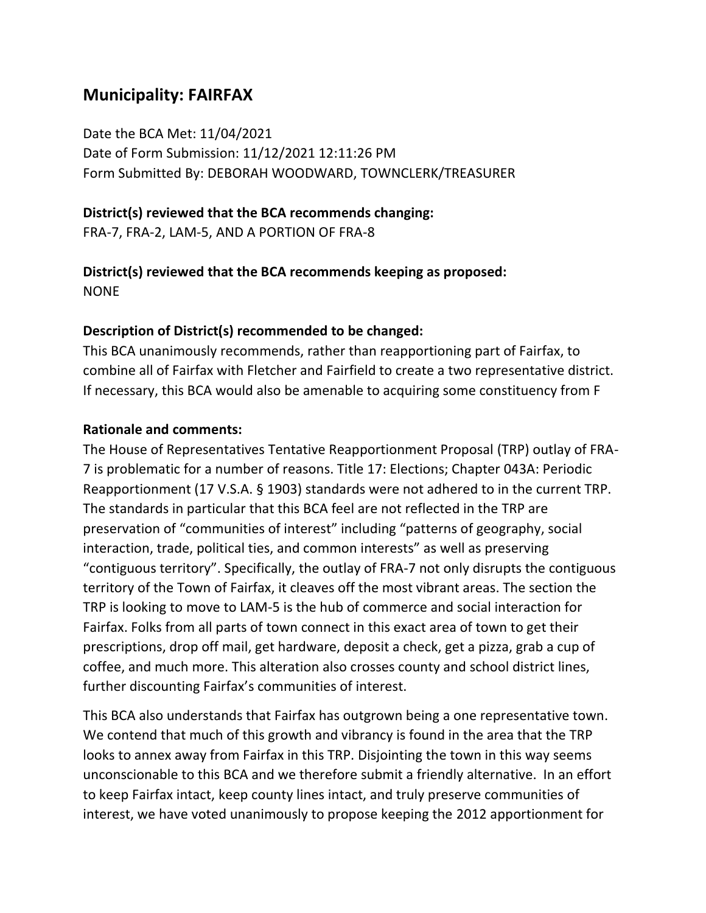# **Municipality: FAIRFAX**

Date the BCA Met: 11/04/2021 Date of Form Submission: 11/12/2021 12:11:26 PM Form Submitted By: DEBORAH WOODWARD, TOWNCLERK/TREASURER

### **District(s) reviewed that the BCA recommends changing:**

FRA-7, FRA-2, LAM-5, AND A PORTION OF FRA-8

#### **District(s) reviewed that the BCA recommends keeping as proposed:** NONE

### **Description of District(s) recommended to be changed:**

This BCA unanimously recommends, rather than reapportioning part of Fairfax, to combine all of Fairfax with Fletcher and Fairfield to create a two representative district. If necessary, this BCA would also be amenable to acquiring some constituency from F

### **Rationale and comments:**

The House of Representatives Tentative Reapportionment Proposal (TRP) outlay of FRA-7 is problematic for a number of reasons. Title 17: Elections; Chapter 043A: Periodic Reapportionment (17 V.S.A. § 1903) standards were not adhered to in the current TRP. The standards in particular that this BCA feel are not reflected in the TRP are preservation of "communities of interest" including "patterns of geography, social interaction, trade, political ties, and common interests" as well as preserving "contiguous territory". Specifically, the outlay of FRA-7 not only disrupts the contiguous territory of the Town of Fairfax, it cleaves off the most vibrant areas. The section the TRP is looking to move to LAM-5 is the hub of commerce and social interaction for Fairfax. Folks from all parts of town connect in this exact area of town to get their prescriptions, drop off mail, get hardware, deposit a check, get a pizza, grab a cup of coffee, and much more. This alteration also crosses county and school district lines, further discounting Fairfax's communities of interest.

This BCA also understands that Fairfax has outgrown being a one representative town. We contend that much of this growth and vibrancy is found in the area that the TRP looks to annex away from Fairfax in this TRP. Disjointing the town in this way seems unconscionable to this BCA and we therefore submit a friendly alternative. In an effort to keep Fairfax intact, keep county lines intact, and truly preserve communities of interest, we have voted unanimously to propose keeping the 2012 apportionment for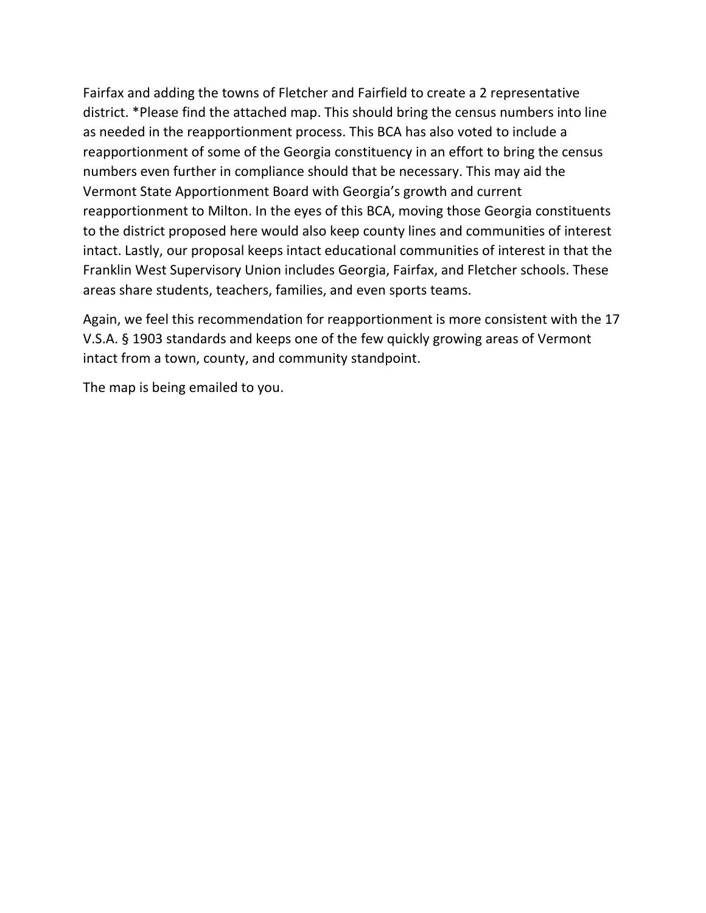Fairfax and adding the towns of Fletcher and Fairfield to create a 2 representative district. \*Please find the attached map. This should bring the census numbers into line as needed in the reapportionment process. This BCA has also voted to include a reapportionment of some of the Georgia constituency in an effort to bring the census numbers even further in compliance should that be necessary. This may aid the Vermont State Apportionment Board with Georgia's growth and current reapportionment to Milton. In the eyes of this BCA, moving those Georgia constituents to the district proposed here would also keep county lines and communities of interest intact. Lastly, our proposal keeps intact educational communities of interest in that the Franklin West Supervisory Union includes Georgia, Fairfax, and Fletcher schools. These areas share students, teachers, families, and even sports teams.

Again, we feel this recommendation for reapportionment is more consistent with the 17 V.S.A. § 1903 standards and keeps one of the few quickly growing areas of Vermont intact from a town, county, and community standpoint.

The map is being emailed to you.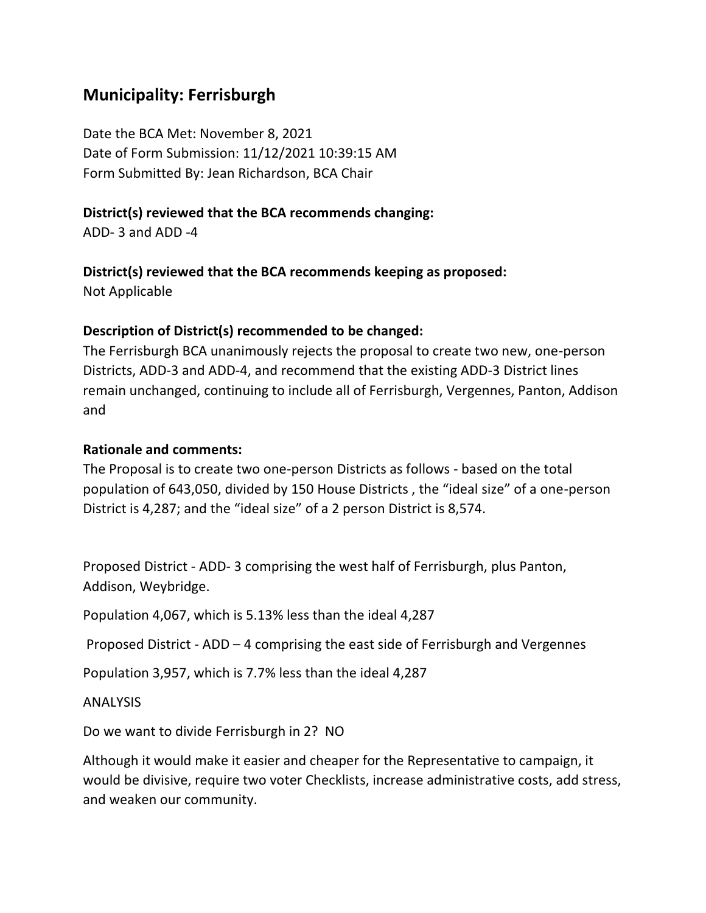# **Municipality: Ferrisburgh**

Date the BCA Met: November 8, 2021 Date of Form Submission: 11/12/2021 10:39:15 AM Form Submitted By: Jean Richardson, BCA Chair

### **District(s) reviewed that the BCA recommends changing:**

ADD- 3 and ADD -4

### **District(s) reviewed that the BCA recommends keeping as proposed:**

Not Applicable

### **Description of District(s) recommended to be changed:**

The Ferrisburgh BCA unanimously rejects the proposal to create two new, one-person Districts, ADD-3 and ADD-4, and recommend that the existing ADD-3 District lines remain unchanged, continuing to include all of Ferrisburgh, Vergennes, Panton, Addison and

### **Rationale and comments:**

The Proposal is to create two one-person Districts as follows - based on the total population of 643,050, divided by 150 House Districts , the "ideal size" of a one-person District is 4,287; and the "ideal size" of a 2 person District is 8,574.

Proposed District - ADD- 3 comprising the west half of Ferrisburgh, plus Panton, Addison, Weybridge.

Population 4,067, which is 5.13% less than the ideal 4,287

Proposed District - ADD – 4 comprising the east side of Ferrisburgh and Vergennes

Population 3,957, which is 7.7% less than the ideal 4,287

ANALYSIS

Do we want to divide Ferrisburgh in 2? NO

Although it would make it easier and cheaper for the Representative to campaign, it would be divisive, require two voter Checklists, increase administrative costs, add stress, and weaken our community.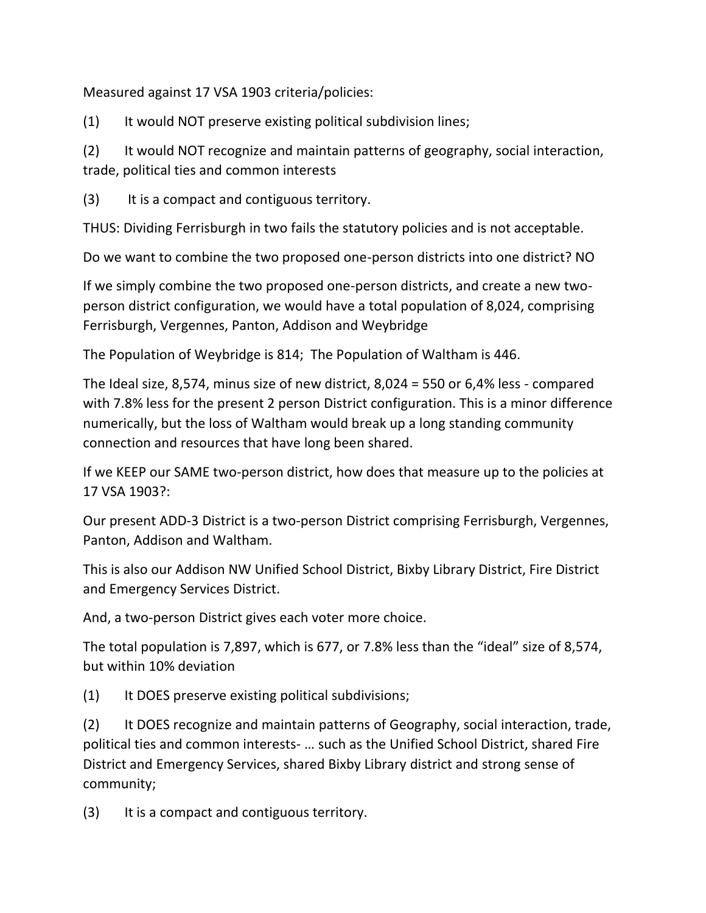Measured against 17 VSA 1903 criteria/policies:

(1) It would NOT preserve existing political subdivision lines;

(2) It would NOT recognize and maintain patterns of geography, social interaction, trade, political ties and common interests

(3) It is a compact and contiguous territory.

THUS: Dividing Ferrisburgh in two fails the statutory policies and is not acceptable.

Do we want to combine the two proposed one-person districts into one district? NO

If we simply combine the two proposed one-person districts, and create a new twoperson district configuration, we would have a total population of 8,024, comprising Ferrisburgh, Vergennes, Panton, Addison and Weybridge

The Population of Weybridge is 814; The Population of Waltham is 446.

The Ideal size, 8,574, minus size of new district, 8,024 = 550 or 6,4% less - compared with 7.8% less for the present 2 person District configuration. This is a minor difference numerically, but the loss of Waltham would break up a long standing community connection and resources that have long been shared.

If we KEEP our SAME two-person district, how does that measure up to the policies at 17 VSA 1903?:

Our present ADD-3 District is a two-person District comprising Ferrisburgh, Vergennes, Panton, Addison and Waltham.

This is also our Addison NW Unified School District, Bixby Library District, Fire District and Emergency Services District.

And, a two-person District gives each voter more choice.

The total population is 7,897, which is 677, or 7.8% less than the "ideal" size of 8,574, but within 10% deviation

(1) It DOES preserve existing political subdivisions;

(2) It DOES recognize and maintain patterns of Geography, social interaction, trade, political ties and common interests- … such as the Unified School District, shared Fire District and Emergency Services, shared Bixby Library district and strong sense of community;

(3) It is a compact and contiguous territory.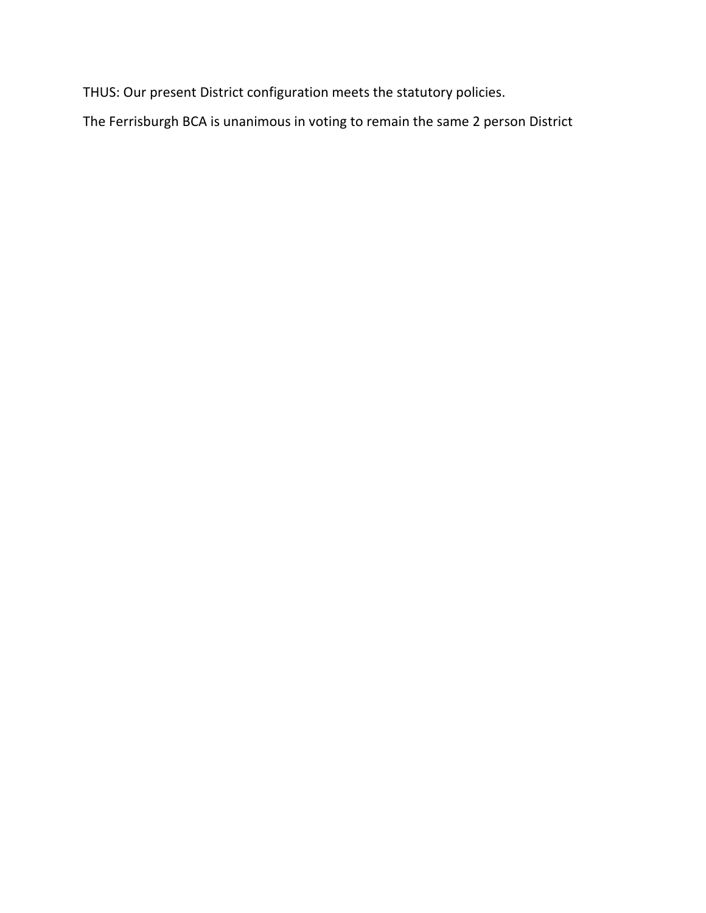THUS: Our present District configuration meets the statutory policies.

The Ferrisburgh BCA is unanimous in voting to remain the same 2 person District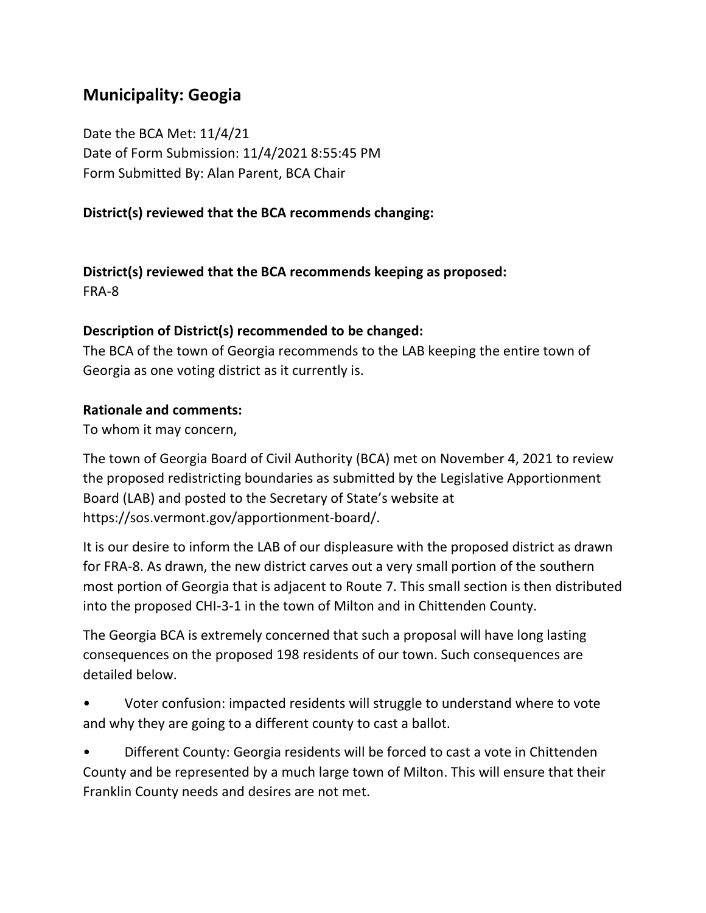# **Municipality: Geogia**

Date the BCA Met: 11/4/21 Date of Form Submission: 11/4/2021 8:55:45 PM Form Submitted By: Alan Parent, BCA Chair

### **District(s) reviewed that the BCA recommends changing:**

**District(s) reviewed that the BCA recommends keeping as proposed:** FRA-8

#### **Description of District(s) recommended to be changed:**

The BCA of the town of Georgia recommends to the LAB keeping the entire town of Georgia as one voting district as it currently is.

#### **Rationale and comments:**

To whom it may concern,

The town of Georgia Board of Civil Authority (BCA) met on November 4, 2021 to review the proposed redistricting boundaries as submitted by the Legislative Apportionment Board (LAB) and posted to the Secretary of State's website at https://sos.vermont.gov/apportionment-board/.

It is our desire to inform the LAB of our displeasure with the proposed district as drawn for FRA-8. As drawn, the new district carves out a very small portion of the southern most portion of Georgia that is adjacent to Route 7. This small section is then distributed into the proposed CHI-3-1 in the town of Milton and in Chittenden County.

The Georgia BCA is extremely concerned that such a proposal will have long lasting consequences on the proposed 198 residents of our town. Such consequences are detailed below.

• Voter confusion: impacted residents will struggle to understand where to vote and why they are going to a different county to cast a ballot.

• Different County: Georgia residents will be forced to cast a vote in Chittenden County and be represented by a much large town of Milton. This will ensure that their Franklin County needs and desires are not met.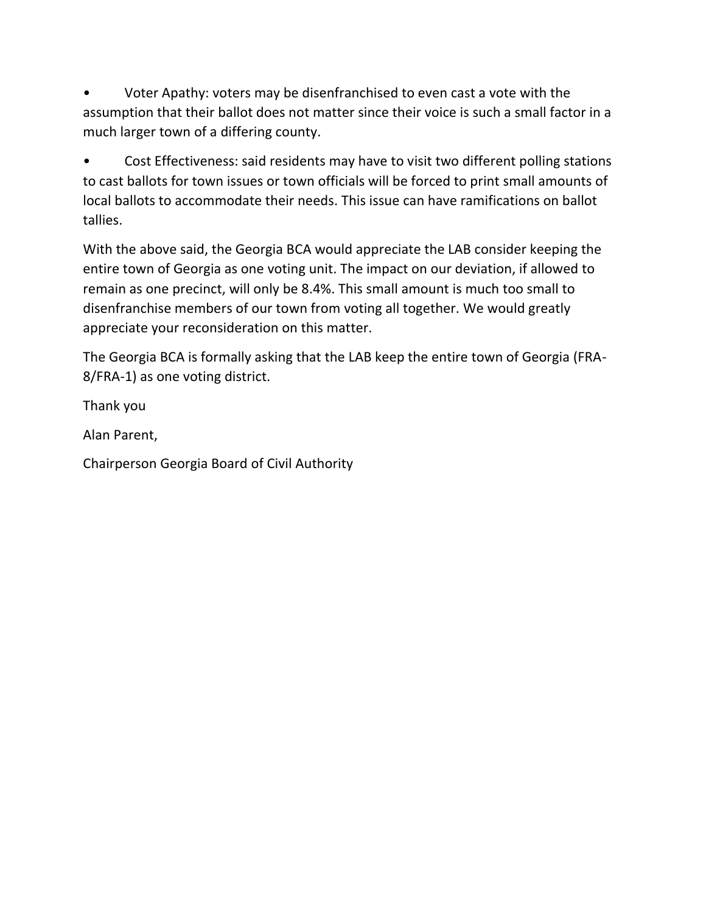• Voter Apathy: voters may be disenfranchised to even cast a vote with the assumption that their ballot does not matter since their voice is such a small factor in a much larger town of a differing county.

Cost Effectiveness: said residents may have to visit two different polling stations to cast ballots for town issues or town officials will be forced to print small amounts of local ballots to accommodate their needs. This issue can have ramifications on ballot tallies.

With the above said, the Georgia BCA would appreciate the LAB consider keeping the entire town of Georgia as one voting unit. The impact on our deviation, if allowed to remain as one precinct, will only be 8.4%. This small amount is much too small to disenfranchise members of our town from voting all together. We would greatly appreciate your reconsideration on this matter.

The Georgia BCA is formally asking that the LAB keep the entire town of Georgia (FRA-8/FRA-1) as one voting district.

Thank you

Alan Parent,

Chairperson Georgia Board of Civil Authority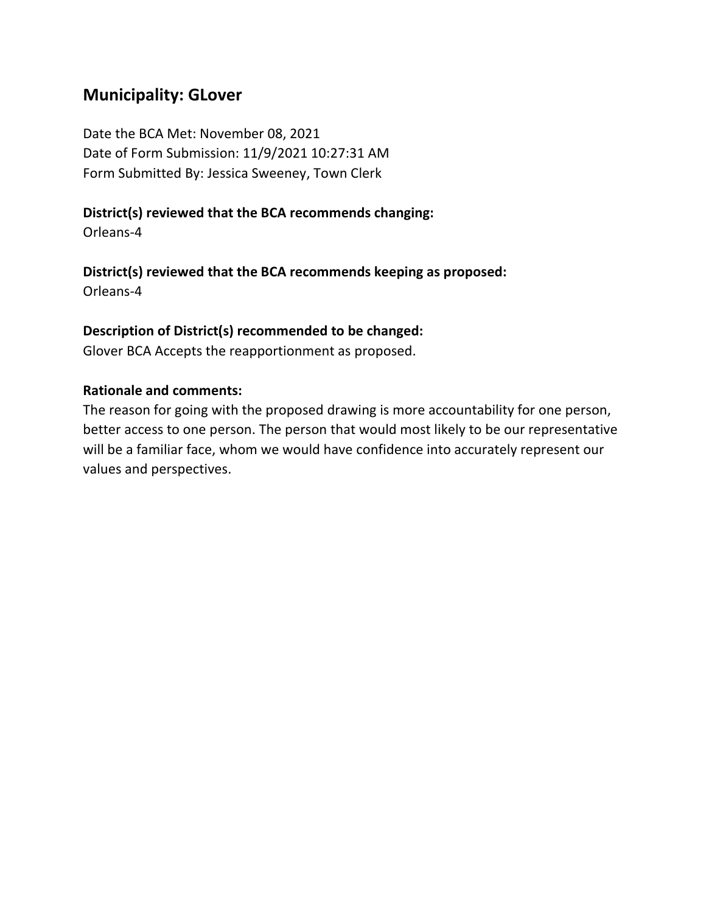### **Municipality: GLover**

Date the BCA Met: November 08, 2021 Date of Form Submission: 11/9/2021 10:27:31 AM Form Submitted By: Jessica Sweeney, Town Clerk

#### **District(s) reviewed that the BCA recommends changing:**

Orleans-4

#### **District(s) reviewed that the BCA recommends keeping as proposed:**

Orleans-4

#### **Description of District(s) recommended to be changed:**

Glover BCA Accepts the reapportionment as proposed.

#### **Rationale and comments:**

The reason for going with the proposed drawing is more accountability for one person, better access to one person. The person that would most likely to be our representative will be a familiar face, whom we would have confidence into accurately represent our values and perspectives.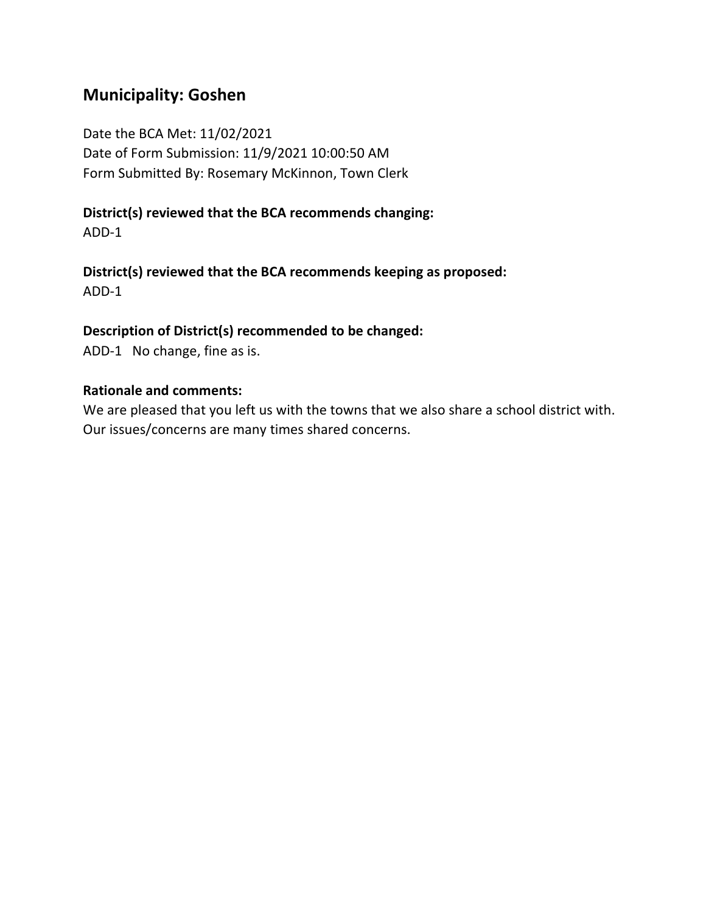# **Municipality: Goshen**

Date the BCA Met: 11/02/2021 Date of Form Submission: 11/9/2021 10:00:50 AM Form Submitted By: Rosemary McKinnon, Town Clerk

**District(s) reviewed that the BCA recommends changing:** ADD-1

**District(s) reviewed that the BCA recommends keeping as proposed:** ADD-1

### **Description of District(s) recommended to be changed:**

ADD-1 No change, fine as is.

#### **Rationale and comments:**

We are pleased that you left us with the towns that we also share a school district with. Our issues/concerns are many times shared concerns.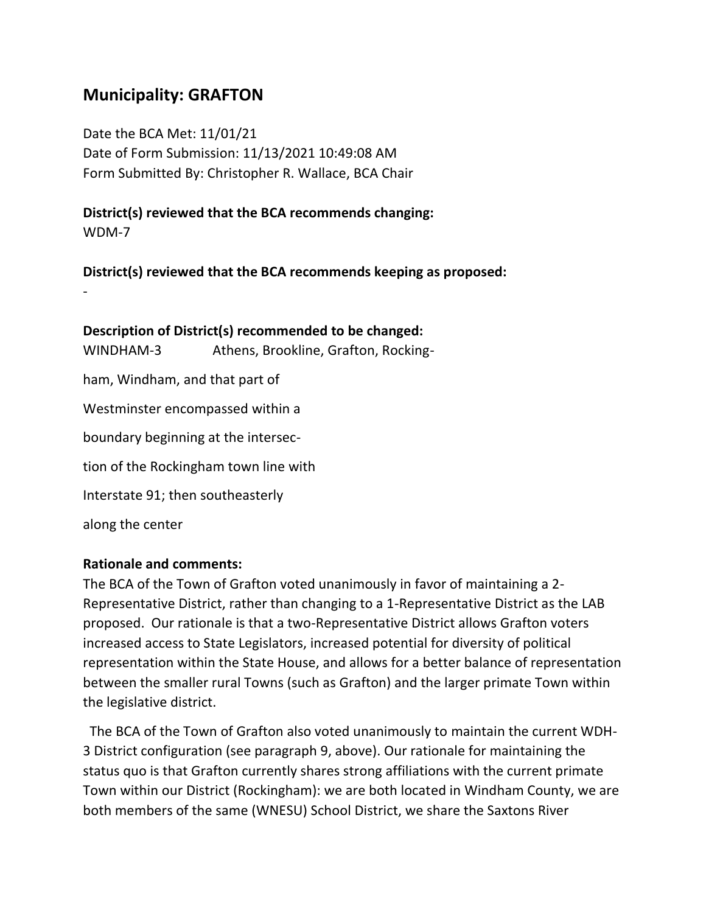# **Municipality: GRAFTON**

-

Date the BCA Met: 11/01/21 Date of Form Submission: 11/13/2021 10:49:08 AM Form Submitted By: Christopher R. Wallace, BCA Chair

**District(s) reviewed that the BCA recommends changing:** WDM-7

**District(s) reviewed that the BCA recommends keeping as proposed:**

| WINDHAM-3                             | Description of District(s) recommended to be changed:<br>Athens, Brookline, Grafton, Rocking- |
|---------------------------------------|-----------------------------------------------------------------------------------------------|
| ham, Windham, and that part of        |                                                                                               |
| Westminster encompassed within a      |                                                                                               |
| boundary beginning at the intersec-   |                                                                                               |
| tion of the Rockingham town line with |                                                                                               |
| Interstate 91; then southeasterly     |                                                                                               |
| along the center                      |                                                                                               |

#### **Rationale and comments:**

The BCA of the Town of Grafton voted unanimously in favor of maintaining a 2- Representative District, rather than changing to a 1-Representative District as the LAB proposed. Our rationale is that a two-Representative District allows Grafton voters increased access to State Legislators, increased potential for diversity of political representation within the State House, and allows for a better balance of representation between the smaller rural Towns (such as Grafton) and the larger primate Town within the legislative district.

 The BCA of the Town of Grafton also voted unanimously to maintain the current WDH-3 District configuration (see paragraph 9, above). Our rationale for maintaining the status quo is that Grafton currently shares strong affiliations with the current primate Town within our District (Rockingham): we are both located in Windham County, we are both members of the same (WNESU) School District, we share the Saxtons River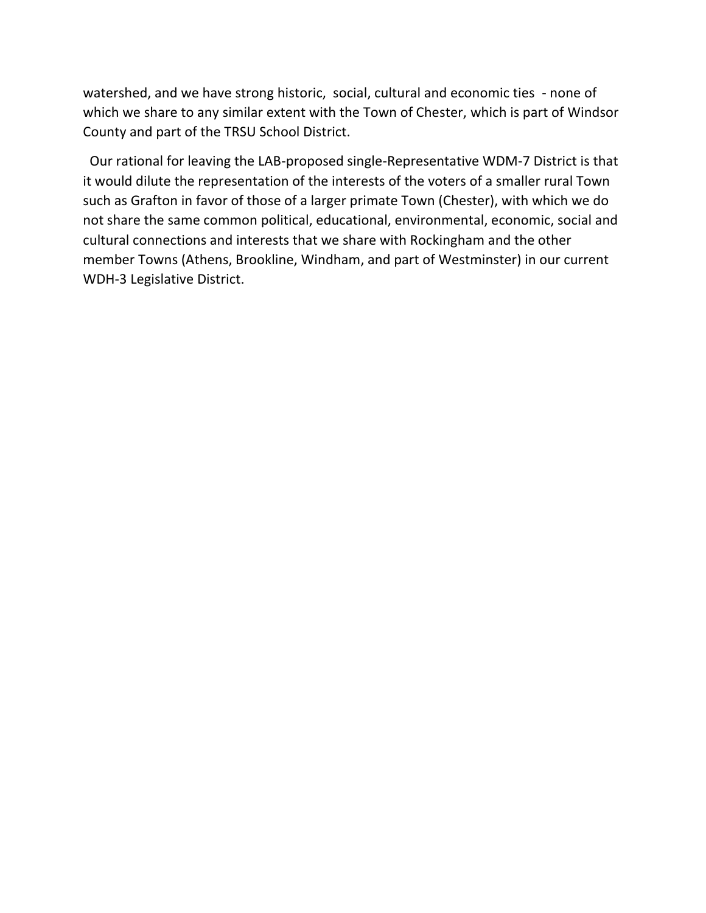watershed, and we have strong historic, social, cultural and economic ties - none of which we share to any similar extent with the Town of Chester, which is part of Windsor County and part of the TRSU School District.

 Our rational for leaving the LAB-proposed single-Representative WDM-7 District is that it would dilute the representation of the interests of the voters of a smaller rural Town such as Grafton in favor of those of a larger primate Town (Chester), with which we do not share the same common political, educational, environmental, economic, social and cultural connections and interests that we share with Rockingham and the other member Towns (Athens, Brookline, Windham, and part of Westminster) in our current WDH-3 Legislative District.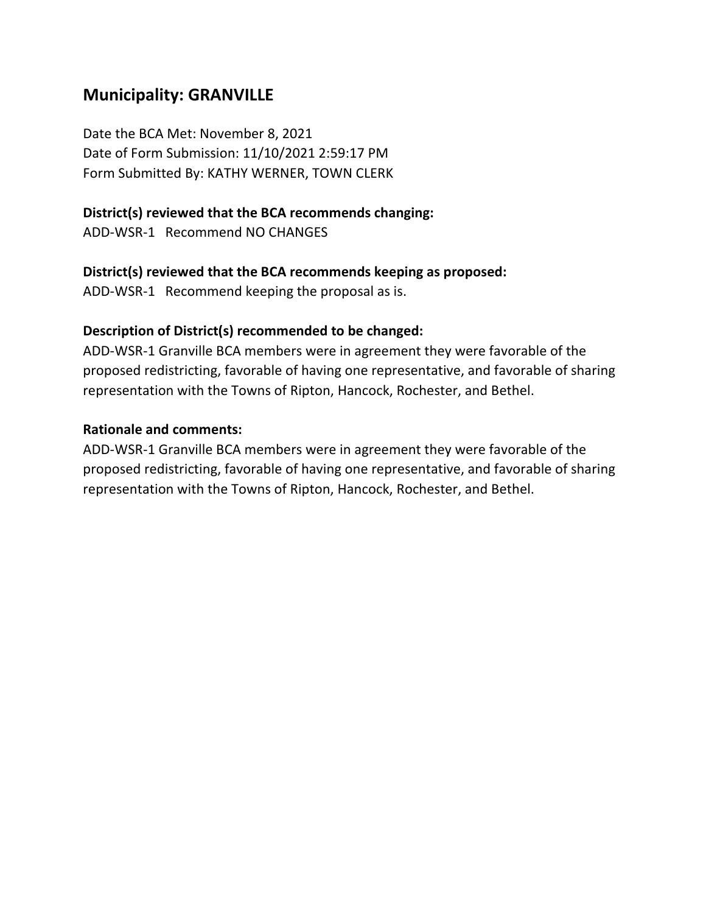# **Municipality: GRANVILLE**

Date the BCA Met: November 8, 2021 Date of Form Submission: 11/10/2021 2:59:17 PM Form Submitted By: KATHY WERNER, TOWN CLERK

### **District(s) reviewed that the BCA recommends changing:**

ADD-WSR-1 Recommend NO CHANGES

### **District(s) reviewed that the BCA recommends keeping as proposed:**

ADD-WSR-1 Recommend keeping the proposal as is.

### **Description of District(s) recommended to be changed:**

ADD-WSR-1 Granville BCA members were in agreement they were favorable of the proposed redistricting, favorable of having one representative, and favorable of sharing representation with the Towns of Ripton, Hancock, Rochester, and Bethel.

### **Rationale and comments:**

ADD-WSR-1 Granville BCA members were in agreement they were favorable of the proposed redistricting, favorable of having one representative, and favorable of sharing representation with the Towns of Ripton, Hancock, Rochester, and Bethel.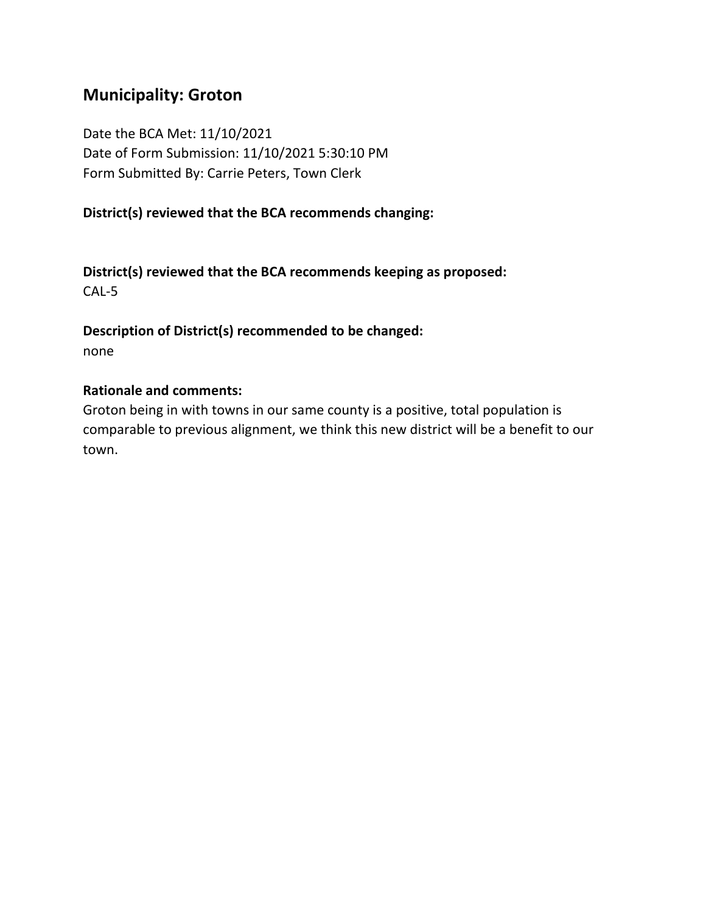## **Municipality: Groton**

Date the BCA Met: 11/10/2021 Date of Form Submission: 11/10/2021 5:30:10 PM Form Submitted By: Carrie Peters, Town Clerk

### **District(s) reviewed that the BCA recommends changing:**

**District(s) reviewed that the BCA recommends keeping as proposed:** CAL-5

**Description of District(s) recommended to be changed:** none

#### **Rationale and comments:**

Groton being in with towns in our same county is a positive, total population is comparable to previous alignment, we think this new district will be a benefit to our town.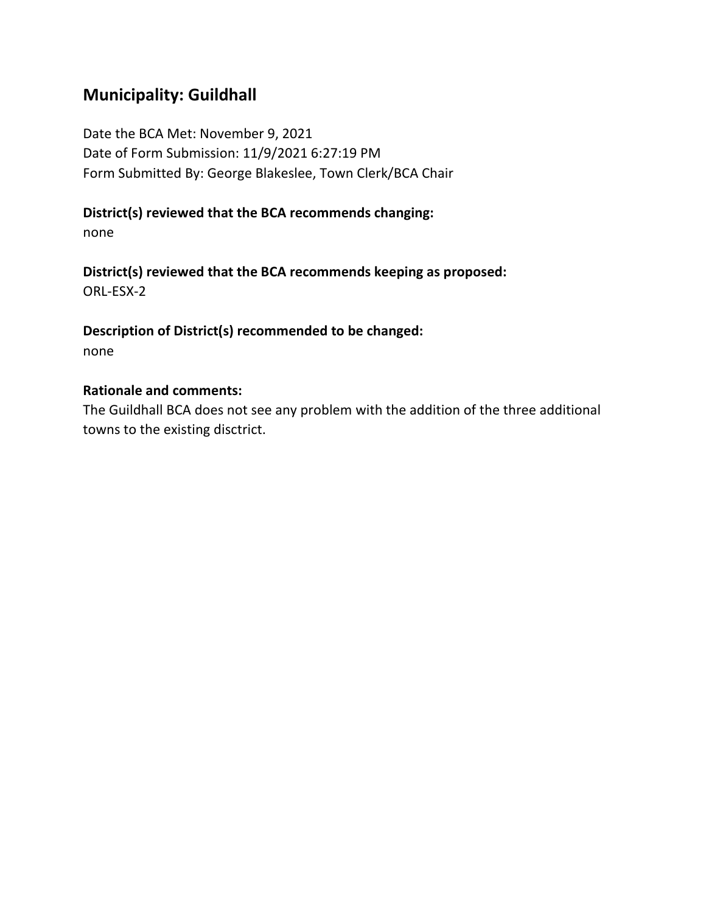# **Municipality: Guildhall**

Date the BCA Met: November 9, 2021 Date of Form Submission: 11/9/2021 6:27:19 PM Form Submitted By: George Blakeslee, Town Clerk/BCA Chair

### **District(s) reviewed that the BCA recommends changing:**

none

**District(s) reviewed that the BCA recommends keeping as proposed:** ORL-ESX-2

**Description of District(s) recommended to be changed:** none

#### **Rationale and comments:**

The Guildhall BCA does not see any problem with the addition of the three additional towns to the existing disctrict.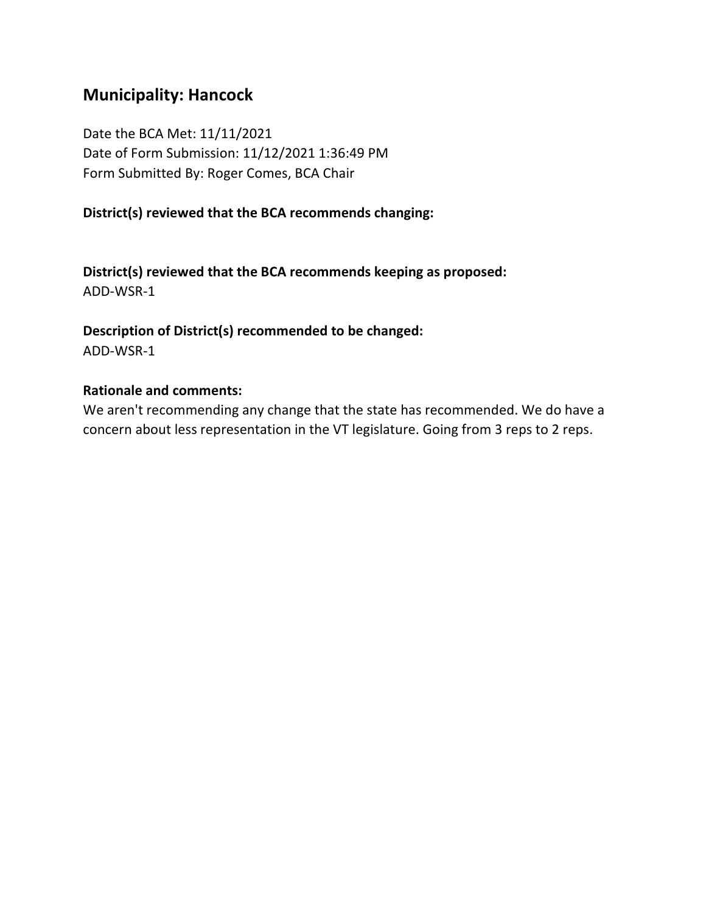# **Municipality: Hancock**

Date the BCA Met: 11/11/2021 Date of Form Submission: 11/12/2021 1:36:49 PM Form Submitted By: Roger Comes, BCA Chair

### **District(s) reviewed that the BCA recommends changing:**

**District(s) reviewed that the BCA recommends keeping as proposed:** ADD-WSR-1

**Description of District(s) recommended to be changed:** ADD-WSR-1

#### **Rationale and comments:**

We aren't recommending any change that the state has recommended. We do have a concern about less representation in the VT legislature. Going from 3 reps to 2 reps.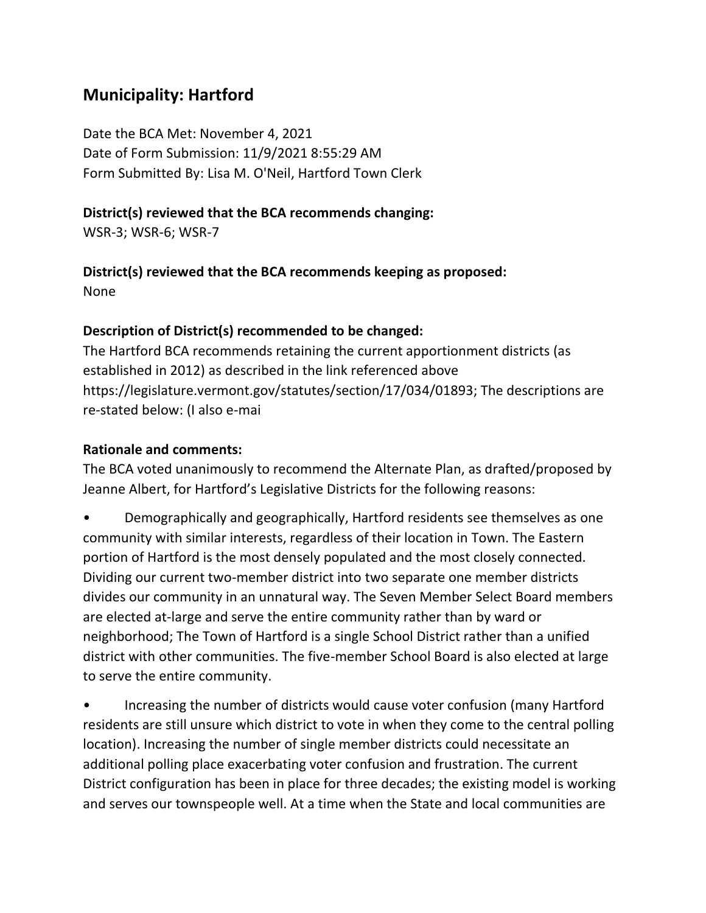# **Municipality: Hartford**

Date the BCA Met: November 4, 2021 Date of Form Submission: 11/9/2021 8:55:29 AM Form Submitted By: Lisa M. O'Neil, Hartford Town Clerk

### **District(s) reviewed that the BCA recommends changing:**

WSR-3; WSR-6; WSR-7

**District(s) reviewed that the BCA recommends keeping as proposed:**

None

### **Description of District(s) recommended to be changed:**

The Hartford BCA recommends retaining the current apportionment districts (as established in 2012) as described in the link referenced above https://legislature.vermont.gov/statutes/section/17/034/01893; The descriptions are re-stated below: (I also e-mai

### **Rationale and comments:**

The BCA voted unanimously to recommend the Alternate Plan, as drafted/proposed by Jeanne Albert, for Hartford's Legislative Districts for the following reasons:

• Demographically and geographically, Hartford residents see themselves as one community with similar interests, regardless of their location in Town. The Eastern portion of Hartford is the most densely populated and the most closely connected. Dividing our current two-member district into two separate one member districts divides our community in an unnatural way. The Seven Member Select Board members are elected at-large and serve the entire community rather than by ward or neighborhood; The Town of Hartford is a single School District rather than a unified district with other communities. The five-member School Board is also elected at large to serve the entire community.

• Increasing the number of districts would cause voter confusion (many Hartford residents are still unsure which district to vote in when they come to the central polling location). Increasing the number of single member districts could necessitate an additional polling place exacerbating voter confusion and frustration. The current District configuration has been in place for three decades; the existing model is working and serves our townspeople well. At a time when the State and local communities are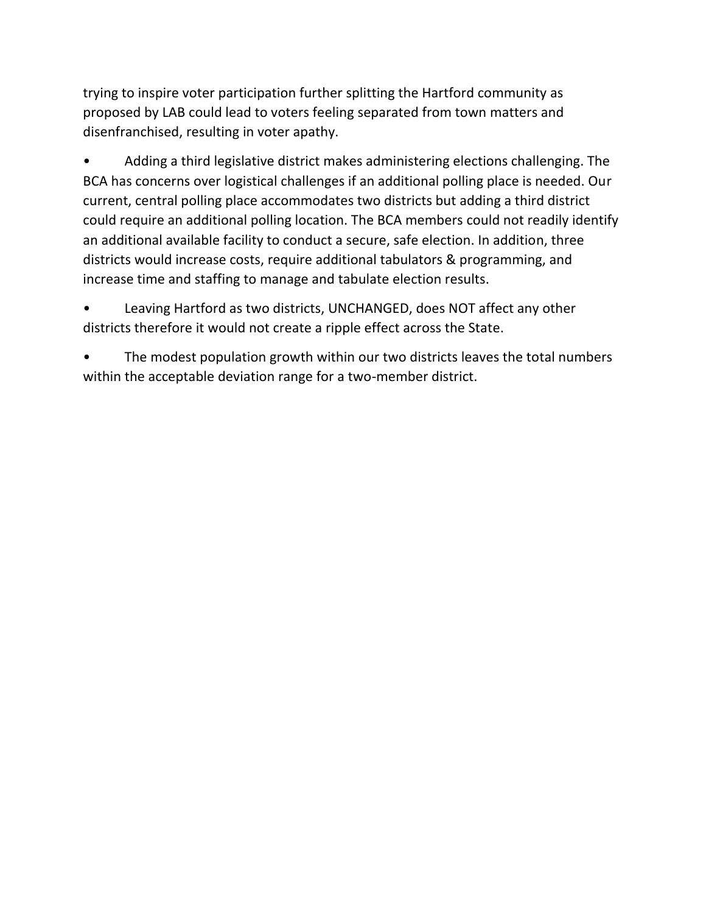trying to inspire voter participation further splitting the Hartford community as proposed by LAB could lead to voters feeling separated from town matters and disenfranchised, resulting in voter apathy.

• Adding a third legislative district makes administering elections challenging. The BCA has concerns over logistical challenges if an additional polling place is needed. Our current, central polling place accommodates two districts but adding a third district could require an additional polling location. The BCA members could not readily identify an additional available facility to conduct a secure, safe election. In addition, three districts would increase costs, require additional tabulators & programming, and increase time and staffing to manage and tabulate election results.

• Leaving Hartford as two districts, UNCHANGED, does NOT affect any other districts therefore it would not create a ripple effect across the State.

The modest population growth within our two districts leaves the total numbers within the acceptable deviation range for a two-member district.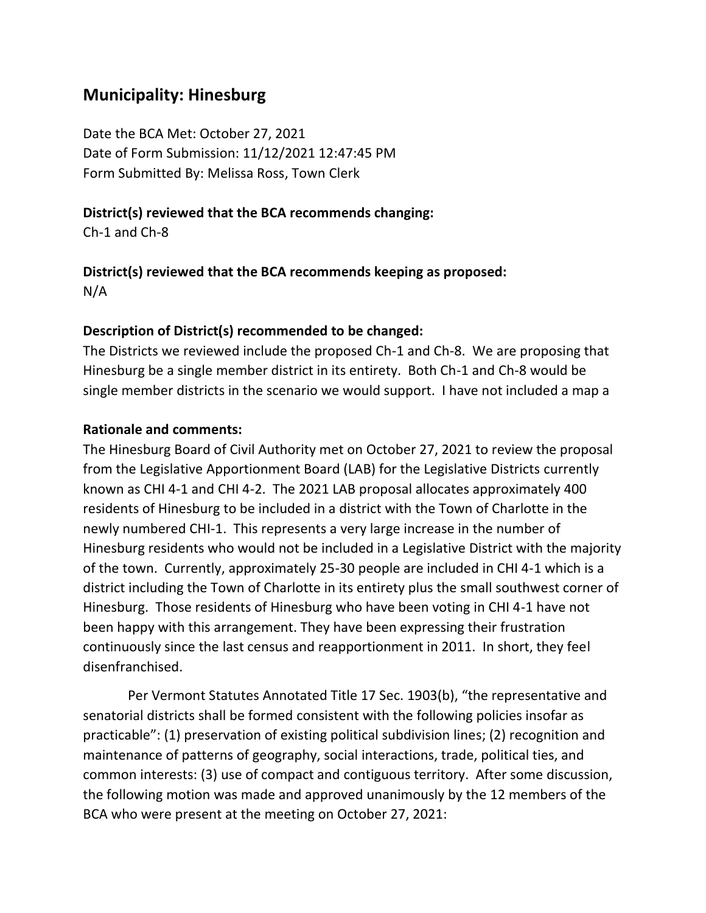# **Municipality: Hinesburg**

Date the BCA Met: October 27, 2021 Date of Form Submission: 11/12/2021 12:47:45 PM Form Submitted By: Melissa Ross, Town Clerk

### **District(s) reviewed that the BCA recommends changing:**

Ch-1 and Ch-8

# **District(s) reviewed that the BCA recommends keeping as proposed:**

N/A

### **Description of District(s) recommended to be changed:**

The Districts we reviewed include the proposed Ch-1 and Ch-8. We are proposing that Hinesburg be a single member district in its entirety. Both Ch-1 and Ch-8 would be single member districts in the scenario we would support. I have not included a map a

### **Rationale and comments:**

The Hinesburg Board of Civil Authority met on October 27, 2021 to review the proposal from the Legislative Apportionment Board (LAB) for the Legislative Districts currently known as CHI 4-1 and CHI 4-2. The 2021 LAB proposal allocates approximately 400 residents of Hinesburg to be included in a district with the Town of Charlotte in the newly numbered CHI-1. This represents a very large increase in the number of Hinesburg residents who would not be included in a Legislative District with the majority of the town. Currently, approximately 25-30 people are included in CHI 4-1 which is a district including the Town of Charlotte in its entirety plus the small southwest corner of Hinesburg. Those residents of Hinesburg who have been voting in CHI 4-1 have not been happy with this arrangement. They have been expressing their frustration continuously since the last census and reapportionment in 2011. In short, they feel disenfranchised.

Per Vermont Statutes Annotated Title 17 Sec. 1903(b), "the representative and senatorial districts shall be formed consistent with the following policies insofar as practicable": (1) preservation of existing political subdivision lines; (2) recognition and maintenance of patterns of geography, social interactions, trade, political ties, and common interests: (3) use of compact and contiguous territory. After some discussion, the following motion was made and approved unanimously by the 12 members of the BCA who were present at the meeting on October 27, 2021: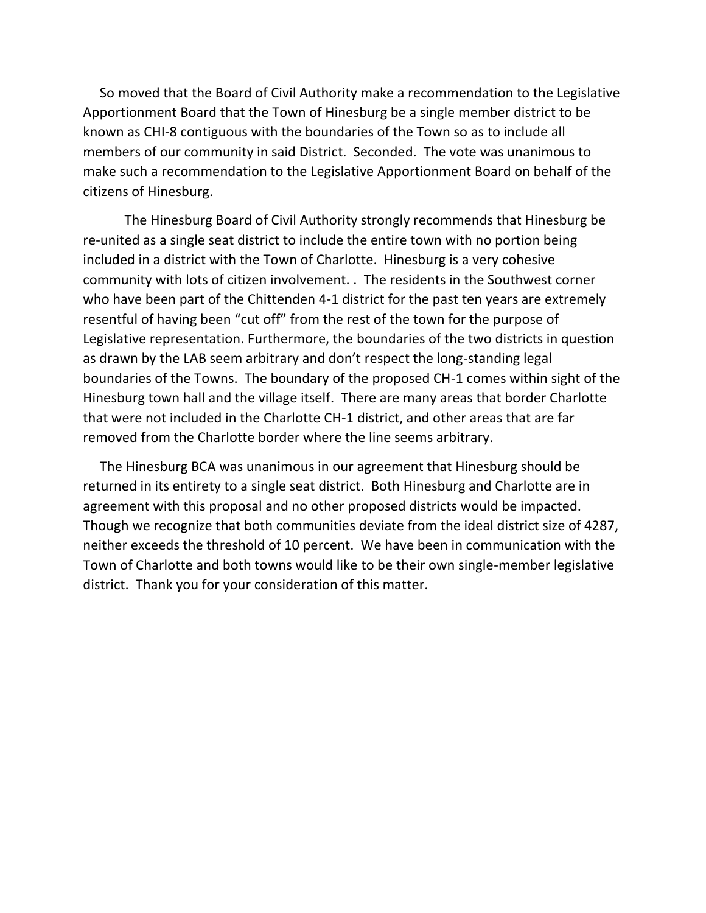So moved that the Board of Civil Authority make a recommendation to the Legislative Apportionment Board that the Town of Hinesburg be a single member district to be known as CHI-8 contiguous with the boundaries of the Town so as to include all members of our community in said District. Seconded. The vote was unanimous to make such a recommendation to the Legislative Apportionment Board on behalf of the citizens of Hinesburg.

The Hinesburg Board of Civil Authority strongly recommends that Hinesburg be re-united as a single seat district to include the entire town with no portion being included in a district with the Town of Charlotte. Hinesburg is a very cohesive community with lots of citizen involvement. . The residents in the Southwest corner who have been part of the Chittenden 4-1 district for the past ten years are extremely resentful of having been "cut off" from the rest of the town for the purpose of Legislative representation. Furthermore, the boundaries of the two districts in question as drawn by the LAB seem arbitrary and don't respect the long-standing legal boundaries of the Towns. The boundary of the proposed CH-1 comes within sight of the Hinesburg town hall and the village itself. There are many areas that border Charlotte that were not included in the Charlotte CH-1 district, and other areas that are far removed from the Charlotte border where the line seems arbitrary.

 The Hinesburg BCA was unanimous in our agreement that Hinesburg should be returned in its entirety to a single seat district. Both Hinesburg and Charlotte are in agreement with this proposal and no other proposed districts would be impacted. Though we recognize that both communities deviate from the ideal district size of 4287, neither exceeds the threshold of 10 percent. We have been in communication with the Town of Charlotte and both towns would like to be their own single-member legislative district. Thank you for your consideration of this matter.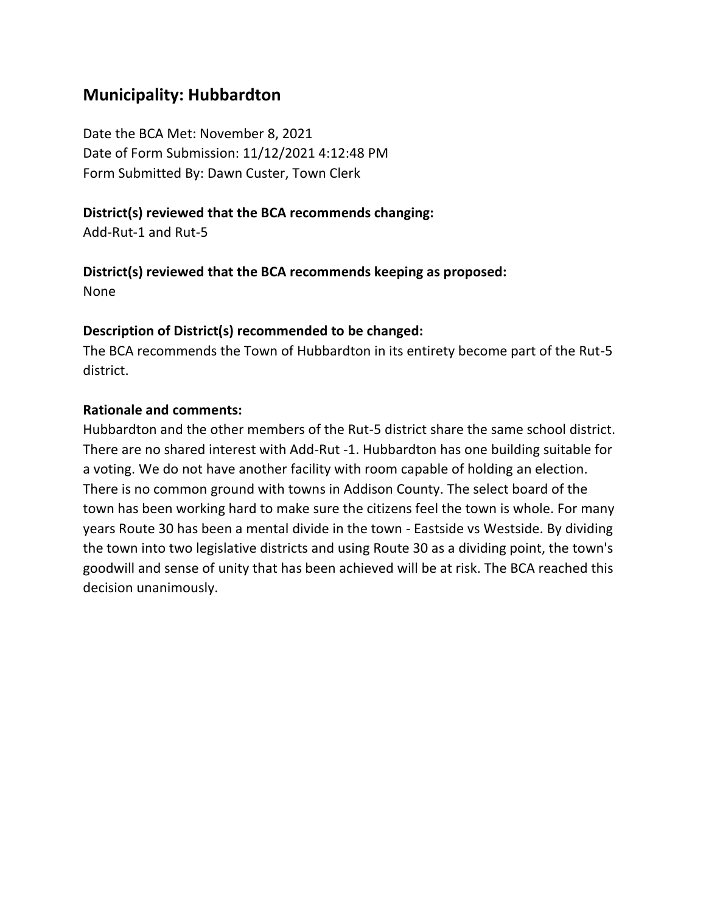# **Municipality: Hubbardton**

Date the BCA Met: November 8, 2021 Date of Form Submission: 11/12/2021 4:12:48 PM Form Submitted By: Dawn Custer, Town Clerk

### **District(s) reviewed that the BCA recommends changing:**

Add-Rut-1 and Rut-5

### **District(s) reviewed that the BCA recommends keeping as proposed:**

None

### **Description of District(s) recommended to be changed:**

The BCA recommends the Town of Hubbardton in its entirety become part of the Rut-5 district.

### **Rationale and comments:**

Hubbardton and the other members of the Rut-5 district share the same school district. There are no shared interest with Add-Rut -1. Hubbardton has one building suitable for a voting. We do not have another facility with room capable of holding an election. There is no common ground with towns in Addison County. The select board of the town has been working hard to make sure the citizens feel the town is whole. For many years Route 30 has been a mental divide in the town - Eastside vs Westside. By dividing the town into two legislative districts and using Route 30 as a dividing point, the town's goodwill and sense of unity that has been achieved will be at risk. The BCA reached this decision unanimously.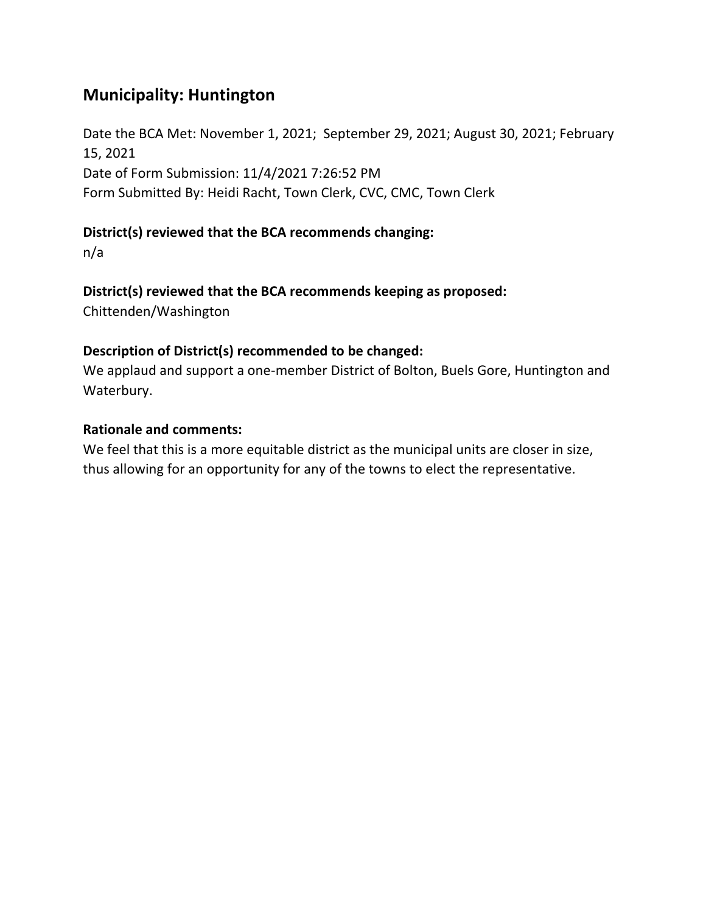# **Municipality: Huntington**

Date the BCA Met: November 1, 2021; September 29, 2021; August 30, 2021; February 15, 2021 Date of Form Submission: 11/4/2021 7:26:52 PM Form Submitted By: Heidi Racht, Town Clerk, CVC, CMC, Town Clerk

### **District(s) reviewed that the BCA recommends changing:**

n/a

### **District(s) reviewed that the BCA recommends keeping as proposed:**

Chittenden/Washington

### **Description of District(s) recommended to be changed:**

We applaud and support a one-member District of Bolton, Buels Gore, Huntington and Waterbury.

### **Rationale and comments:**

We feel that this is a more equitable district as the municipal units are closer in size, thus allowing for an opportunity for any of the towns to elect the representative.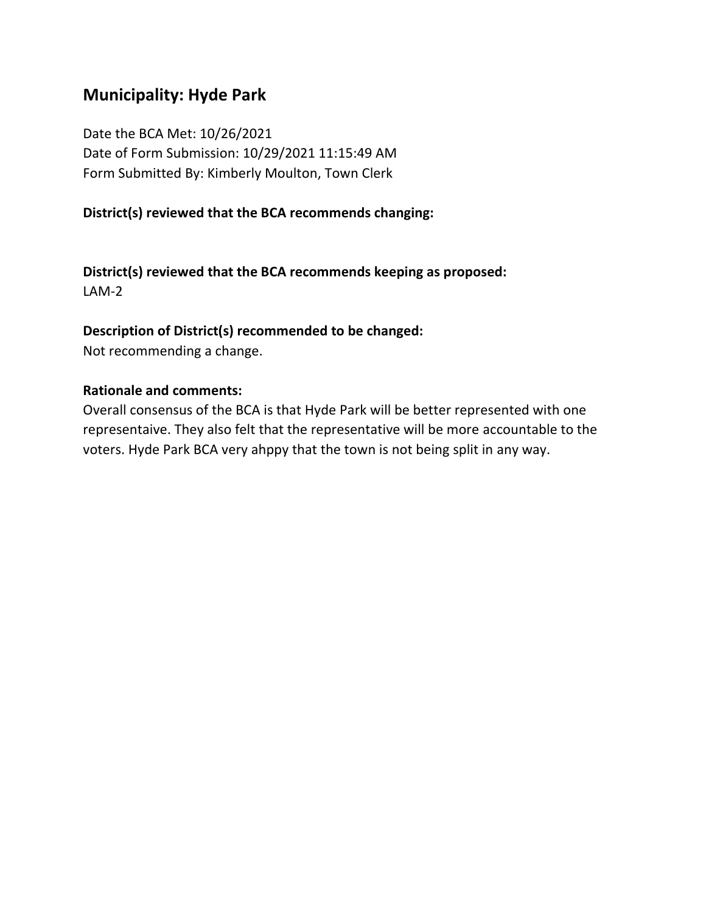# **Municipality: Hyde Park**

Date the BCA Met: 10/26/2021 Date of Form Submission: 10/29/2021 11:15:49 AM Form Submitted By: Kimberly Moulton, Town Clerk

### **District(s) reviewed that the BCA recommends changing:**

**District(s) reviewed that the BCA recommends keeping as proposed:** LAM-2

### **Description of District(s) recommended to be changed:**

Not recommending a change.

#### **Rationale and comments:**

Overall consensus of the BCA is that Hyde Park will be better represented with one representaive. They also felt that the representative will be more accountable to the voters. Hyde Park BCA very ahppy that the town is not being split in any way.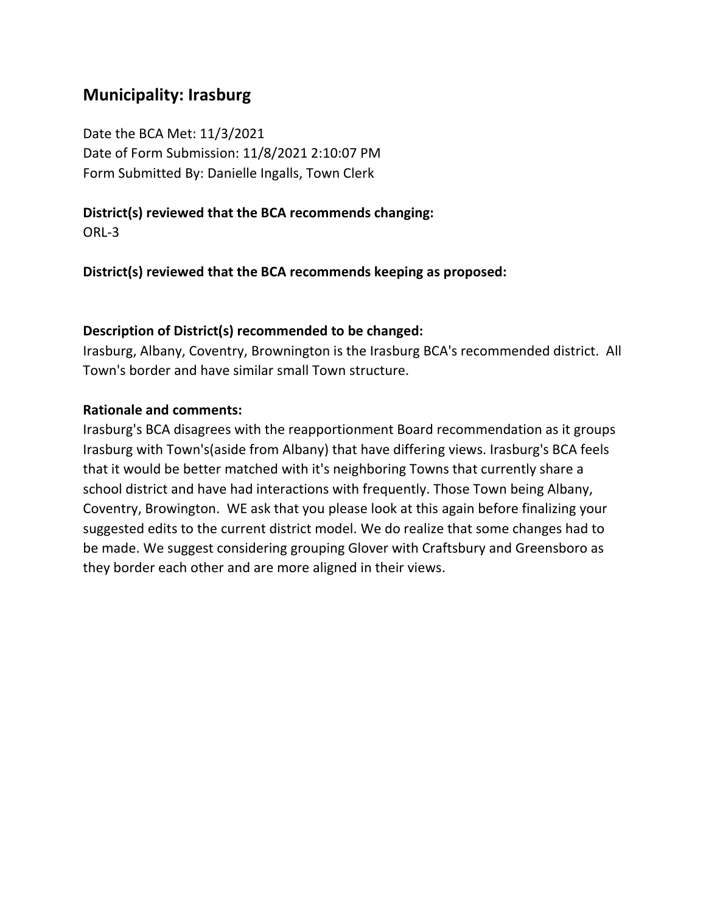# **Municipality: Irasburg**

Date the BCA Met: 11/3/2021 Date of Form Submission: 11/8/2021 2:10:07 PM Form Submitted By: Danielle Ingalls, Town Clerk

## **District(s) reviewed that the BCA recommends changing:**

ORL-3

**District(s) reviewed that the BCA recommends keeping as proposed:**

### **Description of District(s) recommended to be changed:**

Irasburg, Albany, Coventry, Brownington is the Irasburg BCA's recommended district. All Town's border and have similar small Town structure.

### **Rationale and comments:**

Irasburg's BCA disagrees with the reapportionment Board recommendation as it groups Irasburg with Town's(aside from Albany) that have differing views. Irasburg's BCA feels that it would be better matched with it's neighboring Towns that currently share a school district and have had interactions with frequently. Those Town being Albany, Coventry, Browington. WE ask that you please look at this again before finalizing your suggested edits to the current district model. We do realize that some changes had to be made. We suggest considering grouping Glover with Craftsbury and Greensboro as they border each other and are more aligned in their views.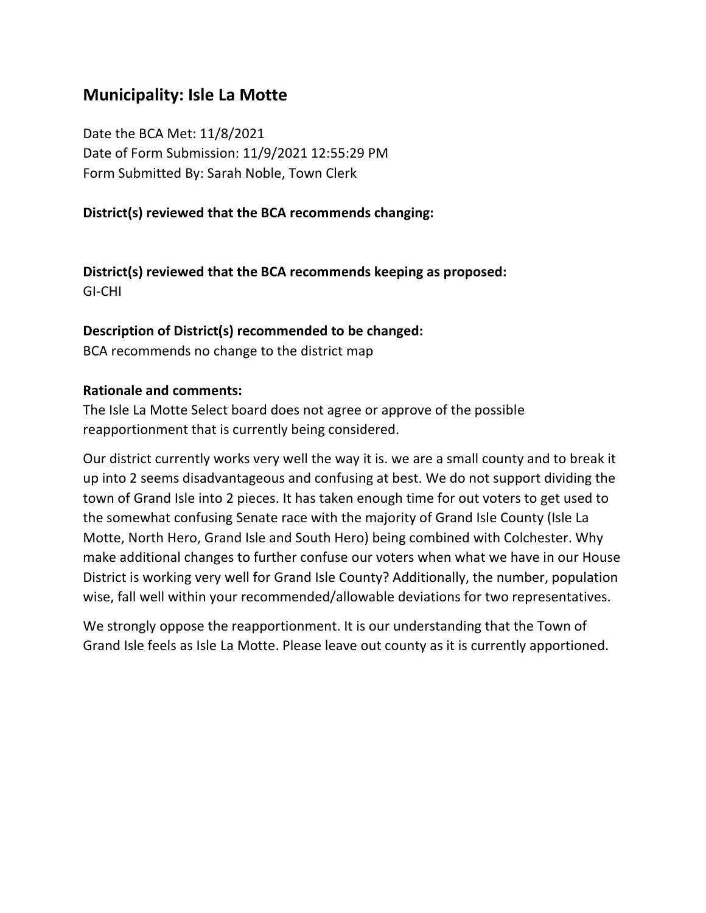# **Municipality: Isle La Motte**

Date the BCA Met: 11/8/2021 Date of Form Submission: 11/9/2021 12:55:29 PM Form Submitted By: Sarah Noble, Town Clerk

#### **District(s) reviewed that the BCA recommends changing:**

**District(s) reviewed that the BCA recommends keeping as proposed:** GI-CHI

#### **Description of District(s) recommended to be changed:**

BCA recommends no change to the district map

#### **Rationale and comments:**

The Isle La Motte Select board does not agree or approve of the possible reapportionment that is currently being considered.

Our district currently works very well the way it is. we are a small county and to break it up into 2 seems disadvantageous and confusing at best. We do not support dividing the town of Grand Isle into 2 pieces. It has taken enough time for out voters to get used to the somewhat confusing Senate race with the majority of Grand Isle County (Isle La Motte, North Hero, Grand Isle and South Hero) being combined with Colchester. Why make additional changes to further confuse our voters when what we have in our House District is working very well for Grand Isle County? Additionally, the number, population wise, fall well within your recommended/allowable deviations for two representatives.

We strongly oppose the reapportionment. It is our understanding that the Town of Grand Isle feels as Isle La Motte. Please leave out county as it is currently apportioned.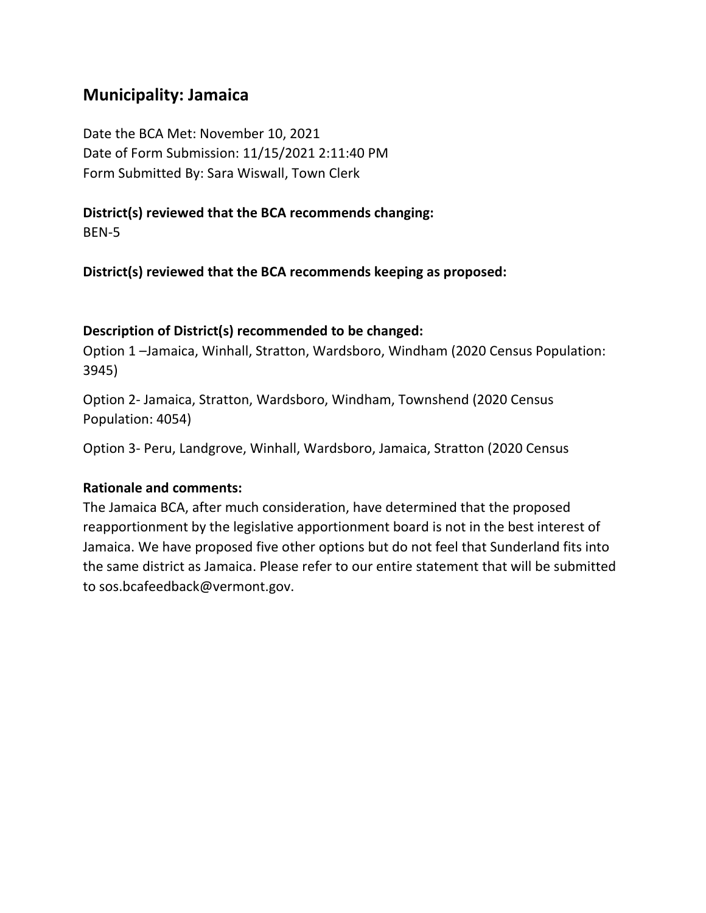# **Municipality: Jamaica**

Date the BCA Met: November 10, 2021 Date of Form Submission: 11/15/2021 2:11:40 PM Form Submitted By: Sara Wiswall, Town Clerk

# **District(s) reviewed that the BCA recommends changing:**

BEN-5

**District(s) reviewed that the BCA recommends keeping as proposed:**

#### **Description of District(s) recommended to be changed:**

Option 1 –Jamaica, Winhall, Stratton, Wardsboro, Windham (2020 Census Population: 3945)

Option 2- Jamaica, Stratton, Wardsboro, Windham, Townshend (2020 Census Population: 4054)

Option 3- Peru, Landgrove, Winhall, Wardsboro, Jamaica, Stratton (2020 Census

### **Rationale and comments:**

The Jamaica BCA, after much consideration, have determined that the proposed reapportionment by the legislative apportionment board is not in the best interest of Jamaica. We have proposed five other options but do not feel that Sunderland fits into the same district as Jamaica. Please refer to our entire statement that will be submitted to sos.bcafeedback@vermont.gov.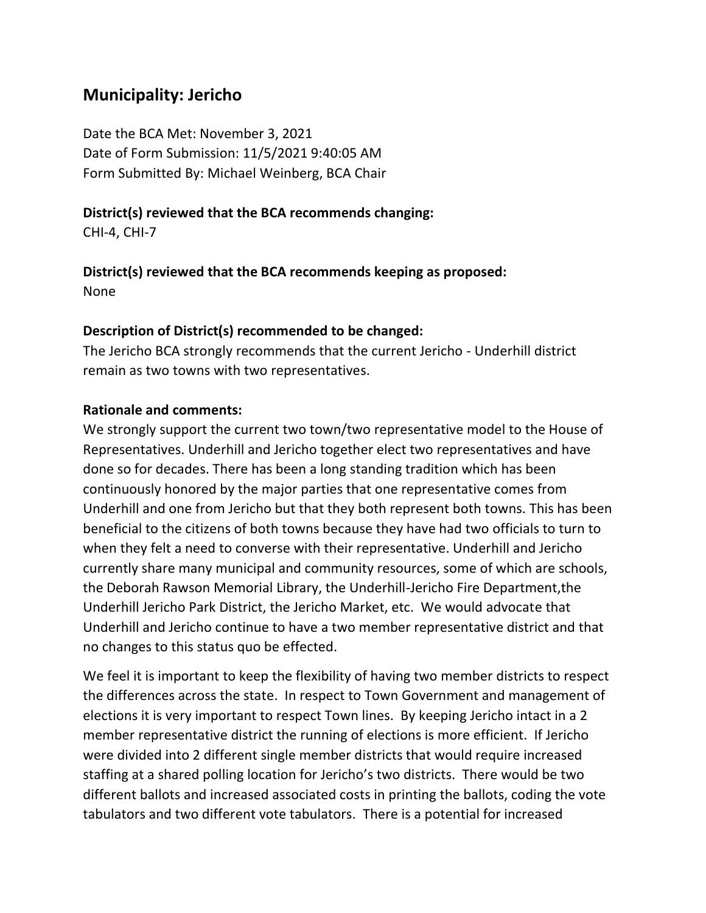# **Municipality: Jericho**

Date the BCA Met: November 3, 2021 Date of Form Submission: 11/5/2021 9:40:05 AM Form Submitted By: Michael Weinberg, BCA Chair

#### **District(s) reviewed that the BCA recommends changing:**

CHI-4, CHI-7

# **District(s) reviewed that the BCA recommends keeping as proposed:**

None

#### **Description of District(s) recommended to be changed:**

The Jericho BCA strongly recommends that the current Jericho - Underhill district remain as two towns with two representatives.

#### **Rationale and comments:**

We strongly support the current two town/two representative model to the House of Representatives. Underhill and Jericho together elect two representatives and have done so for decades. There has been a long standing tradition which has been continuously honored by the major parties that one representative comes from Underhill and one from Jericho but that they both represent both towns. This has been beneficial to the citizens of both towns because they have had two officials to turn to when they felt a need to converse with their representative. Underhill and Jericho currently share many municipal and community resources, some of which are schools, the Deborah Rawson Memorial Library, the Underhill-Jericho Fire Department,the Underhill Jericho Park District, the Jericho Market, etc. We would advocate that Underhill and Jericho continue to have a two member representative district and that no changes to this status quo be effected.

We feel it is important to keep the flexibility of having two member districts to respect the differences across the state. In respect to Town Government and management of elections it is very important to respect Town lines. By keeping Jericho intact in a 2 member representative district the running of elections is more efficient. If Jericho were divided into 2 different single member districts that would require increased staffing at a shared polling location for Jericho's two districts. There would be two different ballots and increased associated costs in printing the ballots, coding the vote tabulators and two different vote tabulators. There is a potential for increased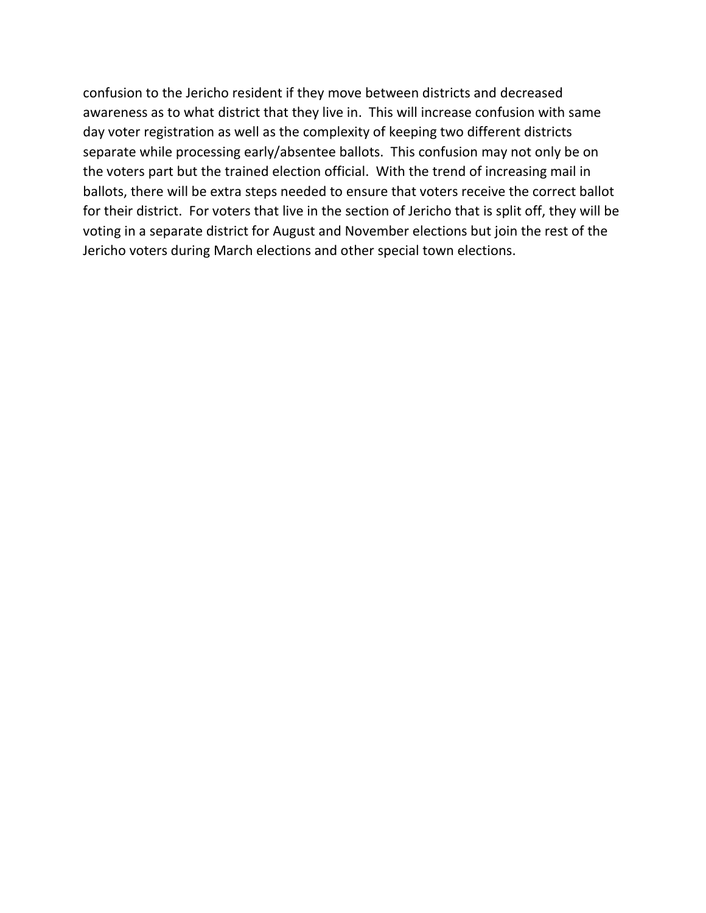confusion to the Jericho resident if they move between districts and decreased awareness as to what district that they live in. This will increase confusion with same day voter registration as well as the complexity of keeping two different districts separate while processing early/absentee ballots. This confusion may not only be on the voters part but the trained election official. With the trend of increasing mail in ballots, there will be extra steps needed to ensure that voters receive the correct ballot for their district. For voters that live in the section of Jericho that is split off, they will be voting in a separate district for August and November elections but join the rest of the Jericho voters during March elections and other special town elections.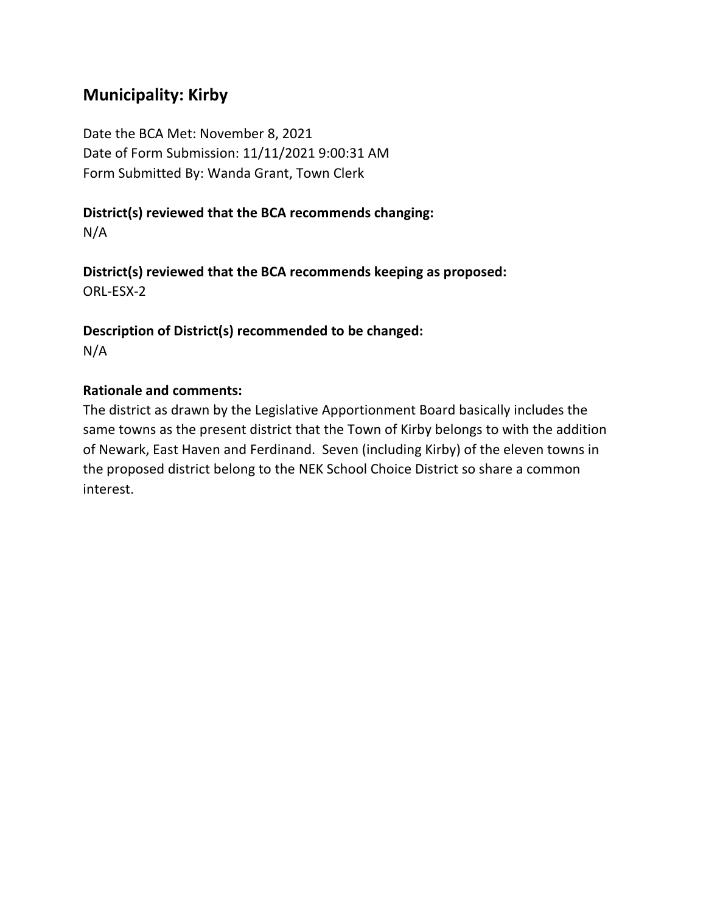# **Municipality: Kirby**

Date the BCA Met: November 8, 2021 Date of Form Submission: 11/11/2021 9:00:31 AM Form Submitted By: Wanda Grant, Town Clerk

# **District(s) reviewed that the BCA recommends changing:**

N/A

**District(s) reviewed that the BCA recommends keeping as proposed:** ORL-ESX-2

**Description of District(s) recommended to be changed:** N/A

# **Rationale and comments:**

The district as drawn by the Legislative Apportionment Board basically includes the same towns as the present district that the Town of Kirby belongs to with the addition of Newark, East Haven and Ferdinand. Seven (including Kirby) of the eleven towns in the proposed district belong to the NEK School Choice District so share a common interest.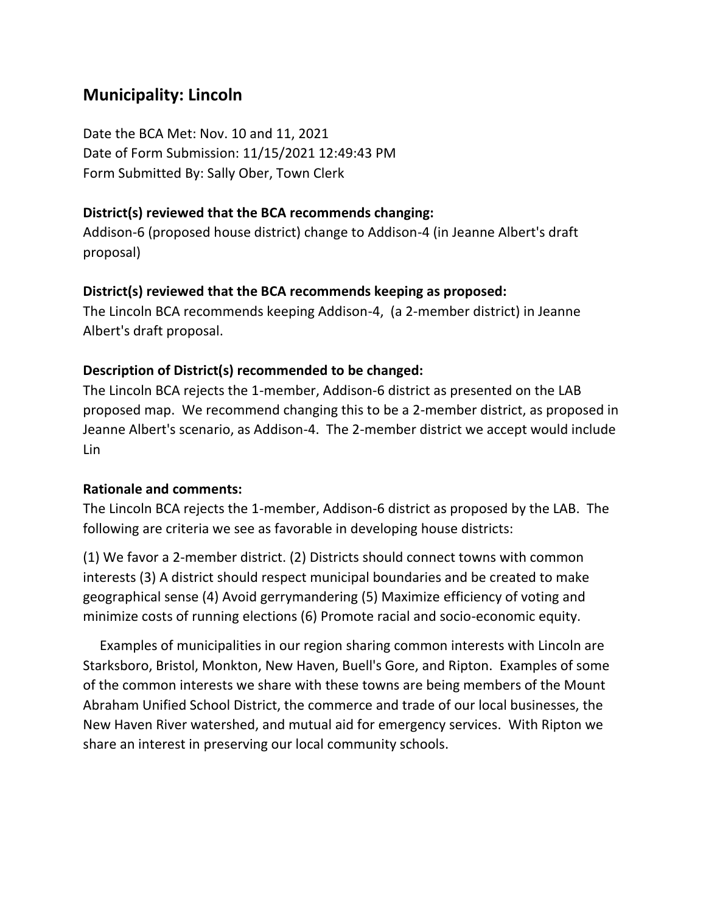# **Municipality: Lincoln**

Date the BCA Met: Nov. 10 and 11, 2021 Date of Form Submission: 11/15/2021 12:49:43 PM Form Submitted By: Sally Ober, Town Clerk

#### **District(s) reviewed that the BCA recommends changing:**

Addison-6 (proposed house district) change to Addison-4 (in Jeanne Albert's draft proposal)

#### **District(s) reviewed that the BCA recommends keeping as proposed:**

The Lincoln BCA recommends keeping Addison-4, (a 2-member district) in Jeanne Albert's draft proposal.

### **Description of District(s) recommended to be changed:**

The Lincoln BCA rejects the 1-member, Addison-6 district as presented on the LAB proposed map. We recommend changing this to be a 2-member district, as proposed in Jeanne Albert's scenario, as Addison-4. The 2-member district we accept would include Lin

### **Rationale and comments:**

The Lincoln BCA rejects the 1-member, Addison-6 district as proposed by the LAB. The following are criteria we see as favorable in developing house districts:

(1) We favor a 2-member district. (2) Districts should connect towns with common interests (3) A district should respect municipal boundaries and be created to make geographical sense (4) Avoid gerrymandering (5) Maximize efficiency of voting and minimize costs of running elections (6) Promote racial and socio-economic equity.

 Examples of municipalities in our region sharing common interests with Lincoln are Starksboro, Bristol, Monkton, New Haven, Buell's Gore, and Ripton. Examples of some of the common interests we share with these towns are being members of the Mount Abraham Unified School District, the commerce and trade of our local businesses, the New Haven River watershed, and mutual aid for emergency services. With Ripton we share an interest in preserving our local community schools.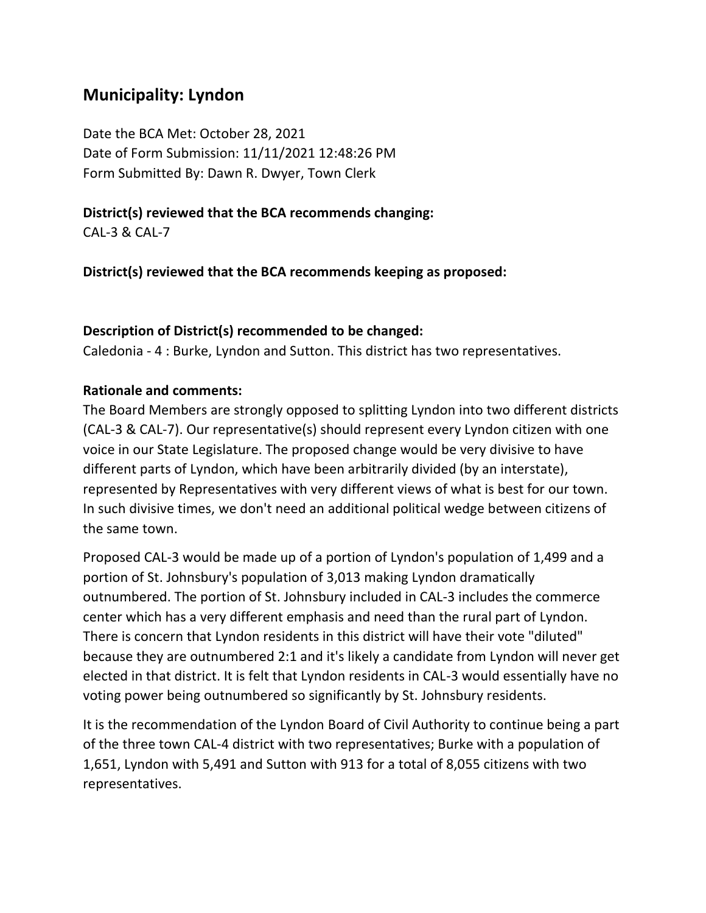# **Municipality: Lyndon**

Date the BCA Met: October 28, 2021 Date of Form Submission: 11/11/2021 12:48:26 PM Form Submitted By: Dawn R. Dwyer, Town Clerk

# **District(s) reviewed that the BCA recommends changing:**

CAL-3 & CAL-7

**District(s) reviewed that the BCA recommends keeping as proposed:**

## **Description of District(s) recommended to be changed:**

Caledonia - 4 : Burke, Lyndon and Sutton. This district has two representatives.

## **Rationale and comments:**

The Board Members are strongly opposed to splitting Lyndon into two different districts (CAL-3 & CAL-7). Our representative(s) should represent every Lyndon citizen with one voice in our State Legislature. The proposed change would be very divisive to have different parts of Lyndon, which have been arbitrarily divided (by an interstate), represented by Representatives with very different views of what is best for our town. In such divisive times, we don't need an additional political wedge between citizens of the same town.

Proposed CAL-3 would be made up of a portion of Lyndon's population of 1,499 and a portion of St. Johnsbury's population of 3,013 making Lyndon dramatically outnumbered. The portion of St. Johnsbury included in CAL-3 includes the commerce center which has a very different emphasis and need than the rural part of Lyndon. There is concern that Lyndon residents in this district will have their vote "diluted" because they are outnumbered 2:1 and it's likely a candidate from Lyndon will never get elected in that district. It is felt that Lyndon residents in CAL-3 would essentially have no voting power being outnumbered so significantly by St. Johnsbury residents.

It is the recommendation of the Lyndon Board of Civil Authority to continue being a part of the three town CAL-4 district with two representatives; Burke with a population of 1,651, Lyndon with 5,491 and Sutton with 913 for a total of 8,055 citizens with two representatives.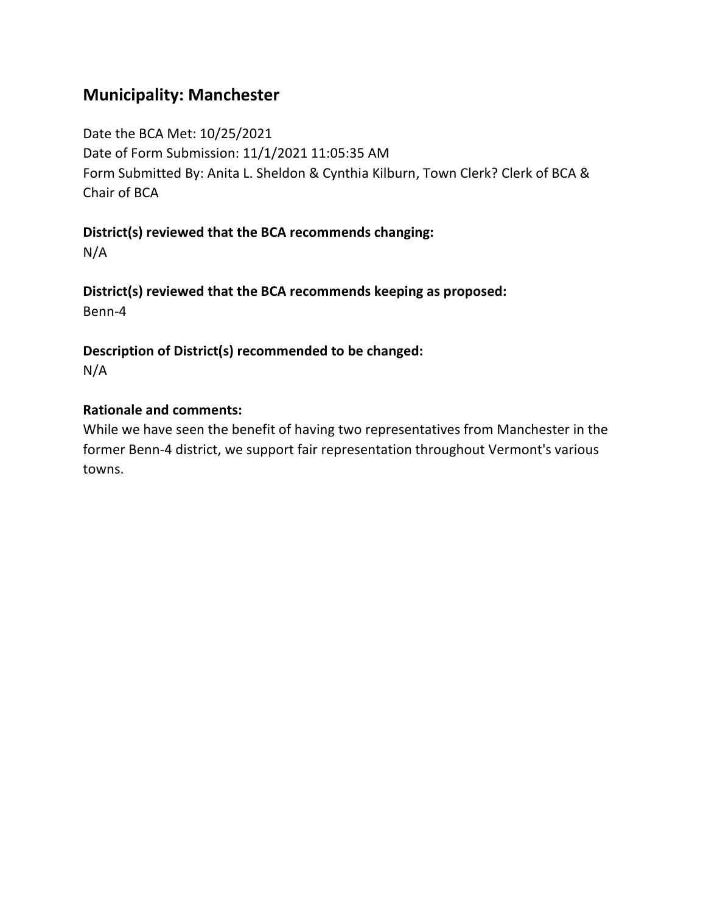# **Municipality: Manchester**

Date the BCA Met: 10/25/2021

Date of Form Submission: 11/1/2021 11:05:35 AM

Form Submitted By: Anita L. Sheldon & Cynthia Kilburn, Town Clerk? Clerk of BCA & Chair of BCA

**District(s) reviewed that the BCA recommends changing:**

N/A

**District(s) reviewed that the BCA recommends keeping as proposed:** Benn-4

**Description of District(s) recommended to be changed:**

N/A

## **Rationale and comments:**

While we have seen the benefit of having two representatives from Manchester in the former Benn-4 district, we support fair representation throughout Vermont's various towns.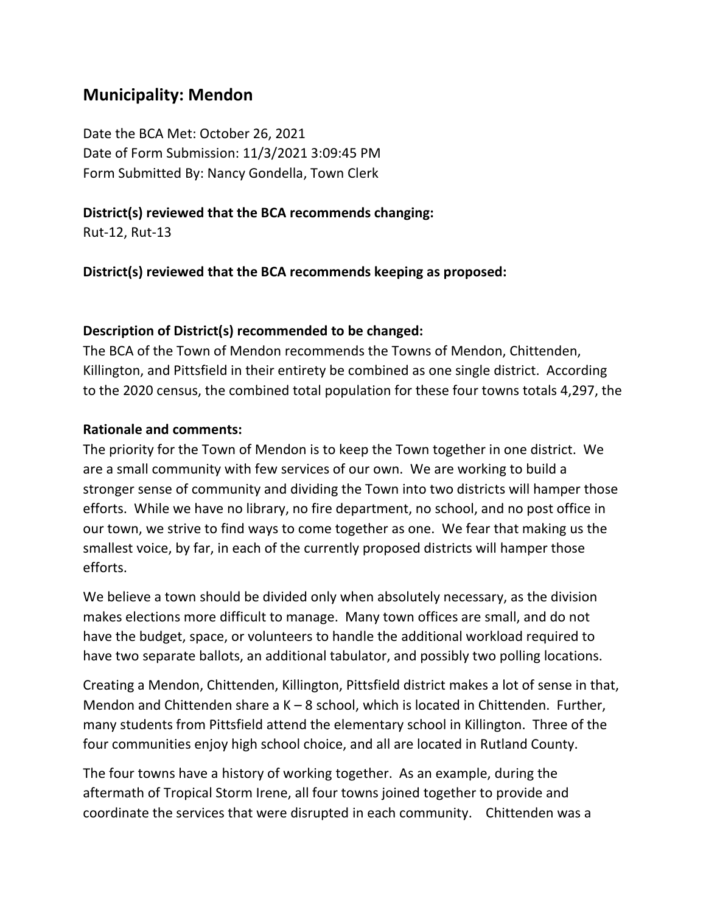# **Municipality: Mendon**

Date the BCA Met: October 26, 2021 Date of Form Submission: 11/3/2021 3:09:45 PM Form Submitted By: Nancy Gondella, Town Clerk

### **District(s) reviewed that the BCA recommends changing:**

Rut-12, Rut-13

**District(s) reviewed that the BCA recommends keeping as proposed:**

#### **Description of District(s) recommended to be changed:**

The BCA of the Town of Mendon recommends the Towns of Mendon, Chittenden, Killington, and Pittsfield in their entirety be combined as one single district. According to the 2020 census, the combined total population for these four towns totals 4,297, the

#### **Rationale and comments:**

The priority for the Town of Mendon is to keep the Town together in one district. We are a small community with few services of our own. We are working to build a stronger sense of community and dividing the Town into two districts will hamper those efforts. While we have no library, no fire department, no school, and no post office in our town, we strive to find ways to come together as one. We fear that making us the smallest voice, by far, in each of the currently proposed districts will hamper those efforts.

We believe a town should be divided only when absolutely necessary, as the division makes elections more difficult to manage. Many town offices are small, and do not have the budget, space, or volunteers to handle the additional workload required to have two separate ballots, an additional tabulator, and possibly two polling locations.

Creating a Mendon, Chittenden, Killington, Pittsfield district makes a lot of sense in that, Mendon and Chittenden share a K – 8 school, which is located in Chittenden. Further, many students from Pittsfield attend the elementary school in Killington. Three of the four communities enjoy high school choice, and all are located in Rutland County.

The four towns have a history of working together. As an example, during the aftermath of Tropical Storm Irene, all four towns joined together to provide and coordinate the services that were disrupted in each community. Chittenden was a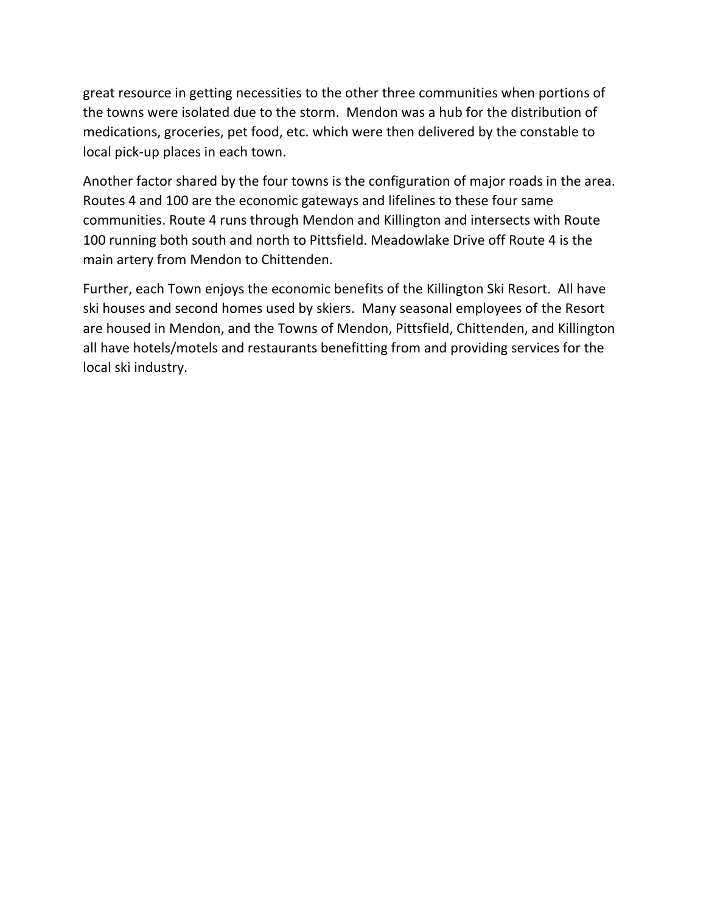great resource in getting necessities to the other three communities when portions of the towns were isolated due to the storm. Mendon was a hub for the distribution of medications, groceries, pet food, etc. which were then delivered by the constable to local pick-up places in each town.

Another factor shared by the four towns is the configuration of major roads in the area. Routes 4 and 100 are the economic gateways and lifelines to these four same communities. Route 4 runs through Mendon and Killington and intersects with Route 100 running both south and north to Pittsfield. Meadowlake Drive off Route 4 is the main artery from Mendon to Chittenden.

Further, each Town enjoys the economic benefits of the Killington Ski Resort. All have ski houses and second homes used by skiers. Many seasonal employees of the Resort are housed in Mendon, and the Towns of Mendon, Pittsfield, Chittenden, and Killington all have hotels/motels and restaurants benefitting from and providing services for the local ski industry.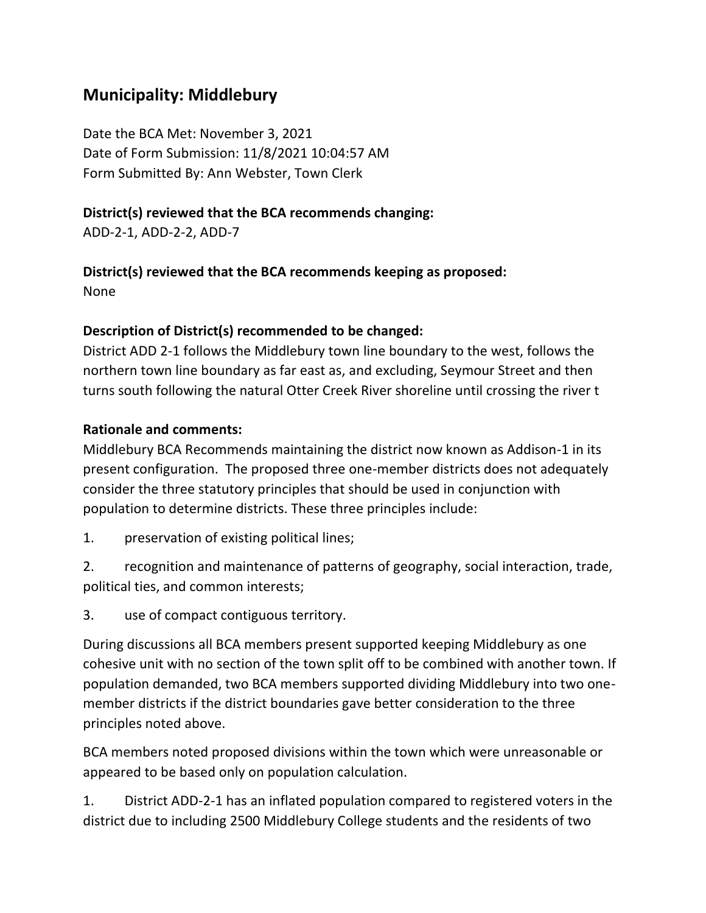# **Municipality: Middlebury**

Date the BCA Met: November 3, 2021 Date of Form Submission: 11/8/2021 10:04:57 AM Form Submitted By: Ann Webster, Town Clerk

# **District(s) reviewed that the BCA recommends changing:**

ADD-2-1, ADD-2-2, ADD-7

# **District(s) reviewed that the BCA recommends keeping as proposed:**

None

# **Description of District(s) recommended to be changed:**

District ADD 2-1 follows the Middlebury town line boundary to the west, follows the northern town line boundary as far east as, and excluding, Seymour Street and then turns south following the natural Otter Creek River shoreline until crossing the river t

## **Rationale and comments:**

Middlebury BCA Recommends maintaining the district now known as Addison-1 in its present configuration. The proposed three one-member districts does not adequately consider the three statutory principles that should be used in conjunction with population to determine districts. These three principles include:

1. preservation of existing political lines;

2. recognition and maintenance of patterns of geography, social interaction, trade, political ties, and common interests;

3. use of compact contiguous territory.

During discussions all BCA members present supported keeping Middlebury as one cohesive unit with no section of the town split off to be combined with another town. If population demanded, two BCA members supported dividing Middlebury into two onemember districts if the district boundaries gave better consideration to the three principles noted above.

BCA members noted proposed divisions within the town which were unreasonable or appeared to be based only on population calculation.

1. District ADD-2-1 has an inflated population compared to registered voters in the district due to including 2500 Middlebury College students and the residents of two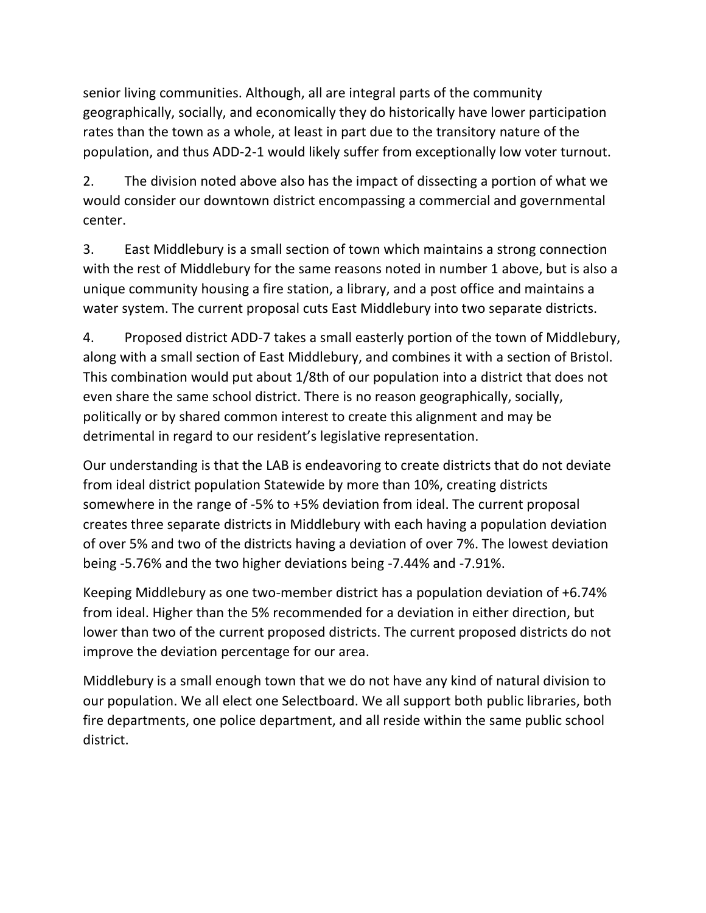senior living communities. Although, all are integral parts of the community geographically, socially, and economically they do historically have lower participation rates than the town as a whole, at least in part due to the transitory nature of the population, and thus ADD-2-1 would likely suffer from exceptionally low voter turnout.

2. The division noted above also has the impact of dissecting a portion of what we would consider our downtown district encompassing a commercial and governmental center.

3. East Middlebury is a small section of town which maintains a strong connection with the rest of Middlebury for the same reasons noted in number 1 above, but is also a unique community housing a fire station, a library, and a post office and maintains a water system. The current proposal cuts East Middlebury into two separate districts.

4. Proposed district ADD-7 takes a small easterly portion of the town of Middlebury, along with a small section of East Middlebury, and combines it with a section of Bristol. This combination would put about 1/8th of our population into a district that does not even share the same school district. There is no reason geographically, socially, politically or by shared common interest to create this alignment and may be detrimental in regard to our resident's legislative representation.

Our understanding is that the LAB is endeavoring to create districts that do not deviate from ideal district population Statewide by more than 10%, creating districts somewhere in the range of -5% to +5% deviation from ideal. The current proposal creates three separate districts in Middlebury with each having a population deviation of over 5% and two of the districts having a deviation of over 7%. The lowest deviation being -5.76% and the two higher deviations being -7.44% and -7.91%.

Keeping Middlebury as one two-member district has a population deviation of +6.74% from ideal. Higher than the 5% recommended for a deviation in either direction, but lower than two of the current proposed districts. The current proposed districts do not improve the deviation percentage for our area.

Middlebury is a small enough town that we do not have any kind of natural division to our population. We all elect one Selectboard. We all support both public libraries, both fire departments, one police department, and all reside within the same public school district.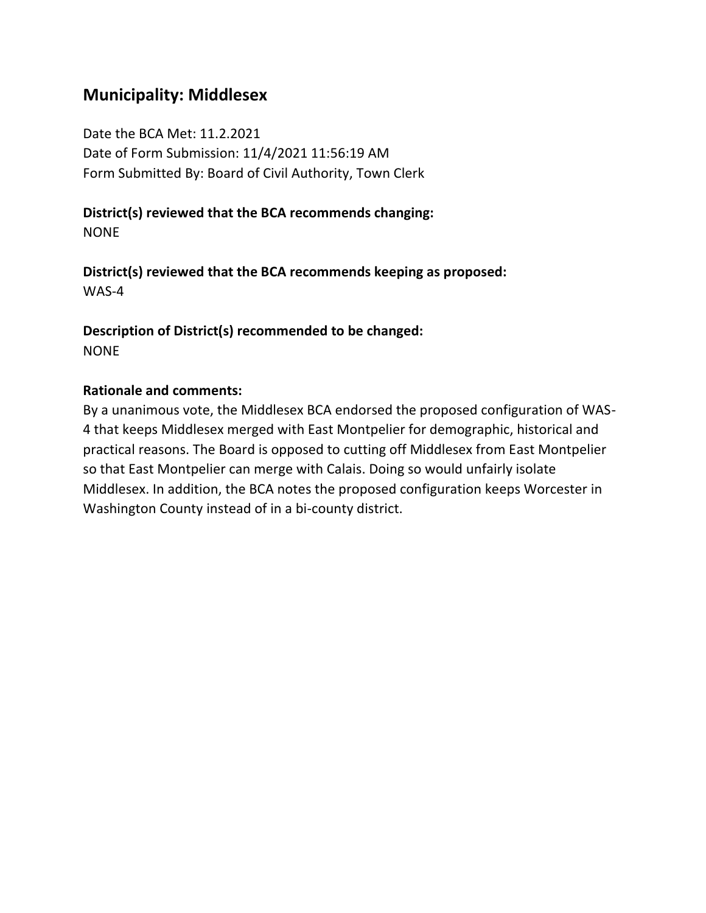# **Municipality: Middlesex**

Date the BCA Met: 11.2.2021 Date of Form Submission: 11/4/2021 11:56:19 AM Form Submitted By: Board of Civil Authority, Town Clerk

### **District(s) reviewed that the BCA recommends changing:** NONE

**District(s) reviewed that the BCA recommends keeping as proposed:** WAS-4

**Description of District(s) recommended to be changed: NONE** 

### **Rationale and comments:**

By a unanimous vote, the Middlesex BCA endorsed the proposed configuration of WAS-4 that keeps Middlesex merged with East Montpelier for demographic, historical and practical reasons. The Board is opposed to cutting off Middlesex from East Montpelier so that East Montpelier can merge with Calais. Doing so would unfairly isolate Middlesex. In addition, the BCA notes the proposed configuration keeps Worcester in Washington County instead of in a bi-county district.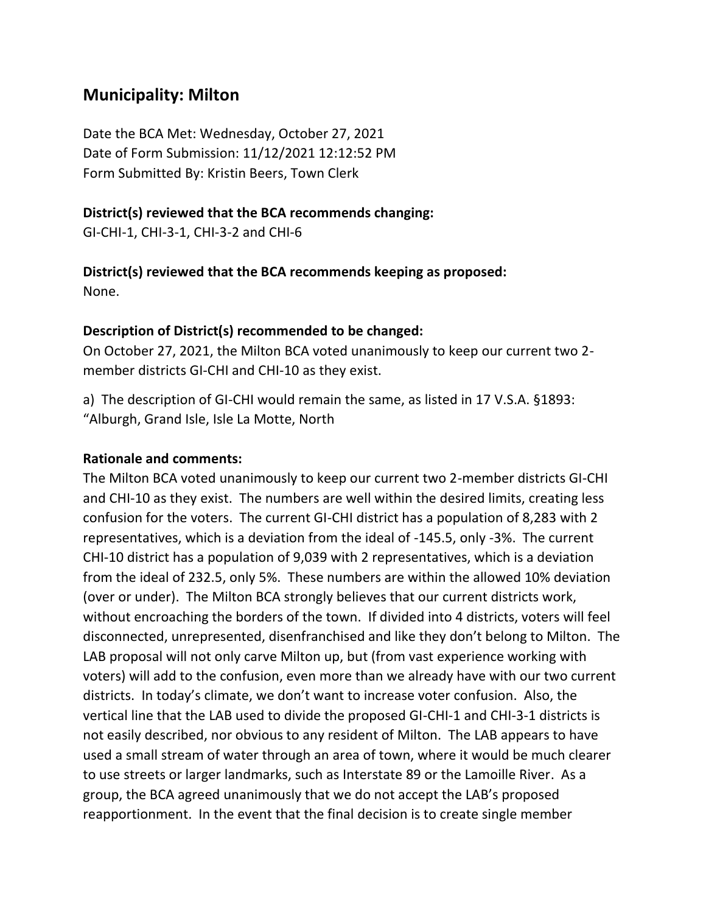# **Municipality: Milton**

Date the BCA Met: Wednesday, October 27, 2021 Date of Form Submission: 11/12/2021 12:12:52 PM Form Submitted By: Kristin Beers, Town Clerk

#### **District(s) reviewed that the BCA recommends changing:**

GI-CHI-1, CHI-3-1, CHI-3-2 and CHI-6

#### **District(s) reviewed that the BCA recommends keeping as proposed:** None.

# **Description of District(s) recommended to be changed:**

On October 27, 2021, the Milton BCA voted unanimously to keep our current two 2 member districts GI-CHI and CHI-10 as they exist.

a) The description of GI-CHI would remain the same, as listed in 17 V.S.A. §1893: "Alburgh, Grand Isle, Isle La Motte, North

### **Rationale and comments:**

The Milton BCA voted unanimously to keep our current two 2-member districts GI-CHI and CHI-10 as they exist. The numbers are well within the desired limits, creating less confusion for the voters. The current GI-CHI district has a population of 8,283 with 2 representatives, which is a deviation from the ideal of -145.5, only -3%. The current CHI-10 district has a population of 9,039 with 2 representatives, which is a deviation from the ideal of 232.5, only 5%. These numbers are within the allowed 10% deviation (over or under). The Milton BCA strongly believes that our current districts work, without encroaching the borders of the town. If divided into 4 districts, voters will feel disconnected, unrepresented, disenfranchised and like they don't belong to Milton. The LAB proposal will not only carve Milton up, but (from vast experience working with voters) will add to the confusion, even more than we already have with our two current districts. In today's climate, we don't want to increase voter confusion. Also, the vertical line that the LAB used to divide the proposed GI-CHI-1 and CHI-3-1 districts is not easily described, nor obvious to any resident of Milton. The LAB appears to have used a small stream of water through an area of town, where it would be much clearer to use streets or larger landmarks, such as Interstate 89 or the Lamoille River. As a group, the BCA agreed unanimously that we do not accept the LAB's proposed reapportionment. In the event that the final decision is to create single member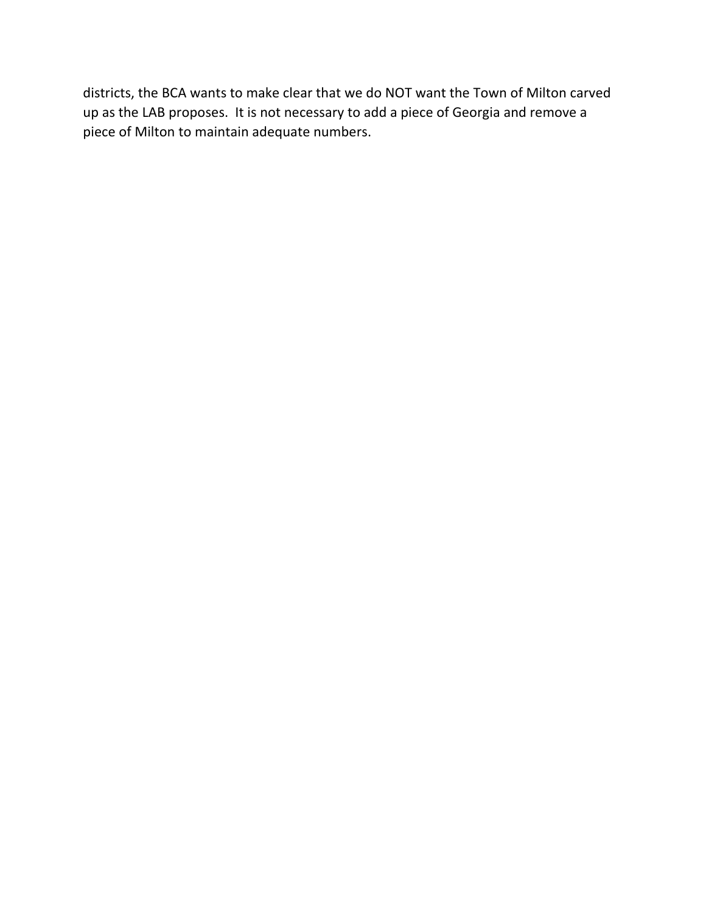districts, the BCA wants to make clear that we do NOT want the Town of Milton carved up as the LAB proposes. It is not necessary to add a piece of Georgia and remove a piece of Milton to maintain adequate numbers.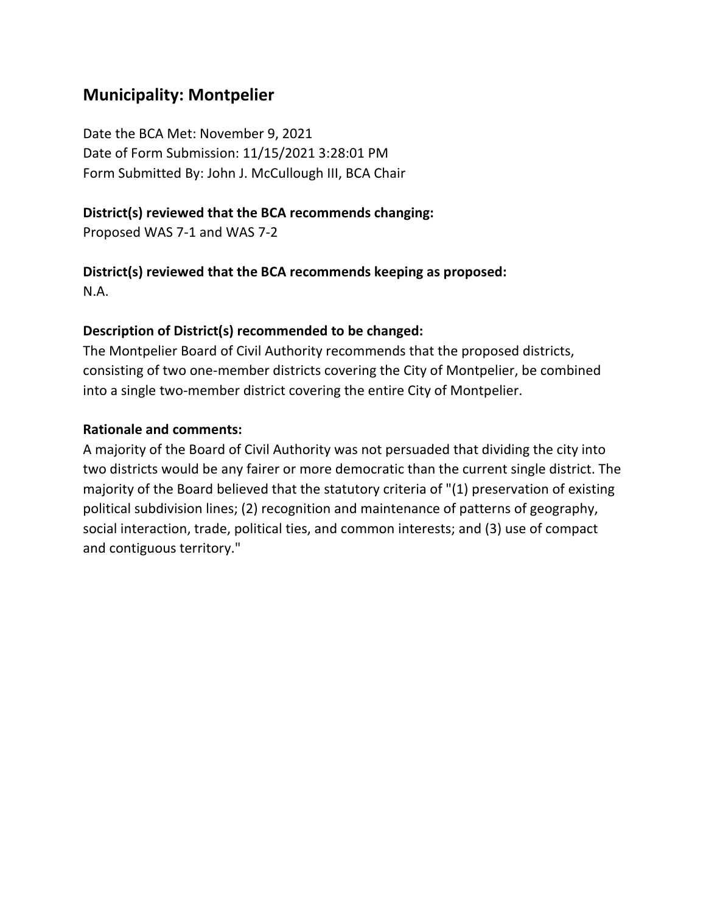# **Municipality: Montpelier**

Date the BCA Met: November 9, 2021 Date of Form Submission: 11/15/2021 3:28:01 PM Form Submitted By: John J. McCullough III, BCA Chair

### **District(s) reviewed that the BCA recommends changing:**

Proposed WAS 7-1 and WAS 7-2

## **District(s) reviewed that the BCA recommends keeping as proposed:**

N.A.

### **Description of District(s) recommended to be changed:**

The Montpelier Board of Civil Authority recommends that the proposed districts, consisting of two one-member districts covering the City of Montpelier, be combined into a single two-member district covering the entire City of Montpelier.

### **Rationale and comments:**

A majority of the Board of Civil Authority was not persuaded that dividing the city into two districts would be any fairer or more democratic than the current single district. The majority of the Board believed that the statutory criteria of "(1) preservation of existing political subdivision lines; (2) recognition and maintenance of patterns of geography, social interaction, trade, political ties, and common interests; and (3) use of compact and contiguous territory."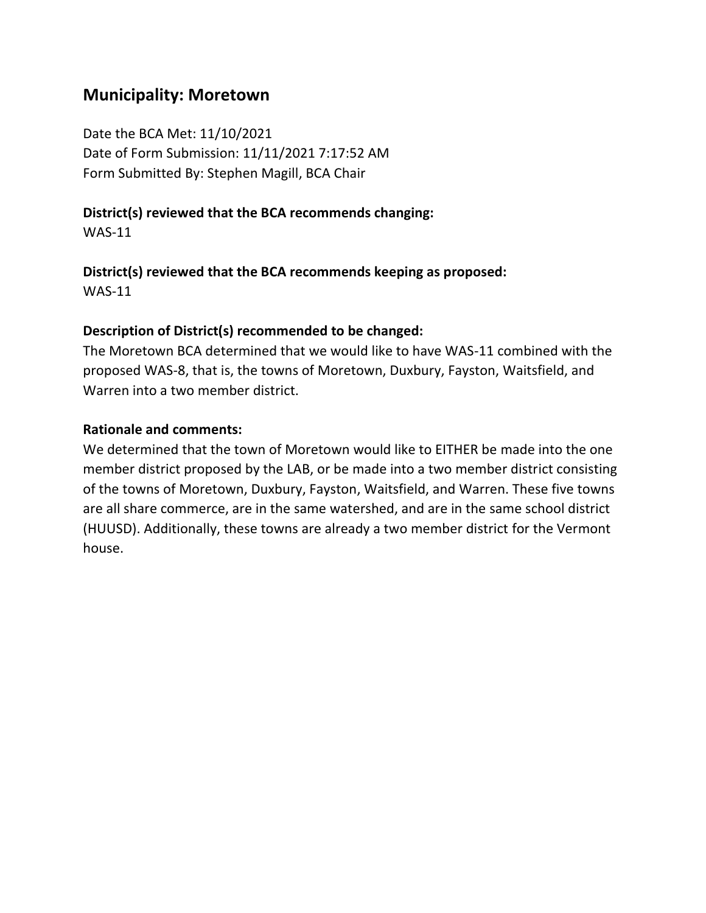# **Municipality: Moretown**

Date the BCA Met: 11/10/2021 Date of Form Submission: 11/11/2021 7:17:52 AM Form Submitted By: Stephen Magill, BCA Chair

### **District(s) reviewed that the BCA recommends changing:**

WAS-11

**District(s) reviewed that the BCA recommends keeping as proposed:** WAS-11

### **Description of District(s) recommended to be changed:**

The Moretown BCA determined that we would like to have WAS-11 combined with the proposed WAS-8, that is, the towns of Moretown, Duxbury, Fayston, Waitsfield, and Warren into a two member district.

#### **Rationale and comments:**

We determined that the town of Moretown would like to EITHER be made into the one member district proposed by the LAB, or be made into a two member district consisting of the towns of Moretown, Duxbury, Fayston, Waitsfield, and Warren. These five towns are all share commerce, are in the same watershed, and are in the same school district (HUUSD). Additionally, these towns are already a two member district for the Vermont house.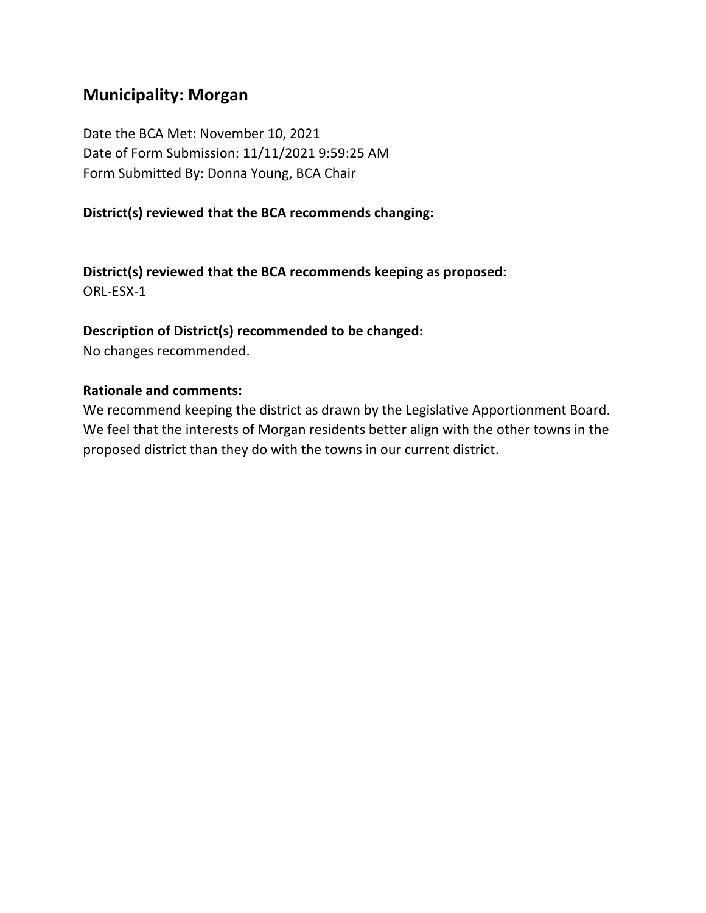# **Municipality: Morgan**

Date the BCA Met: November 10, 2021 Date of Form Submission: 11/11/2021 9:59:25 AM Form Submitted By: Donna Young, BCA Chair

### **District(s) reviewed that the BCA recommends changing:**

**District(s) reviewed that the BCA recommends keeping as proposed:** ORL-ESX-1

#### **Description of District(s) recommended to be changed:**

No changes recommended.

#### **Rationale and comments:**

We recommend keeping the district as drawn by the Legislative Apportionment Board. We feel that the interests of Morgan residents better align with the other towns in the proposed district than they do with the towns in our current district.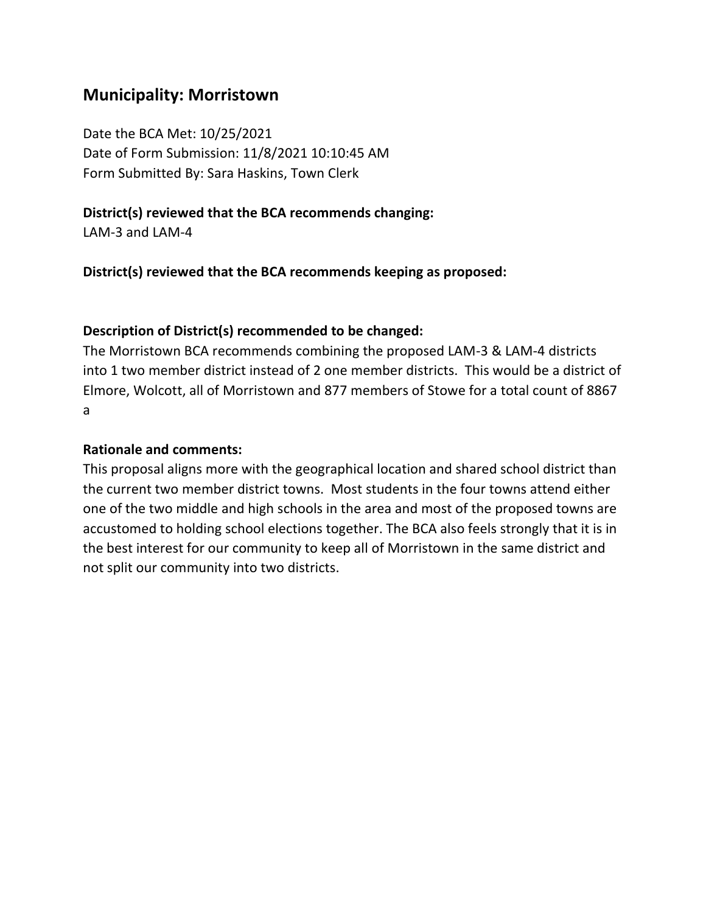# **Municipality: Morristown**

Date the BCA Met: 10/25/2021 Date of Form Submission: 11/8/2021 10:10:45 AM Form Submitted By: Sara Haskins, Town Clerk

### **District(s) reviewed that the BCA recommends changing:**

LAM-3 and LAM-4

**District(s) reviewed that the BCA recommends keeping as proposed:**

#### **Description of District(s) recommended to be changed:**

The Morristown BCA recommends combining the proposed LAM-3 & LAM-4 districts into 1 two member district instead of 2 one member districts. This would be a district of Elmore, Wolcott, all of Morristown and 877 members of Stowe for a total count of 8867 a

#### **Rationale and comments:**

This proposal aligns more with the geographical location and shared school district than the current two member district towns. Most students in the four towns attend either one of the two middle and high schools in the area and most of the proposed towns are accustomed to holding school elections together. The BCA also feels strongly that it is in the best interest for our community to keep all of Morristown in the same district and not split our community into two districts.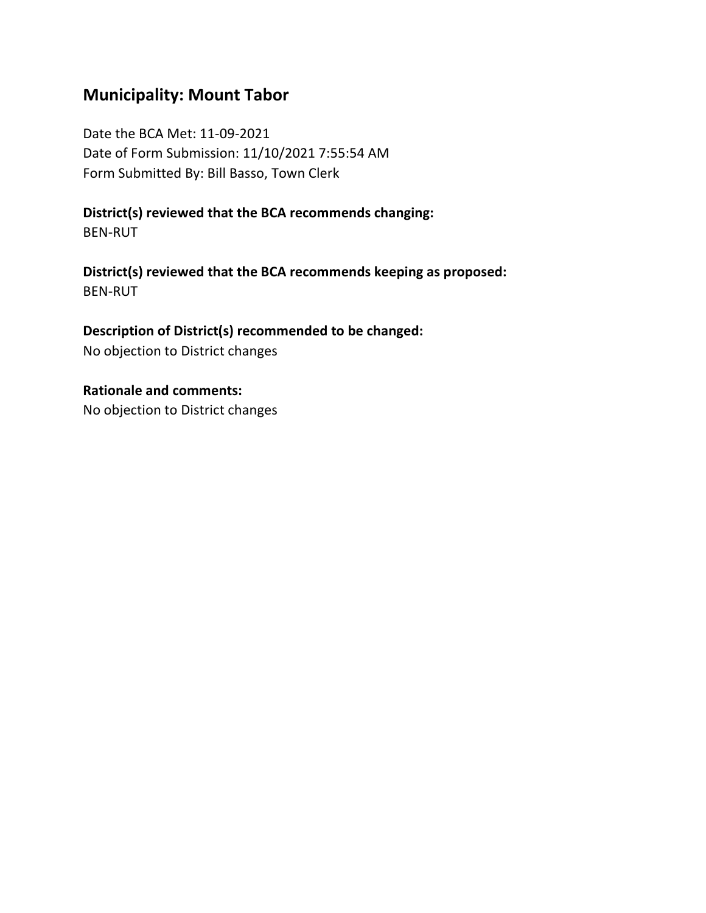# **Municipality: Mount Tabor**

Date the BCA Met: 11-09-2021 Date of Form Submission: 11/10/2021 7:55:54 AM Form Submitted By: Bill Basso, Town Clerk

**District(s) reviewed that the BCA recommends changing:** BEN-RUT

**District(s) reviewed that the BCA recommends keeping as proposed:** BEN-RUT

**Description of District(s) recommended to be changed:** No objection to District changes

**Rationale and comments:** No objection to District changes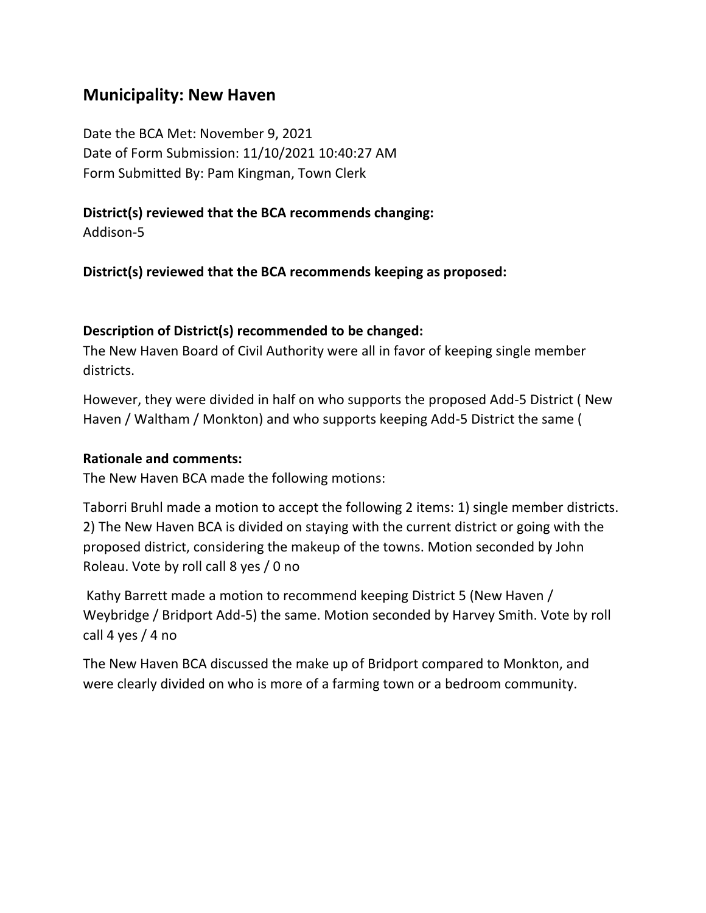# **Municipality: New Haven**

Date the BCA Met: November 9, 2021 Date of Form Submission: 11/10/2021 10:40:27 AM Form Submitted By: Pam Kingman, Town Clerk

### **District(s) reviewed that the BCA recommends changing:**

Addison-5

**District(s) reviewed that the BCA recommends keeping as proposed:**

#### **Description of District(s) recommended to be changed:**

The New Haven Board of Civil Authority were all in favor of keeping single member districts.

However, they were divided in half on who supports the proposed Add-5 District ( New Haven / Waltham / Monkton) and who supports keeping Add-5 District the same (

#### **Rationale and comments:**

The New Haven BCA made the following motions:

Taborri Bruhl made a motion to accept the following 2 items: 1) single member districts. 2) The New Haven BCA is divided on staying with the current district or going with the proposed district, considering the makeup of the towns. Motion seconded by John Roleau. Vote by roll call 8 yes / 0 no

Kathy Barrett made a motion to recommend keeping District 5 (New Haven / Weybridge / Bridport Add-5) the same. Motion seconded by Harvey Smith. Vote by roll call 4 yes / 4 no

The New Haven BCA discussed the make up of Bridport compared to Monkton, and were clearly divided on who is more of a farming town or a bedroom community.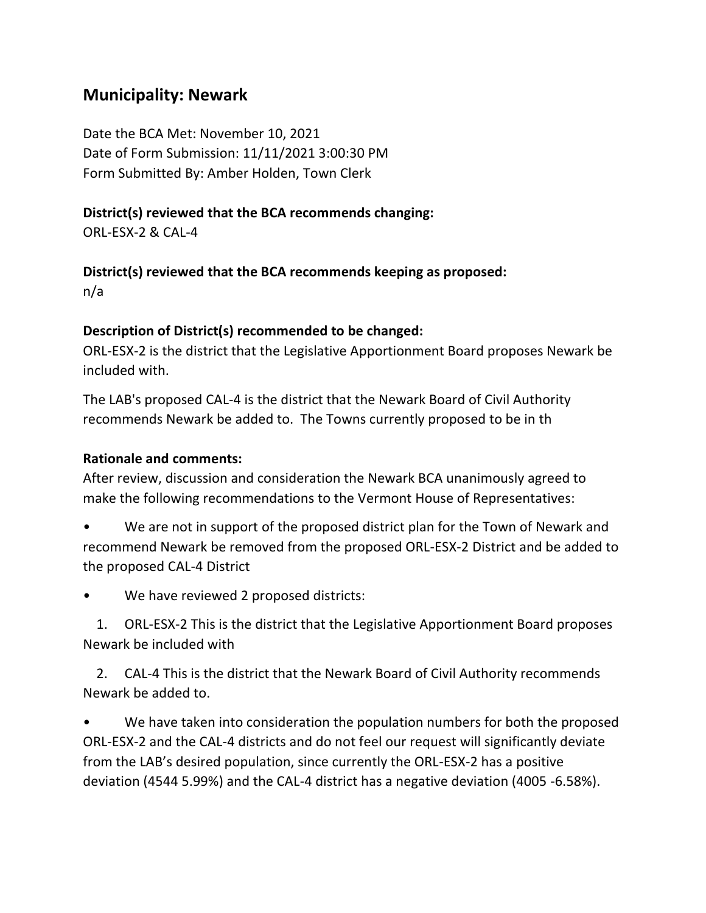# **Municipality: Newark**

Date the BCA Met: November 10, 2021 Date of Form Submission: 11/11/2021 3:00:30 PM Form Submitted By: Amber Holden, Town Clerk

### **District(s) reviewed that the BCA recommends changing:**

ORL-ESX-2 & CAL-4

### **District(s) reviewed that the BCA recommends keeping as proposed:**

n/a

### **Description of District(s) recommended to be changed:**

ORL-ESX-2 is the district that the Legislative Apportionment Board proposes Newark be included with.

The LAB's proposed CAL-4 is the district that the Newark Board of Civil Authority recommends Newark be added to. The Towns currently proposed to be in th

#### **Rationale and comments:**

After review, discussion and consideration the Newark BCA unanimously agreed to make the following recommendations to the Vermont House of Representatives:

- We are not in support of the proposed district plan for the Town of Newark and recommend Newark be removed from the proposed ORL-ESX-2 District and be added to the proposed CAL-4 District
- We have reviewed 2 proposed districts:

 1. ORL-ESX-2 This is the district that the Legislative Apportionment Board proposes Newark be included with

 2. CAL-4 This is the district that the Newark Board of Civil Authority recommends Newark be added to.

We have taken into consideration the population numbers for both the proposed ORL-ESX-2 and the CAL-4 districts and do not feel our request will significantly deviate from the LAB's desired population, since currently the ORL-ESX-2 has a positive deviation (4544 5.99%) and the CAL-4 district has a negative deviation (4005 -6.58%).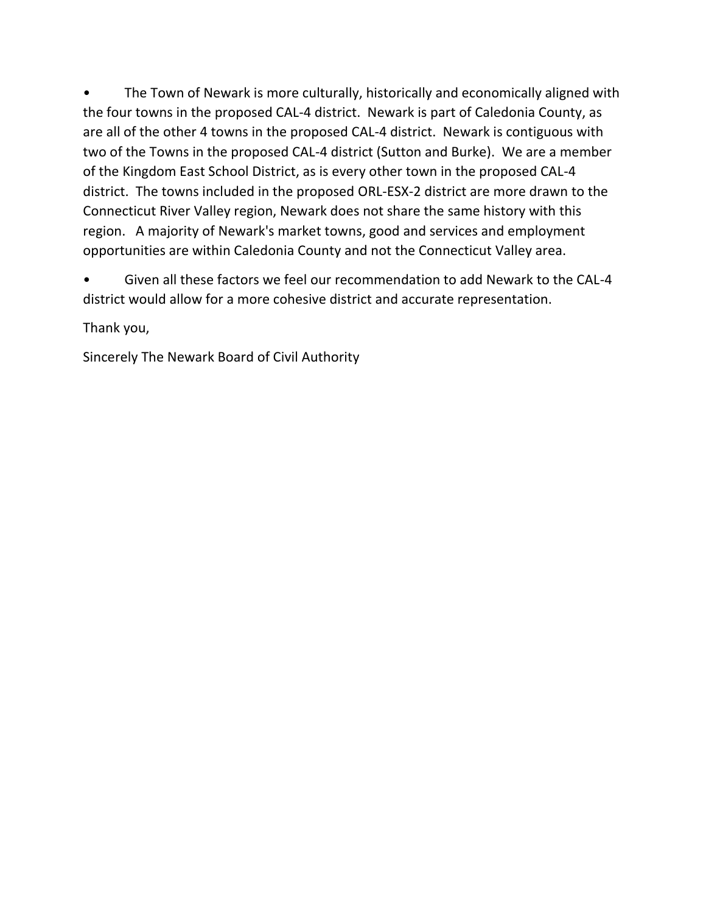The Town of Newark is more culturally, historically and economically aligned with the four towns in the proposed CAL-4 district. Newark is part of Caledonia County, as are all of the other 4 towns in the proposed CAL-4 district. Newark is contiguous with two of the Towns in the proposed CAL-4 district (Sutton and Burke). We are a member of the Kingdom East School District, as is every other town in the proposed CAL-4 district. The towns included in the proposed ORL-ESX-2 district are more drawn to the Connecticut River Valley region, Newark does not share the same history with this region. A majority of Newark's market towns, good and services and employment opportunities are within Caledonia County and not the Connecticut Valley area.

• Given all these factors we feel our recommendation to add Newark to the CAL-4 district would allow for a more cohesive district and accurate representation.

Thank you,

Sincerely The Newark Board of Civil Authority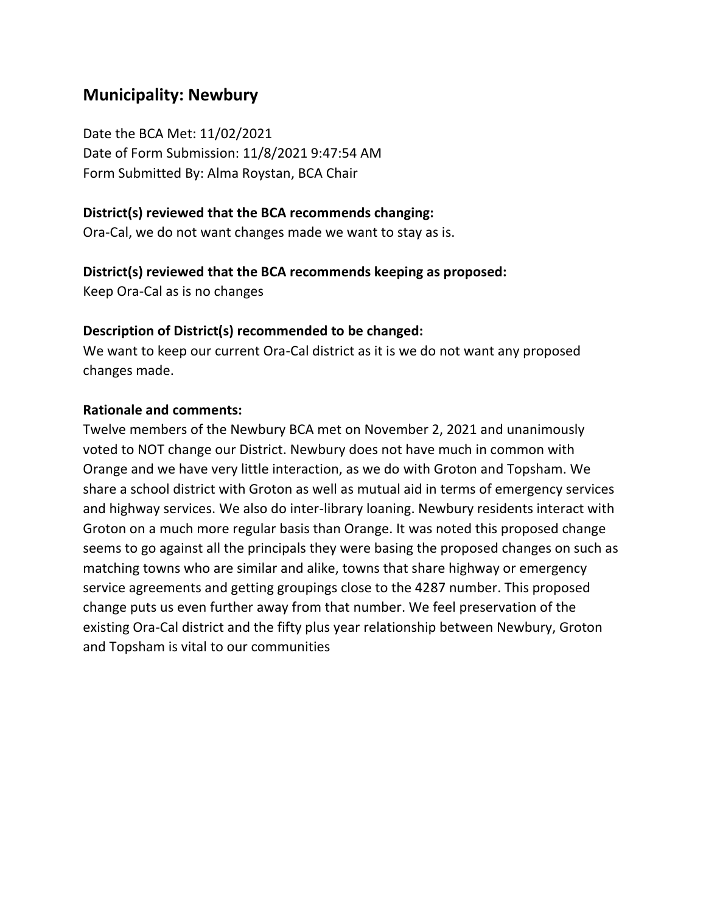# **Municipality: Newbury**

Date the BCA Met: 11/02/2021 Date of Form Submission: 11/8/2021 9:47:54 AM Form Submitted By: Alma Roystan, BCA Chair

#### **District(s) reviewed that the BCA recommends changing:**

Ora-Cal, we do not want changes made we want to stay as is.

#### **District(s) reviewed that the BCA recommends keeping as proposed:**

Keep Ora-Cal as is no changes

#### **Description of District(s) recommended to be changed:**

We want to keep our current Ora-Cal district as it is we do not want any proposed changes made.

#### **Rationale and comments:**

Twelve members of the Newbury BCA met on November 2, 2021 and unanimously voted to NOT change our District. Newbury does not have much in common with Orange and we have very little interaction, as we do with Groton and Topsham. We share a school district with Groton as well as mutual aid in terms of emergency services and highway services. We also do inter-library loaning. Newbury residents interact with Groton on a much more regular basis than Orange. It was noted this proposed change seems to go against all the principals they were basing the proposed changes on such as matching towns who are similar and alike, towns that share highway or emergency service agreements and getting groupings close to the 4287 number. This proposed change puts us even further away from that number. We feel preservation of the existing Ora-Cal district and the fifty plus year relationship between Newbury, Groton and Topsham is vital to our communities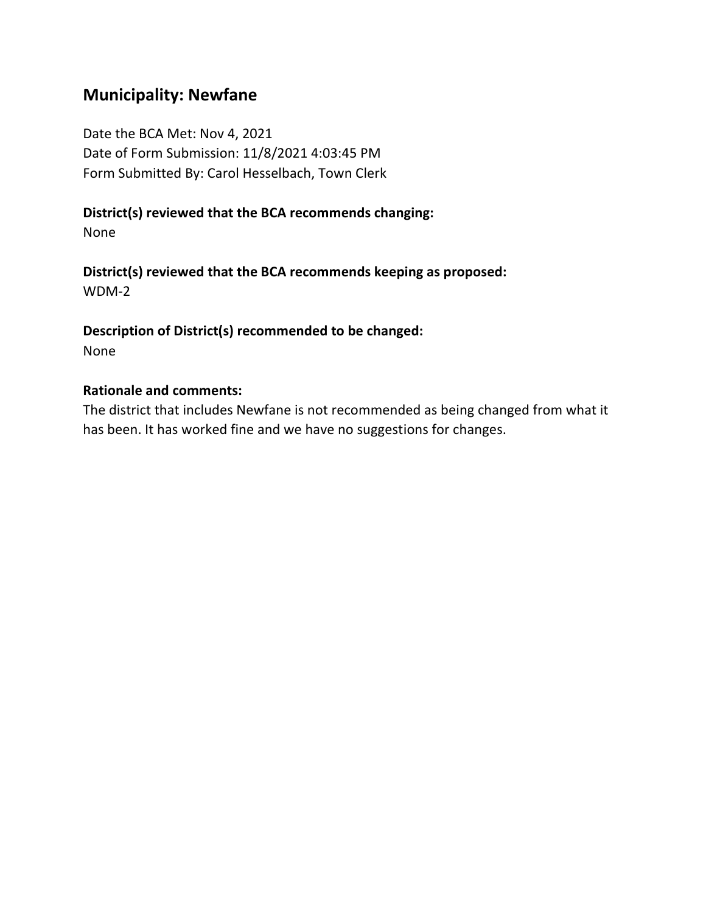# **Municipality: Newfane**

Date the BCA Met: Nov 4, 2021 Date of Form Submission: 11/8/2021 4:03:45 PM Form Submitted By: Carol Hesselbach, Town Clerk

## **District(s) reviewed that the BCA recommends changing:**

None

**District(s) reviewed that the BCA recommends keeping as proposed:** WDM-2

**Description of District(s) recommended to be changed:** None

#### **Rationale and comments:**

The district that includes Newfane is not recommended as being changed from what it has been. It has worked fine and we have no suggestions for changes.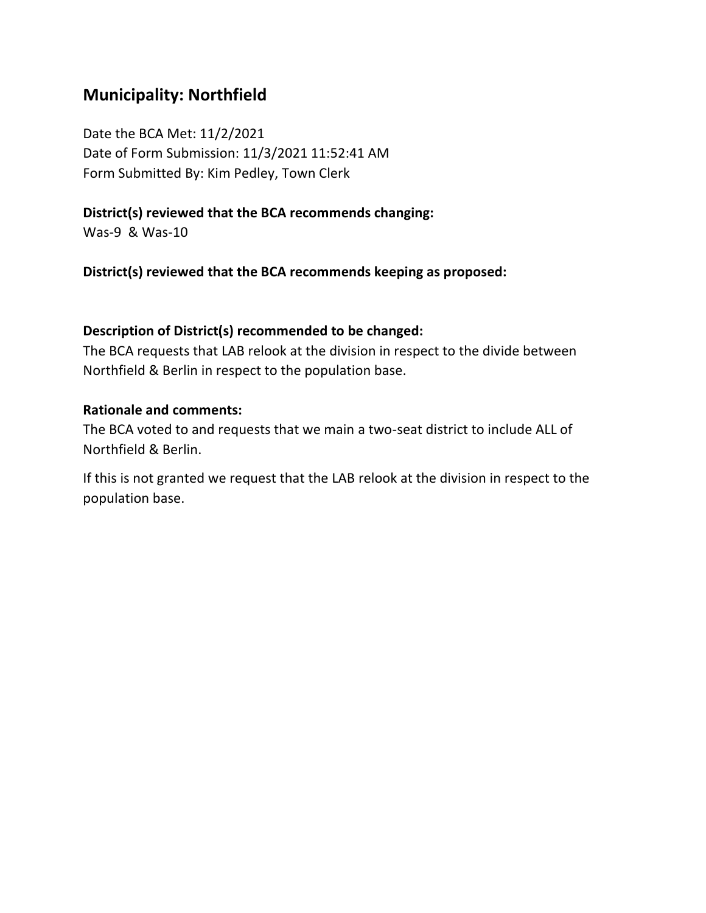# **Municipality: Northfield**

Date the BCA Met: 11/2/2021 Date of Form Submission: 11/3/2021 11:52:41 AM Form Submitted By: Kim Pedley, Town Clerk

### **District(s) reviewed that the BCA recommends changing:**

Was-9 & Was-10

**District(s) reviewed that the BCA recommends keeping as proposed:**

#### **Description of District(s) recommended to be changed:**

The BCA requests that LAB relook at the division in respect to the divide between Northfield & Berlin in respect to the population base.

#### **Rationale and comments:**

The BCA voted to and requests that we main a two-seat district to include ALL of Northfield & Berlin.

If this is not granted we request that the LAB relook at the division in respect to the population base.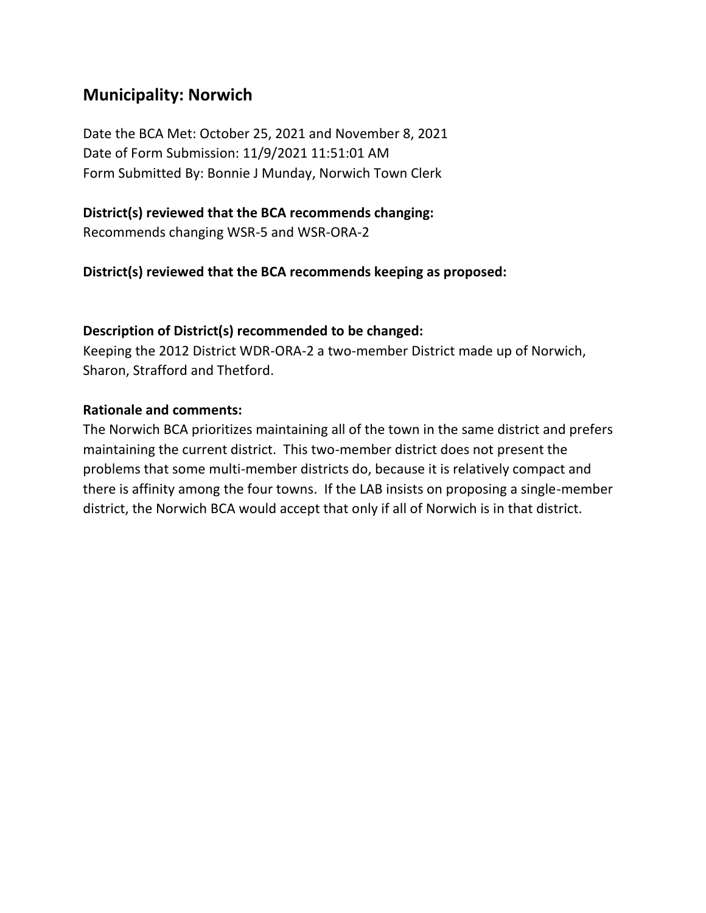# **Municipality: Norwich**

Date the BCA Met: October 25, 2021 and November 8, 2021 Date of Form Submission: 11/9/2021 11:51:01 AM Form Submitted By: Bonnie J Munday, Norwich Town Clerk

### **District(s) reviewed that the BCA recommends changing:**

Recommends changing WSR-5 and WSR-ORA-2

### **District(s) reviewed that the BCA recommends keeping as proposed:**

### **Description of District(s) recommended to be changed:**

Keeping the 2012 District WDR-ORA-2 a two-member District made up of Norwich, Sharon, Strafford and Thetford.

#### **Rationale and comments:**

The Norwich BCA prioritizes maintaining all of the town in the same district and prefers maintaining the current district. This two-member district does not present the problems that some multi-member districts do, because it is relatively compact and there is affinity among the four towns. If the LAB insists on proposing a single-member district, the Norwich BCA would accept that only if all of Norwich is in that district.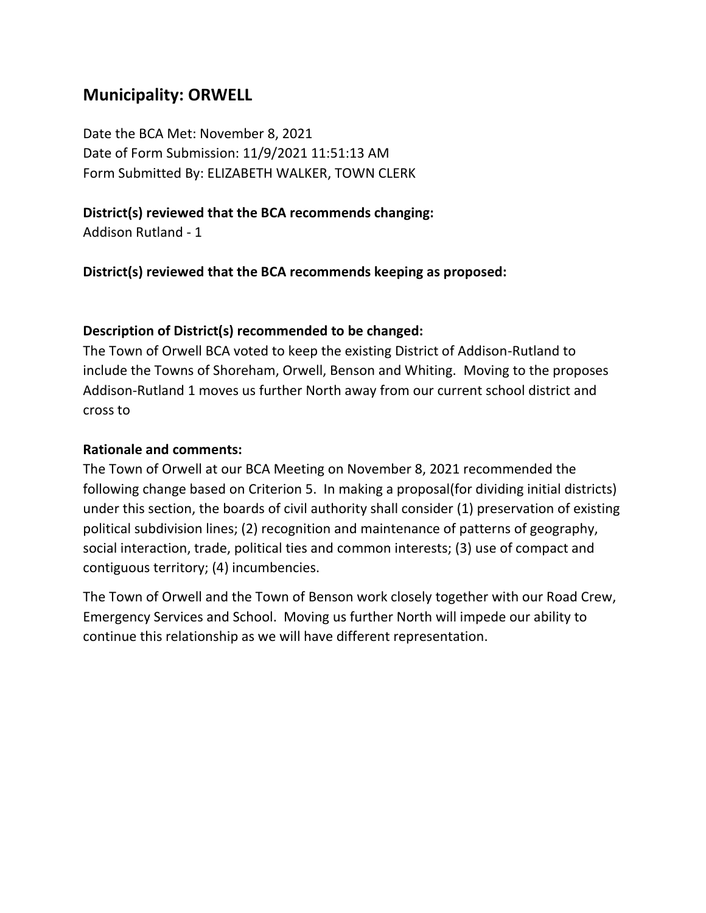# **Municipality: ORWELL**

Date the BCA Met: November 8, 2021 Date of Form Submission: 11/9/2021 11:51:13 AM Form Submitted By: ELIZABETH WALKER, TOWN CLERK

### **District(s) reviewed that the BCA recommends changing:**

Addison Rutland - 1

**District(s) reviewed that the BCA recommends keeping as proposed:**

#### **Description of District(s) recommended to be changed:**

The Town of Orwell BCA voted to keep the existing District of Addison-Rutland to include the Towns of Shoreham, Orwell, Benson and Whiting. Moving to the proposes Addison-Rutland 1 moves us further North away from our current school district and cross to

#### **Rationale and comments:**

The Town of Orwell at our BCA Meeting on November 8, 2021 recommended the following change based on Criterion 5. In making a proposal(for dividing initial districts) under this section, the boards of civil authority shall consider (1) preservation of existing political subdivision lines; (2) recognition and maintenance of patterns of geography, social interaction, trade, political ties and common interests; (3) use of compact and contiguous territory; (4) incumbencies.

The Town of Orwell and the Town of Benson work closely together with our Road Crew, Emergency Services and School. Moving us further North will impede our ability to continue this relationship as we will have different representation.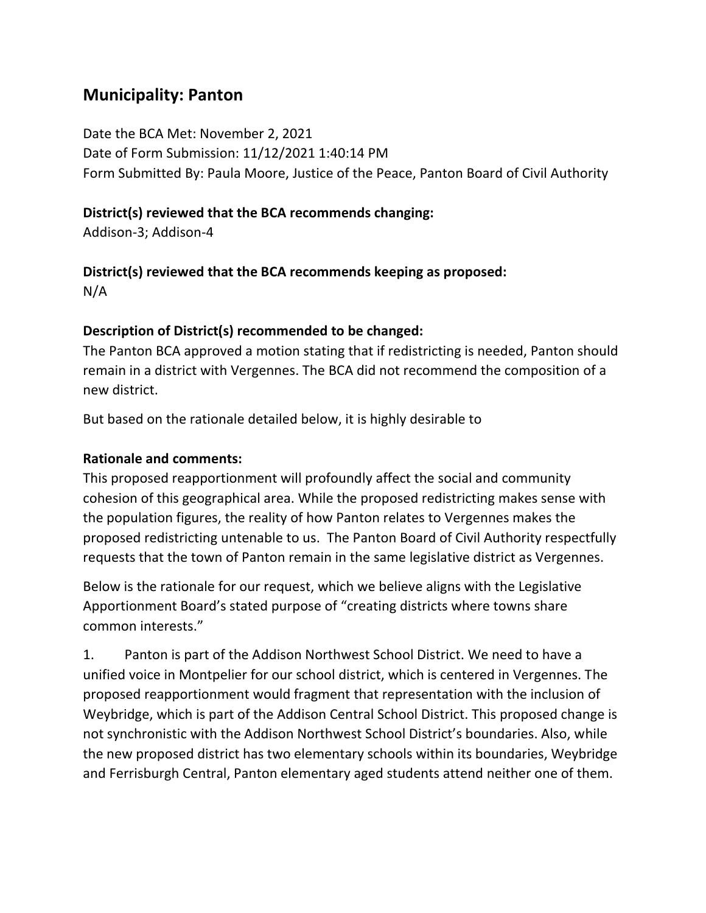# **Municipality: Panton**

Date the BCA Met: November 2, 2021 Date of Form Submission: 11/12/2021 1:40:14 PM Form Submitted By: Paula Moore, Justice of the Peace, Panton Board of Civil Authority

# **District(s) reviewed that the BCA recommends changing:**

Addison-3; Addison-4

# **District(s) reviewed that the BCA recommends keeping as proposed:**

N/A

# **Description of District(s) recommended to be changed:**

The Panton BCA approved a motion stating that if redistricting is needed, Panton should remain in a district with Vergennes. The BCA did not recommend the composition of a new district.

But based on the rationale detailed below, it is highly desirable to

# **Rationale and comments:**

This proposed reapportionment will profoundly affect the social and community cohesion of this geographical area. While the proposed redistricting makes sense with the population figures, the reality of how Panton relates to Vergennes makes the proposed redistricting untenable to us. The Panton Board of Civil Authority respectfully requests that the town of Panton remain in the same legislative district as Vergennes.

Below is the rationale for our request, which we believe aligns with the Legislative Apportionment Board's stated purpose of "creating districts where towns share common interests."

1. Panton is part of the Addison Northwest School District. We need to have a unified voice in Montpelier for our school district, which is centered in Vergennes. The proposed reapportionment would fragment that representation with the inclusion of Weybridge, which is part of the Addison Central School District. This proposed change is not synchronistic with the Addison Northwest School District's boundaries. Also, while the new proposed district has two elementary schools within its boundaries, Weybridge and Ferrisburgh Central, Panton elementary aged students attend neither one of them.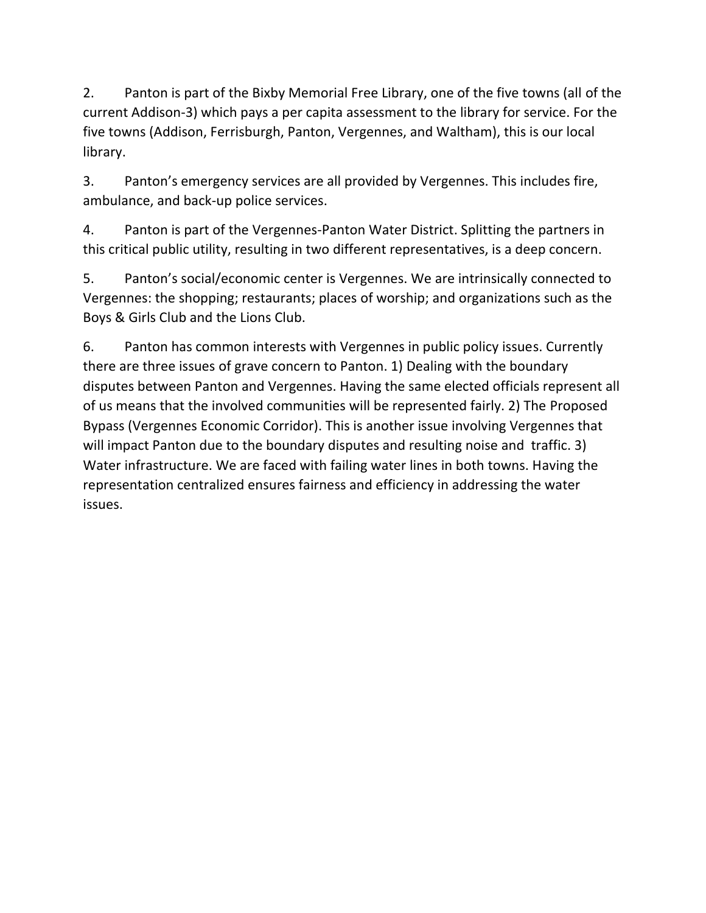2. Panton is part of the Bixby Memorial Free Library, one of the five towns (all of the current Addison-3) which pays a per capita assessment to the library for service. For the five towns (Addison, Ferrisburgh, Panton, Vergennes, and Waltham), this is our local library.

3. Panton's emergency services are all provided by Vergennes. This includes fire, ambulance, and back-up police services.

4. Panton is part of the Vergennes-Panton Water District. Splitting the partners in this critical public utility, resulting in two different representatives, is a deep concern.

5. Panton's social/economic center is Vergennes. We are intrinsically connected to Vergennes: the shopping; restaurants; places of worship; and organizations such as the Boys & Girls Club and the Lions Club.

6. Panton has common interests with Vergennes in public policy issues. Currently there are three issues of grave concern to Panton. 1) Dealing with the boundary disputes between Panton and Vergennes. Having the same elected officials represent all of us means that the involved communities will be represented fairly. 2) The Proposed Bypass (Vergennes Economic Corridor). This is another issue involving Vergennes that will impact Panton due to the boundary disputes and resulting noise and traffic. 3) Water infrastructure. We are faced with failing water lines in both towns. Having the representation centralized ensures fairness and efficiency in addressing the water issues.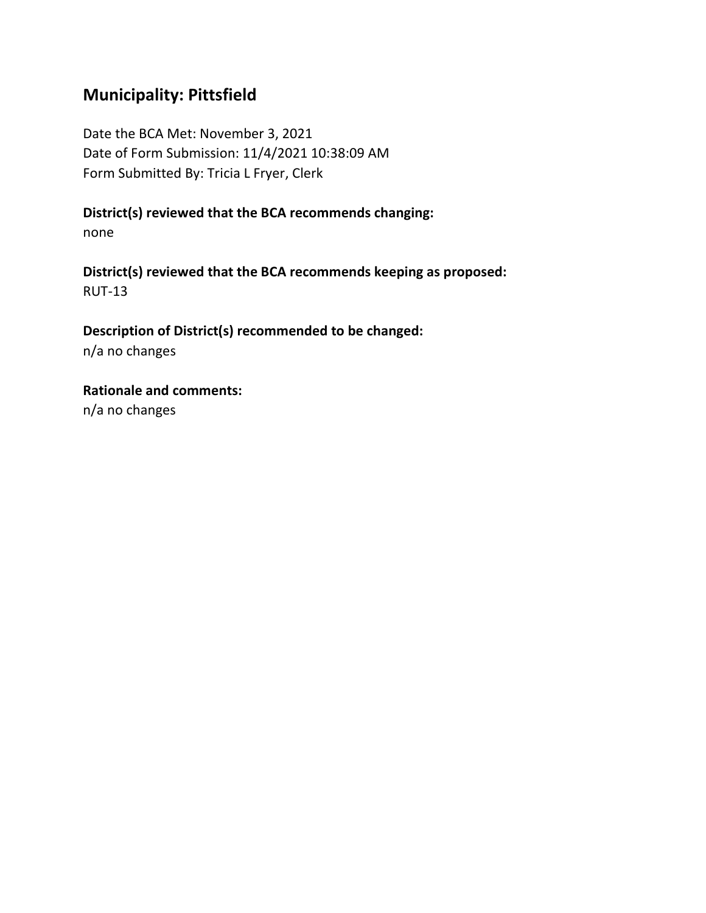# **Municipality: Pittsfield**

Date the BCA Met: November 3, 2021 Date of Form Submission: 11/4/2021 10:38:09 AM Form Submitted By: Tricia L Fryer, Clerk

**District(s) reviewed that the BCA recommends changing:**

none

**District(s) reviewed that the BCA recommends keeping as proposed:** RUT-13

**Description of District(s) recommended to be changed:** n/a no changes

**Rationale and comments:** n/a no changes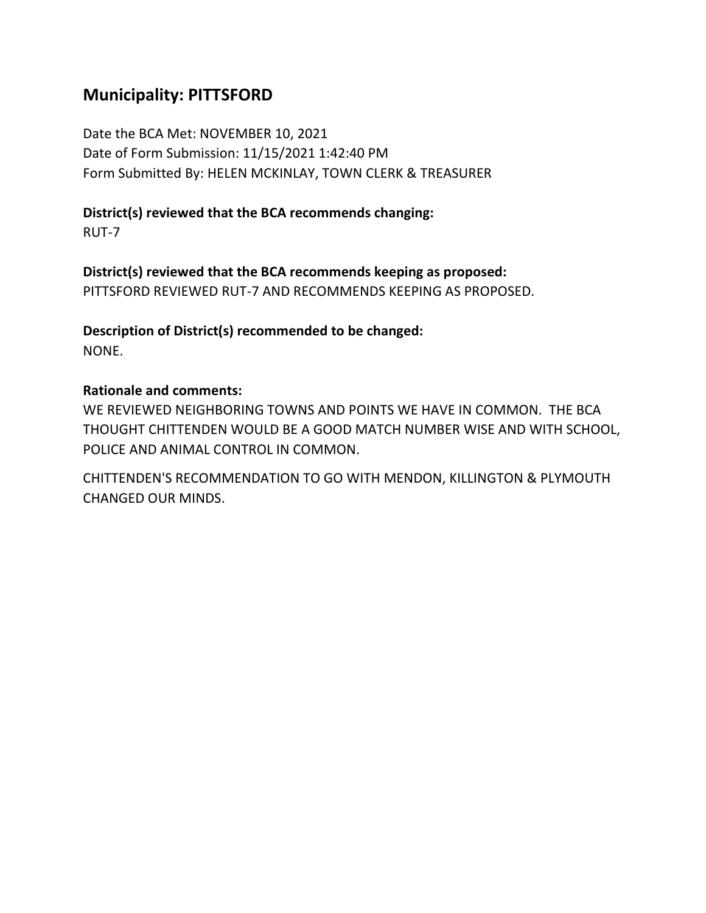# **Municipality: PITTSFORD**

Date the BCA Met: NOVEMBER 10, 2021 Date of Form Submission: 11/15/2021 1:42:40 PM Form Submitted By: HELEN MCKINLAY, TOWN CLERK & TREASURER

## **District(s) reviewed that the BCA recommends changing:**

RUT-7

**District(s) reviewed that the BCA recommends keeping as proposed:** PITTSFORD REVIEWED RUT-7 AND RECOMMENDS KEEPING AS PROPOSED.

**Description of District(s) recommended to be changed:** NONE.

### **Rationale and comments:**

WE REVIEWED NEIGHBORING TOWNS AND POINTS WE HAVE IN COMMON. THE BCA THOUGHT CHITTENDEN WOULD BE A GOOD MATCH NUMBER WISE AND WITH SCHOOL, POLICE AND ANIMAL CONTROL IN COMMON.

CHITTENDEN'S RECOMMENDATION TO GO WITH MENDON, KILLINGTON & PLYMOUTH CHANGED OUR MINDS.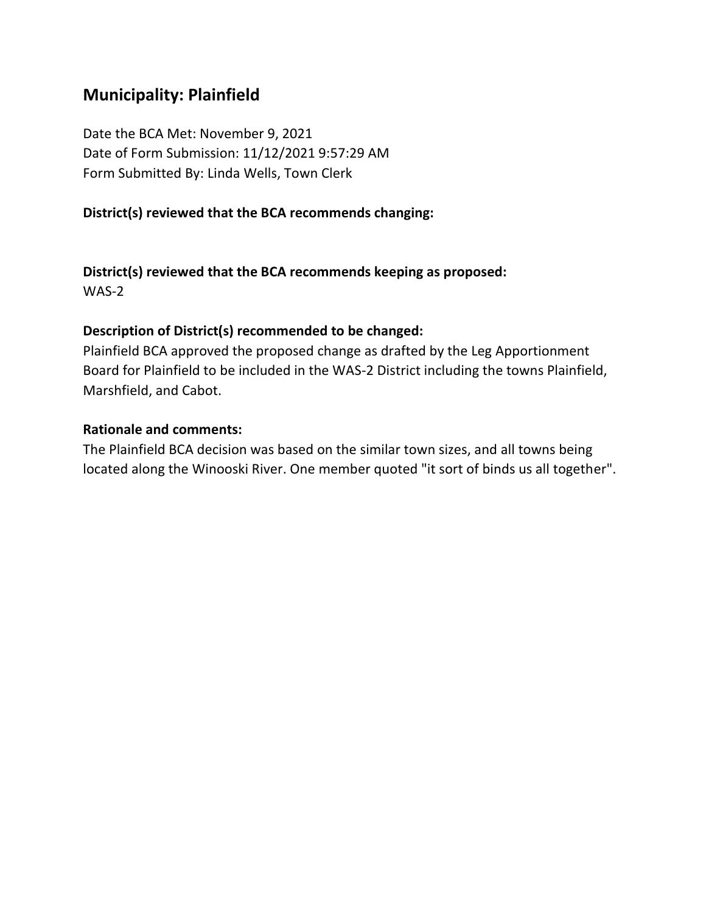# **Municipality: Plainfield**

Date the BCA Met: November 9, 2021 Date of Form Submission: 11/12/2021 9:57:29 AM Form Submitted By: Linda Wells, Town Clerk

### **District(s) reviewed that the BCA recommends changing:**

**District(s) reviewed that the BCA recommends keeping as proposed:** WAS-2

#### **Description of District(s) recommended to be changed:**

Plainfield BCA approved the proposed change as drafted by the Leg Apportionment Board for Plainfield to be included in the WAS-2 District including the towns Plainfield, Marshfield, and Cabot.

#### **Rationale and comments:**

The Plainfield BCA decision was based on the similar town sizes, and all towns being located along the Winooski River. One member quoted "it sort of binds us all together".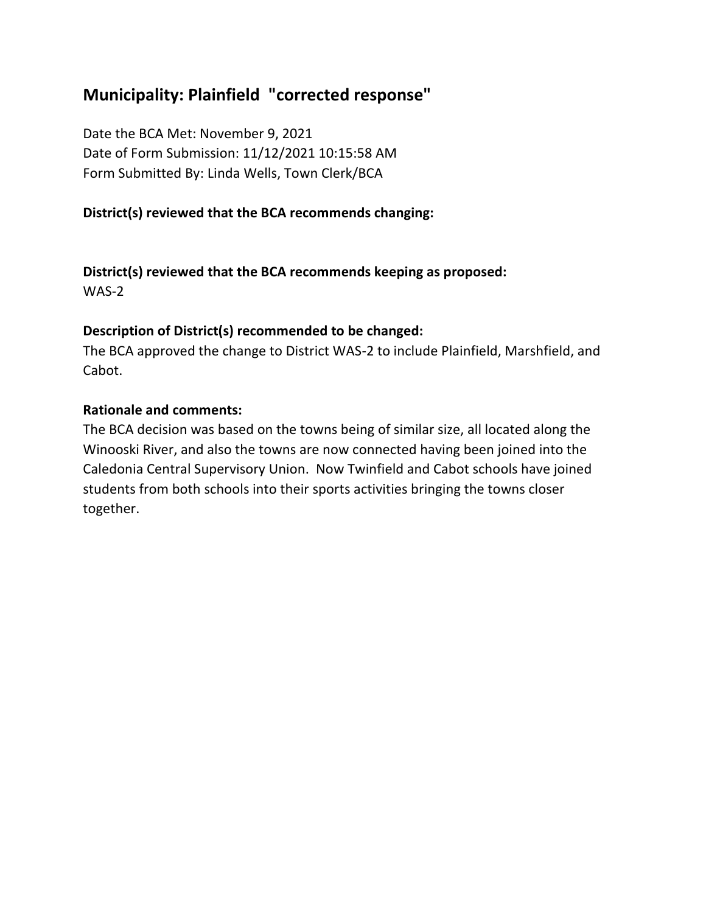# **Municipality: Plainfield "corrected response"**

Date the BCA Met: November 9, 2021 Date of Form Submission: 11/12/2021 10:15:58 AM Form Submitted By: Linda Wells, Town Clerk/BCA

# **District(s) reviewed that the BCA recommends changing:**

**District(s) reviewed that the BCA recommends keeping as proposed:** WAS-2

### **Description of District(s) recommended to be changed:**

The BCA approved the change to District WAS-2 to include Plainfield, Marshfield, and Cabot.

### **Rationale and comments:**

The BCA decision was based on the towns being of similar size, all located along the Winooski River, and also the towns are now connected having been joined into the Caledonia Central Supervisory Union. Now Twinfield and Cabot schools have joined students from both schools into their sports activities bringing the towns closer together.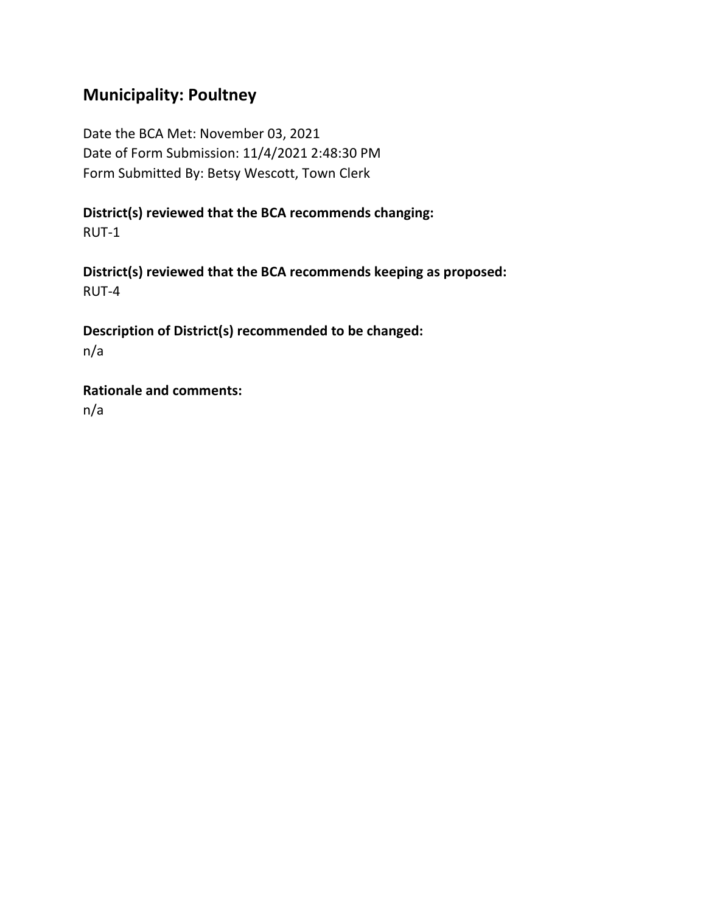## **Municipality: Poultney**

Date the BCA Met: November 03, 2021 Date of Form Submission: 11/4/2021 2:48:30 PM Form Submitted By: Betsy Wescott, Town Clerk

**District(s) reviewed that the BCA recommends changing:** RUT-1

**District(s) reviewed that the BCA recommends keeping as proposed:** RUT-4

**Description of District(s) recommended to be changed:** n/a

**Rationale and comments:** n/a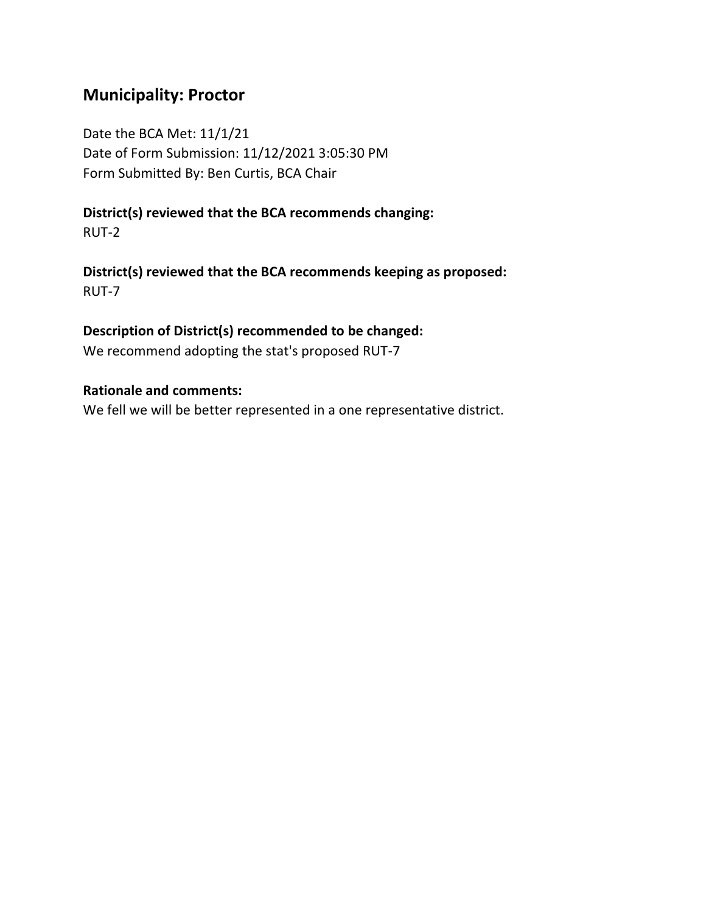## **Municipality: Proctor**

Date the BCA Met: 11/1/21 Date of Form Submission: 11/12/2021 3:05:30 PM Form Submitted By: Ben Curtis, BCA Chair

### **District(s) reviewed that the BCA recommends changing:** RUT-2

**District(s) reviewed that the BCA recommends keeping as proposed:** RUT-7

### **Description of District(s) recommended to be changed:**

We recommend adopting the stat's proposed RUT-7

#### **Rationale and comments:**

We fell we will be better represented in a one representative district.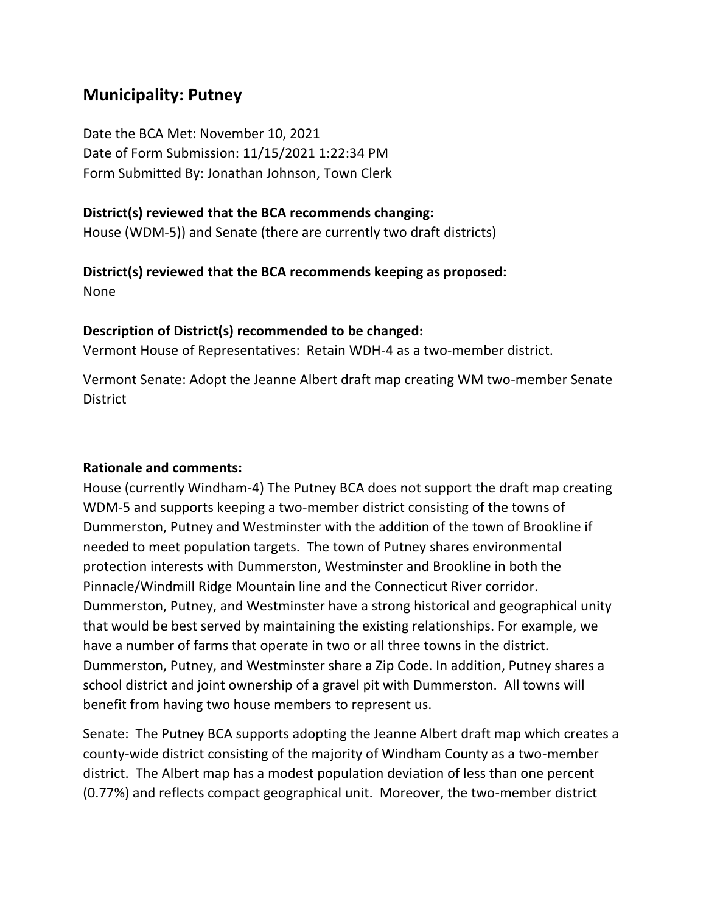## **Municipality: Putney**

Date the BCA Met: November 10, 2021 Date of Form Submission: 11/15/2021 1:22:34 PM Form Submitted By: Jonathan Johnson, Town Clerk

#### **District(s) reviewed that the BCA recommends changing:**

House (WDM-5)) and Senate (there are currently two draft districts)

## **District(s) reviewed that the BCA recommends keeping as proposed:**

None

#### **Description of District(s) recommended to be changed:**

Vermont House of Representatives: Retain WDH-4 as a two-member district.

Vermont Senate: Adopt the Jeanne Albert draft map creating WM two-member Senate **District** 

#### **Rationale and comments:**

House (currently Windham-4) The Putney BCA does not support the draft map creating WDM-5 and supports keeping a two-member district consisting of the towns of Dummerston, Putney and Westminster with the addition of the town of Brookline if needed to meet population targets. The town of Putney shares environmental protection interests with Dummerston, Westminster and Brookline in both the Pinnacle/Windmill Ridge Mountain line and the Connecticut River corridor. Dummerston, Putney, and Westminster have a strong historical and geographical unity that would be best served by maintaining the existing relationships. For example, we have a number of farms that operate in two or all three towns in the district. Dummerston, Putney, and Westminster share a Zip Code. In addition, Putney shares a school district and joint ownership of a gravel pit with Dummerston. All towns will benefit from having two house members to represent us.

Senate: The Putney BCA supports adopting the Jeanne Albert draft map which creates a county-wide district consisting of the majority of Windham County as a two-member district. The Albert map has a modest population deviation of less than one percent (0.77%) and reflects compact geographical unit. Moreover, the two-member district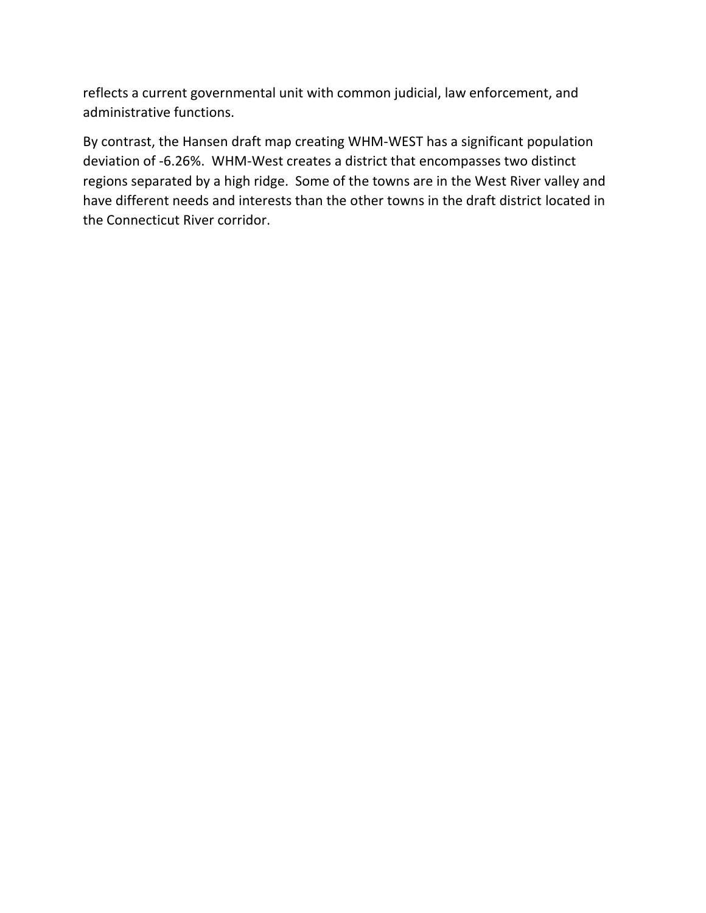reflects a current governmental unit with common judicial, law enforcement, and administrative functions.

By contrast, the Hansen draft map creating WHM-WEST has a significant population deviation of -6.26%. WHM-West creates a district that encompasses two distinct regions separated by a high ridge. Some of the towns are in the West River valley and have different needs and interests than the other towns in the draft district located in the Connecticut River corridor.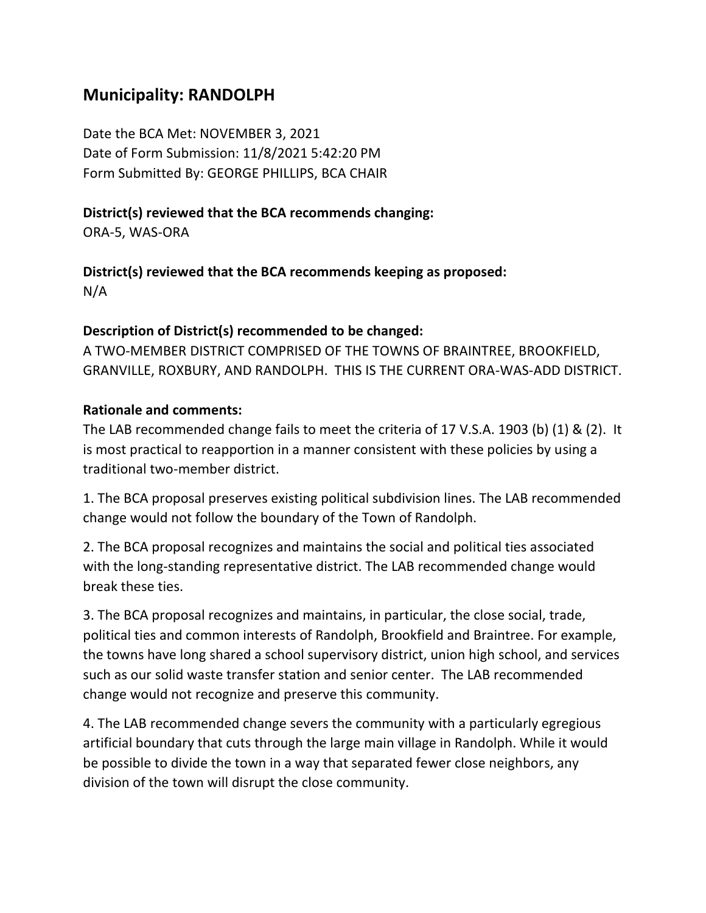## **Municipality: RANDOLPH**

Date the BCA Met: NOVEMBER 3, 2021 Date of Form Submission: 11/8/2021 5:42:20 PM Form Submitted By: GEORGE PHILLIPS, BCA CHAIR

## **District(s) reviewed that the BCA recommends changing:**

ORA-5, WAS-ORA

**District(s) reviewed that the BCA recommends keeping as proposed:** N/A

### **Description of District(s) recommended to be changed:**

A TWO-MEMBER DISTRICT COMPRISED OF THE TOWNS OF BRAINTREE, BROOKFIELD, GRANVILLE, ROXBURY, AND RANDOLPH. THIS IS THE CURRENT ORA-WAS-ADD DISTRICT.

### **Rationale and comments:**

The LAB recommended change fails to meet the criteria of 17 V.S.A. 1903 (b) (1) & (2). It is most practical to reapportion in a manner consistent with these policies by using a traditional two-member district.

1. The BCA proposal preserves existing political subdivision lines. The LAB recommended change would not follow the boundary of the Town of Randolph.

2. The BCA proposal recognizes and maintains the social and political ties associated with the long-standing representative district. The LAB recommended change would break these ties.

3. The BCA proposal recognizes and maintains, in particular, the close social, trade, political ties and common interests of Randolph, Brookfield and Braintree. For example, the towns have long shared a school supervisory district, union high school, and services such as our solid waste transfer station and senior center. The LAB recommended change would not recognize and preserve this community.

4. The LAB recommended change severs the community with a particularly egregious artificial boundary that cuts through the large main village in Randolph. While it would be possible to divide the town in a way that separated fewer close neighbors, any division of the town will disrupt the close community.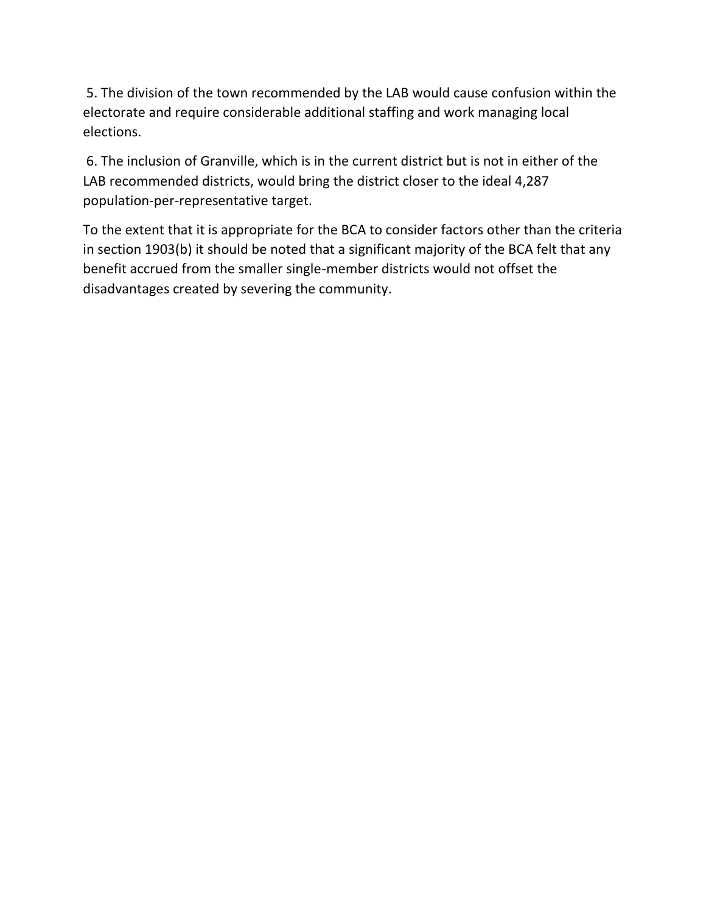5. The division of the town recommended by the LAB would cause confusion within the electorate and require considerable additional staffing and work managing local elections.

6. The inclusion of Granville, which is in the current district but is not in either of the LAB recommended districts, would bring the district closer to the ideal 4,287 population-per-representative target.

To the extent that it is appropriate for the BCA to consider factors other than the criteria in section 1903(b) it should be noted that a significant majority of the BCA felt that any benefit accrued from the smaller single-member districts would not offset the disadvantages created by severing the community.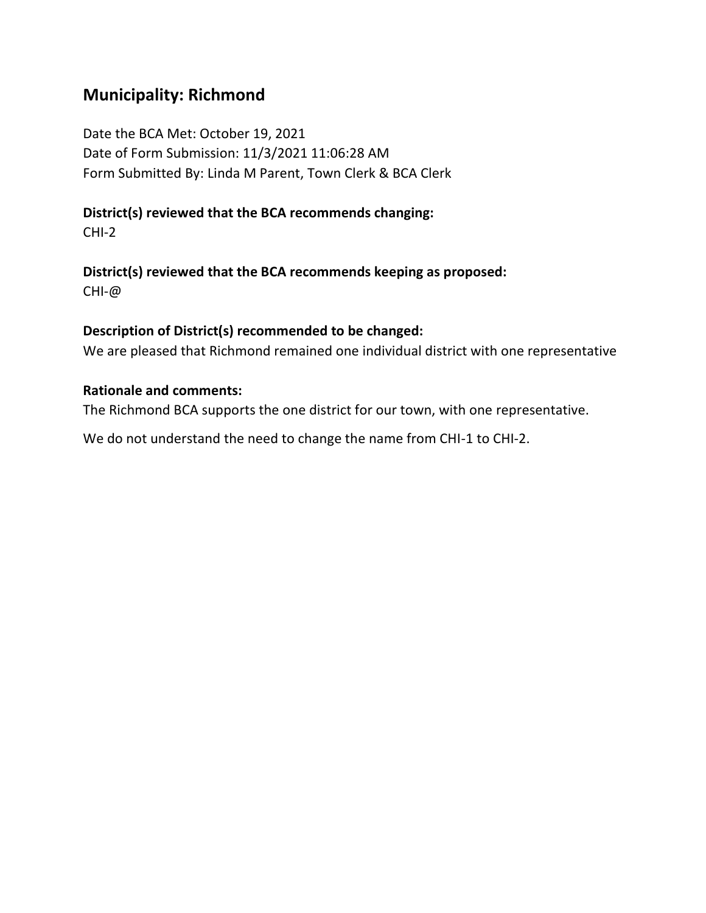## **Municipality: Richmond**

Date the BCA Met: October 19, 2021 Date of Form Submission: 11/3/2021 11:06:28 AM Form Submitted By: Linda M Parent, Town Clerk & BCA Clerk

## **District(s) reviewed that the BCA recommends changing:**

CHI-2

**District(s) reviewed that the BCA recommends keeping as proposed:** CHI-@

#### **Description of District(s) recommended to be changed:**

We are pleased that Richmond remained one individual district with one representative

#### **Rationale and comments:**

The Richmond BCA supports the one district for our town, with one representative.

We do not understand the need to change the name from CHI-1 to CHI-2.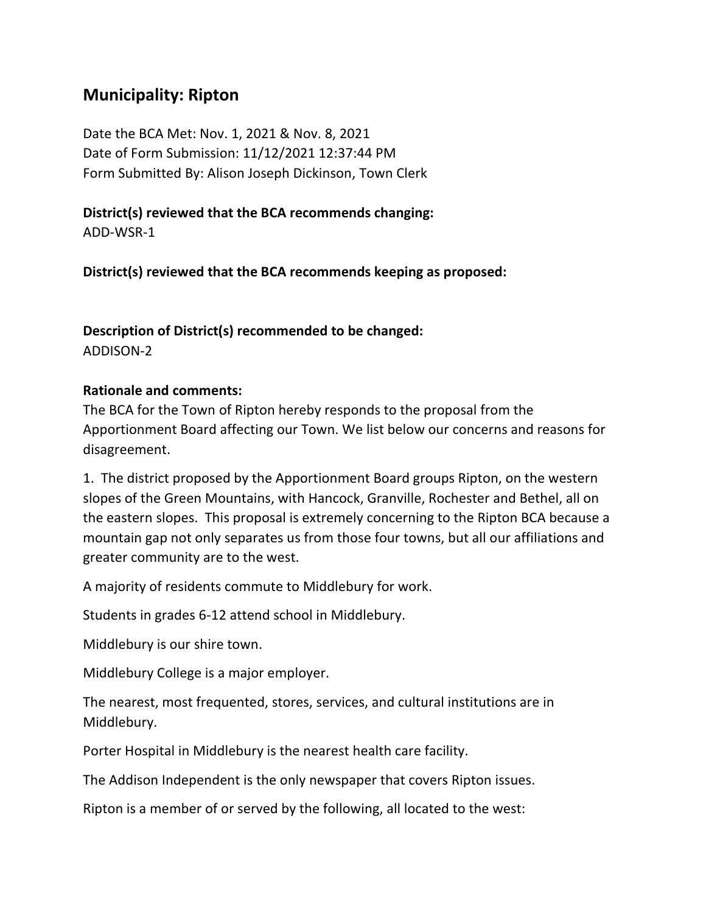## **Municipality: Ripton**

Date the BCA Met: Nov. 1, 2021 & Nov. 8, 2021 Date of Form Submission: 11/12/2021 12:37:44 PM Form Submitted By: Alison Joseph Dickinson, Town Clerk

**District(s) reviewed that the BCA recommends changing:**

ADD-WSR-1

**District(s) reviewed that the BCA recommends keeping as proposed:**

#### **Description of District(s) recommended to be changed:** ADDISON-2

#### **Rationale and comments:**

The BCA for the Town of Ripton hereby responds to the proposal from the Apportionment Board affecting our Town. We list below our concerns and reasons for disagreement.

1. The district proposed by the Apportionment Board groups Ripton, on the western slopes of the Green Mountains, with Hancock, Granville, Rochester and Bethel, all on the eastern slopes. This proposal is extremely concerning to the Ripton BCA because a mountain gap not only separates us from those four towns, but all our affiliations and greater community are to the west.

A majority of residents commute to Middlebury for work.

Students in grades 6-12 attend school in Middlebury.

Middlebury is our shire town.

Middlebury College is a major employer.

The nearest, most frequented, stores, services, and cultural institutions are in Middlebury.

Porter Hospital in Middlebury is the nearest health care facility.

The Addison Independent is the only newspaper that covers Ripton issues.

Ripton is a member of or served by the following, all located to the west: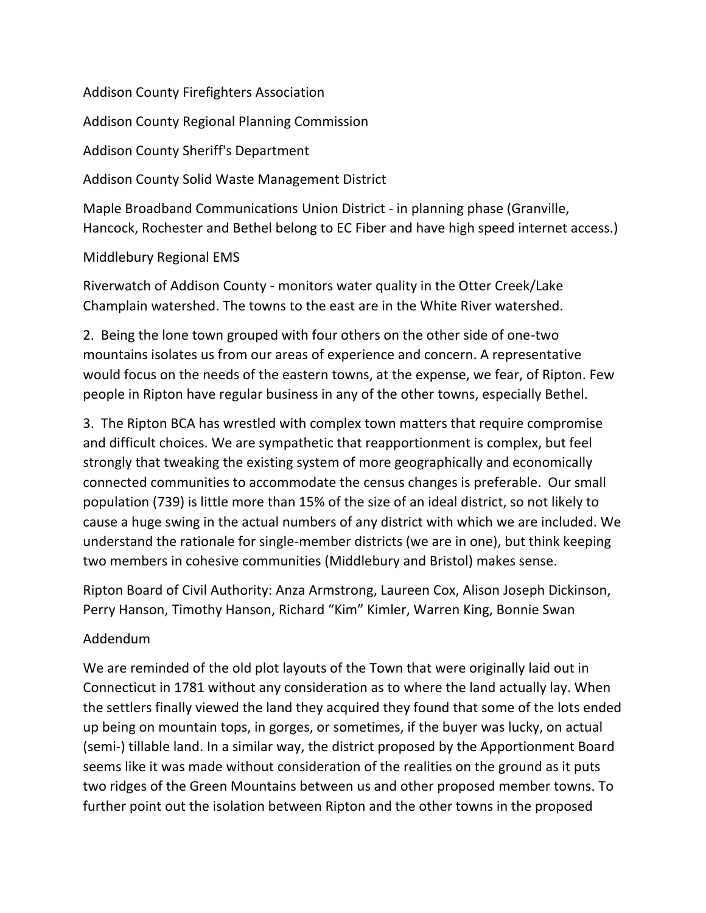Addison County Firefighters Association

Addison County Regional Planning Commission

Addison County Sheriff's Department

Addison County Solid Waste Management District

Maple Broadband Communications Union District - in planning phase (Granville, Hancock, Rochester and Bethel belong to EC Fiber and have high speed internet access.)

Middlebury Regional EMS

Riverwatch of Addison County - monitors water quality in the Otter Creek/Lake Champlain watershed. The towns to the east are in the White River watershed.

2. Being the lone town grouped with four others on the other side of one-two mountains isolates us from our areas of experience and concern. A representative would focus on the needs of the eastern towns, at the expense, we fear, of Ripton. Few people in Ripton have regular business in any of the other towns, especially Bethel.

3. The Ripton BCA has wrestled with complex town matters that require compromise and difficult choices. We are sympathetic that reapportionment is complex, but feel strongly that tweaking the existing system of more geographically and economically connected communities to accommodate the census changes is preferable. Our small population (739) is little more than 15% of the size of an ideal district, so not likely to cause a huge swing in the actual numbers of any district with which we are included. We understand the rationale for single-member districts (we are in one), but think keeping two members in cohesive communities (Middlebury and Bristol) makes sense.

Ripton Board of Civil Authority: Anza Armstrong, Laureen Cox, Alison Joseph Dickinson, Perry Hanson, Timothy Hanson, Richard "Kim" Kimler, Warren King, Bonnie Swan

## Addendum

We are reminded of the old plot layouts of the Town that were originally laid out in Connecticut in 1781 without any consideration as to where the land actually lay. When the settlers finally viewed the land they acquired they found that some of the lots ended up being on mountain tops, in gorges, or sometimes, if the buyer was lucky, on actual (semi-) tillable land. In a similar way, the district proposed by the Apportionment Board seems like it was made without consideration of the realities on the ground as it puts two ridges of the Green Mountains between us and other proposed member towns. To further point out the isolation between Ripton and the other towns in the proposed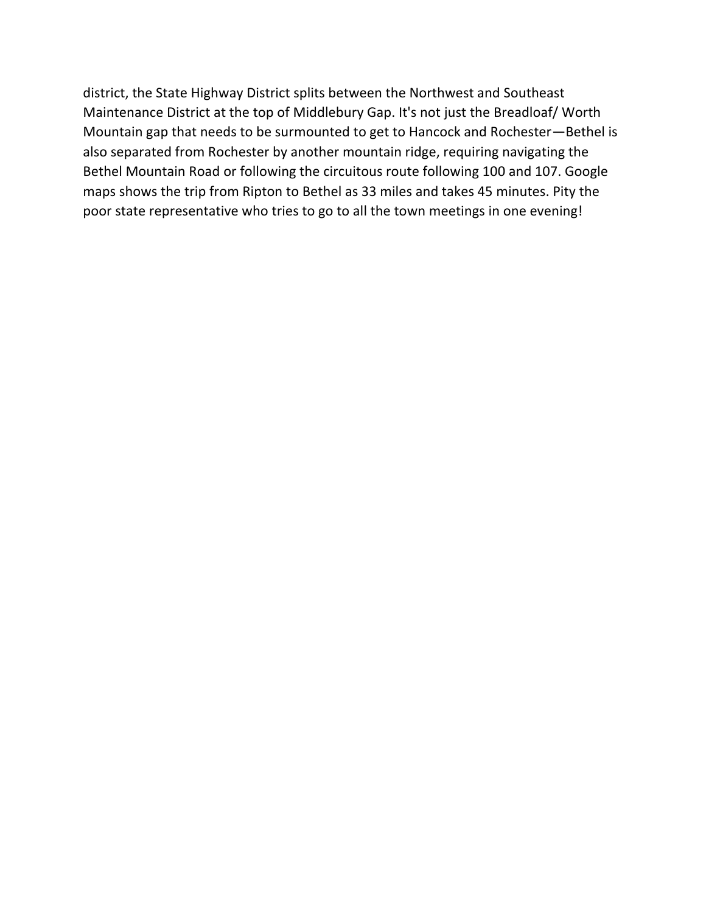district, the State Highway District splits between the Northwest and Southeast Maintenance District at the top of Middlebury Gap. It's not just the Breadloaf/ Worth Mountain gap that needs to be surmounted to get to Hancock and Rochester—Bethel is also separated from Rochester by another mountain ridge, requiring navigating the Bethel Mountain Road or following the circuitous route following 100 and 107. Google maps shows the trip from Ripton to Bethel as 33 miles and takes 45 minutes. Pity the poor state representative who tries to go to all the town meetings in one evening!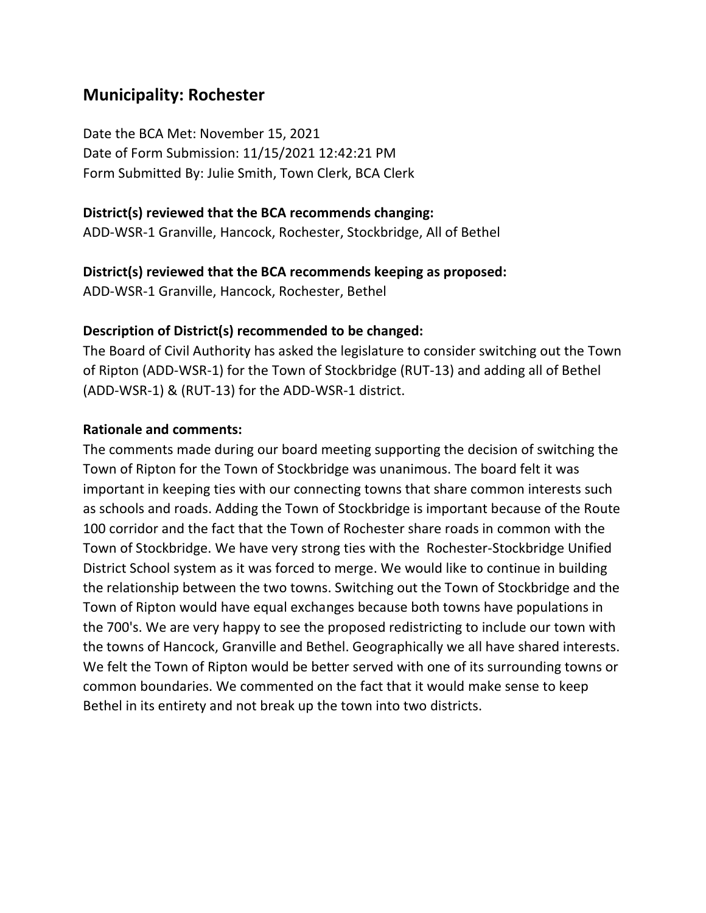## **Municipality: Rochester**

Date the BCA Met: November 15, 2021 Date of Form Submission: 11/15/2021 12:42:21 PM Form Submitted By: Julie Smith, Town Clerk, BCA Clerk

#### **District(s) reviewed that the BCA recommends changing:**

ADD-WSR-1 Granville, Hancock, Rochester, Stockbridge, All of Bethel

#### **District(s) reviewed that the BCA recommends keeping as proposed:**

ADD-WSR-1 Granville, Hancock, Rochester, Bethel

#### **Description of District(s) recommended to be changed:**

The Board of Civil Authority has asked the legislature to consider switching out the Town of Ripton (ADD-WSR-1) for the Town of Stockbridge (RUT-13) and adding all of Bethel (ADD-WSR-1) & (RUT-13) for the ADD-WSR-1 district.

#### **Rationale and comments:**

The comments made during our board meeting supporting the decision of switching the Town of Ripton for the Town of Stockbridge was unanimous. The board felt it was important in keeping ties with our connecting towns that share common interests such as schools and roads. Adding the Town of Stockbridge is important because of the Route 100 corridor and the fact that the Town of Rochester share roads in common with the Town of Stockbridge. We have very strong ties with the Rochester-Stockbridge Unified District School system as it was forced to merge. We would like to continue in building the relationship between the two towns. Switching out the Town of Stockbridge and the Town of Ripton would have equal exchanges because both towns have populations in the 700's. We are very happy to see the proposed redistricting to include our town with the towns of Hancock, Granville and Bethel. Geographically we all have shared interests. We felt the Town of Ripton would be better served with one of its surrounding towns or common boundaries. We commented on the fact that it would make sense to keep Bethel in its entirety and not break up the town into two districts.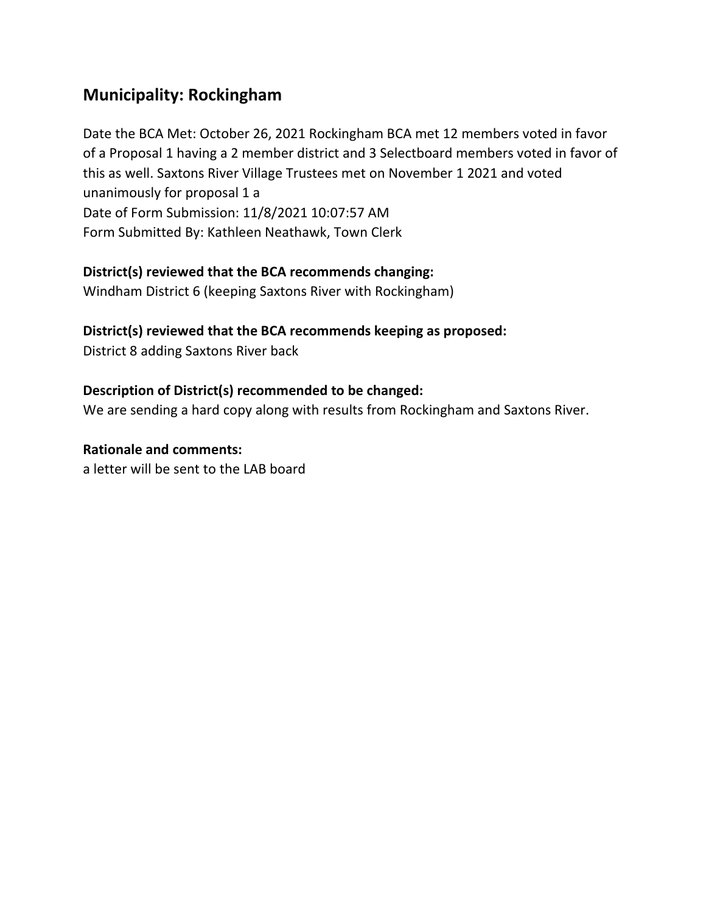## **Municipality: Rockingham**

Date the BCA Met: October 26, 2021 Rockingham BCA met 12 members voted in favor of a Proposal 1 having a 2 member district and 3 Selectboard members voted in favor of this as well. Saxtons River Village Trustees met on November 1 2021 and voted unanimously for proposal 1 a Date of Form Submission: 11/8/2021 10:07:57 AM Form Submitted By: Kathleen Neathawk, Town Clerk

### **District(s) reviewed that the BCA recommends changing:**

Windham District 6 (keeping Saxtons River with Rockingham)

## **District(s) reviewed that the BCA recommends keeping as proposed:**

District 8 adding Saxtons River back

## **Description of District(s) recommended to be changed:**

We are sending a hard copy along with results from Rockingham and Saxtons River.

## **Rationale and comments:**

a letter will be sent to the LAB board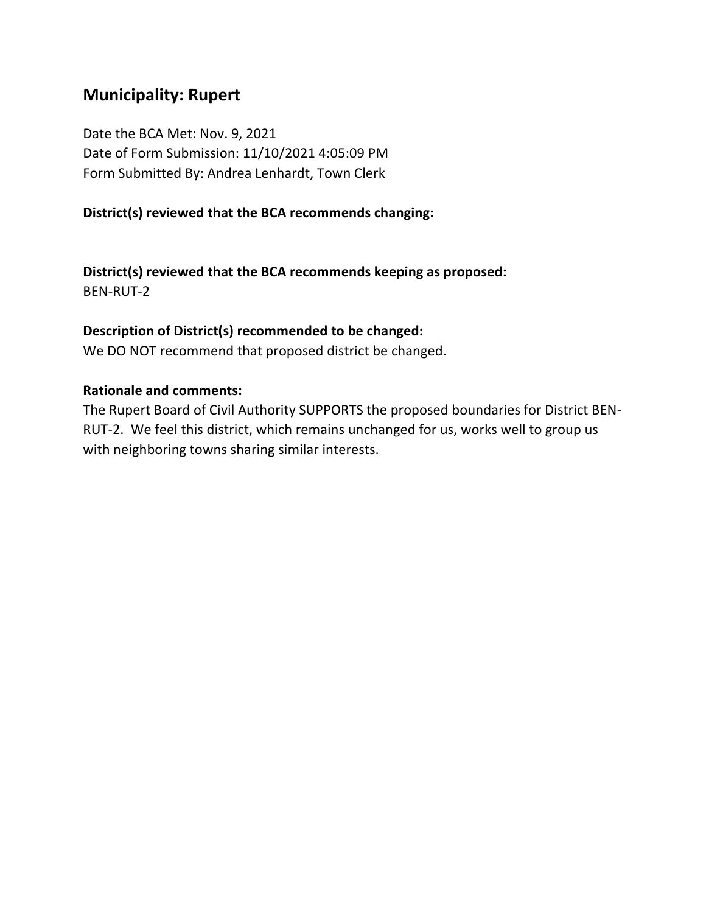## **Municipality: Rupert**

Date the BCA Met: Nov. 9, 2021 Date of Form Submission: 11/10/2021 4:05:09 PM Form Submitted By: Andrea Lenhardt, Town Clerk

#### **District(s) reviewed that the BCA recommends changing:**

**District(s) reviewed that the BCA recommends keeping as proposed:** BEN-RUT-2

#### **Description of District(s) recommended to be changed:**

We DO NOT recommend that proposed district be changed.

#### **Rationale and comments:**

The Rupert Board of Civil Authority SUPPORTS the proposed boundaries for District BEN-RUT-2. We feel this district, which remains unchanged for us, works well to group us with neighboring towns sharing similar interests.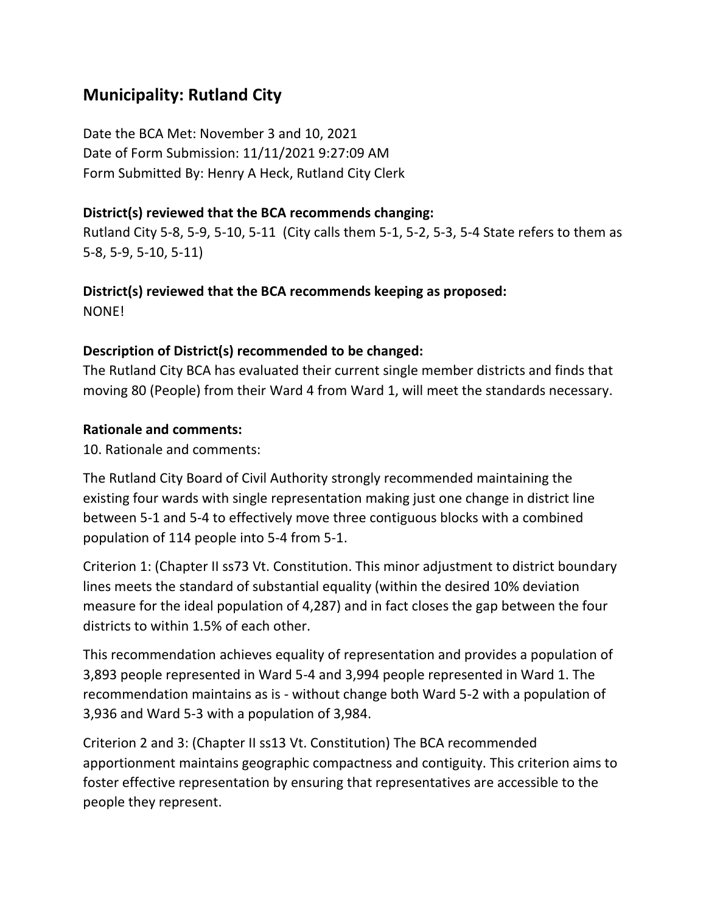## **Municipality: Rutland City**

Date the BCA Met: November 3 and 10, 2021 Date of Form Submission: 11/11/2021 9:27:09 AM Form Submitted By: Henry A Heck, Rutland City Clerk

### **District(s) reviewed that the BCA recommends changing:**

Rutland City 5-8, 5-9, 5-10, 5-11 (City calls them 5-1, 5-2, 5-3, 5-4 State refers to them as 5-8, 5-9, 5-10, 5-11)

#### **District(s) reviewed that the BCA recommends keeping as proposed:**

NONE!

### **Description of District(s) recommended to be changed:**

The Rutland City BCA has evaluated their current single member districts and finds that moving 80 (People) from their Ward 4 from Ward 1, will meet the standards necessary.

### **Rationale and comments:**

10. Rationale and comments:

The Rutland City Board of Civil Authority strongly recommended maintaining the existing four wards with single representation making just one change in district line between 5-1 and 5-4 to effectively move three contiguous blocks with a combined population of 114 people into 5-4 from 5-1.

Criterion 1: (Chapter II ss73 Vt. Constitution. This minor adjustment to district boundary lines meets the standard of substantial equality (within the desired 10% deviation measure for the ideal population of 4,287) and in fact closes the gap between the four districts to within 1.5% of each other.

This recommendation achieves equality of representation and provides a population of 3,893 people represented in Ward 5-4 and 3,994 people represented in Ward 1. The recommendation maintains as is - without change both Ward 5-2 with a population of 3,936 and Ward 5-3 with a population of 3,984.

Criterion 2 and 3: (Chapter II ss13 Vt. Constitution) The BCA recommended apportionment maintains geographic compactness and contiguity. This criterion aims to foster effective representation by ensuring that representatives are accessible to the people they represent.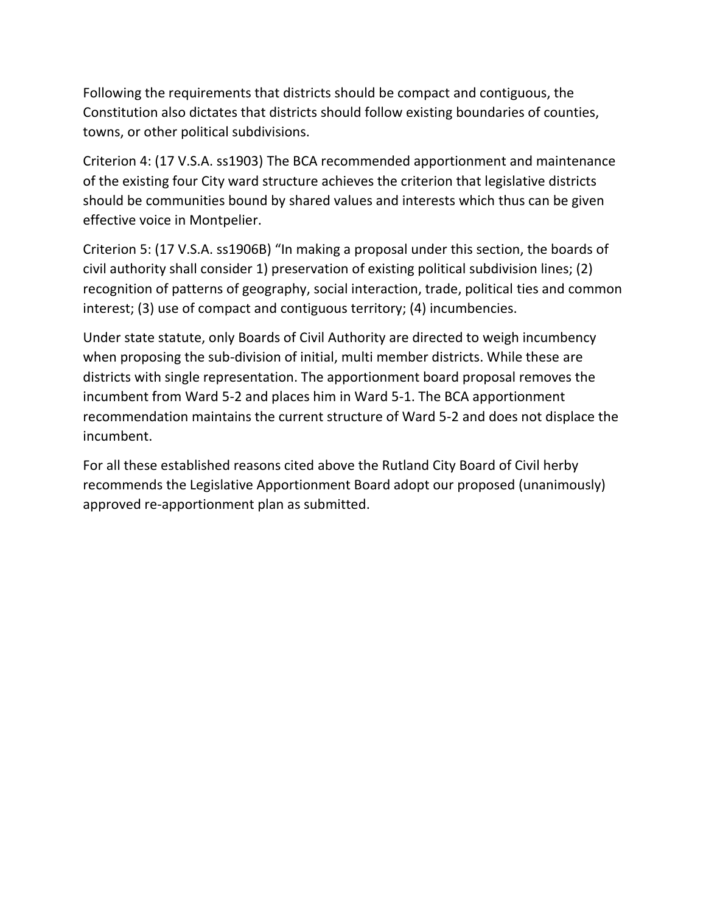Following the requirements that districts should be compact and contiguous, the Constitution also dictates that districts should follow existing boundaries of counties, towns, or other political subdivisions.

Criterion 4: (17 V.S.A. ss1903) The BCA recommended apportionment and maintenance of the existing four City ward structure achieves the criterion that legislative districts should be communities bound by shared values and interests which thus can be given effective voice in Montpelier.

Criterion 5: (17 V.S.A. ss1906B) "In making a proposal under this section, the boards of civil authority shall consider 1) preservation of existing political subdivision lines; (2) recognition of patterns of geography, social interaction, trade, political ties and common interest; (3) use of compact and contiguous territory; (4) incumbencies.

Under state statute, only Boards of Civil Authority are directed to weigh incumbency when proposing the sub-division of initial, multi member districts. While these are districts with single representation. The apportionment board proposal removes the incumbent from Ward 5-2 and places him in Ward 5-1. The BCA apportionment recommendation maintains the current structure of Ward 5-2 and does not displace the incumbent.

For all these established reasons cited above the Rutland City Board of Civil herby recommends the Legislative Apportionment Board adopt our proposed (unanimously) approved re-apportionment plan as submitted.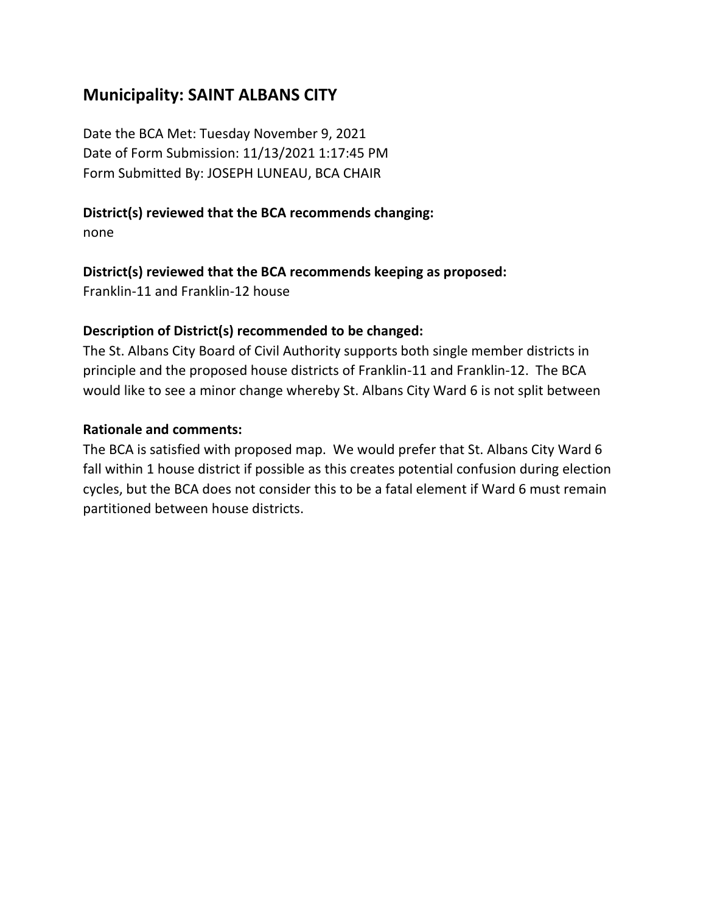## **Municipality: SAINT ALBANS CITY**

Date the BCA Met: Tuesday November 9, 2021 Date of Form Submission: 11/13/2021 1:17:45 PM Form Submitted By: JOSEPH LUNEAU, BCA CHAIR

### **District(s) reviewed that the BCA recommends changing:**

none

### **District(s) reviewed that the BCA recommends keeping as proposed:**

Franklin-11 and Franklin-12 house

### **Description of District(s) recommended to be changed:**

The St. Albans City Board of Civil Authority supports both single member districts in principle and the proposed house districts of Franklin-11 and Franklin-12. The BCA would like to see a minor change whereby St. Albans City Ward 6 is not split between

#### **Rationale and comments:**

The BCA is satisfied with proposed map. We would prefer that St. Albans City Ward 6 fall within 1 house district if possible as this creates potential confusion during election cycles, but the BCA does not consider this to be a fatal element if Ward 6 must remain partitioned between house districts.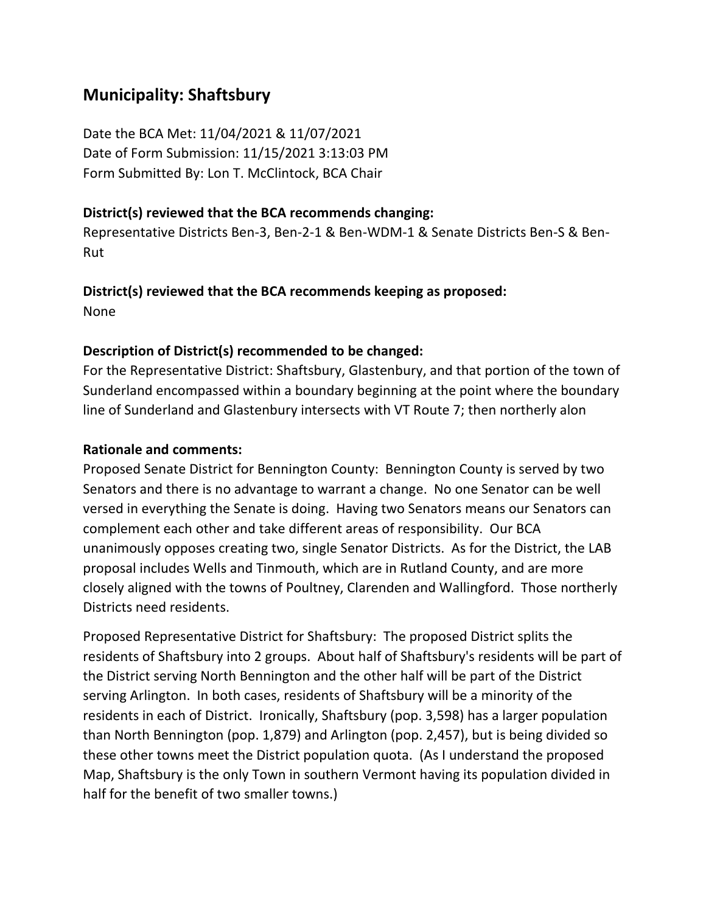## **Municipality: Shaftsbury**

Date the BCA Met: 11/04/2021 & 11/07/2021 Date of Form Submission: 11/15/2021 3:13:03 PM Form Submitted By: Lon T. McClintock, BCA Chair

#### **District(s) reviewed that the BCA recommends changing:**

Representative Districts Ben-3, Ben-2-1 & Ben-WDM-1 & Senate Districts Ben-S & Ben-Rut

## **District(s) reviewed that the BCA recommends keeping as proposed:**

None

### **Description of District(s) recommended to be changed:**

For the Representative District: Shaftsbury, Glastenbury, and that portion of the town of Sunderland encompassed within a boundary beginning at the point where the boundary line of Sunderland and Glastenbury intersects with VT Route 7; then northerly alon

### **Rationale and comments:**

Proposed Senate District for Bennington County: Bennington County is served by two Senators and there is no advantage to warrant a change. No one Senator can be well versed in everything the Senate is doing. Having two Senators means our Senators can complement each other and take different areas of responsibility. Our BCA unanimously opposes creating two, single Senator Districts. As for the District, the LAB proposal includes Wells and Tinmouth, which are in Rutland County, and are more closely aligned with the towns of Poultney, Clarenden and Wallingford. Those northerly Districts need residents.

Proposed Representative District for Shaftsbury: The proposed District splits the residents of Shaftsbury into 2 groups. About half of Shaftsbury's residents will be part of the District serving North Bennington and the other half will be part of the District serving Arlington. In both cases, residents of Shaftsbury will be a minority of the residents in each of District. Ironically, Shaftsbury (pop. 3,598) has a larger population than North Bennington (pop. 1,879) and Arlington (pop. 2,457), but is being divided so these other towns meet the District population quota. (As I understand the proposed Map, Shaftsbury is the only Town in southern Vermont having its population divided in half for the benefit of two smaller towns.)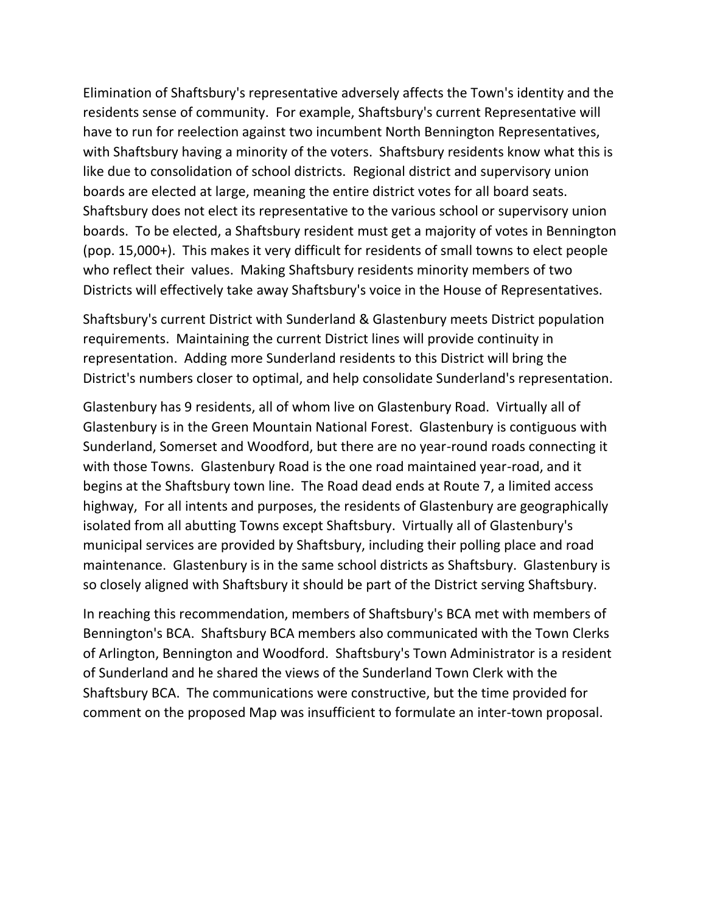Elimination of Shaftsbury's representative adversely affects the Town's identity and the residents sense of community. For example, Shaftsbury's current Representative will have to run for reelection against two incumbent North Bennington Representatives, with Shaftsbury having a minority of the voters. Shaftsbury residents know what this is like due to consolidation of school districts. Regional district and supervisory union boards are elected at large, meaning the entire district votes for all board seats. Shaftsbury does not elect its representative to the various school or supervisory union boards. To be elected, a Shaftsbury resident must get a majority of votes in Bennington (pop. 15,000+). This makes it very difficult for residents of small towns to elect people who reflect their values. Making Shaftsbury residents minority members of two Districts will effectively take away Shaftsbury's voice in the House of Representatives.

Shaftsbury's current District with Sunderland & Glastenbury meets District population requirements. Maintaining the current District lines will provide continuity in representation. Adding more Sunderland residents to this District will bring the District's numbers closer to optimal, and help consolidate Sunderland's representation.

Glastenbury has 9 residents, all of whom live on Glastenbury Road. Virtually all of Glastenbury is in the Green Mountain National Forest. Glastenbury is contiguous with Sunderland, Somerset and Woodford, but there are no year-round roads connecting it with those Towns. Glastenbury Road is the one road maintained year-road, and it begins at the Shaftsbury town line. The Road dead ends at Route 7, a limited access highway, For all intents and purposes, the residents of Glastenbury are geographically isolated from all abutting Towns except Shaftsbury. Virtually all of Glastenbury's municipal services are provided by Shaftsbury, including their polling place and road maintenance. Glastenbury is in the same school districts as Shaftsbury. Glastenbury is so closely aligned with Shaftsbury it should be part of the District serving Shaftsbury.

In reaching this recommendation, members of Shaftsbury's BCA met with members of Bennington's BCA. Shaftsbury BCA members also communicated with the Town Clerks of Arlington, Bennington and Woodford. Shaftsbury's Town Administrator is a resident of Sunderland and he shared the views of the Sunderland Town Clerk with the Shaftsbury BCA. The communications were constructive, but the time provided for comment on the proposed Map was insufficient to formulate an inter-town proposal.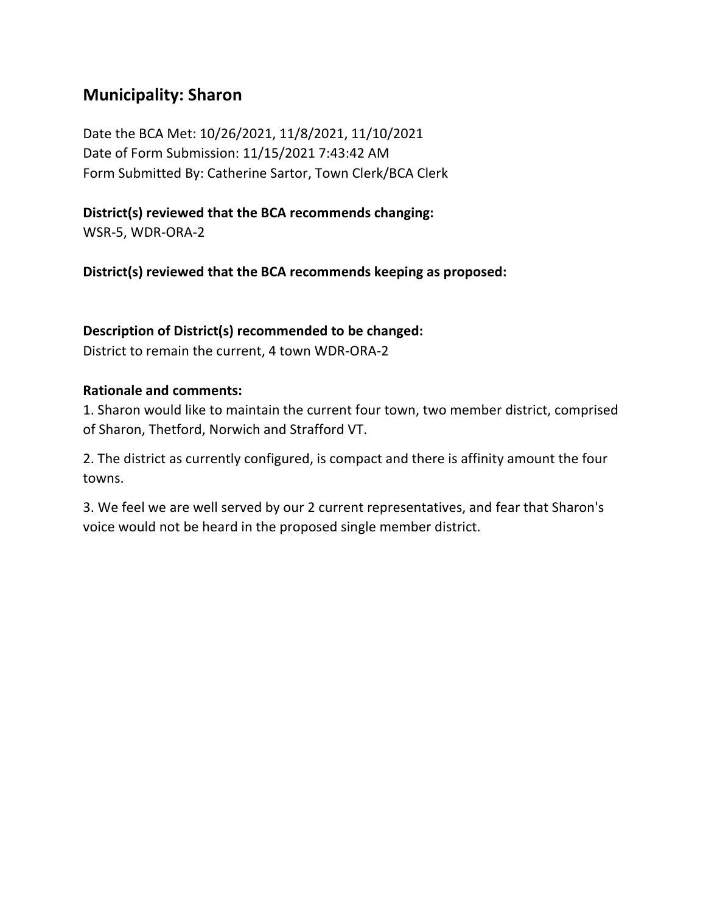## **Municipality: Sharon**

Date the BCA Met: 10/26/2021, 11/8/2021, 11/10/2021 Date of Form Submission: 11/15/2021 7:43:42 AM Form Submitted By: Catherine Sartor, Town Clerk/BCA Clerk

### **District(s) reviewed that the BCA recommends changing:**

WSR-5, WDR-ORA-2

**District(s) reviewed that the BCA recommends keeping as proposed:**

#### **Description of District(s) recommended to be changed:**

District to remain the current, 4 town WDR-ORA-2

#### **Rationale and comments:**

1. Sharon would like to maintain the current four town, two member district, comprised of Sharon, Thetford, Norwich and Strafford VT.

2. The district as currently configured, is compact and there is affinity amount the four towns.

3. We feel we are well served by our 2 current representatives, and fear that Sharon's voice would not be heard in the proposed single member district.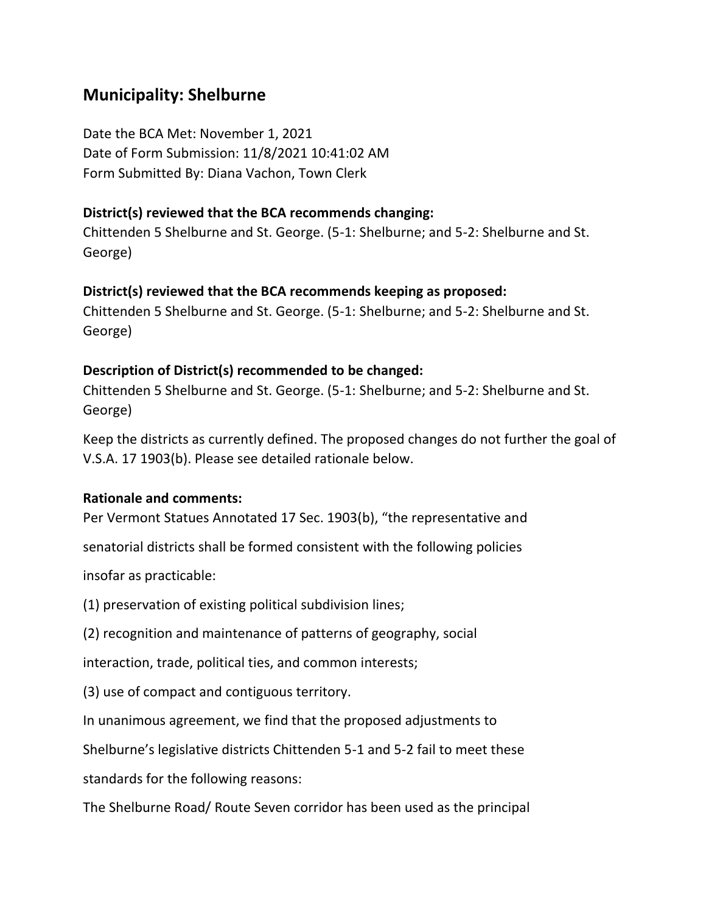## **Municipality: Shelburne**

Date the BCA Met: November 1, 2021 Date of Form Submission: 11/8/2021 10:41:02 AM Form Submitted By: Diana Vachon, Town Clerk

#### **District(s) reviewed that the BCA recommends changing:**

Chittenden 5 Shelburne and St. George. (5-1: Shelburne; and 5-2: Shelburne and St. George)

#### **District(s) reviewed that the BCA recommends keeping as proposed:**

Chittenden 5 Shelburne and St. George. (5-1: Shelburne; and 5-2: Shelburne and St. George)

#### **Description of District(s) recommended to be changed:**

Chittenden 5 Shelburne and St. George. (5-1: Shelburne; and 5-2: Shelburne and St. George)

Keep the districts as currently defined. The proposed changes do not further the goal of V.S.A. 17 1903(b). Please see detailed rationale below.

#### **Rationale and comments:**

Per Vermont Statues Annotated 17 Sec. 1903(b), "the representative and

senatorial districts shall be formed consistent with the following policies

insofar as practicable:

(1) preservation of existing political subdivision lines;

(2) recognition and maintenance of patterns of geography, social

interaction, trade, political ties, and common interests;

(3) use of compact and contiguous territory.

In unanimous agreement, we find that the proposed adjustments to

Shelburne's legislative districts Chittenden 5-1 and 5-2 fail to meet these

standards for the following reasons:

The Shelburne Road/ Route Seven corridor has been used as the principal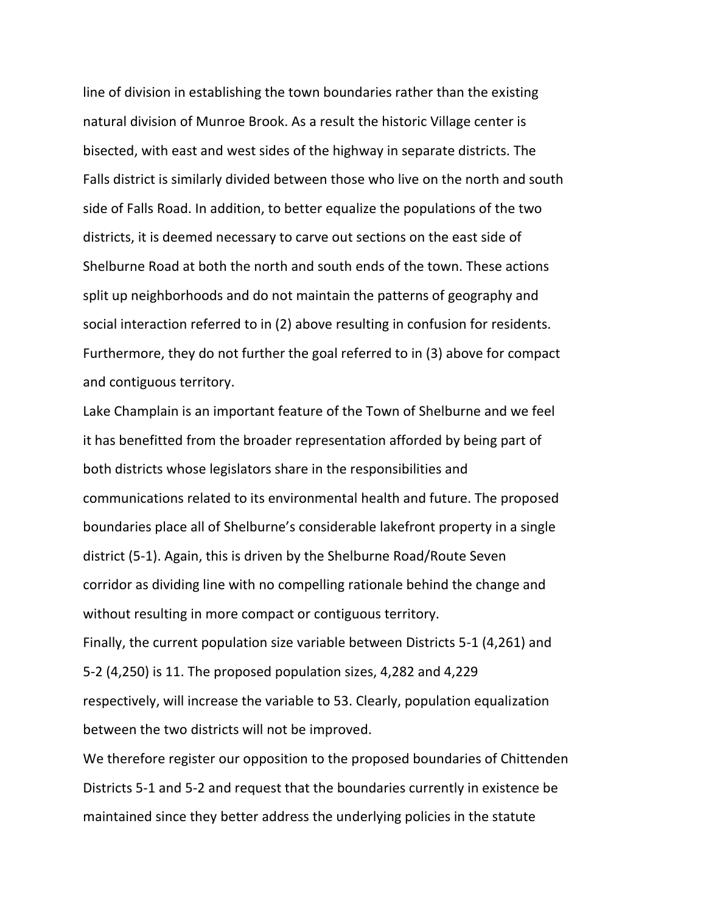line of division in establishing the town boundaries rather than the existing natural division of Munroe Brook. As a result the historic Village center is bisected, with east and west sides of the highway in separate districts. The Falls district is similarly divided between those who live on the north and south side of Falls Road. In addition, to better equalize the populations of the two districts, it is deemed necessary to carve out sections on the east side of Shelburne Road at both the north and south ends of the town. These actions split up neighborhoods and do not maintain the patterns of geography and social interaction referred to in (2) above resulting in confusion for residents. Furthermore, they do not further the goal referred to in (3) above for compact and contiguous territory.

Lake Champlain is an important feature of the Town of Shelburne and we feel it has benefitted from the broader representation afforded by being part of both districts whose legislators share in the responsibilities and communications related to its environmental health and future. The proposed boundaries place all of Shelburne's considerable lakefront property in a single district (5-1). Again, this is driven by the Shelburne Road/Route Seven corridor as dividing line with no compelling rationale behind the change and without resulting in more compact or contiguous territory. Finally, the current population size variable between Districts 5-1 (4,261) and 5-2 (4,250) is 11. The proposed population sizes, 4,282 and 4,229 respectively, will increase the variable to 53. Clearly, population equalization between the two districts will not be improved.

We therefore register our opposition to the proposed boundaries of Chittenden Districts 5-1 and 5-2 and request that the boundaries currently in existence be maintained since they better address the underlying policies in the statute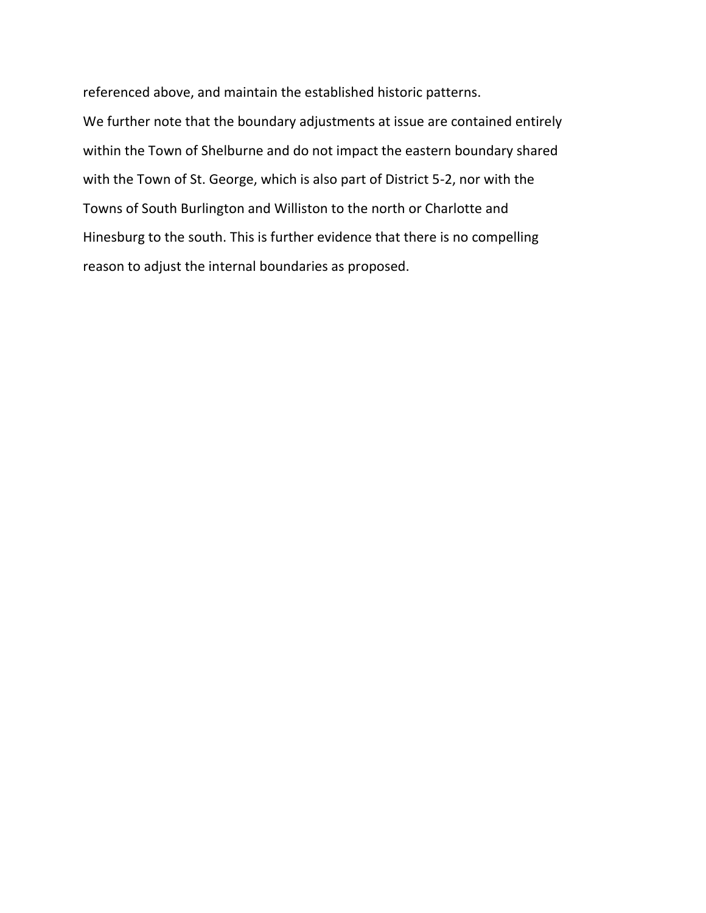referenced above, and maintain the established historic patterns.

We further note that the boundary adjustments at issue are contained entirely within the Town of Shelburne and do not impact the eastern boundary shared with the Town of St. George, which is also part of District 5-2, nor with the Towns of South Burlington and Williston to the north or Charlotte and Hinesburg to the south. This is further evidence that there is no compelling reason to adjust the internal boundaries as proposed.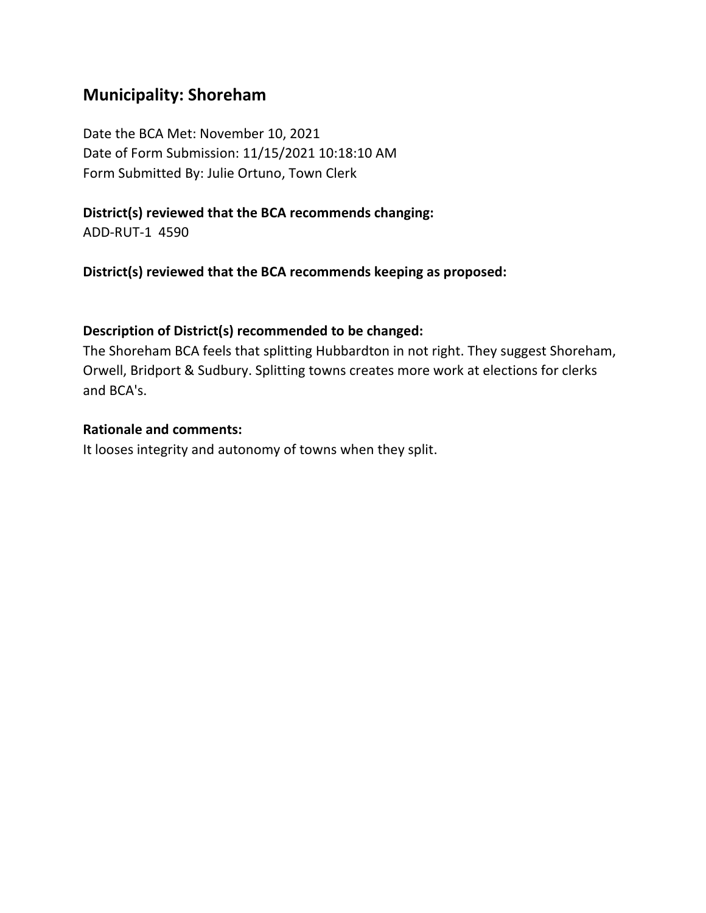## **Municipality: Shoreham**

Date the BCA Met: November 10, 2021 Date of Form Submission: 11/15/2021 10:18:10 AM Form Submitted By: Julie Ortuno, Town Clerk

#### **District(s) reviewed that the BCA recommends changing:**

ADD-RUT-1 4590

**District(s) reviewed that the BCA recommends keeping as proposed:**

#### **Description of District(s) recommended to be changed:**

The Shoreham BCA feels that splitting Hubbardton in not right. They suggest Shoreham, Orwell, Bridport & Sudbury. Splitting towns creates more work at elections for clerks and BCA's.

#### **Rationale and comments:**

It looses integrity and autonomy of towns when they split.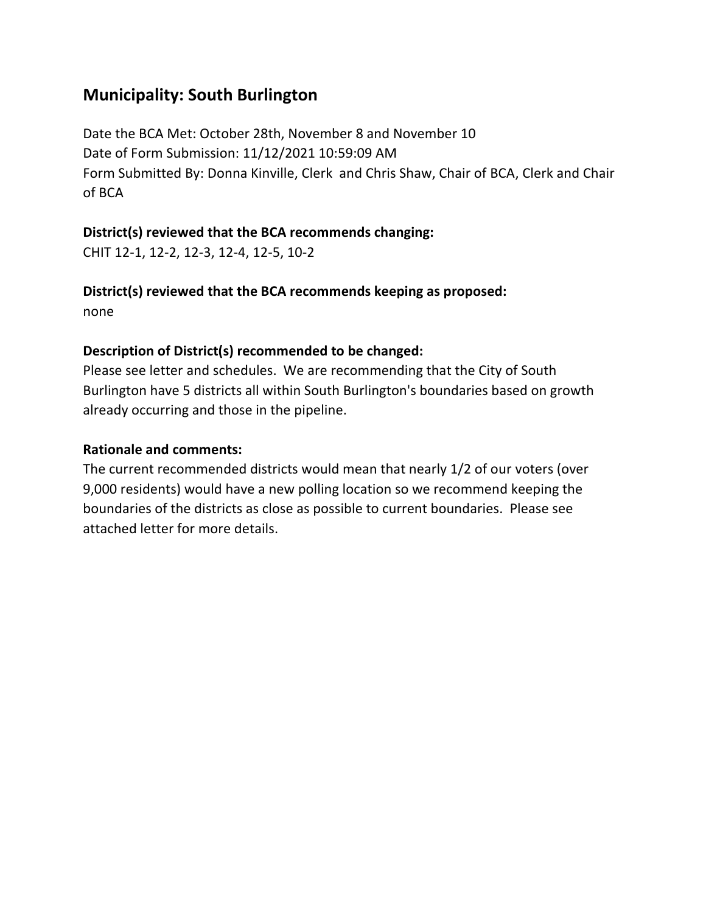## **Municipality: South Burlington**

Date the BCA Met: October 28th, November 8 and November 10 Date of Form Submission: 11/12/2021 10:59:09 AM Form Submitted By: Donna Kinville, Clerk and Chris Shaw, Chair of BCA, Clerk and Chair of BCA

### **District(s) reviewed that the BCA recommends changing:**

CHIT 12-1, 12-2, 12-3, 12-4, 12-5, 10-2

**District(s) reviewed that the BCA recommends keeping as proposed:** none

## **Description of District(s) recommended to be changed:**

Please see letter and schedules. We are recommending that the City of South Burlington have 5 districts all within South Burlington's boundaries based on growth already occurring and those in the pipeline.

## **Rationale and comments:**

The current recommended districts would mean that nearly 1/2 of our voters (over 9,000 residents) would have a new polling location so we recommend keeping the boundaries of the districts as close as possible to current boundaries. Please see attached letter for more details.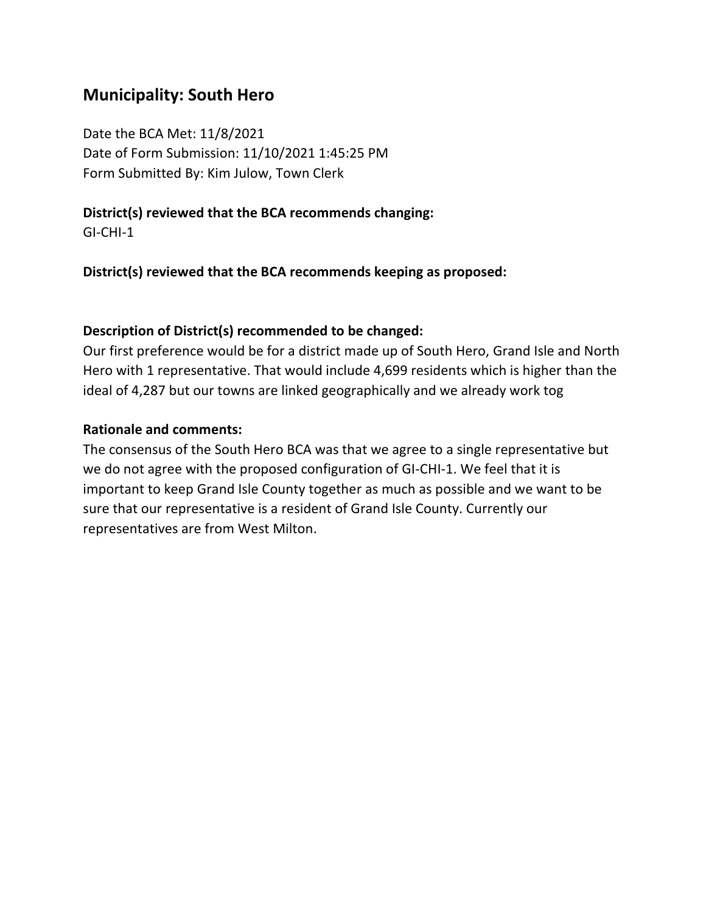## **Municipality: South Hero**

Date the BCA Met: 11/8/2021 Date of Form Submission: 11/10/2021 1:45:25 PM Form Submitted By: Kim Julow, Town Clerk

### **District(s) reviewed that the BCA recommends changing:**

GI-CHI-1

**District(s) reviewed that the BCA recommends keeping as proposed:**

### **Description of District(s) recommended to be changed:**

Our first preference would be for a district made up of South Hero, Grand Isle and North Hero with 1 representative. That would include 4,699 residents which is higher than the ideal of 4,287 but our towns are linked geographically and we already work tog

### **Rationale and comments:**

The consensus of the South Hero BCA was that we agree to a single representative but we do not agree with the proposed configuration of GI-CHI-1. We feel that it is important to keep Grand Isle County together as much as possible and we want to be sure that our representative is a resident of Grand Isle County. Currently our representatives are from West Milton.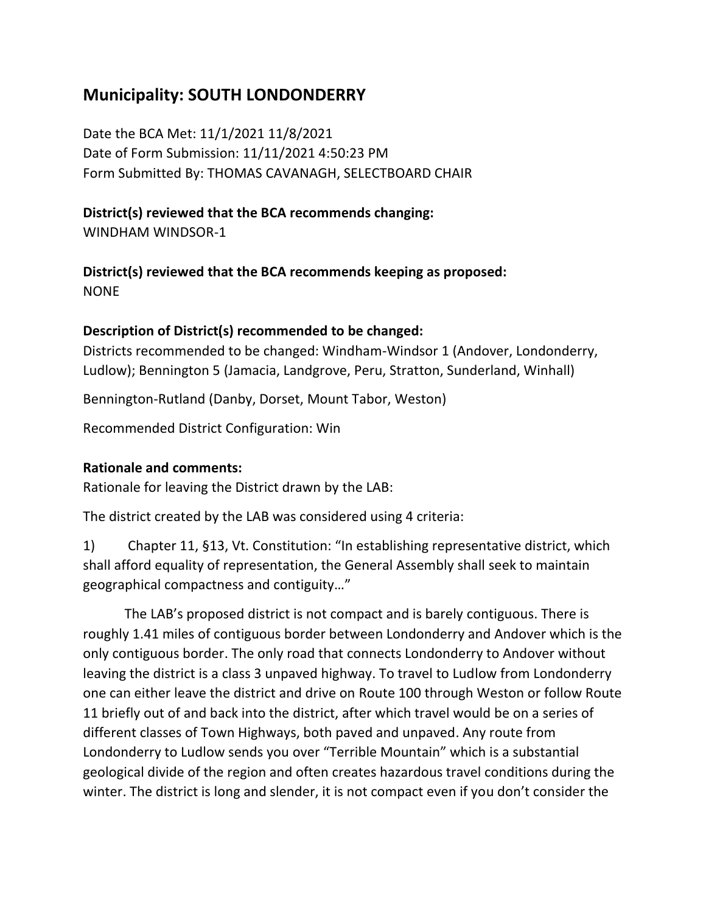## **Municipality: SOUTH LONDONDERRY**

Date the BCA Met: 11/1/2021 11/8/2021 Date of Form Submission: 11/11/2021 4:50:23 PM Form Submitted By: THOMAS CAVANAGH, SELECTBOARD CHAIR

## **District(s) reviewed that the BCA recommends changing:**

WINDHAM WINDSOR-1

**District(s) reviewed that the BCA recommends keeping as proposed:** NONE

## **Description of District(s) recommended to be changed:**

Districts recommended to be changed: Windham-Windsor 1 (Andover, Londonderry, Ludlow); Bennington 5 (Jamacia, Landgrove, Peru, Stratton, Sunderland, Winhall)

Bennington-Rutland (Danby, Dorset, Mount Tabor, Weston)

Recommended District Configuration: Win

#### **Rationale and comments:**

Rationale for leaving the District drawn by the LAB:

The district created by the LAB was considered using 4 criteria:

1) Chapter 11, §13, Vt. Constitution: "In establishing representative district, which shall afford equality of representation, the General Assembly shall seek to maintain geographical compactness and contiguity…"

The LAB's proposed district is not compact and is barely contiguous. There is roughly 1.41 miles of contiguous border between Londonderry and Andover which is the only contiguous border. The only road that connects Londonderry to Andover without leaving the district is a class 3 unpaved highway. To travel to Ludlow from Londonderry one can either leave the district and drive on Route 100 through Weston or follow Route 11 briefly out of and back into the district, after which travel would be on a series of different classes of Town Highways, both paved and unpaved. Any route from Londonderry to Ludlow sends you over "Terrible Mountain" which is a substantial geological divide of the region and often creates hazardous travel conditions during the winter. The district is long and slender, it is not compact even if you don't consider the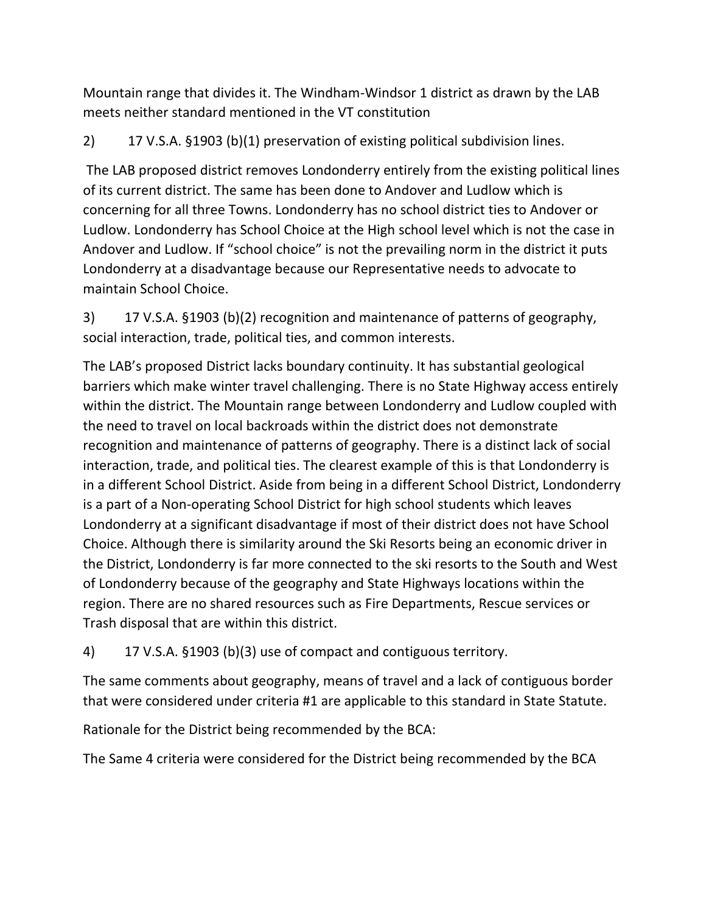Mountain range that divides it. The Windham-Windsor 1 district as drawn by the LAB meets neither standard mentioned in the VT constitution

2) 17 V.S.A. §1903 (b)(1) preservation of existing political subdivision lines.

The LAB proposed district removes Londonderry entirely from the existing political lines of its current district. The same has been done to Andover and Ludlow which is concerning for all three Towns. Londonderry has no school district ties to Andover or Ludlow. Londonderry has School Choice at the High school level which is not the case in Andover and Ludlow. If "school choice" is not the prevailing norm in the district it puts Londonderry at a disadvantage because our Representative needs to advocate to maintain School Choice.

3) 17 V.S.A. §1903 (b)(2) recognition and maintenance of patterns of geography, social interaction, trade, political ties, and common interests.

The LAB's proposed District lacks boundary continuity. It has substantial geological barriers which make winter travel challenging. There is no State Highway access entirely within the district. The Mountain range between Londonderry and Ludlow coupled with the need to travel on local backroads within the district does not demonstrate recognition and maintenance of patterns of geography. There is a distinct lack of social interaction, trade, and political ties. The clearest example of this is that Londonderry is in a different School District. Aside from being in a different School District, Londonderry is a part of a Non-operating School District for high school students which leaves Londonderry at a significant disadvantage if most of their district does not have School Choice. Although there is similarity around the Ski Resorts being an economic driver in the District, Londonderry is far more connected to the ski resorts to the South and West of Londonderry because of the geography and State Highways locations within the region. There are no shared resources such as Fire Departments, Rescue services or Trash disposal that are within this district.

4) 17 V.S.A. §1903 (b)(3) use of compact and contiguous territory.

The same comments about geography, means of travel and a lack of contiguous border that were considered under criteria #1 are applicable to this standard in State Statute.

Rationale for the District being recommended by the BCA:

The Same 4 criteria were considered for the District being recommended by the BCA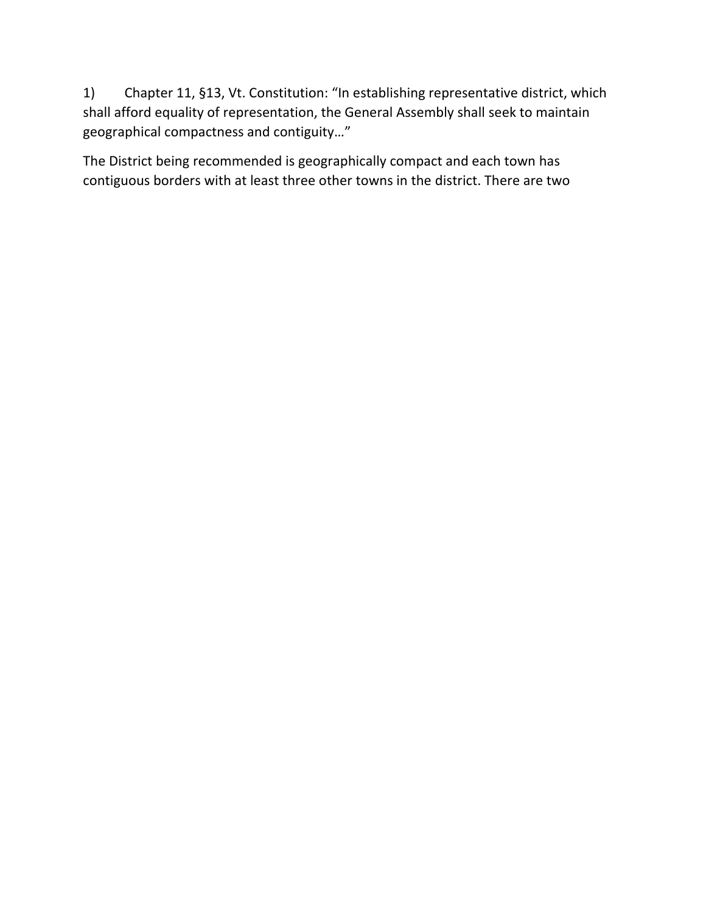1) Chapter 11, §13, Vt. Constitution: "In establishing representative district, which shall afford equality of representation, the General Assembly shall seek to maintain geographical compactness and contiguity…"

The District being recommended is geographically compact and each town has contiguous borders with at least three other towns in the district. There are two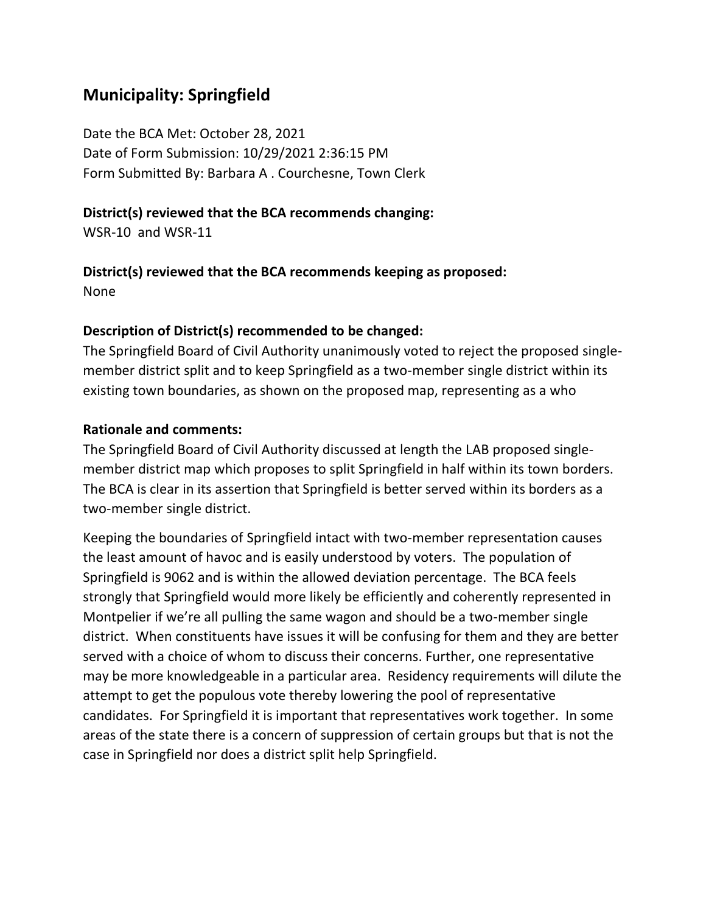## **Municipality: Springfield**

Date the BCA Met: October 28, 2021 Date of Form Submission: 10/29/2021 2:36:15 PM Form Submitted By: Barbara A . Courchesne, Town Clerk

#### **District(s) reviewed that the BCA recommends changing:**

WSR-10 and WSR-11

# **District(s) reviewed that the BCA recommends keeping as proposed:**

None

#### **Description of District(s) recommended to be changed:**

The Springfield Board of Civil Authority unanimously voted to reject the proposed singlemember district split and to keep Springfield as a two-member single district within its existing town boundaries, as shown on the proposed map, representing as a who

#### **Rationale and comments:**

The Springfield Board of Civil Authority discussed at length the LAB proposed singlemember district map which proposes to split Springfield in half within its town borders. The BCA is clear in its assertion that Springfield is better served within its borders as a two-member single district.

Keeping the boundaries of Springfield intact with two-member representation causes the least amount of havoc and is easily understood by voters. The population of Springfield is 9062 and is within the allowed deviation percentage. The BCA feels strongly that Springfield would more likely be efficiently and coherently represented in Montpelier if we're all pulling the same wagon and should be a two-member single district. When constituents have issues it will be confusing for them and they are better served with a choice of whom to discuss their concerns. Further, one representative may be more knowledgeable in a particular area. Residency requirements will dilute the attempt to get the populous vote thereby lowering the pool of representative candidates. For Springfield it is important that representatives work together. In some areas of the state there is a concern of suppression of certain groups but that is not the case in Springfield nor does a district split help Springfield.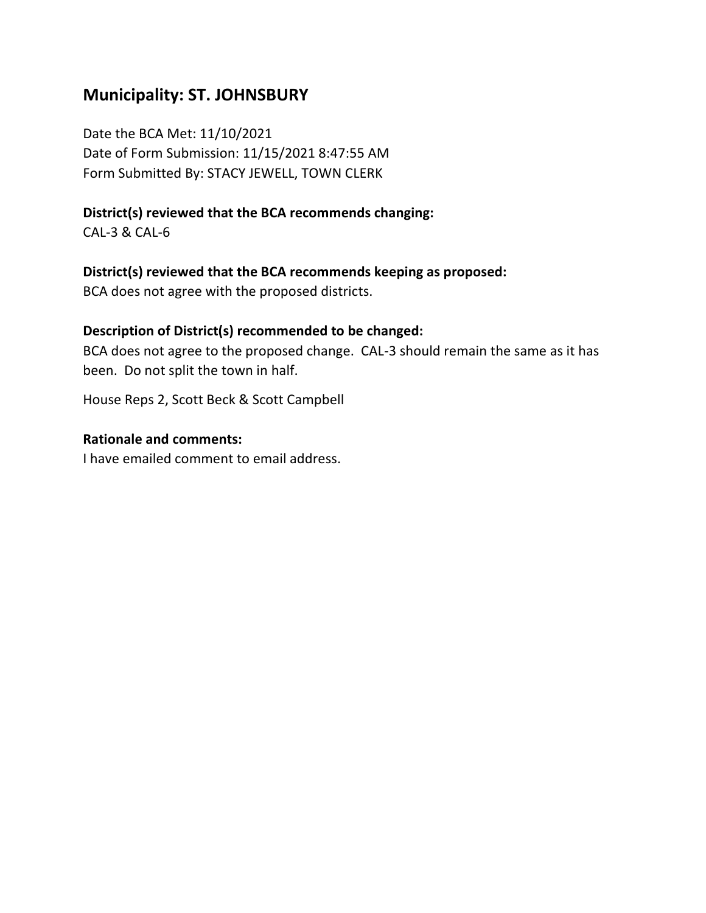## **Municipality: ST. JOHNSBURY**

Date the BCA Met: 11/10/2021 Date of Form Submission: 11/15/2021 8:47:55 AM Form Submitted By: STACY JEWELL, TOWN CLERK

### **District(s) reviewed that the BCA recommends changing:**

CAL-3 & CAL-6

#### **District(s) reviewed that the BCA recommends keeping as proposed:**

BCA does not agree with the proposed districts.

## **Description of District(s) recommended to be changed:**

BCA does not agree to the proposed change. CAL-3 should remain the same as it has been. Do not split the town in half.

House Reps 2, Scott Beck & Scott Campbell

#### **Rationale and comments:**

I have emailed comment to email address.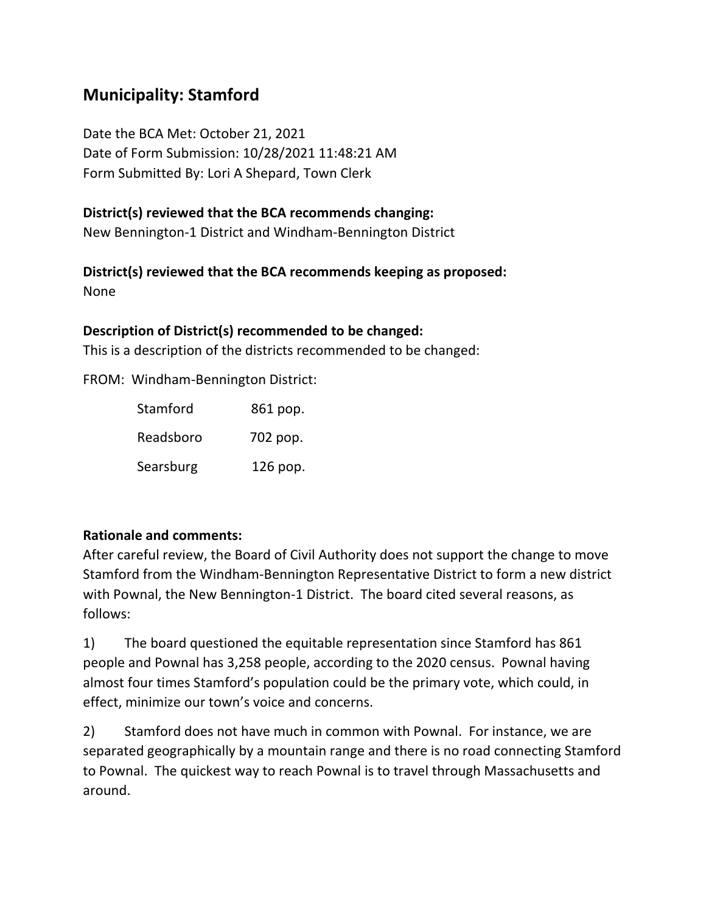## **Municipality: Stamford**

Date the BCA Met: October 21, 2021 Date of Form Submission: 10/28/2021 11:48:21 AM Form Submitted By: Lori A Shepard, Town Clerk

### **District(s) reviewed that the BCA recommends changing:**

New Bennington-1 District and Windham-Bennington District

#### **District(s) reviewed that the BCA recommends keeping as proposed:** None

## **Description of District(s) recommended to be changed:**

This is a description of the districts recommended to be changed:

FROM: Windham-Bennington District:

| Stamford  | 861 pop. |
|-----------|----------|
| Readsboro | 702 pop. |
| Searsburg | 126 pop. |

## **Rationale and comments:**

After careful review, the Board of Civil Authority does not support the change to move Stamford from the Windham-Bennington Representative District to form a new district with Pownal, the New Bennington-1 District. The board cited several reasons, as follows:

1) The board questioned the equitable representation since Stamford has 861 people and Pownal has 3,258 people, according to the 2020 census. Pownal having almost four times Stamford's population could be the primary vote, which could, in effect, minimize our town's voice and concerns.

2) Stamford does not have much in common with Pownal. For instance, we are separated geographically by a mountain range and there is no road connecting Stamford to Pownal. The quickest way to reach Pownal is to travel through Massachusetts and around.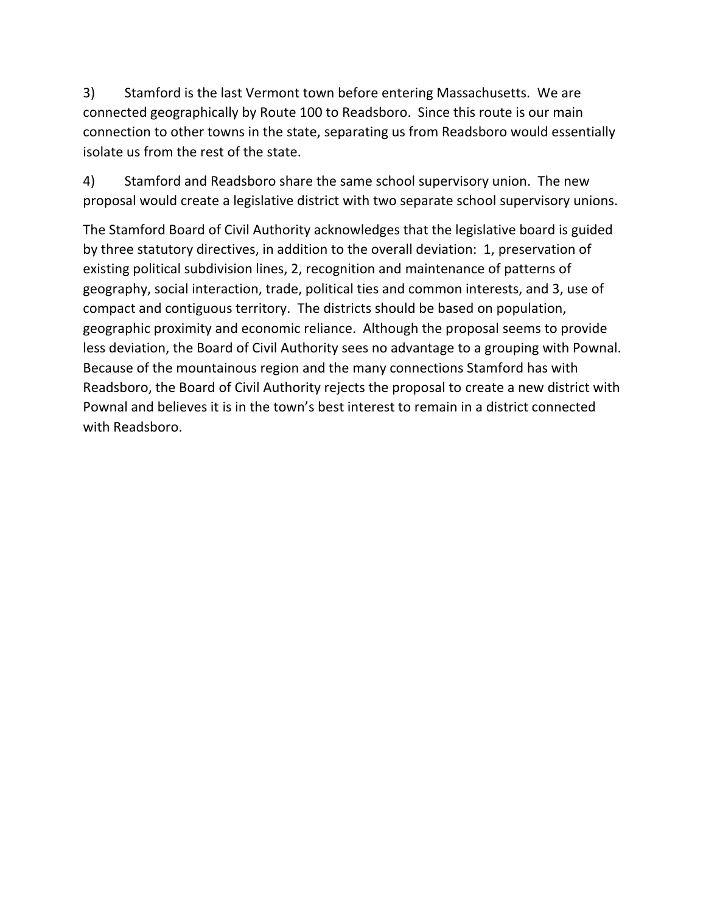3) Stamford is the last Vermont town before entering Massachusetts. We are connected geographically by Route 100 to Readsboro. Since this route is our main connection to other towns in the state, separating us from Readsboro would essentially isolate us from the rest of the state.

4) Stamford and Readsboro share the same school supervisory union. The new proposal would create a legislative district with two separate school supervisory unions.

The Stamford Board of Civil Authority acknowledges that the legislative board is guided by three statutory directives, in addition to the overall deviation: 1, preservation of existing political subdivision lines, 2, recognition and maintenance of patterns of geography, social interaction, trade, political ties and common interests, and 3, use of compact and contiguous territory. The districts should be based on population, geographic proximity and economic reliance. Although the proposal seems to provide less deviation, the Board of Civil Authority sees no advantage to a grouping with Pownal. Because of the mountainous region and the many connections Stamford has with Readsboro, the Board of Civil Authority rejects the proposal to create a new district with Pownal and believes it is in the town's best interest to remain in a district connected with Readsboro.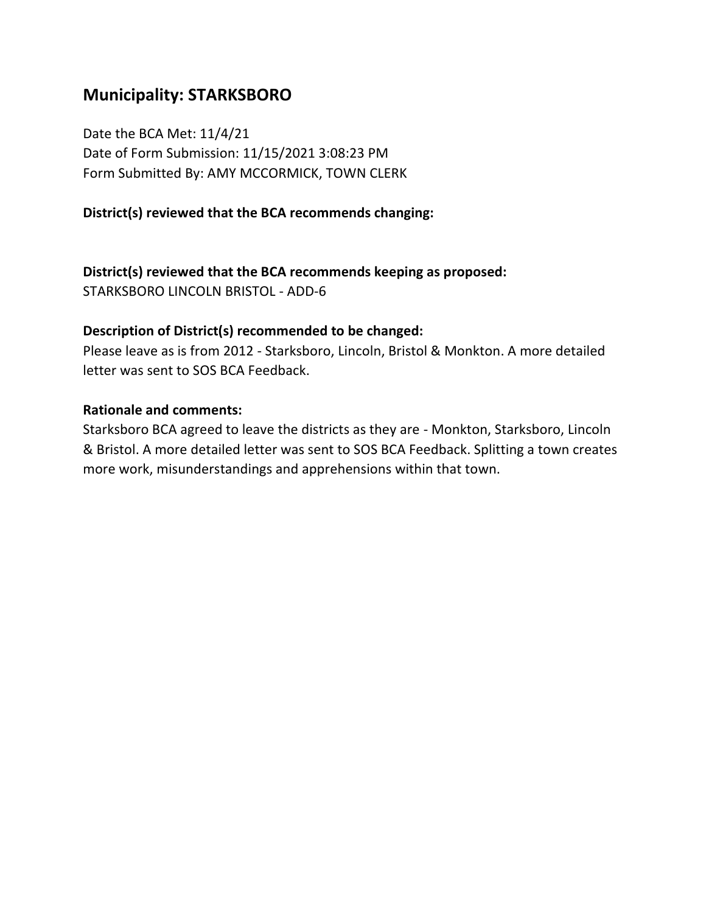## **Municipality: STARKSBORO**

Date the BCA Met: 11/4/21 Date of Form Submission: 11/15/2021 3:08:23 PM Form Submitted By: AMY MCCORMICK, TOWN CLERK

### **District(s) reviewed that the BCA recommends changing:**

**District(s) reviewed that the BCA recommends keeping as proposed:**

STARKSBORO LINCOLN BRISTOL - ADD-6

#### **Description of District(s) recommended to be changed:**

Please leave as is from 2012 - Starksboro, Lincoln, Bristol & Monkton. A more detailed letter was sent to SOS BCA Feedback.

#### **Rationale and comments:**

Starksboro BCA agreed to leave the districts as they are - Monkton, Starksboro, Lincoln & Bristol. A more detailed letter was sent to SOS BCA Feedback. Splitting a town creates more work, misunderstandings and apprehensions within that town.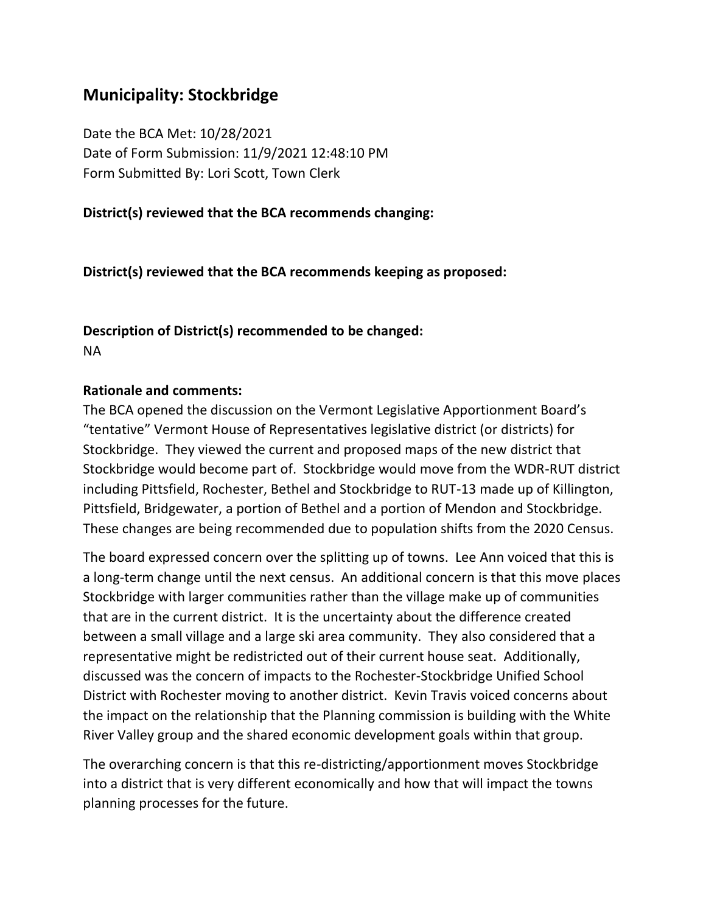## **Municipality: Stockbridge**

Date the BCA Met: 10/28/2021 Date of Form Submission: 11/9/2021 12:48:10 PM Form Submitted By: Lori Scott, Town Clerk

#### **District(s) reviewed that the BCA recommends changing:**

**District(s) reviewed that the BCA recommends keeping as proposed:**

## **Description of District(s) recommended to be changed:** NA

#### **Rationale and comments:**

The BCA opened the discussion on the Vermont Legislative Apportionment Board's "tentative" Vermont House of Representatives legislative district (or districts) for Stockbridge. They viewed the current and proposed maps of the new district that Stockbridge would become part of. Stockbridge would move from the WDR-RUT district including Pittsfield, Rochester, Bethel and Stockbridge to RUT-13 made up of Killington, Pittsfield, Bridgewater, a portion of Bethel and a portion of Mendon and Stockbridge. These changes are being recommended due to population shifts from the 2020 Census.

The board expressed concern over the splitting up of towns. Lee Ann voiced that this is a long-term change until the next census. An additional concern is that this move places Stockbridge with larger communities rather than the village make up of communities that are in the current district. It is the uncertainty about the difference created between a small village and a large ski area community. They also considered that a representative might be redistricted out of their current house seat. Additionally, discussed was the concern of impacts to the Rochester-Stockbridge Unified School District with Rochester moving to another district. Kevin Travis voiced concerns about the impact on the relationship that the Planning commission is building with the White River Valley group and the shared economic development goals within that group.

The overarching concern is that this re-districting/apportionment moves Stockbridge into a district that is very different economically and how that will impact the towns planning processes for the future.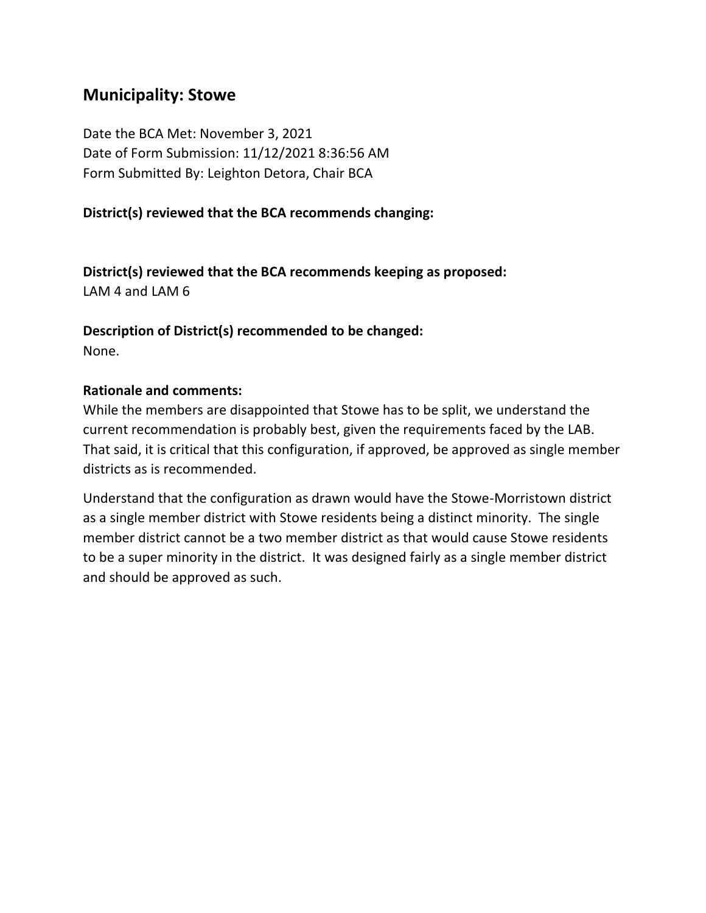## **Municipality: Stowe**

Date the BCA Met: November 3, 2021 Date of Form Submission: 11/12/2021 8:36:56 AM Form Submitted By: Leighton Detora, Chair BCA

### **District(s) reviewed that the BCA recommends changing:**

**District(s) reviewed that the BCA recommends keeping as proposed:** LAM 4 and LAM 6

**Description of District(s) recommended to be changed:** None.

#### **Rationale and comments:**

While the members are disappointed that Stowe has to be split, we understand the current recommendation is probably best, given the requirements faced by the LAB. That said, it is critical that this configuration, if approved, be approved as single member districts as is recommended.

Understand that the configuration as drawn would have the Stowe-Morristown district as a single member district with Stowe residents being a distinct minority. The single member district cannot be a two member district as that would cause Stowe residents to be a super minority in the district. It was designed fairly as a single member district and should be approved as such.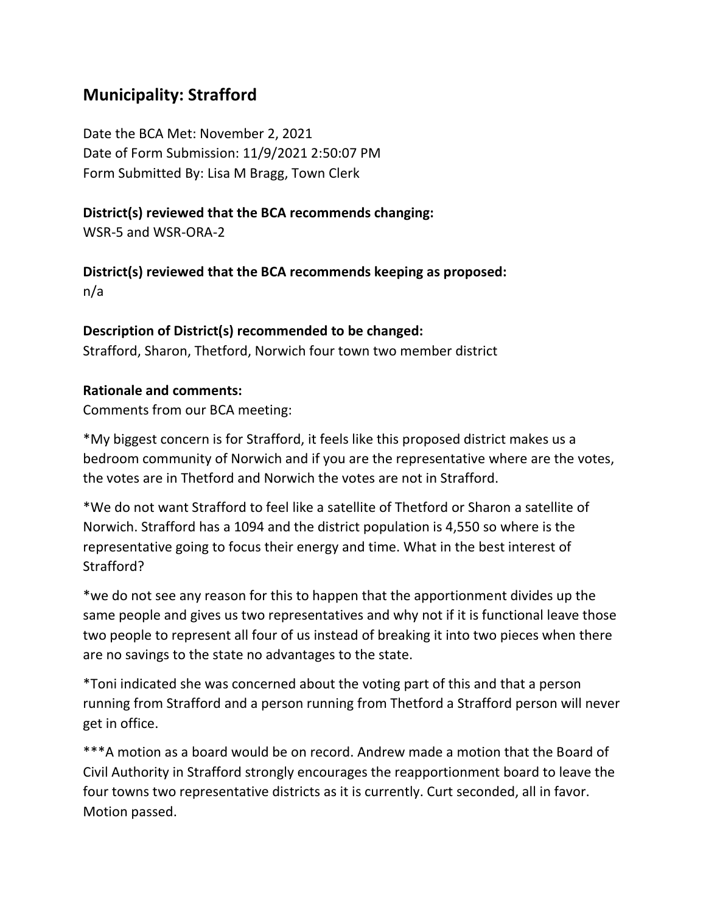## **Municipality: Strafford**

Date the BCA Met: November 2, 2021 Date of Form Submission: 11/9/2021 2:50:07 PM Form Submitted By: Lisa M Bragg, Town Clerk

### **District(s) reviewed that the BCA recommends changing:**

WSR-5 and WSR-ORA-2

**District(s) reviewed that the BCA recommends keeping as proposed:** n/a

### **Description of District(s) recommended to be changed:**

Strafford, Sharon, Thetford, Norwich four town two member district

### **Rationale and comments:**

Comments from our BCA meeting:

\*My biggest concern is for Strafford, it feels like this proposed district makes us a bedroom community of Norwich and if you are the representative where are the votes, the votes are in Thetford and Norwich the votes are not in Strafford.

\*We do not want Strafford to feel like a satellite of Thetford or Sharon a satellite of Norwich. Strafford has a 1094 and the district population is 4,550 so where is the representative going to focus their energy and time. What in the best interest of Strafford?

\*we do not see any reason for this to happen that the apportionment divides up the same people and gives us two representatives and why not if it is functional leave those two people to represent all four of us instead of breaking it into two pieces when there are no savings to the state no advantages to the state.

\*Toni indicated she was concerned about the voting part of this and that a person running from Strafford and a person running from Thetford a Strafford person will never get in office.

\*\*\*A motion as a board would be on record. Andrew made a motion that the Board of Civil Authority in Strafford strongly encourages the reapportionment board to leave the four towns two representative districts as it is currently. Curt seconded, all in favor. Motion passed.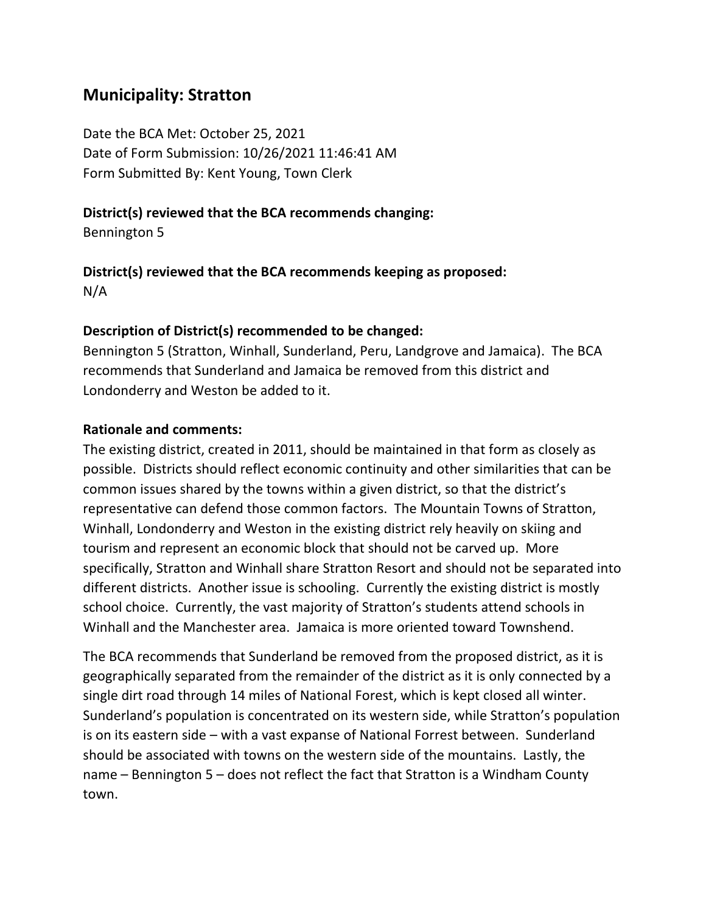### **Municipality: Stratton**

Date the BCA Met: October 25, 2021 Date of Form Submission: 10/26/2021 11:46:41 AM Form Submitted By: Kent Young, Town Clerk

#### **District(s) reviewed that the BCA recommends changing:**

Bennington 5

### **District(s) reviewed that the BCA recommends keeping as proposed:** N/A

#### **Description of District(s) recommended to be changed:**

Bennington 5 (Stratton, Winhall, Sunderland, Peru, Landgrove and Jamaica). The BCA recommends that Sunderland and Jamaica be removed from this district and Londonderry and Weston be added to it.

#### **Rationale and comments:**

The existing district, created in 2011, should be maintained in that form as closely as possible. Districts should reflect economic continuity and other similarities that can be common issues shared by the towns within a given district, so that the district's representative can defend those common factors. The Mountain Towns of Stratton, Winhall, Londonderry and Weston in the existing district rely heavily on skiing and tourism and represent an economic block that should not be carved up. More specifically, Stratton and Winhall share Stratton Resort and should not be separated into different districts. Another issue is schooling. Currently the existing district is mostly school choice. Currently, the vast majority of Stratton's students attend schools in Winhall and the Manchester area. Jamaica is more oriented toward Townshend.

The BCA recommends that Sunderland be removed from the proposed district, as it is geographically separated from the remainder of the district as it is only connected by a single dirt road through 14 miles of National Forest, which is kept closed all winter. Sunderland's population is concentrated on its western side, while Stratton's population is on its eastern side – with a vast expanse of National Forrest between. Sunderland should be associated with towns on the western side of the mountains. Lastly, the name – Bennington 5 – does not reflect the fact that Stratton is a Windham County town.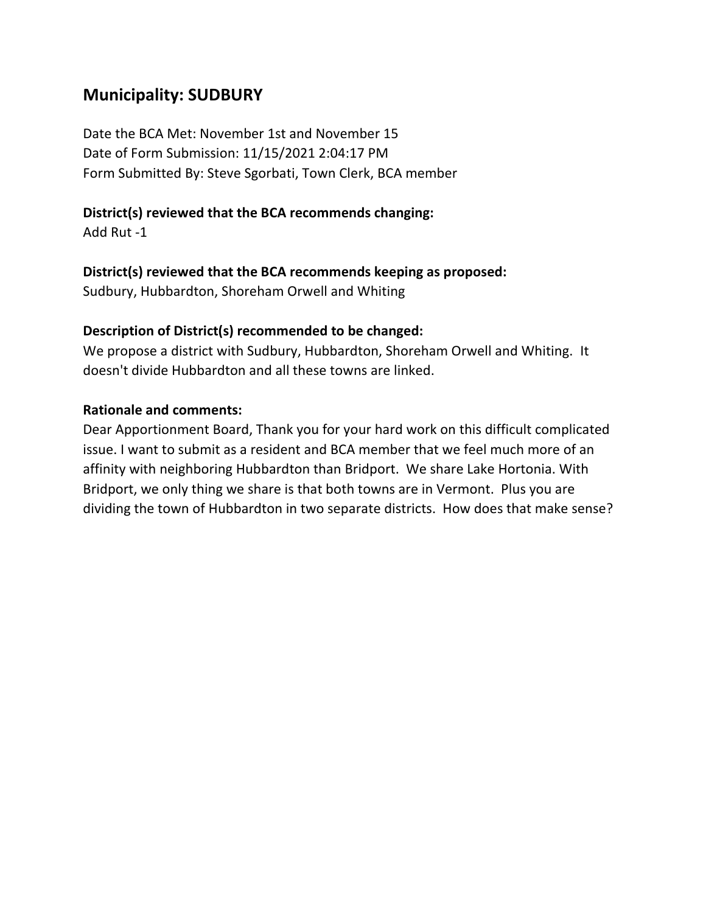# **Municipality: SUDBURY**

Date the BCA Met: November 1st and November 15 Date of Form Submission: 11/15/2021 2:04:17 PM Form Submitted By: Steve Sgorbati, Town Clerk, BCA member

### **District(s) reviewed that the BCA recommends changing:**

Add Rut -1

#### **District(s) reviewed that the BCA recommends keeping as proposed:**

Sudbury, Hubbardton, Shoreham Orwell and Whiting

#### **Description of District(s) recommended to be changed:**

We propose a district with Sudbury, Hubbardton, Shoreham Orwell and Whiting. It doesn't divide Hubbardton and all these towns are linked.

#### **Rationale and comments:**

Dear Apportionment Board, Thank you for your hard work on this difficult complicated issue. I want to submit as a resident and BCA member that we feel much more of an affinity with neighboring Hubbardton than Bridport. We share Lake Hortonia. With Bridport, we only thing we share is that both towns are in Vermont. Plus you are dividing the town of Hubbardton in two separate districts. How does that make sense?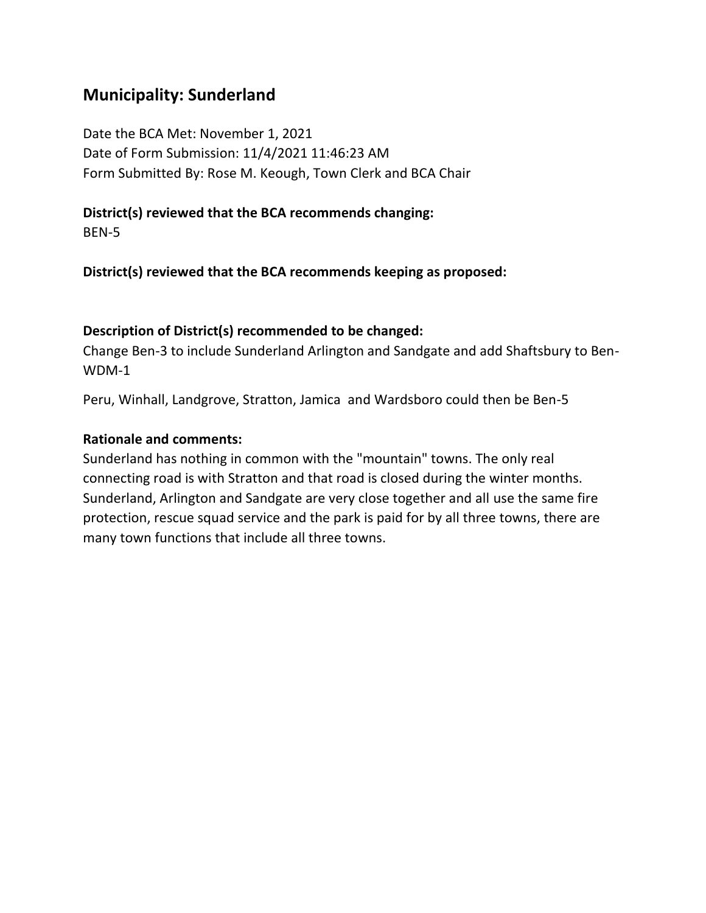## **Municipality: Sunderland**

Date the BCA Met: November 1, 2021 Date of Form Submission: 11/4/2021 11:46:23 AM Form Submitted By: Rose M. Keough, Town Clerk and BCA Chair

# **District(s) reviewed that the BCA recommends changing:**

BEN-5

**District(s) reviewed that the BCA recommends keeping as proposed:**

### **Description of District(s) recommended to be changed:**

Change Ben-3 to include Sunderland Arlington and Sandgate and add Shaftsbury to Ben-WDM-1

Peru, Winhall, Landgrove, Stratton, Jamica and Wardsboro could then be Ben-5

#### **Rationale and comments:**

Sunderland has nothing in common with the "mountain" towns. The only real connecting road is with Stratton and that road is closed during the winter months. Sunderland, Arlington and Sandgate are very close together and all use the same fire protection, rescue squad service and the park is paid for by all three towns, there are many town functions that include all three towns.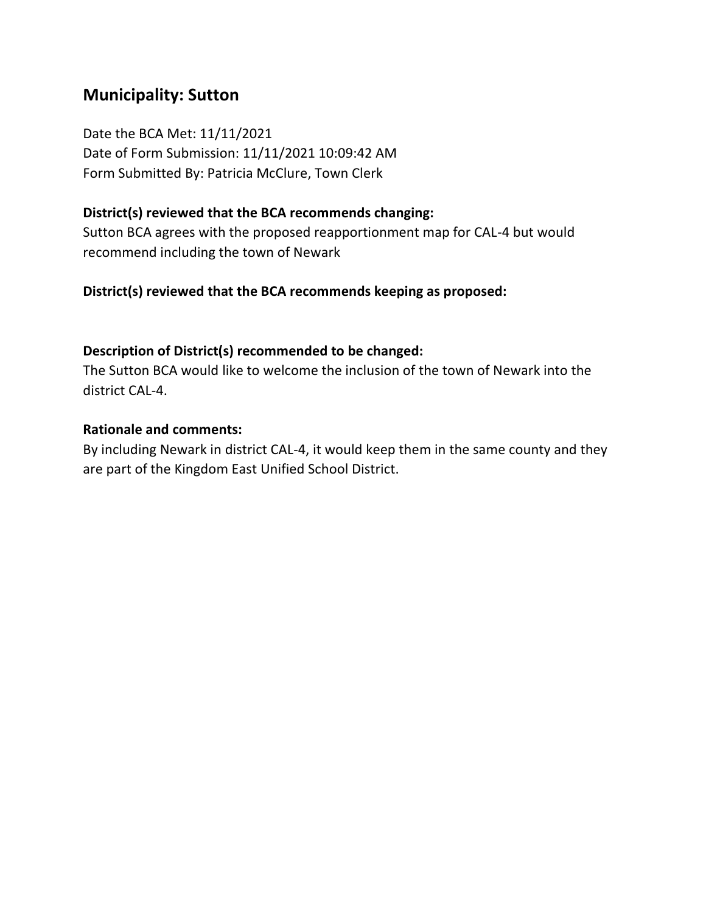# **Municipality: Sutton**

Date the BCA Met: 11/11/2021 Date of Form Submission: 11/11/2021 10:09:42 AM Form Submitted By: Patricia McClure, Town Clerk

#### **District(s) reviewed that the BCA recommends changing:**

Sutton BCA agrees with the proposed reapportionment map for CAL-4 but would recommend including the town of Newark

#### **District(s) reviewed that the BCA recommends keeping as proposed:**

#### **Description of District(s) recommended to be changed:**

The Sutton BCA would like to welcome the inclusion of the town of Newark into the district CAL-4.

#### **Rationale and comments:**

By including Newark in district CAL-4, it would keep them in the same county and they are part of the Kingdom East Unified School District.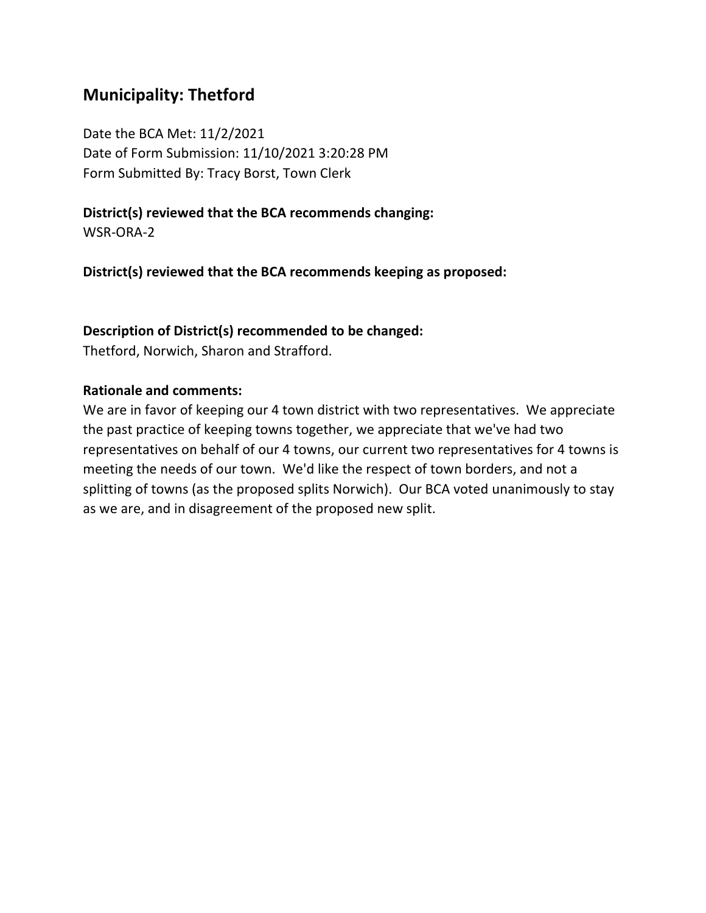# **Municipality: Thetford**

Date the BCA Met: 11/2/2021 Date of Form Submission: 11/10/2021 3:20:28 PM Form Submitted By: Tracy Borst, Town Clerk

### **District(s) reviewed that the BCA recommends changing:**

WSR-ORA-2

**District(s) reviewed that the BCA recommends keeping as proposed:**

#### **Description of District(s) recommended to be changed:**

Thetford, Norwich, Sharon and Strafford.

#### **Rationale and comments:**

We are in favor of keeping our 4 town district with two representatives. We appreciate the past practice of keeping towns together, we appreciate that we've had two representatives on behalf of our 4 towns, our current two representatives for 4 towns is meeting the needs of our town. We'd like the respect of town borders, and not a splitting of towns (as the proposed splits Norwich). Our BCA voted unanimously to stay as we are, and in disagreement of the proposed new split.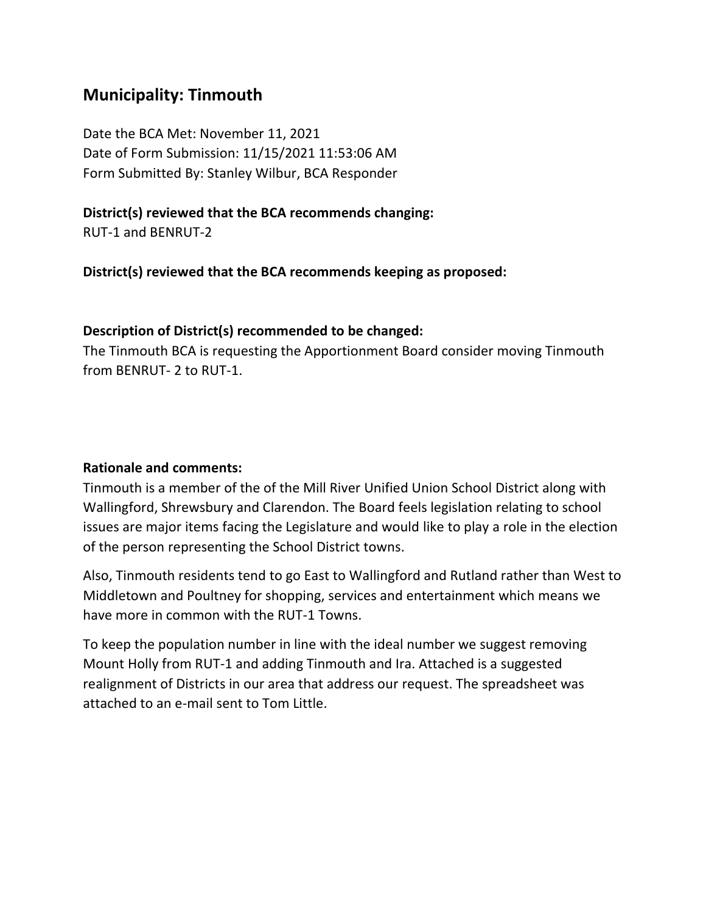### **Municipality: Tinmouth**

Date the BCA Met: November 11, 2021 Date of Form Submission: 11/15/2021 11:53:06 AM Form Submitted By: Stanley Wilbur, BCA Responder

#### **District(s) reviewed that the BCA recommends changing:**

RUT-1 and BENRUT-2

**District(s) reviewed that the BCA recommends keeping as proposed:**

#### **Description of District(s) recommended to be changed:**

The Tinmouth BCA is requesting the Apportionment Board consider moving Tinmouth from BENRUT- 2 to RUT-1.

#### **Rationale and comments:**

Tinmouth is a member of the of the Mill River Unified Union School District along with Wallingford, Shrewsbury and Clarendon. The Board feels legislation relating to school issues are major items facing the Legislature and would like to play a role in the election of the person representing the School District towns.

Also, Tinmouth residents tend to go East to Wallingford and Rutland rather than West to Middletown and Poultney for shopping, services and entertainment which means we have more in common with the RUT-1 Towns.

To keep the population number in line with the ideal number we suggest removing Mount Holly from RUT-1 and adding Tinmouth and Ira. Attached is a suggested realignment of Districts in our area that address our request. The spreadsheet was attached to an e-mail sent to Tom Little.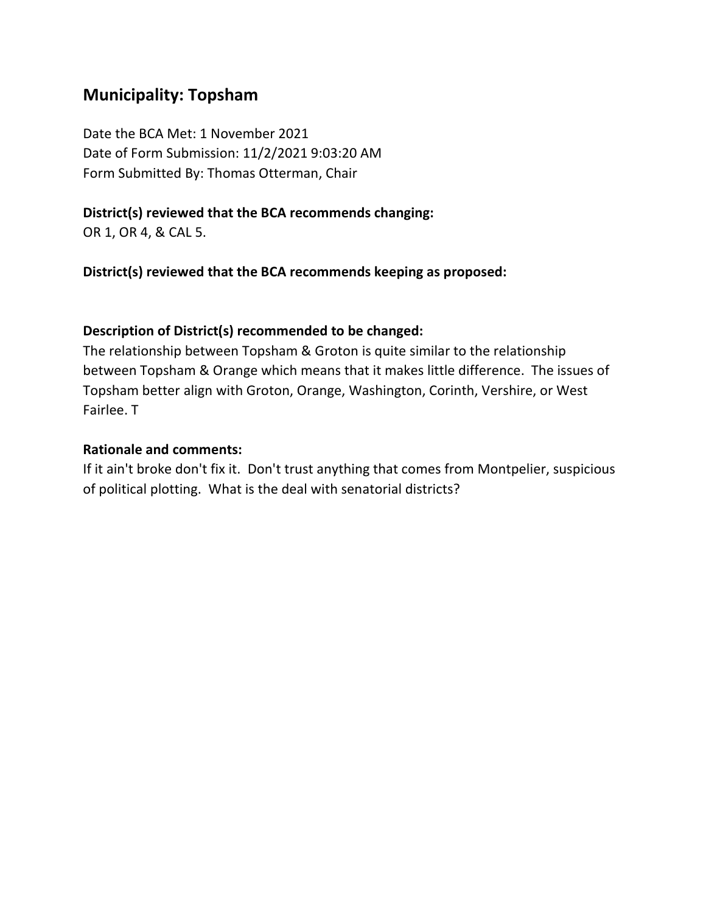### **Municipality: Topsham**

Date the BCA Met: 1 November 2021 Date of Form Submission: 11/2/2021 9:03:20 AM Form Submitted By: Thomas Otterman, Chair

### **District(s) reviewed that the BCA recommends changing:**

OR 1, OR 4, & CAL 5.

**District(s) reviewed that the BCA recommends keeping as proposed:**

### **Description of District(s) recommended to be changed:**

The relationship between Topsham & Groton is quite similar to the relationship between Topsham & Orange which means that it makes little difference. The issues of Topsham better align with Groton, Orange, Washington, Corinth, Vershire, or West Fairlee. T

### **Rationale and comments:**

If it ain't broke don't fix it. Don't trust anything that comes from Montpelier, suspicious of political plotting. What is the deal with senatorial districts?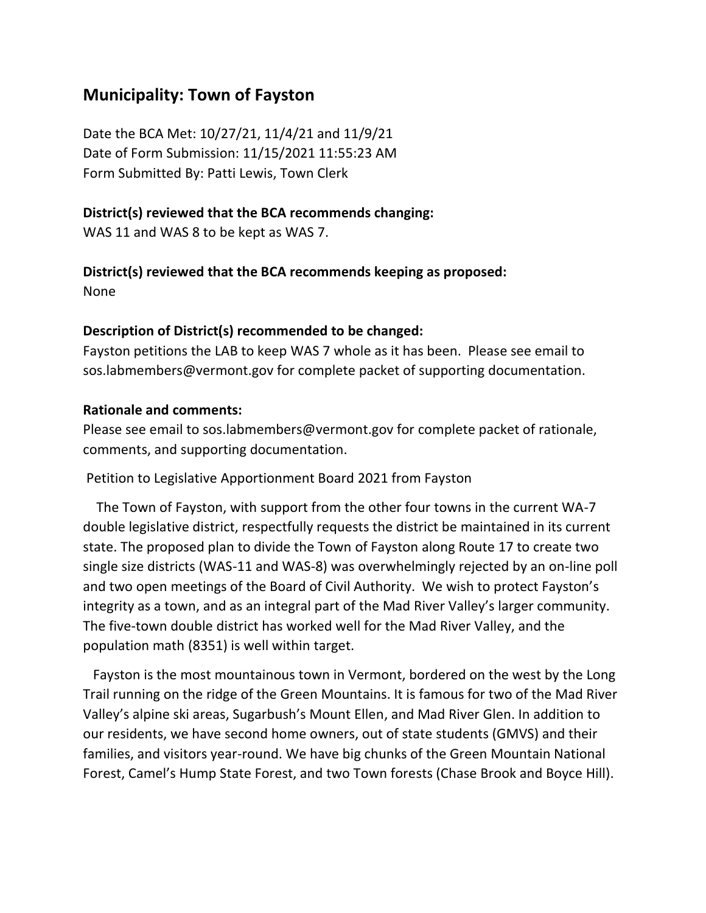# **Municipality: Town of Fayston**

Date the BCA Met: 10/27/21, 11/4/21 and 11/9/21 Date of Form Submission: 11/15/2021 11:55:23 AM Form Submitted By: Patti Lewis, Town Clerk

#### **District(s) reviewed that the BCA recommends changing:**

WAS 11 and WAS 8 to be kept as WAS 7.

# **District(s) reviewed that the BCA recommends keeping as proposed:**

None

#### **Description of District(s) recommended to be changed:**

Fayston petitions the LAB to keep WAS 7 whole as it has been. Please see email to sos.labmembers@vermont.gov for complete packet of supporting documentation.

#### **Rationale and comments:**

Please see email to sos.labmembers@vermont.gov for complete packet of rationale, comments, and supporting documentation.

Petition to Legislative Apportionment Board 2021 from Fayston

 The Town of Fayston, with support from the other four towns in the current WA-7 double legislative district, respectfully requests the district be maintained in its current state. The proposed plan to divide the Town of Fayston along Route 17 to create two single size districts (WAS-11 and WAS-8) was overwhelmingly rejected by an on-line poll and two open meetings of the Board of Civil Authority. We wish to protect Fayston's integrity as a town, and as an integral part of the Mad River Valley's larger community. The five-town double district has worked well for the Mad River Valley, and the population math (8351) is well within target.

 Fayston is the most mountainous town in Vermont, bordered on the west by the Long Trail running on the ridge of the Green Mountains. It is famous for two of the Mad River Valley's alpine ski areas, Sugarbush's Mount Ellen, and Mad River Glen. In addition to our residents, we have second home owners, out of state students (GMVS) and their families, and visitors year-round. We have big chunks of the Green Mountain National Forest, Camel's Hump State Forest, and two Town forests (Chase Brook and Boyce Hill).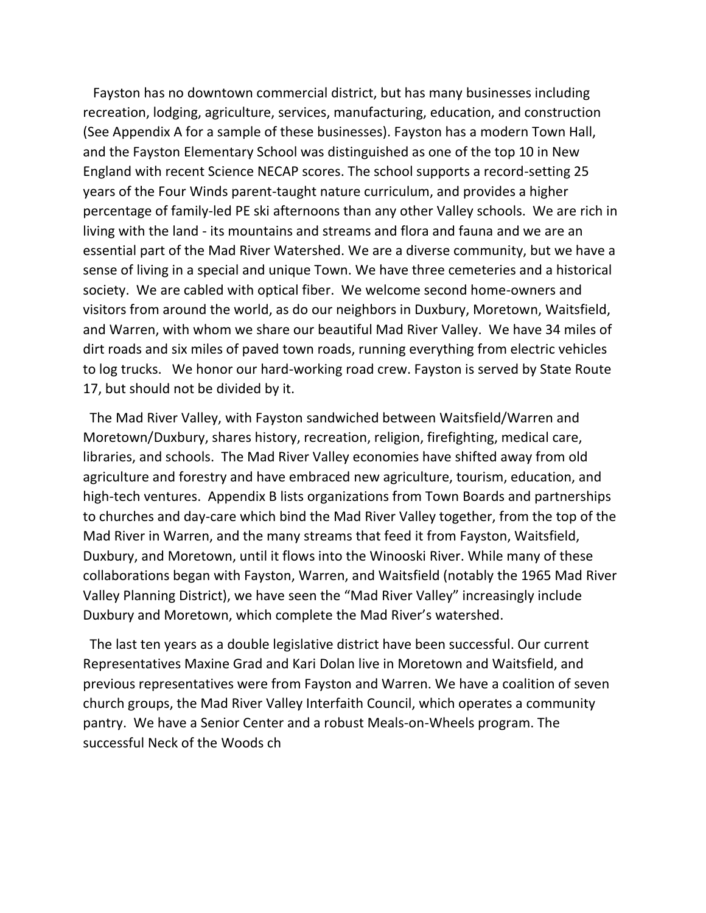Fayston has no downtown commercial district, but has many businesses including recreation, lodging, agriculture, services, manufacturing, education, and construction (See Appendix A for a sample of these businesses). Fayston has a modern Town Hall, and the Fayston Elementary School was distinguished as one of the top 10 in New England with recent Science NECAP scores. The school supports a record-setting 25 years of the Four Winds parent-taught nature curriculum, and provides a higher percentage of family-led PE ski afternoons than any other Valley schools. We are rich in living with the land - its mountains and streams and flora and fauna and we are an essential part of the Mad River Watershed. We are a diverse community, but we have a sense of living in a special and unique Town. We have three cemeteries and a historical society. We are cabled with optical fiber. We welcome second home-owners and visitors from around the world, as do our neighbors in Duxbury, Moretown, Waitsfield, and Warren, with whom we share our beautiful Mad River Valley. We have 34 miles of dirt roads and six miles of paved town roads, running everything from electric vehicles to log trucks. We honor our hard-working road crew. Fayston is served by State Route 17, but should not be divided by it.

 The Mad River Valley, with Fayston sandwiched between Waitsfield/Warren and Moretown/Duxbury, shares history, recreation, religion, firefighting, medical care, libraries, and schools. The Mad River Valley economies have shifted away from old agriculture and forestry and have embraced new agriculture, tourism, education, and high-tech ventures. Appendix B lists organizations from Town Boards and partnerships to churches and day-care which bind the Mad River Valley together, from the top of the Mad River in Warren, and the many streams that feed it from Fayston, Waitsfield, Duxbury, and Moretown, until it flows into the Winooski River. While many of these collaborations began with Fayston, Warren, and Waitsfield (notably the 1965 Mad River Valley Planning District), we have seen the "Mad River Valley" increasingly include Duxbury and Moretown, which complete the Mad River's watershed.

 The last ten years as a double legislative district have been successful. Our current Representatives Maxine Grad and Kari Dolan live in Moretown and Waitsfield, and previous representatives were from Fayston and Warren. We have a coalition of seven church groups, the Mad River Valley Interfaith Council, which operates a community pantry. We have a Senior Center and a robust Meals-on-Wheels program. The successful Neck of the Woods ch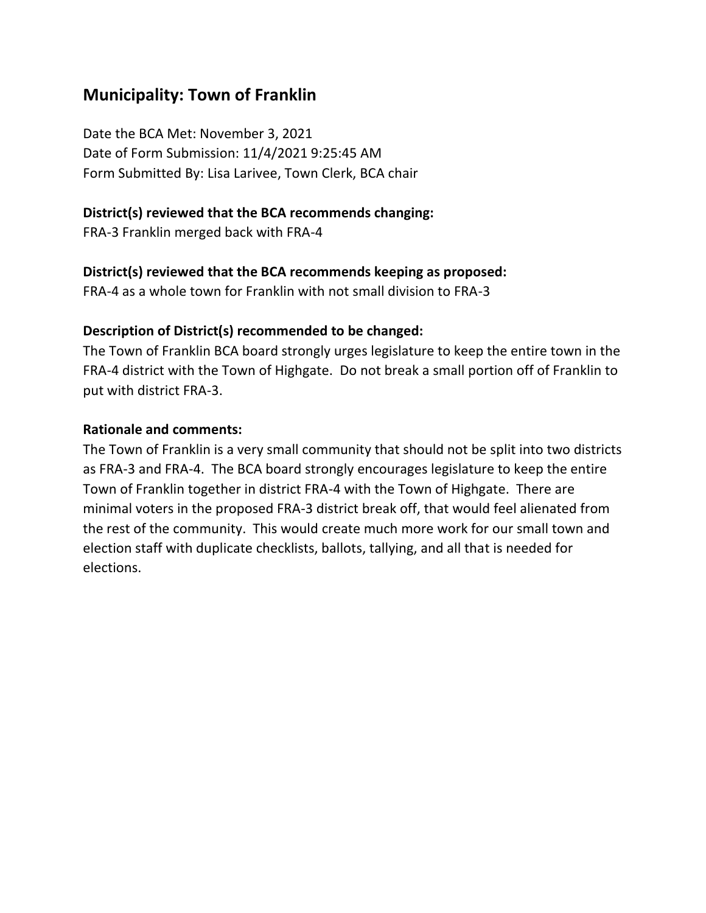# **Municipality: Town of Franklin**

Date the BCA Met: November 3, 2021 Date of Form Submission: 11/4/2021 9:25:45 AM Form Submitted By: Lisa Larivee, Town Clerk, BCA chair

### **District(s) reviewed that the BCA recommends changing:**

FRA-3 Franklin merged back with FRA-4

### **District(s) reviewed that the BCA recommends keeping as proposed:**

FRA-4 as a whole town for Franklin with not small division to FRA-3

### **Description of District(s) recommended to be changed:**

The Town of Franklin BCA board strongly urges legislature to keep the entire town in the FRA-4 district with the Town of Highgate. Do not break a small portion off of Franklin to put with district FRA-3.

### **Rationale and comments:**

The Town of Franklin is a very small community that should not be split into two districts as FRA-3 and FRA-4. The BCA board strongly encourages legislature to keep the entire Town of Franklin together in district FRA-4 with the Town of Highgate. There are minimal voters in the proposed FRA-3 district break off, that would feel alienated from the rest of the community. This would create much more work for our small town and election staff with duplicate checklists, ballots, tallying, and all that is needed for elections.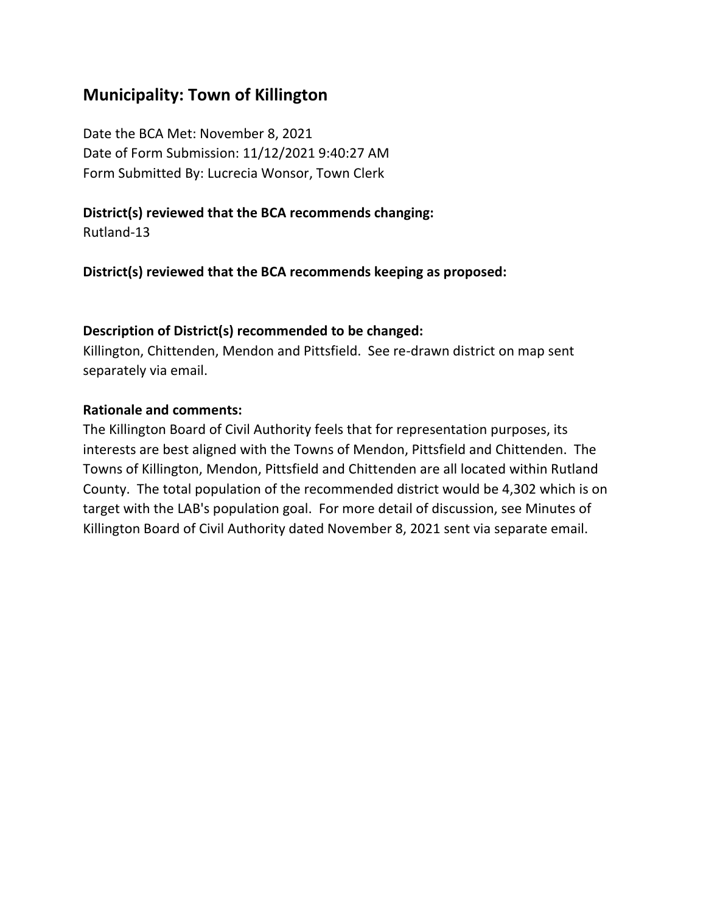### **Municipality: Town of Killington**

Date the BCA Met: November 8, 2021 Date of Form Submission: 11/12/2021 9:40:27 AM Form Submitted By: Lucrecia Wonsor, Town Clerk

### **District(s) reviewed that the BCA recommends changing:**

Rutland-13

**District(s) reviewed that the BCA recommends keeping as proposed:**

### **Description of District(s) recommended to be changed:**

Killington, Chittenden, Mendon and Pittsfield. See re-drawn district on map sent separately via email.

#### **Rationale and comments:**

The Killington Board of Civil Authority feels that for representation purposes, its interests are best aligned with the Towns of Mendon, Pittsfield and Chittenden. The Towns of Killington, Mendon, Pittsfield and Chittenden are all located within Rutland County. The total population of the recommended district would be 4,302 which is on target with the LAB's population goal. For more detail of discussion, see Minutes of Killington Board of Civil Authority dated November 8, 2021 sent via separate email.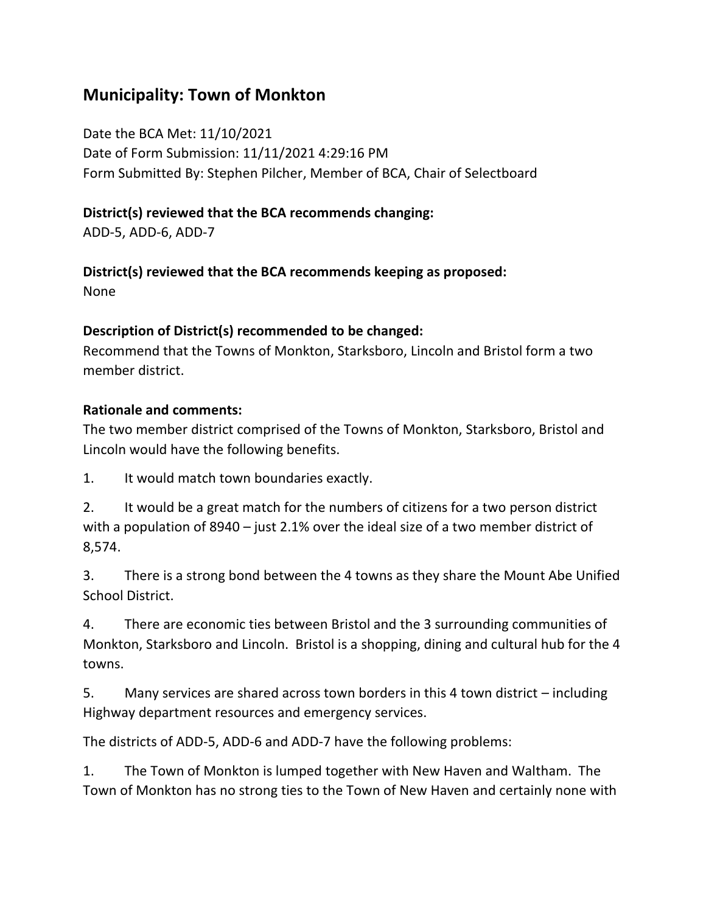# **Municipality: Town of Monkton**

Date the BCA Met: 11/10/2021 Date of Form Submission: 11/11/2021 4:29:16 PM Form Submitted By: Stephen Pilcher, Member of BCA, Chair of Selectboard

### **District(s) reviewed that the BCA recommends changing:**

ADD-5, ADD-6, ADD-7

### **District(s) reviewed that the BCA recommends keeping as proposed:**

None

### **Description of District(s) recommended to be changed:**

Recommend that the Towns of Monkton, Starksboro, Lincoln and Bristol form a two member district.

### **Rationale and comments:**

The two member district comprised of the Towns of Monkton, Starksboro, Bristol and Lincoln would have the following benefits.

1. It would match town boundaries exactly.

2. It would be a great match for the numbers of citizens for a two person district with a population of 8940 – just 2.1% over the ideal size of a two member district of 8,574.

3. There is a strong bond between the 4 towns as they share the Mount Abe Unified School District.

4. There are economic ties between Bristol and the 3 surrounding communities of Monkton, Starksboro and Lincoln. Bristol is a shopping, dining and cultural hub for the 4 towns.

5. Many services are shared across town borders in this 4 town district – including Highway department resources and emergency services.

The districts of ADD-5, ADD-6 and ADD-7 have the following problems:

1. The Town of Monkton is lumped together with New Haven and Waltham. The Town of Monkton has no strong ties to the Town of New Haven and certainly none with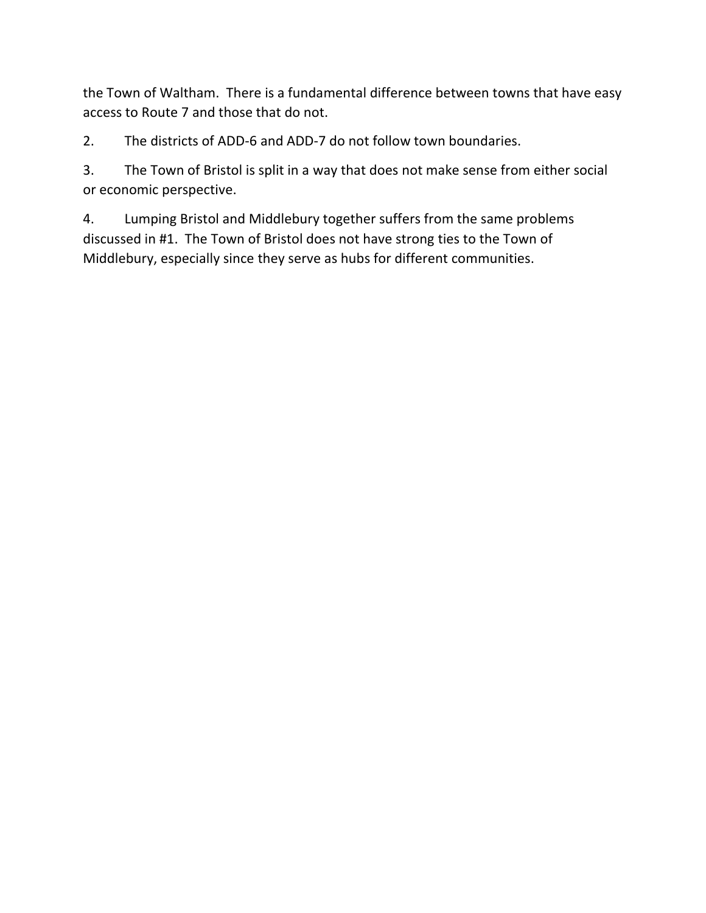the Town of Waltham. There is a fundamental difference between towns that have easy access to Route 7 and those that do not.

2. The districts of ADD-6 and ADD-7 do not follow town boundaries.

3. The Town of Bristol is split in a way that does not make sense from either social or economic perspective.

4. Lumping Bristol and Middlebury together suffers from the same problems discussed in #1. The Town of Bristol does not have strong ties to the Town of Middlebury, especially since they serve as hubs for different communities.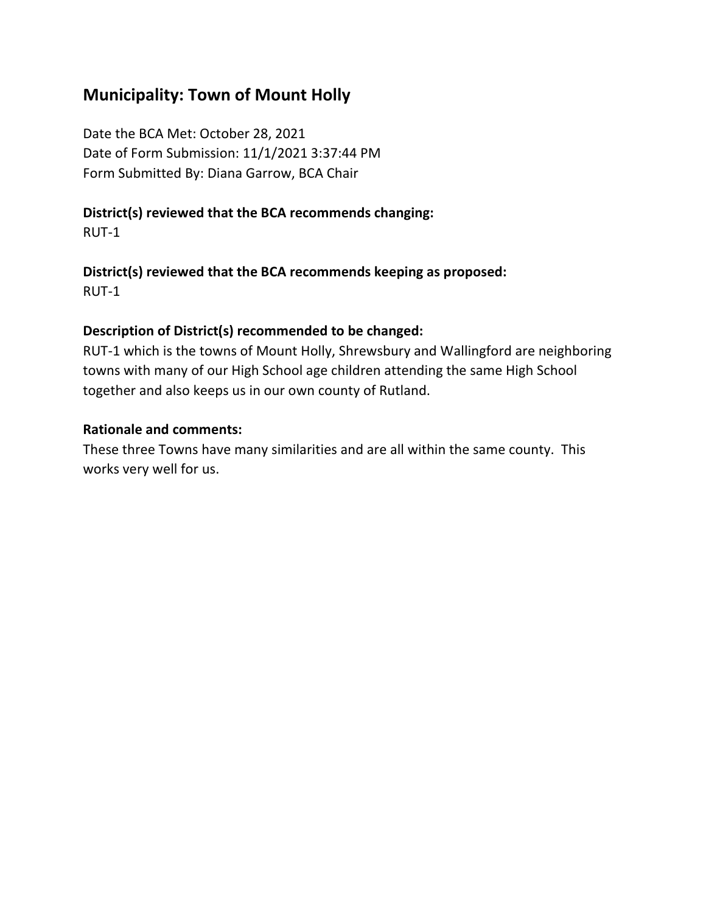# **Municipality: Town of Mount Holly**

Date the BCA Met: October 28, 2021 Date of Form Submission: 11/1/2021 3:37:44 PM Form Submitted By: Diana Garrow, BCA Chair

# **District(s) reviewed that the BCA recommends changing:**

RUT-1

#### **District(s) reviewed that the BCA recommends keeping as proposed:** RUT-1

### **Description of District(s) recommended to be changed:**

RUT-1 which is the towns of Mount Holly, Shrewsbury and Wallingford are neighboring towns with many of our High School age children attending the same High School together and also keeps us in our own county of Rutland.

### **Rationale and comments:**

These three Towns have many similarities and are all within the same county. This works very well for us.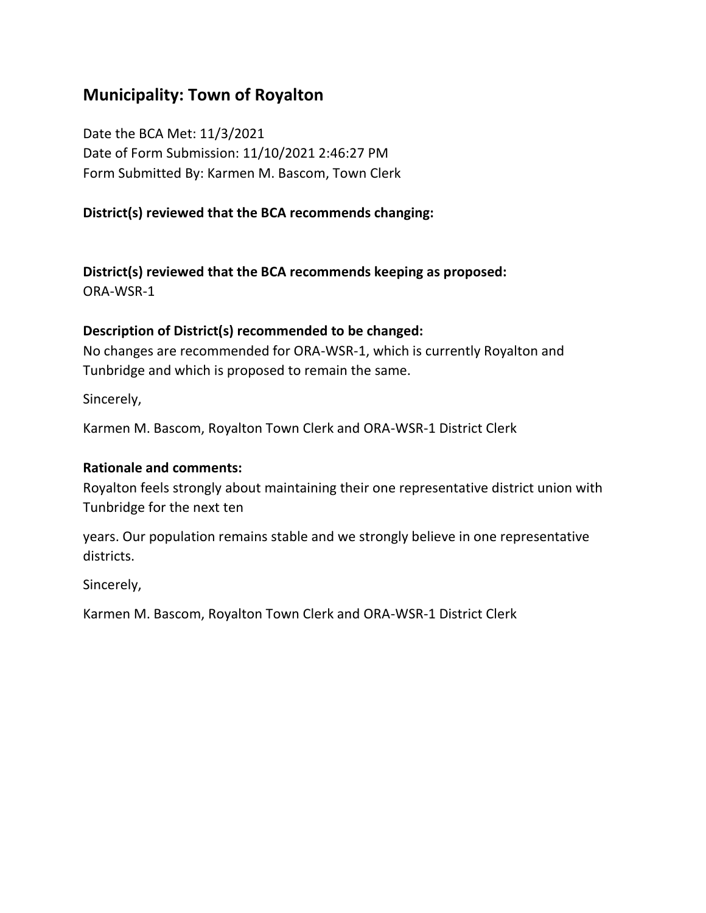# **Municipality: Town of Royalton**

Date the BCA Met: 11/3/2021 Date of Form Submission: 11/10/2021 2:46:27 PM Form Submitted By: Karmen M. Bascom, Town Clerk

### **District(s) reviewed that the BCA recommends changing:**

**District(s) reviewed that the BCA recommends keeping as proposed:** ORA-WSR-1

#### **Description of District(s) recommended to be changed:**

No changes are recommended for ORA-WSR-1, which is currently Royalton and Tunbridge and which is proposed to remain the same.

Sincerely,

Karmen M. Bascom, Royalton Town Clerk and ORA-WSR-1 District Clerk

#### **Rationale and comments:**

Royalton feels strongly about maintaining their one representative district union with Tunbridge for the next ten

years. Our population remains stable and we strongly believe in one representative districts.

Sincerely,

Karmen M. Bascom, Royalton Town Clerk and ORA-WSR-1 District Clerk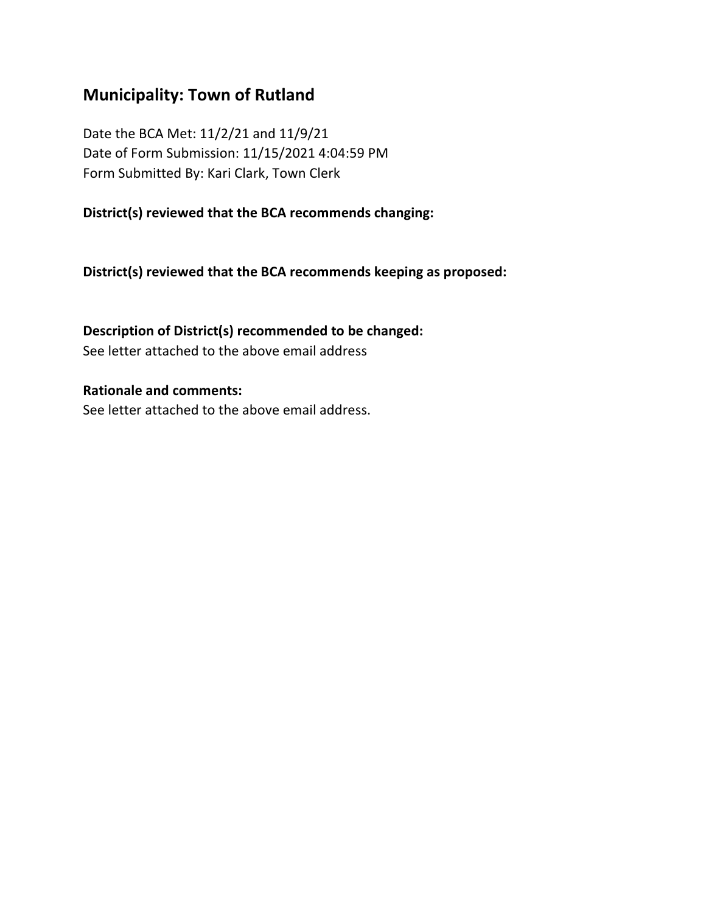# **Municipality: Town of Rutland**

Date the BCA Met: 11/2/21 and 11/9/21 Date of Form Submission: 11/15/2021 4:04:59 PM Form Submitted By: Kari Clark, Town Clerk

**District(s) reviewed that the BCA recommends changing:**

**District(s) reviewed that the BCA recommends keeping as proposed:**

**Description of District(s) recommended to be changed:** See letter attached to the above email address

**Rationale and comments:** See letter attached to the above email address.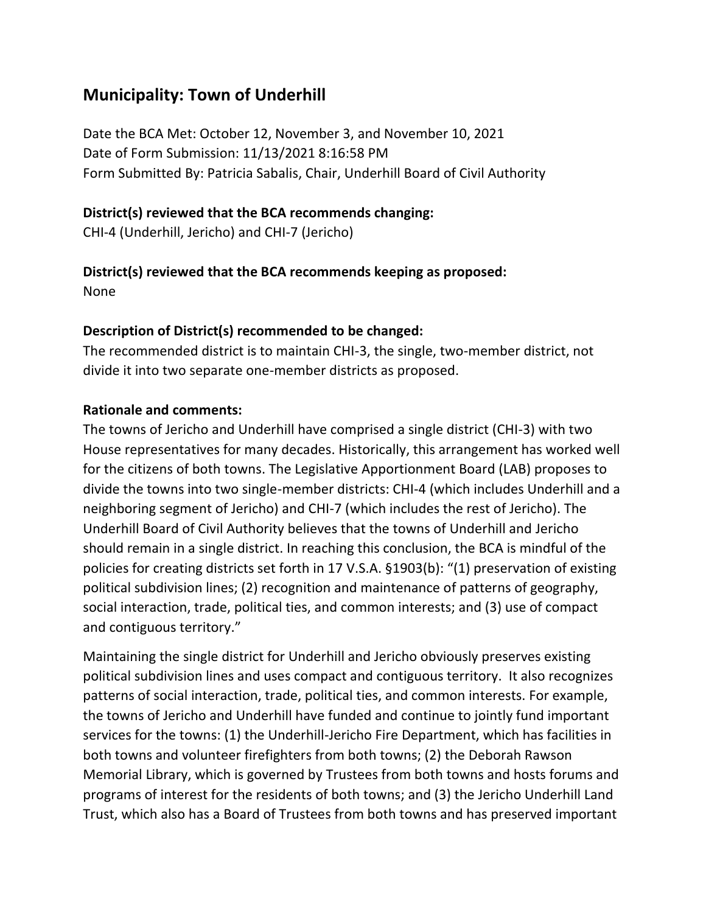# **Municipality: Town of Underhill**

Date the BCA Met: October 12, November 3, and November 10, 2021 Date of Form Submission: 11/13/2021 8:16:58 PM Form Submitted By: Patricia Sabalis, Chair, Underhill Board of Civil Authority

#### **District(s) reviewed that the BCA recommends changing:**

CHI-4 (Underhill, Jericho) and CHI-7 (Jericho)

### **District(s) reviewed that the BCA recommends keeping as proposed:**

None

### **Description of District(s) recommended to be changed:**

The recommended district is to maintain CHI-3, the single, two-member district, not divide it into two separate one-member districts as proposed.

### **Rationale and comments:**

The towns of Jericho and Underhill have comprised a single district (CHI-3) with two House representatives for many decades. Historically, this arrangement has worked well for the citizens of both towns. The Legislative Apportionment Board (LAB) proposes to divide the towns into two single-member districts: CHI-4 (which includes Underhill and a neighboring segment of Jericho) and CHI-7 (which includes the rest of Jericho). The Underhill Board of Civil Authority believes that the towns of Underhill and Jericho should remain in a single district. In reaching this conclusion, the BCA is mindful of the policies for creating districts set forth in 17 V.S.A. §1903(b): "(1) preservation of existing political subdivision lines; (2) recognition and maintenance of patterns of geography, social interaction, trade, political ties, and common interests; and (3) use of compact and contiguous territory."

Maintaining the single district for Underhill and Jericho obviously preserves existing political subdivision lines and uses compact and contiguous territory. It also recognizes patterns of social interaction, trade, political ties, and common interests. For example, the towns of Jericho and Underhill have funded and continue to jointly fund important services for the towns: (1) the Underhill-Jericho Fire Department, which has facilities in both towns and volunteer firefighters from both towns; (2) the Deborah Rawson Memorial Library, which is governed by Trustees from both towns and hosts forums and programs of interest for the residents of both towns; and (3) the Jericho Underhill Land Trust, which also has a Board of Trustees from both towns and has preserved important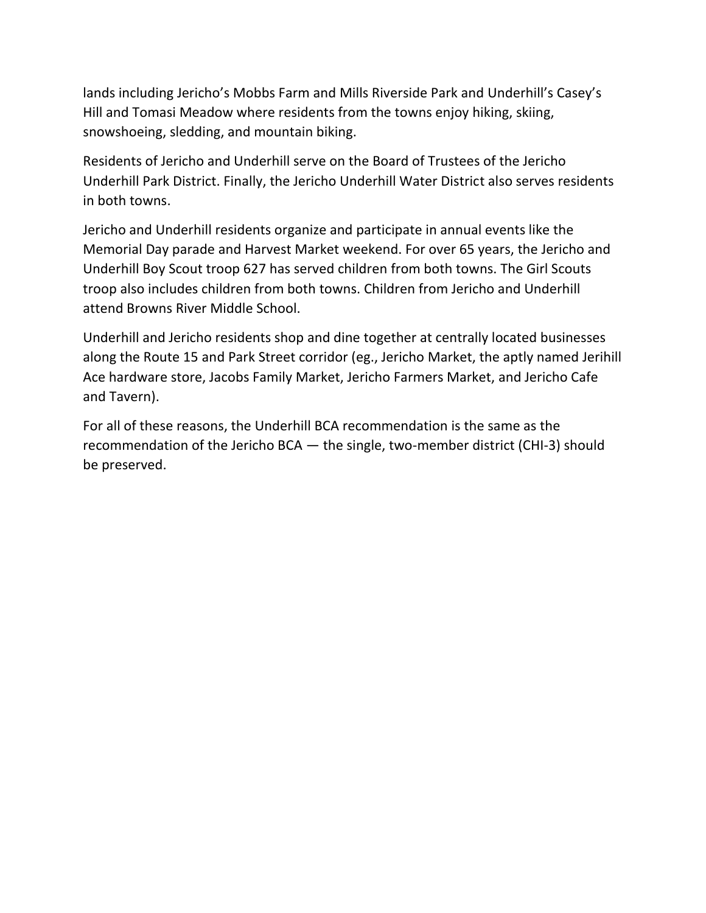lands including Jericho's Mobbs Farm and Mills Riverside Park and Underhill's Casey's Hill and Tomasi Meadow where residents from the towns enjoy hiking, skiing, snowshoeing, sledding, and mountain biking.

Residents of Jericho and Underhill serve on the Board of Trustees of the Jericho Underhill Park District. Finally, the Jericho Underhill Water District also serves residents in both towns.

Jericho and Underhill residents organize and participate in annual events like the Memorial Day parade and Harvest Market weekend. For over 65 years, the Jericho and Underhill Boy Scout troop 627 has served children from both towns. The Girl Scouts troop also includes children from both towns. Children from Jericho and Underhill attend Browns River Middle School.

Underhill and Jericho residents shop and dine together at centrally located businesses along the Route 15 and Park Street corridor (eg., Jericho Market, the aptly named Jerihill Ace hardware store, Jacobs Family Market, Jericho Farmers Market, and Jericho Cafe and Tavern).

For all of these reasons, the Underhill BCA recommendation is the same as the recommendation of the Jericho BCA — the single, two-member district (CHI-3) should be preserved.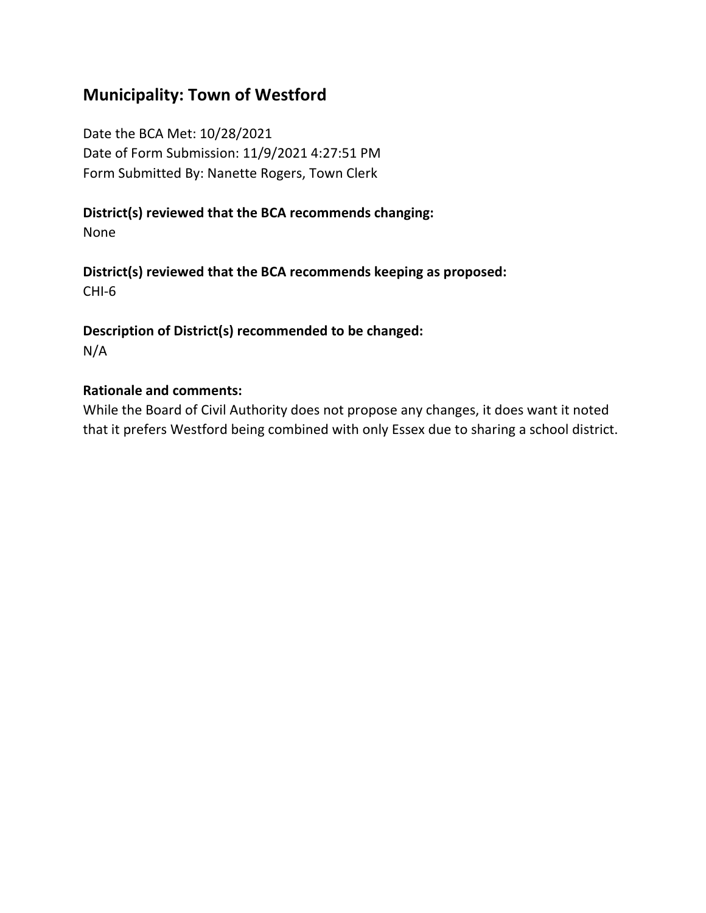# **Municipality: Town of Westford**

Date the BCA Met: 10/28/2021 Date of Form Submission: 11/9/2021 4:27:51 PM Form Submitted By: Nanette Rogers, Town Clerk

#### **District(s) reviewed that the BCA recommends changing:**

None

**District(s) reviewed that the BCA recommends keeping as proposed:** CHI-6

**Description of District(s) recommended to be changed:** N/A

#### **Rationale and comments:**

While the Board of Civil Authority does not propose any changes, it does want it noted that it prefers Westford being combined with only Essex due to sharing a school district.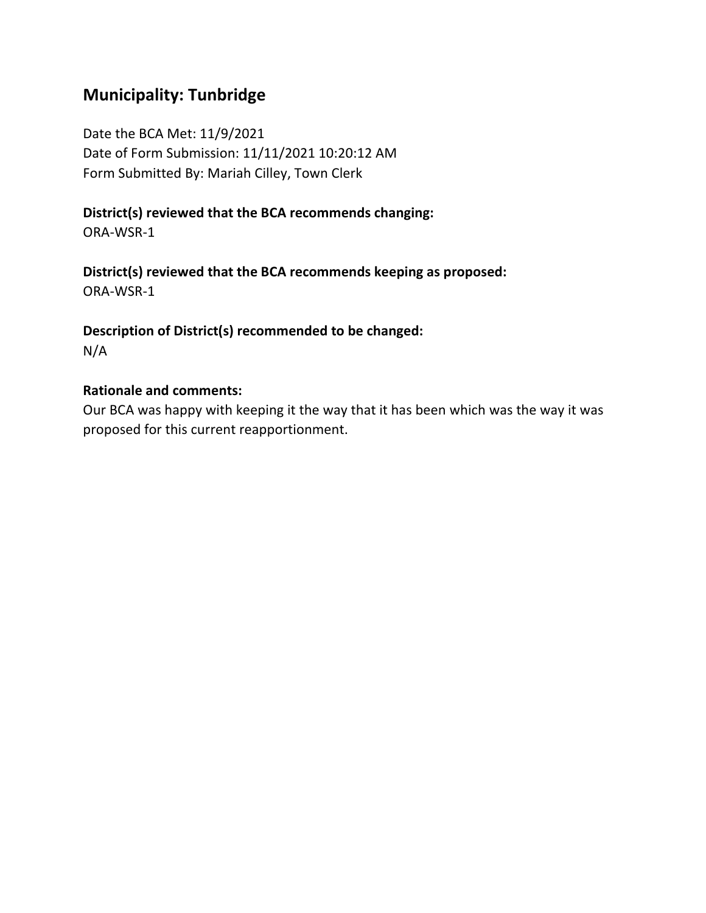# **Municipality: Tunbridge**

Date the BCA Met: 11/9/2021 Date of Form Submission: 11/11/2021 10:20:12 AM Form Submitted By: Mariah Cilley, Town Clerk

### **District(s) reviewed that the BCA recommends changing:**

ORA-WSR-1

**District(s) reviewed that the BCA recommends keeping as proposed:** ORA-WSR-1

**Description of District(s) recommended to be changed:** N/A

#### **Rationale and comments:**

Our BCA was happy with keeping it the way that it has been which was the way it was proposed for this current reapportionment.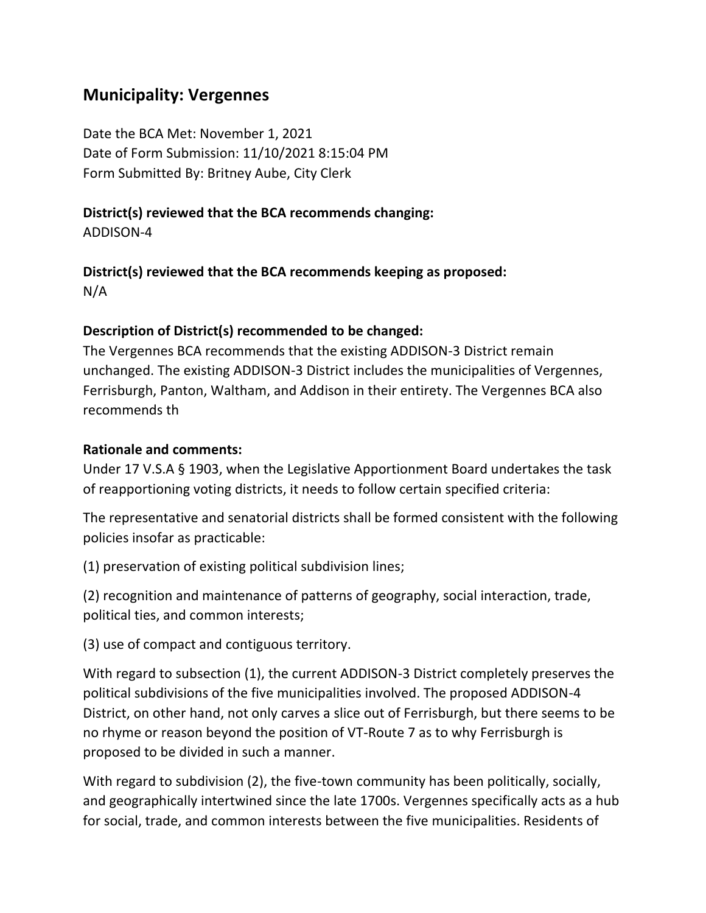## **Municipality: Vergennes**

Date the BCA Met: November 1, 2021 Date of Form Submission: 11/10/2021 8:15:04 PM Form Submitted By: Britney Aube, City Clerk

### **District(s) reviewed that the BCA recommends changing:**

ADDISON-4

### **District(s) reviewed that the BCA recommends keeping as proposed:** N/A

**Description of District(s) recommended to be changed:**

The Vergennes BCA recommends that the existing ADDISON-3 District remain unchanged. The existing ADDISON-3 District includes the municipalities of Vergennes, Ferrisburgh, Panton, Waltham, and Addison in their entirety. The Vergennes BCA also recommends th

### **Rationale and comments:**

Under 17 V.S.A § 1903, when the Legislative Apportionment Board undertakes the task of reapportioning voting districts, it needs to follow certain specified criteria:

The representative and senatorial districts shall be formed consistent with the following policies insofar as practicable:

(1) preservation of existing political subdivision lines;

(2) recognition and maintenance of patterns of geography, social interaction, trade, political ties, and common interests;

(3) use of compact and contiguous territory.

With regard to subsection (1), the current ADDISON-3 District completely preserves the political subdivisions of the five municipalities involved. The proposed ADDISON-4 District, on other hand, not only carves a slice out of Ferrisburgh, but there seems to be no rhyme or reason beyond the position of VT-Route 7 as to why Ferrisburgh is proposed to be divided in such a manner.

With regard to subdivision (2), the five-town community has been politically, socially, and geographically intertwined since the late 1700s. Vergennes specifically acts as a hub for social, trade, and common interests between the five municipalities. Residents of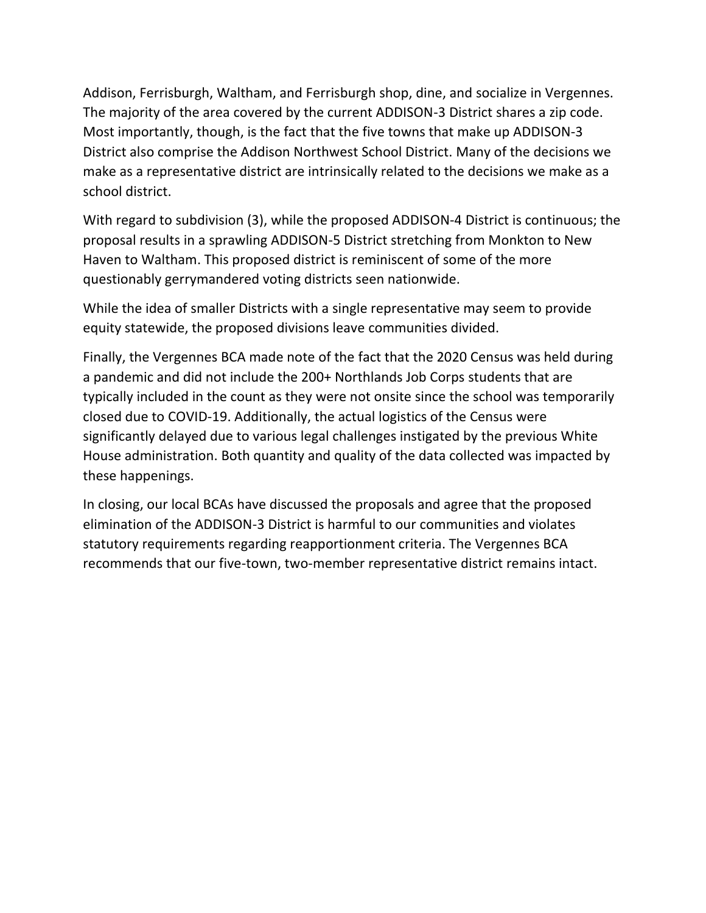Addison, Ferrisburgh, Waltham, and Ferrisburgh shop, dine, and socialize in Vergennes. The majority of the area covered by the current ADDISON-3 District shares a zip code. Most importantly, though, is the fact that the five towns that make up ADDISON-3 District also comprise the Addison Northwest School District. Many of the decisions we make as a representative district are intrinsically related to the decisions we make as a school district.

With regard to subdivision (3), while the proposed ADDISON-4 District is continuous; the proposal results in a sprawling ADDISON-5 District stretching from Monkton to New Haven to Waltham. This proposed district is reminiscent of some of the more questionably gerrymandered voting districts seen nationwide.

While the idea of smaller Districts with a single representative may seem to provide equity statewide, the proposed divisions leave communities divided.

Finally, the Vergennes BCA made note of the fact that the 2020 Census was held during a pandemic and did not include the 200+ Northlands Job Corps students that are typically included in the count as they were not onsite since the school was temporarily closed due to COVID-19. Additionally, the actual logistics of the Census were significantly delayed due to various legal challenges instigated by the previous White House administration. Both quantity and quality of the data collected was impacted by these happenings.

In closing, our local BCAs have discussed the proposals and agree that the proposed elimination of the ADDISON-3 District is harmful to our communities and violates statutory requirements regarding reapportionment criteria. The Vergennes BCA recommends that our five-town, two-member representative district remains intact.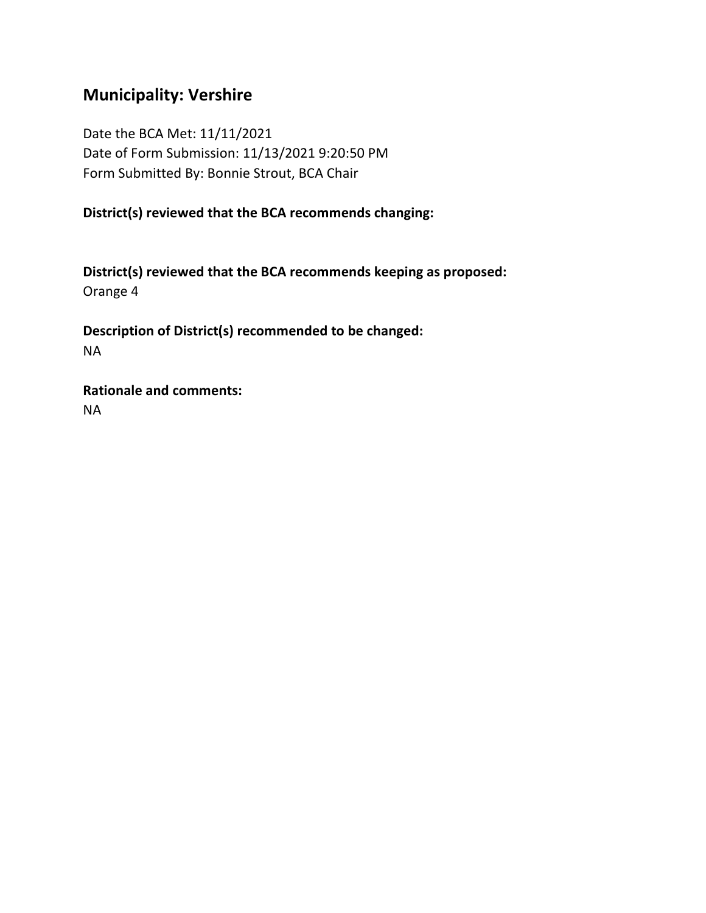# **Municipality: Vershire**

Date the BCA Met: 11/11/2021 Date of Form Submission: 11/13/2021 9:20:50 PM Form Submitted By: Bonnie Strout, BCA Chair

**District(s) reviewed that the BCA recommends changing:**

**District(s) reviewed that the BCA recommends keeping as proposed:** Orange 4

**Description of District(s) recommended to be changed:** NA

**Rationale and comments:** NA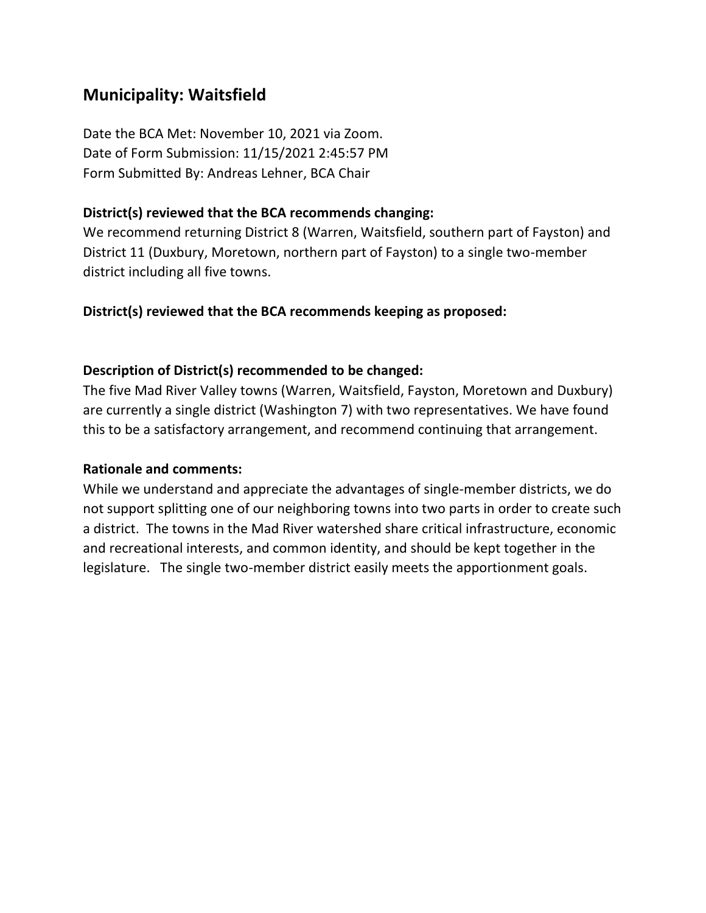# **Municipality: Waitsfield**

Date the BCA Met: November 10, 2021 via Zoom. Date of Form Submission: 11/15/2021 2:45:57 PM Form Submitted By: Andreas Lehner, BCA Chair

#### **District(s) reviewed that the BCA recommends changing:**

We recommend returning District 8 (Warren, Waitsfield, southern part of Fayston) and District 11 (Duxbury, Moretown, northern part of Fayston) to a single two-member district including all five towns.

#### **District(s) reviewed that the BCA recommends keeping as proposed:**

### **Description of District(s) recommended to be changed:**

The five Mad River Valley towns (Warren, Waitsfield, Fayston, Moretown and Duxbury) are currently a single district (Washington 7) with two representatives. We have found this to be a satisfactory arrangement, and recommend continuing that arrangement.

#### **Rationale and comments:**

While we understand and appreciate the advantages of single-member districts, we do not support splitting one of our neighboring towns into two parts in order to create such a district. The towns in the Mad River watershed share critical infrastructure, economic and recreational interests, and common identity, and should be kept together in the legislature. The single two-member district easily meets the apportionment goals.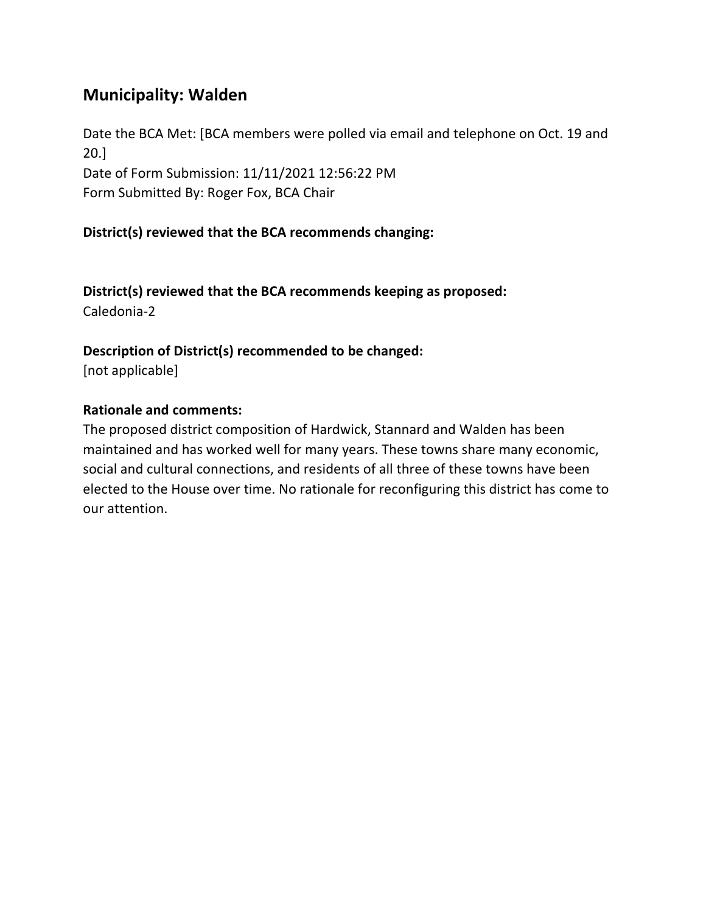# **Municipality: Walden**

Date the BCA Met: [BCA members were polled via email and telephone on Oct. 19 and 20.] Date of Form Submission: 11/11/2021 12:56:22 PM Form Submitted By: Roger Fox, BCA Chair

### **District(s) reviewed that the BCA recommends changing:**

**District(s) reviewed that the BCA recommends keeping as proposed:** Caledonia-2

#### **Description of District(s) recommended to be changed:**

[not applicable]

#### **Rationale and comments:**

The proposed district composition of Hardwick, Stannard and Walden has been maintained and has worked well for many years. These towns share many economic, social and cultural connections, and residents of all three of these towns have been elected to the House over time. No rationale for reconfiguring this district has come to our attention.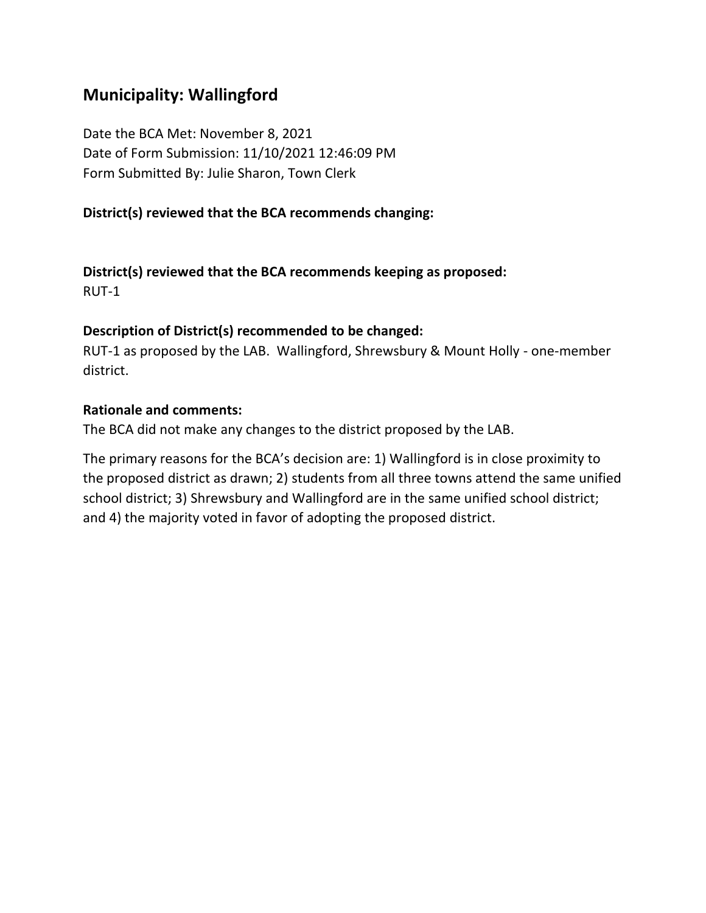# **Municipality: Wallingford**

Date the BCA Met: November 8, 2021 Date of Form Submission: 11/10/2021 12:46:09 PM Form Submitted By: Julie Sharon, Town Clerk

#### **District(s) reviewed that the BCA recommends changing:**

**District(s) reviewed that the BCA recommends keeping as proposed:** RUT-1

#### **Description of District(s) recommended to be changed:**

RUT-1 as proposed by the LAB. Wallingford, Shrewsbury & Mount Holly - one-member district.

#### **Rationale and comments:**

The BCA did not make any changes to the district proposed by the LAB.

The primary reasons for the BCA's decision are: 1) Wallingford is in close proximity to the proposed district as drawn; 2) students from all three towns attend the same unified school district; 3) Shrewsbury and Wallingford are in the same unified school district; and 4) the majority voted in favor of adopting the proposed district.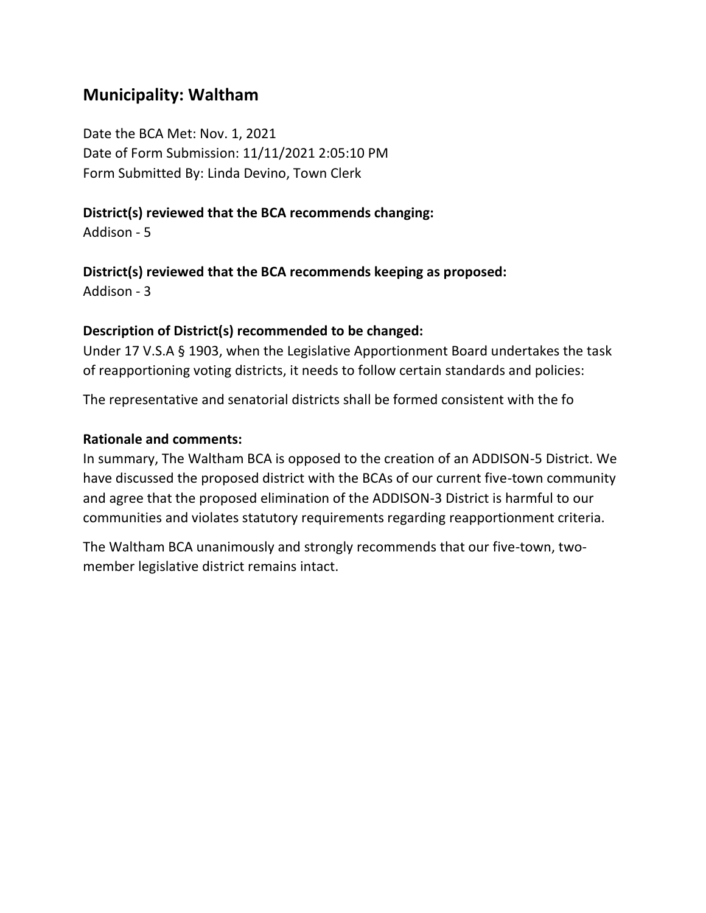## **Municipality: Waltham**

Date the BCA Met: Nov. 1, 2021 Date of Form Submission: 11/11/2021 2:05:10 PM Form Submitted By: Linda Devino, Town Clerk

### **District(s) reviewed that the BCA recommends changing:**

Addison - 5

#### **District(s) reviewed that the BCA recommends keeping as proposed:**

Addison - 3

### **Description of District(s) recommended to be changed:**

Under 17 V.S.A § 1903, when the Legislative Apportionment Board undertakes the task of reapportioning voting districts, it needs to follow certain standards and policies:

The representative and senatorial districts shall be formed consistent with the fo

### **Rationale and comments:**

In summary, The Waltham BCA is opposed to the creation of an ADDISON-5 District. We have discussed the proposed district with the BCAs of our current five-town community and agree that the proposed elimination of the ADDISON-3 District is harmful to our communities and violates statutory requirements regarding reapportionment criteria.

The Waltham BCA unanimously and strongly recommends that our five-town, twomember legislative district remains intact.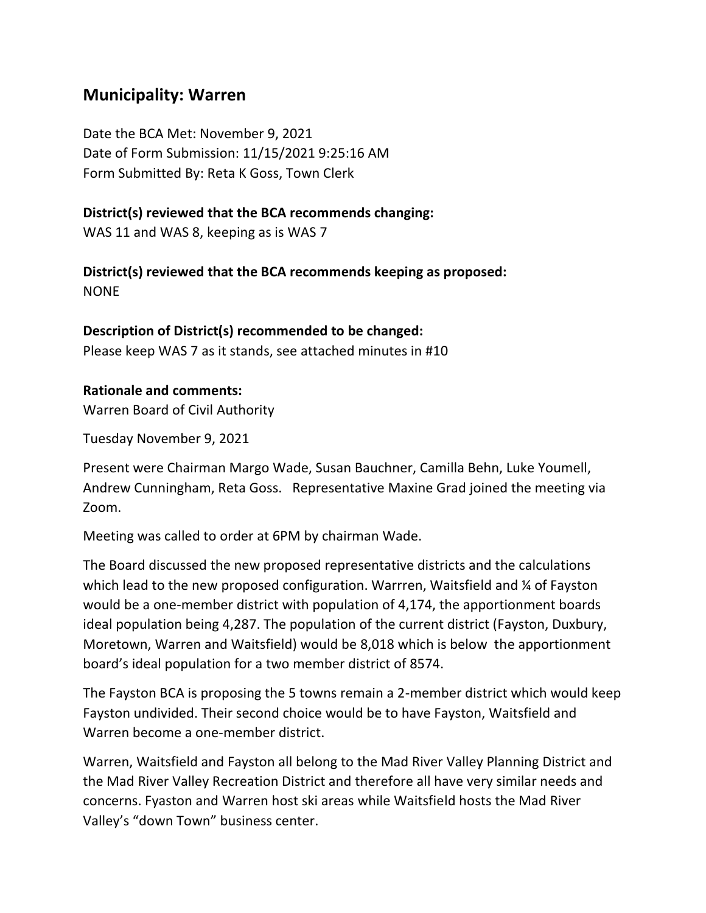### **Municipality: Warren**

Date the BCA Met: November 9, 2021 Date of Form Submission: 11/15/2021 9:25:16 AM Form Submitted By: Reta K Goss, Town Clerk

#### **District(s) reviewed that the BCA recommends changing:**

WAS 11 and WAS 8, keeping as is WAS 7

**District(s) reviewed that the BCA recommends keeping as proposed:** NONE

### **Description of District(s) recommended to be changed:**

Please keep WAS 7 as it stands, see attached minutes in #10

#### **Rationale and comments:**

Warren Board of Civil Authority

Tuesday November 9, 2021

Present were Chairman Margo Wade, Susan Bauchner, Camilla Behn, Luke Youmell, Andrew Cunningham, Reta Goss. Representative Maxine Grad joined the meeting via Zoom.

Meeting was called to order at 6PM by chairman Wade.

The Board discussed the new proposed representative districts and the calculations which lead to the new proposed configuration. Warrren, Waitsfield and % of Fayston would be a one-member district with population of 4,174, the apportionment boards ideal population being 4,287. The population of the current district (Fayston, Duxbury, Moretown, Warren and Waitsfield) would be 8,018 which is below the apportionment board's ideal population for a two member district of 8574.

The Fayston BCA is proposing the 5 towns remain a 2-member district which would keep Fayston undivided. Their second choice would be to have Fayston, Waitsfield and Warren become a one-member district.

Warren, Waitsfield and Fayston all belong to the Mad River Valley Planning District and the Mad River Valley Recreation District and therefore all have very similar needs and concerns. Fyaston and Warren host ski areas while Waitsfield hosts the Mad River Valley's "down Town" business center.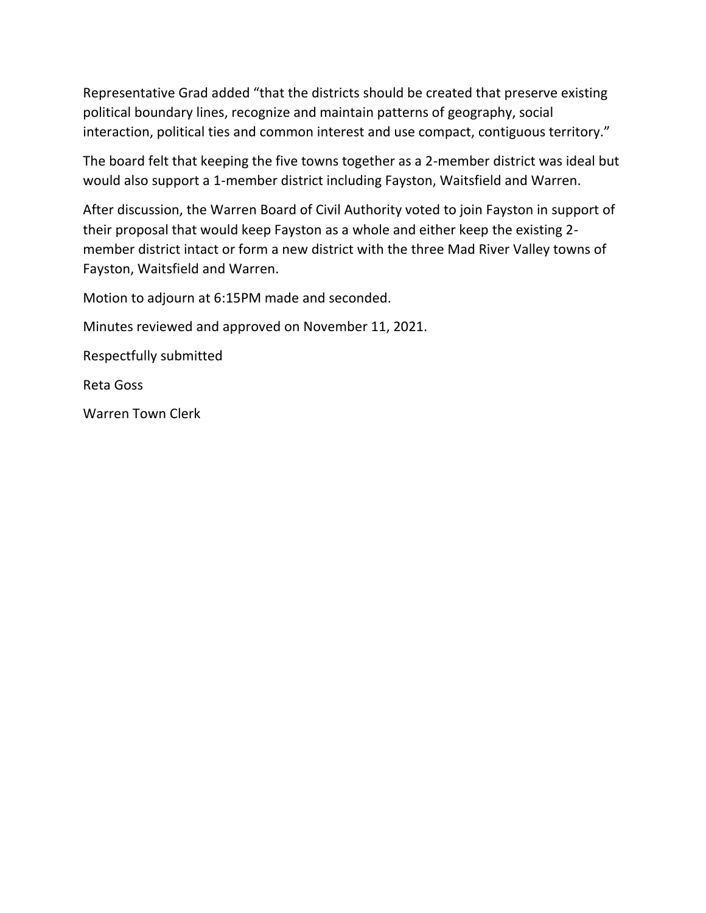Representative Grad added "that the districts should be created that preserve existing political boundary lines, recognize and maintain patterns of geography, social interaction, political ties and common interest and use compact, contiguous territory."

The board felt that keeping the five towns together as a 2-member district was ideal but would also support a 1-member district including Fayston, Waitsfield and Warren.

After discussion, the Warren Board of Civil Authority voted to join Fayston in support of their proposal that would keep Fayston as a whole and either keep the existing 2 member district intact or form a new district with the three Mad River Valley towns of Fayston, Waitsfield and Warren.

Motion to adjourn at 6:15PM made and seconded.

Minutes reviewed and approved on November 11, 2021.

Respectfully submitted

Reta Goss

Warren Town Clerk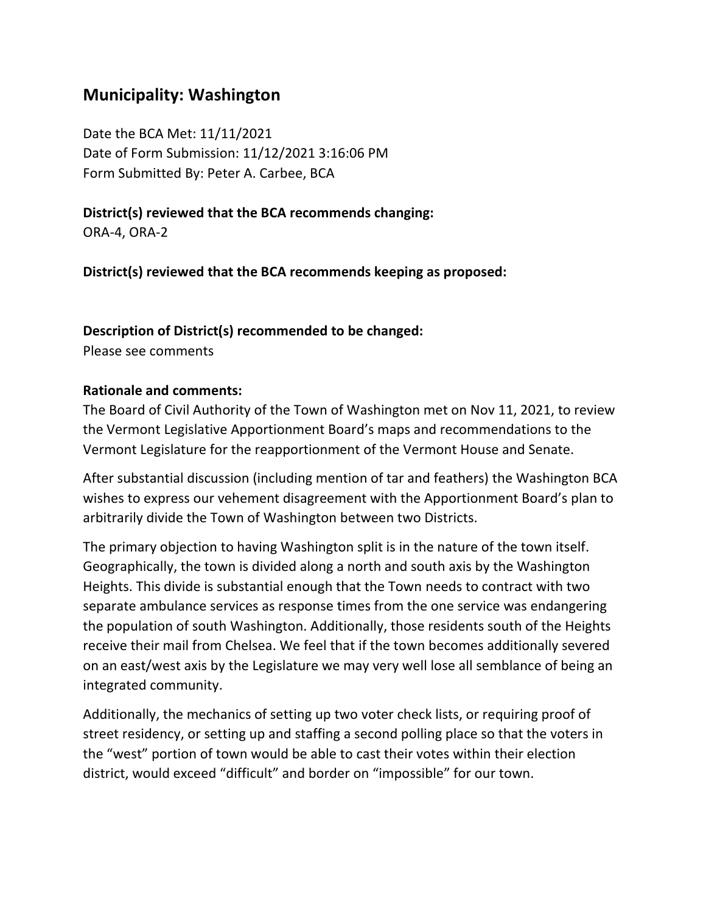## **Municipality: Washington**

Date the BCA Met: 11/11/2021 Date of Form Submission: 11/12/2021 3:16:06 PM Form Submitted By: Peter A. Carbee, BCA

### **District(s) reviewed that the BCA recommends changing:**

ORA-4, ORA-2

**District(s) reviewed that the BCA recommends keeping as proposed:**

### **Description of District(s) recommended to be changed:**

Please see comments

### **Rationale and comments:**

The Board of Civil Authority of the Town of Washington met on Nov 11, 2021, to review the Vermont Legislative Apportionment Board's maps and recommendations to the Vermont Legislature for the reapportionment of the Vermont House and Senate.

After substantial discussion (including mention of tar and feathers) the Washington BCA wishes to express our vehement disagreement with the Apportionment Board's plan to arbitrarily divide the Town of Washington between two Districts.

The primary objection to having Washington split is in the nature of the town itself. Geographically, the town is divided along a north and south axis by the Washington Heights. This divide is substantial enough that the Town needs to contract with two separate ambulance services as response times from the one service was endangering the population of south Washington. Additionally, those residents south of the Heights receive their mail from Chelsea. We feel that if the town becomes additionally severed on an east/west axis by the Legislature we may very well lose all semblance of being an integrated community.

Additionally, the mechanics of setting up two voter check lists, or requiring proof of street residency, or setting up and staffing a second polling place so that the voters in the "west" portion of town would be able to cast their votes within their election district, would exceed "difficult" and border on "impossible" for our town.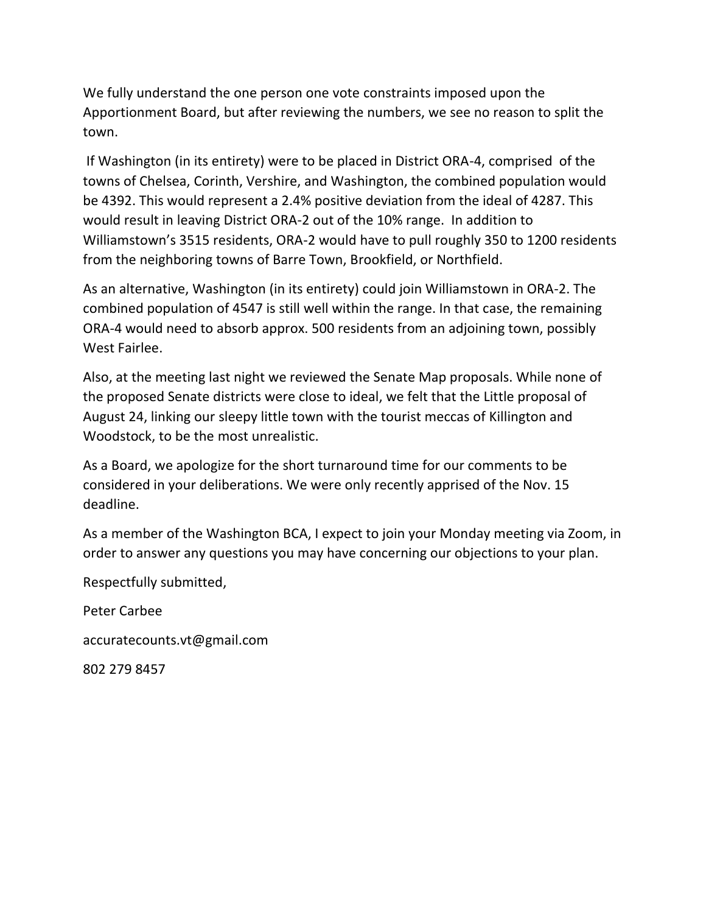We fully understand the one person one vote constraints imposed upon the Apportionment Board, but after reviewing the numbers, we see no reason to split the town.

If Washington (in its entirety) were to be placed in District ORA-4, comprised of the towns of Chelsea, Corinth, Vershire, and Washington, the combined population would be 4392. This would represent a 2.4% positive deviation from the ideal of 4287. This would result in leaving District ORA-2 out of the 10% range. In addition to Williamstown's 3515 residents, ORA-2 would have to pull roughly 350 to 1200 residents from the neighboring towns of Barre Town, Brookfield, or Northfield.

As an alternative, Washington (in its entirety) could join Williamstown in ORA-2. The combined population of 4547 is still well within the range. In that case, the remaining ORA-4 would need to absorb approx. 500 residents from an adjoining town, possibly West Fairlee.

Also, at the meeting last night we reviewed the Senate Map proposals. While none of the proposed Senate districts were close to ideal, we felt that the Little proposal of August 24, linking our sleepy little town with the tourist meccas of Killington and Woodstock, to be the most unrealistic.

As a Board, we apologize for the short turnaround time for our comments to be considered in your deliberations. We were only recently apprised of the Nov. 15 deadline.

As a member of the Washington BCA, I expect to join your Monday meeting via Zoom, in order to answer any questions you may have concerning our objections to your plan.

Respectfully submitted,

Peter Carbee

accuratecounts.vt@gmail.com

802 279 8457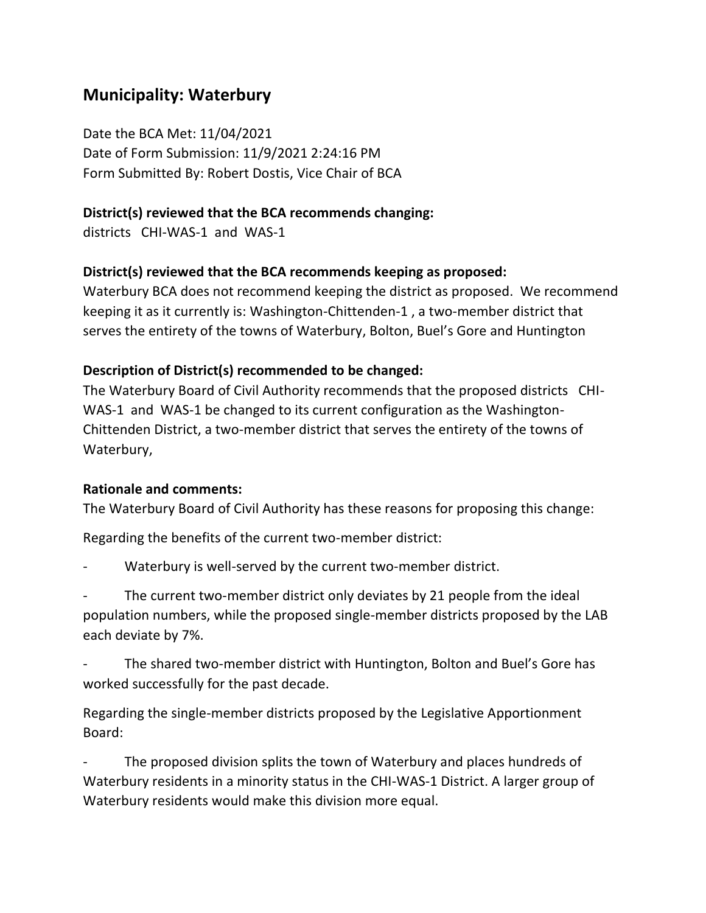# **Municipality: Waterbury**

Date the BCA Met: 11/04/2021 Date of Form Submission: 11/9/2021 2:24:16 PM Form Submitted By: Robert Dostis, Vice Chair of BCA

### **District(s) reviewed that the BCA recommends changing:**

districts CHI-WAS-1 and WAS-1

### **District(s) reviewed that the BCA recommends keeping as proposed:**

Waterbury BCA does not recommend keeping the district as proposed. We recommend keeping it as it currently is: Washington-Chittenden-1 , a two-member district that serves the entirety of the towns of Waterbury, Bolton, Buel's Gore and Huntington

### **Description of District(s) recommended to be changed:**

The Waterbury Board of Civil Authority recommends that the proposed districts CHI-WAS-1 and WAS-1 be changed to its current configuration as the Washington-Chittenden District, a two-member district that serves the entirety of the towns of Waterbury,

#### **Rationale and comments:**

The Waterbury Board of Civil Authority has these reasons for proposing this change:

Regarding the benefits of the current two-member district:

Waterbury is well-served by the current two-member district.

The current two-member district only deviates by 21 people from the ideal population numbers, while the proposed single-member districts proposed by the LAB each deviate by 7%.

The shared two-member district with Huntington, Bolton and Buel's Gore has worked successfully for the past decade.

Regarding the single-member districts proposed by the Legislative Apportionment Board:

The proposed division splits the town of Waterbury and places hundreds of Waterbury residents in a minority status in the CHI-WAS-1 District. A larger group of Waterbury residents would make this division more equal.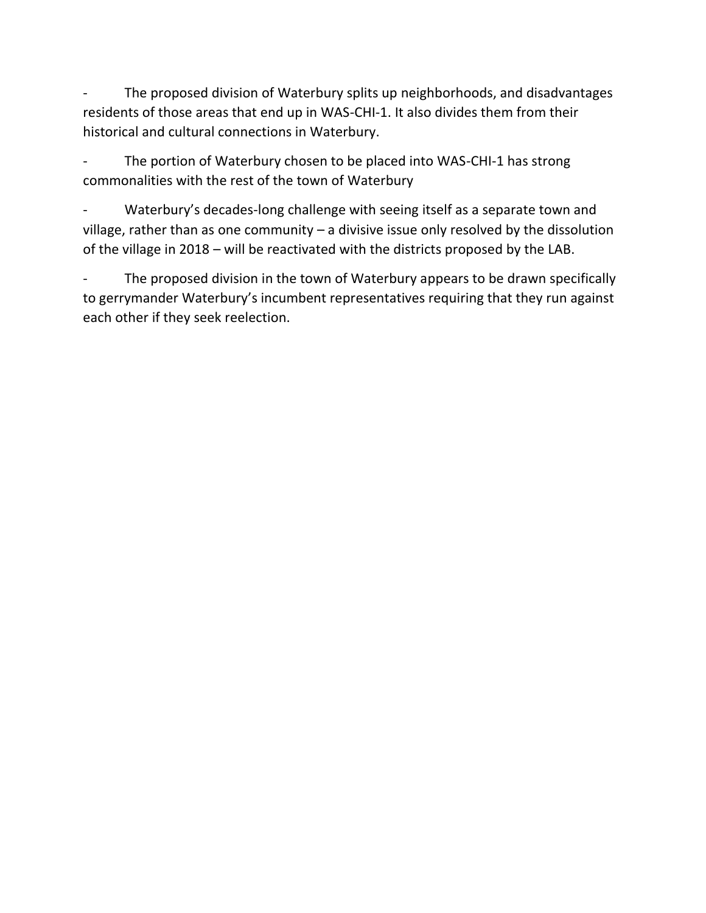The proposed division of Waterbury splits up neighborhoods, and disadvantages residents of those areas that end up in WAS-CHI-1. It also divides them from their historical and cultural connections in Waterbury.

The portion of Waterbury chosen to be placed into WAS-CHI-1 has strong commonalities with the rest of the town of Waterbury

Waterbury's decades-long challenge with seeing itself as a separate town and village, rather than as one community – a divisive issue only resolved by the dissolution of the village in 2018 – will be reactivated with the districts proposed by the LAB.

The proposed division in the town of Waterbury appears to be drawn specifically to gerrymander Waterbury's incumbent representatives requiring that they run against each other if they seek reelection.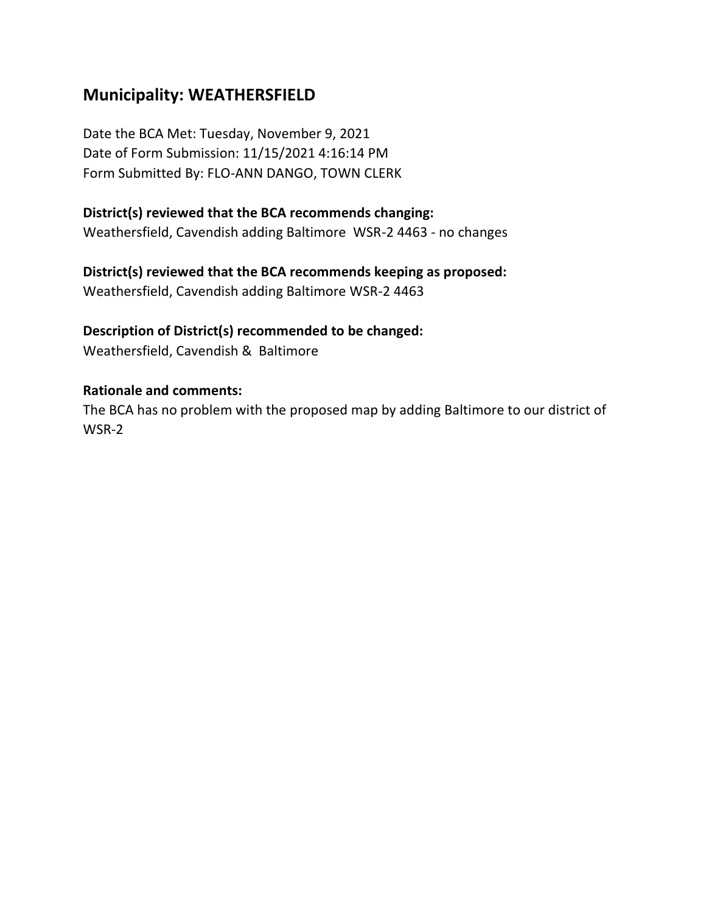# **Municipality: WEATHERSFIELD**

Date the BCA Met: Tuesday, November 9, 2021 Date of Form Submission: 11/15/2021 4:16:14 PM Form Submitted By: FLO-ANN DANGO, TOWN CLERK

#### **District(s) reviewed that the BCA recommends changing:**

Weathersfield, Cavendish adding Baltimore WSR-2 4463 - no changes

#### **District(s) reviewed that the BCA recommends keeping as proposed:**

Weathersfield, Cavendish adding Baltimore WSR-2 4463

### **Description of District(s) recommended to be changed:**

Weathersfield, Cavendish & Baltimore

#### **Rationale and comments:**

The BCA has no problem with the proposed map by adding Baltimore to our district of WSR-2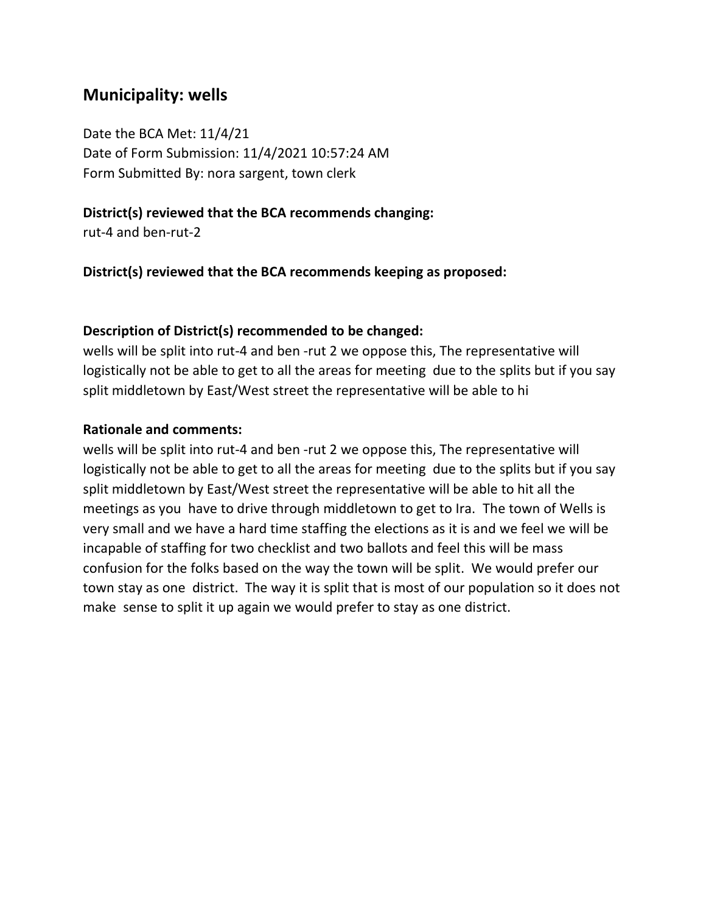### **Municipality: wells**

Date the BCA Met: 11/4/21 Date of Form Submission: 11/4/2021 10:57:24 AM Form Submitted By: nora sargent, town clerk

#### **District(s) reviewed that the BCA recommends changing:**

rut-4 and ben-rut-2

**District(s) reviewed that the BCA recommends keeping as proposed:**

#### **Description of District(s) recommended to be changed:**

wells will be split into rut-4 and ben -rut 2 we oppose this, The representative will logistically not be able to get to all the areas for meeting due to the splits but if you say split middletown by East/West street the representative will be able to hi

#### **Rationale and comments:**

wells will be split into rut-4 and ben -rut 2 we oppose this, The representative will logistically not be able to get to all the areas for meeting due to the splits but if you say split middletown by East/West street the representative will be able to hit all the meetings as you have to drive through middletown to get to Ira. The town of Wells is very small and we have a hard time staffing the elections as it is and we feel we will be incapable of staffing for two checklist and two ballots and feel this will be mass confusion for the folks based on the way the town will be split. We would prefer our town stay as one district. The way it is split that is most of our population so it does not make sense to split it up again we would prefer to stay as one district.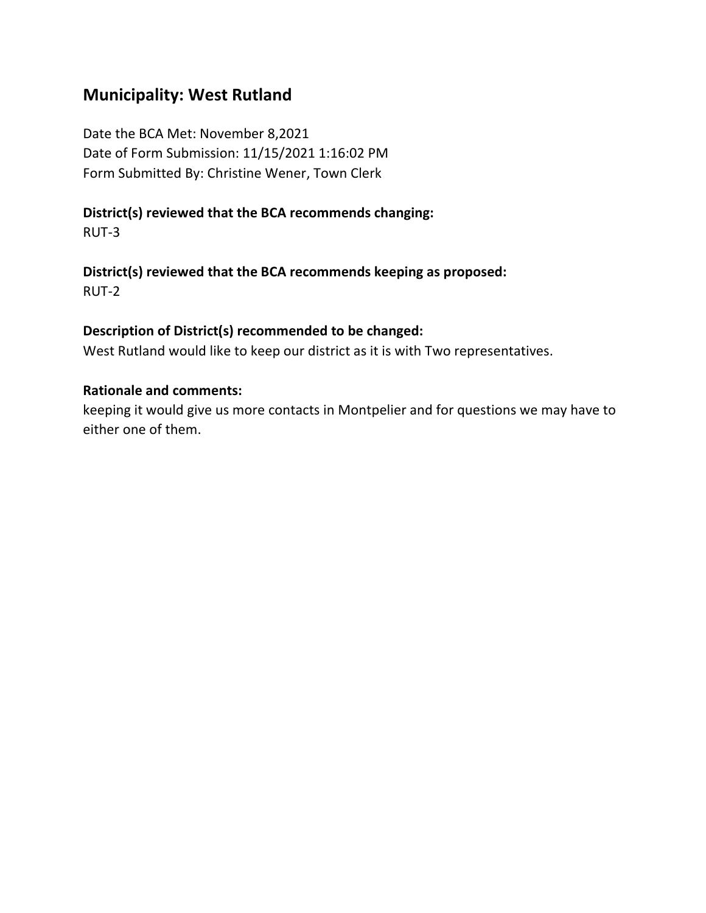## **Municipality: West Rutland**

Date the BCA Met: November 8,2021 Date of Form Submission: 11/15/2021 1:16:02 PM Form Submitted By: Christine Wener, Town Clerk

# **District(s) reviewed that the BCA recommends changing:**

RUT-3

### **District(s) reviewed that the BCA recommends keeping as proposed:** RUT-2

# **Description of District(s) recommended to be changed:**

West Rutland would like to keep our district as it is with Two representatives.

### **Rationale and comments:**

keeping it would give us more contacts in Montpelier and for questions we may have to either one of them.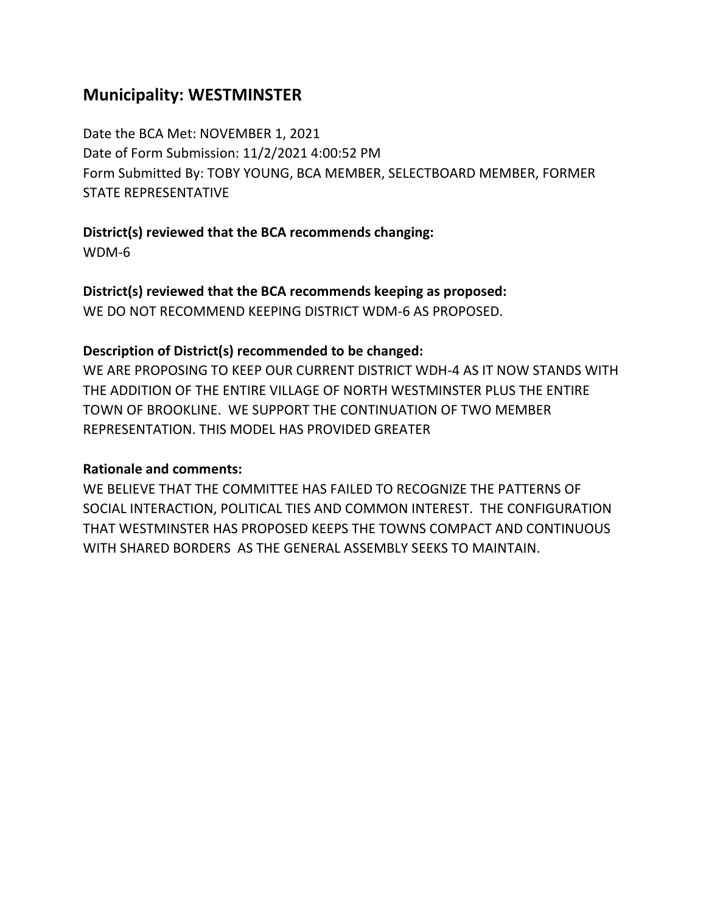# **Municipality: WESTMINSTER**

Date the BCA Met: NOVEMBER 1, 2021 Date of Form Submission: 11/2/2021 4:00:52 PM Form Submitted By: TOBY YOUNG, BCA MEMBER, SELECTBOARD MEMBER, FORMER STATE REPRESENTATIVE

**District(s) reviewed that the BCA recommends changing:**

WDM-6

**District(s) reviewed that the BCA recommends keeping as proposed:**

WE DO NOT RECOMMEND KEEPING DISTRICT WDM-6 AS PROPOSED.

## **Description of District(s) recommended to be changed:**

WE ARE PROPOSING TO KEEP OUR CURRENT DISTRICT WDH-4 AS IT NOW STANDS WITH THE ADDITION OF THE ENTIRE VILLAGE OF NORTH WESTMINSTER PLUS THE ENTIRE TOWN OF BROOKLINE. WE SUPPORT THE CONTINUATION OF TWO MEMBER REPRESENTATION. THIS MODEL HAS PROVIDED GREATER

## **Rationale and comments:**

WE BELIEVE THAT THE COMMITTEE HAS FAILED TO RECOGNIZE THE PATTERNS OF SOCIAL INTERACTION, POLITICAL TIES AND COMMON INTEREST. THE CONFIGURATION THAT WESTMINSTER HAS PROPOSED KEEPS THE TOWNS COMPACT AND CONTINUOUS WITH SHARED BORDERS AS THE GENERAL ASSEMBLY SEEKS TO MAINTAIN.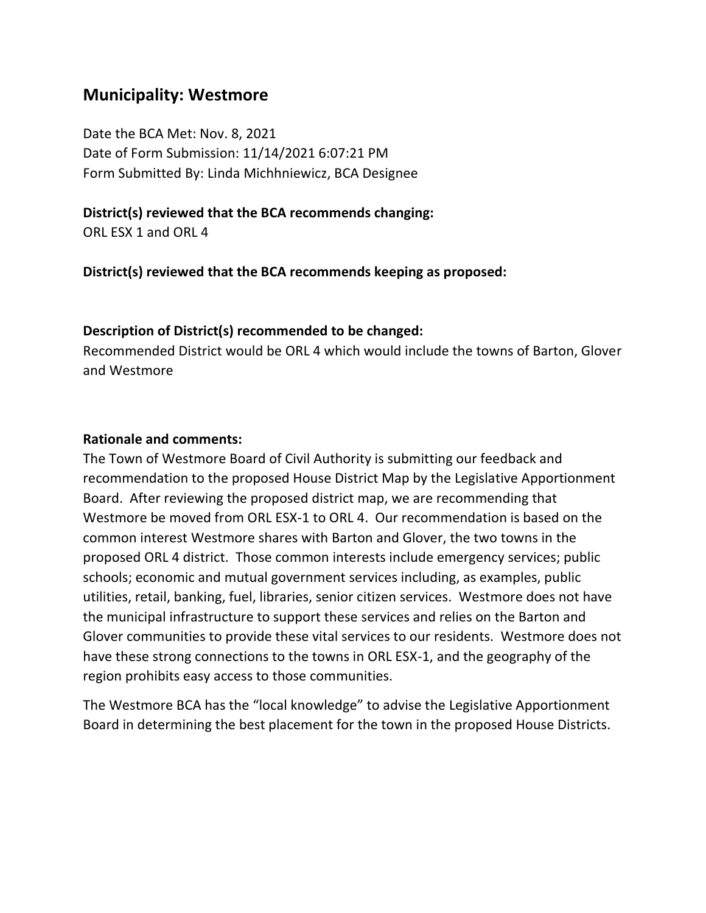# **Municipality: Westmore**

Date the BCA Met: Nov. 8, 2021 Date of Form Submission: 11/14/2021 6:07:21 PM Form Submitted By: Linda Michhniewicz, BCA Designee

### **District(s) reviewed that the BCA recommends changing:**

ORL ESX 1 and ORL 4

**District(s) reviewed that the BCA recommends keeping as proposed:**

### **Description of District(s) recommended to be changed:**

Recommended District would be ORL 4 which would include the towns of Barton, Glover and Westmore

### **Rationale and comments:**

The Town of Westmore Board of Civil Authority is submitting our feedback and recommendation to the proposed House District Map by the Legislative Apportionment Board. After reviewing the proposed district map, we are recommending that Westmore be moved from ORL ESX-1 to ORL 4. Our recommendation is based on the common interest Westmore shares with Barton and Glover, the two towns in the proposed ORL 4 district. Those common interests include emergency services; public schools; economic and mutual government services including, as examples, public utilities, retail, banking, fuel, libraries, senior citizen services. Westmore does not have the municipal infrastructure to support these services and relies on the Barton and Glover communities to provide these vital services to our residents. Westmore does not have these strong connections to the towns in ORL ESX-1, and the geography of the region prohibits easy access to those communities.

The Westmore BCA has the "local knowledge" to advise the Legislative Apportionment Board in determining the best placement for the town in the proposed House Districts.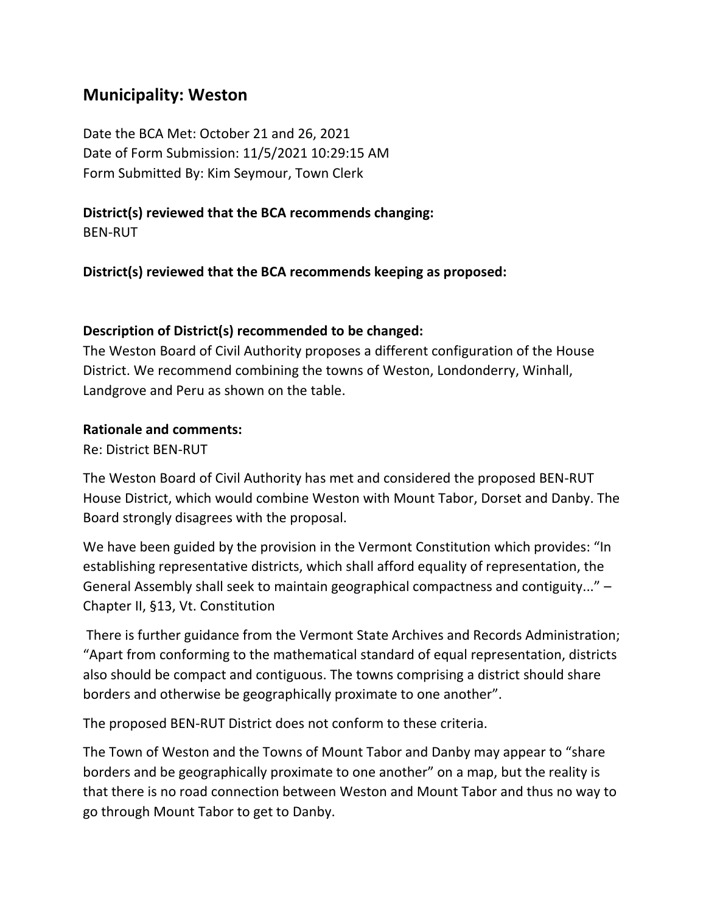# **Municipality: Weston**

Date the BCA Met: October 21 and 26, 2021 Date of Form Submission: 11/5/2021 10:29:15 AM Form Submitted By: Kim Seymour, Town Clerk

**District(s) reviewed that the BCA recommends changing:**

BEN-RUT

**District(s) reviewed that the BCA recommends keeping as proposed:**

### **Description of District(s) recommended to be changed:**

The Weston Board of Civil Authority proposes a different configuration of the House District. We recommend combining the towns of Weston, Londonderry, Winhall, Landgrove and Peru as shown on the table.

### **Rationale and comments:**

Re: District BEN-RUT

The Weston Board of Civil Authority has met and considered the proposed BEN-RUT House District, which would combine Weston with Mount Tabor, Dorset and Danby. The Board strongly disagrees with the proposal.

We have been guided by the provision in the Vermont Constitution which provides: "In establishing representative districts, which shall afford equality of representation, the General Assembly shall seek to maintain geographical compactness and contiguity..." – Chapter II, §13, Vt. Constitution

There is further guidance from the Vermont State Archives and Records Administration; "Apart from conforming to the mathematical standard of equal representation, districts also should be compact and contiguous. The towns comprising a district should share borders and otherwise be geographically proximate to one another".

The proposed BEN-RUT District does not conform to these criteria.

The Town of Weston and the Towns of Mount Tabor and Danby may appear to "share borders and be geographically proximate to one another" on a map, but the reality is that there is no road connection between Weston and Mount Tabor and thus no way to go through Mount Tabor to get to Danby.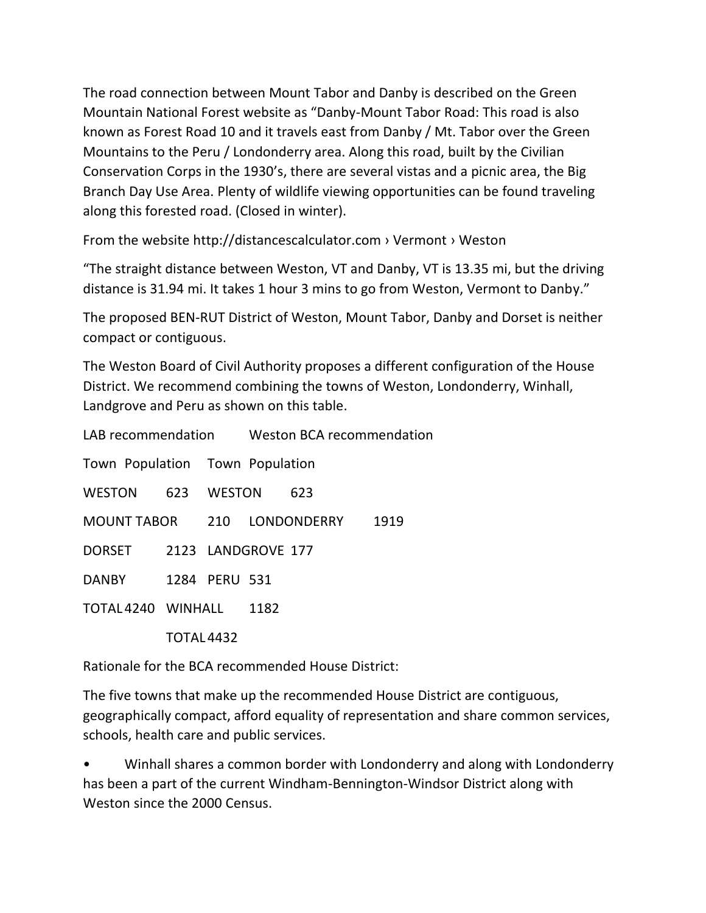The road connection between Mount Tabor and Danby is described on the Green Mountain National Forest website as "Danby-Mount Tabor Road: This road is also known as Forest Road 10 and it travels east from Danby / Mt. Tabor over the Green Mountains to the Peru / Londonderry area. Along this road, built by the Civilian Conservation Corps in the 1930's, there are several vistas and a picnic area, the Big Branch Day Use Area. Plenty of wildlife viewing opportunities can be found traveling along this forested road. (Closed in winter).

From the website http://distancescalculator.com › Vermont › Weston

"The straight distance between Weston, VT and Danby, VT is 13.35 mi, but the driving distance is 31.94 mi. It takes 1 hour 3 mins to go from Weston, Vermont to Danby."

The proposed BEN-RUT District of Weston, Mount Tabor, Danby and Dorset is neither compact or contiguous.

The Weston Board of Civil Authority proposes a different configuration of the House District. We recommend combining the towns of Weston, Londonderry, Winhall, Landgrove and Peru as shown on this table.

|                                 |                    |  | LAB recommendation Weston BCA recommendation |     |      |
|---------------------------------|--------------------|--|----------------------------------------------|-----|------|
| Town Population Town Population |                    |  |                                              |     |      |
| WESTON 623 WESTON               |                    |  |                                              | 623 |      |
| MOUNT TABOR 210 LONDONDERRY     |                    |  |                                              |     | 1919 |
| DORSET 2123 LANDGROVE 177       |                    |  |                                              |     |      |
| DANBY 1284 PERU 531             |                    |  |                                              |     |      |
|                                 | TOTAL 4240 WINHALL |  | 1182                                         |     |      |
|                                 | TOTAL 4432         |  |                                              |     |      |

Rationale for the BCA recommended House District:

The five towns that make up the recommended House District are contiguous, geographically compact, afford equality of representation and share common services, schools, health care and public services.

• Winhall shares a common border with Londonderry and along with Londonderry has been a part of the current Windham-Bennington-Windsor District along with Weston since the 2000 Census.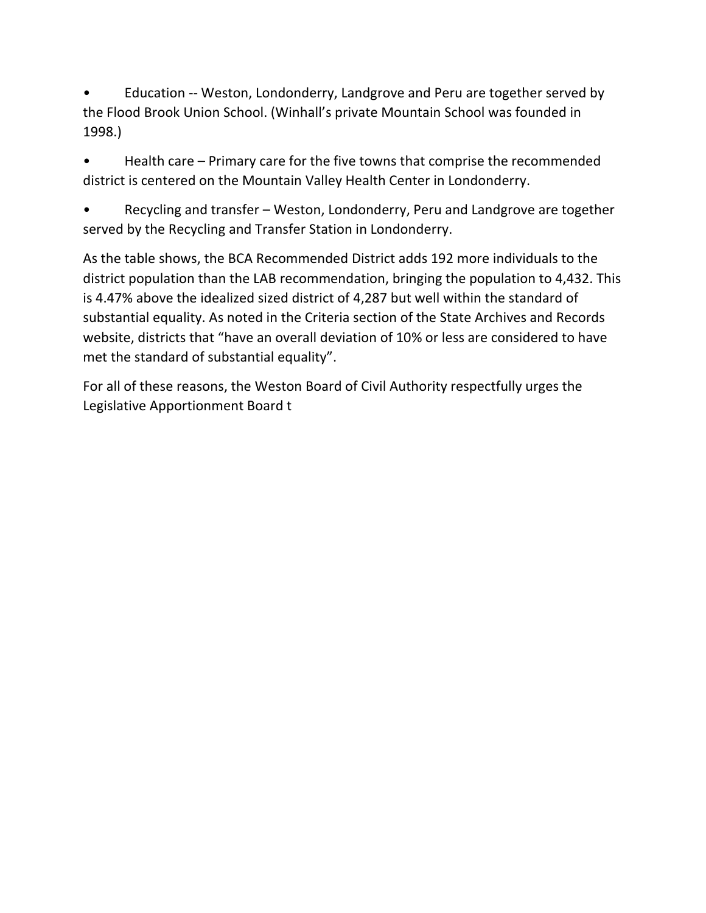• Education -- Weston, Londonderry, Landgrove and Peru are together served by the Flood Brook Union School. (Winhall's private Mountain School was founded in 1998.)

• Health care – Primary care for the five towns that comprise the recommended district is centered on the Mountain Valley Health Center in Londonderry.

• Recycling and transfer – Weston, Londonderry, Peru and Landgrove are together served by the Recycling and Transfer Station in Londonderry.

As the table shows, the BCA Recommended District adds 192 more individuals to the district population than the LAB recommendation, bringing the population to 4,432. This is 4.47% above the idealized sized district of 4,287 but well within the standard of substantial equality. As noted in the Criteria section of the State Archives and Records website, districts that "have an overall deviation of 10% or less are considered to have met the standard of substantial equality".

For all of these reasons, the Weston Board of Civil Authority respectfully urges the Legislative Apportionment Board t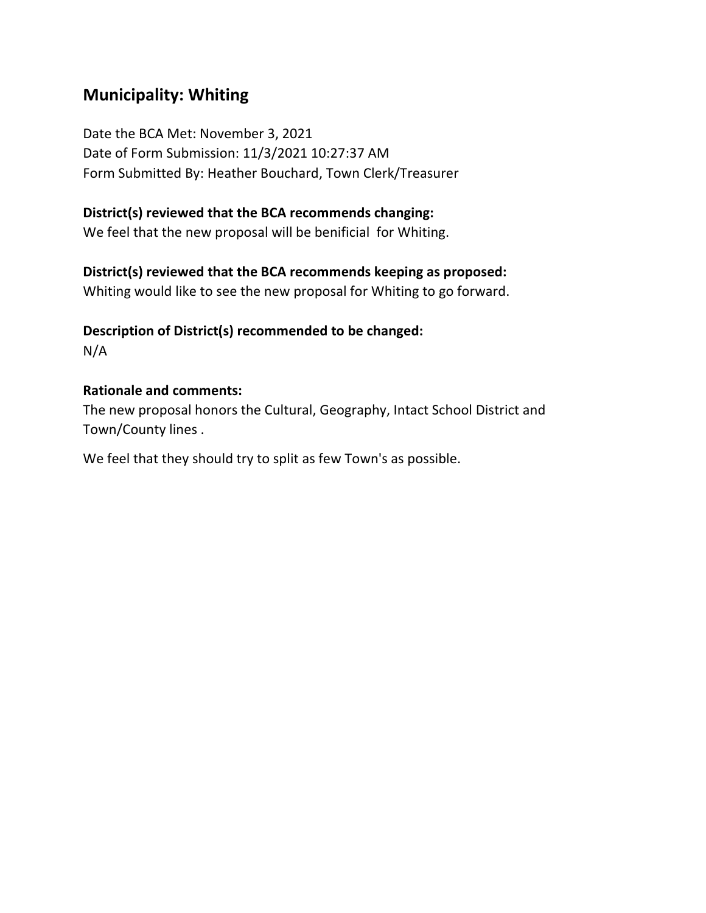# **Municipality: Whiting**

Date the BCA Met: November 3, 2021 Date of Form Submission: 11/3/2021 10:27:37 AM Form Submitted By: Heather Bouchard, Town Clerk/Treasurer

## **District(s) reviewed that the BCA recommends changing:**

We feel that the new proposal will be benificial for Whiting.

## **District(s) reviewed that the BCA recommends keeping as proposed:**

Whiting would like to see the new proposal for Whiting to go forward.

## **Description of District(s) recommended to be changed:** N/A

### **Rationale and comments:**

The new proposal honors the Cultural, Geography, Intact School District and Town/County lines .

We feel that they should try to split as few Town's as possible.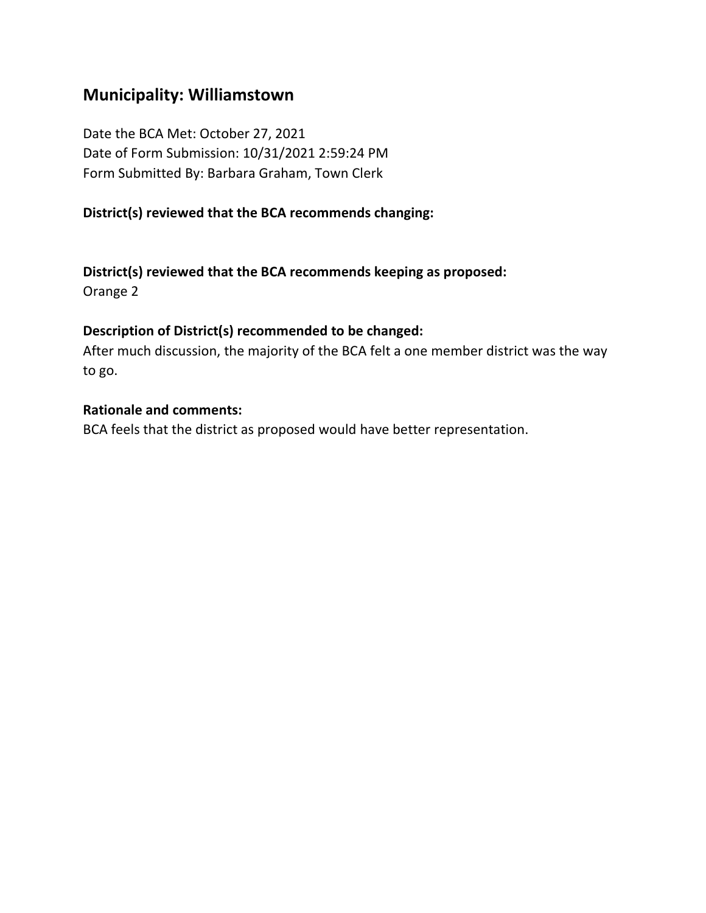# **Municipality: Williamstown**

Date the BCA Met: October 27, 2021 Date of Form Submission: 10/31/2021 2:59:24 PM Form Submitted By: Barbara Graham, Town Clerk

## **District(s) reviewed that the BCA recommends changing:**

## **District(s) reviewed that the BCA recommends keeping as proposed:**

Orange 2

### **Description of District(s) recommended to be changed:**

After much discussion, the majority of the BCA felt a one member district was the way to go.

### **Rationale and comments:**

BCA feels that the district as proposed would have better representation.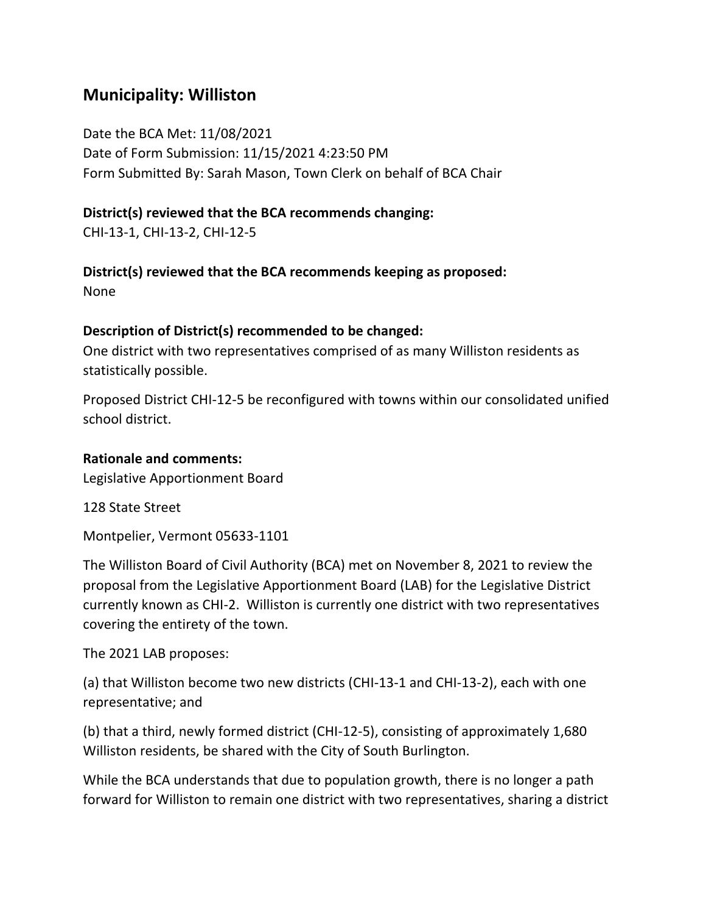# **Municipality: Williston**

Date the BCA Met: 11/08/2021 Date of Form Submission: 11/15/2021 4:23:50 PM Form Submitted By: Sarah Mason, Town Clerk on behalf of BCA Chair

## **District(s) reviewed that the BCA recommends changing:**

CHI-13-1, CHI-13-2, CHI-12-5

**District(s) reviewed that the BCA recommends keeping as proposed:**

None

## **Description of District(s) recommended to be changed:**

One district with two representatives comprised of as many Williston residents as statistically possible.

Proposed District CHI-12-5 be reconfigured with towns within our consolidated unified school district.

### **Rationale and comments:**

Legislative Apportionment Board

128 State Street

Montpelier, Vermont 05633-1101

The Williston Board of Civil Authority (BCA) met on November 8, 2021 to review the proposal from the Legislative Apportionment Board (LAB) for the Legislative District currently known as CHI-2. Williston is currently one district with two representatives covering the entirety of the town.

The 2021 LAB proposes:

(a) that Williston become two new districts (CHI-13-1 and CHI-13-2), each with one representative; and

(b) that a third, newly formed district (CHI-12-5), consisting of approximately 1,680 Williston residents, be shared with the City of South Burlington.

While the BCA understands that due to population growth, there is no longer a path forward for Williston to remain one district with two representatives, sharing a district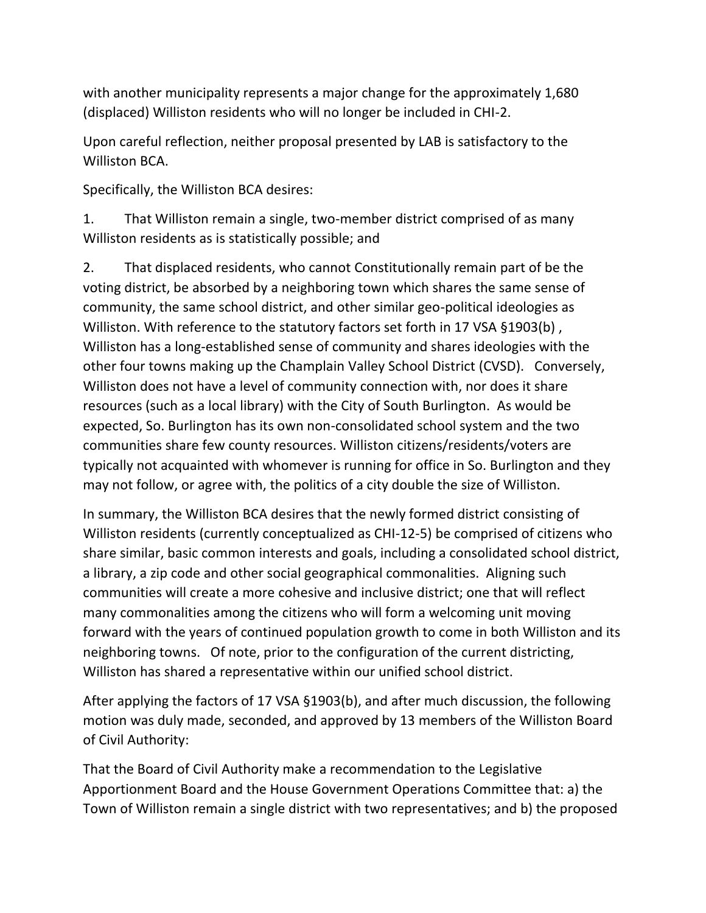with another municipality represents a major change for the approximately 1,680 (displaced) Williston residents who will no longer be included in CHI-2.

Upon careful reflection, neither proposal presented by LAB is satisfactory to the Williston BCA.

Specifically, the Williston BCA desires:

1. That Williston remain a single, two-member district comprised of as many Williston residents as is statistically possible; and

2. That displaced residents, who cannot Constitutionally remain part of be the voting district, be absorbed by a neighboring town which shares the same sense of community, the same school district, and other similar geo-political ideologies as Williston. With reference to the statutory factors set forth in 17 VSA §1903(b), Williston has a long-established sense of community and shares ideologies with the other four towns making up the Champlain Valley School District (CVSD). Conversely, Williston does not have a level of community connection with, nor does it share resources (such as a local library) with the City of South Burlington. As would be expected, So. Burlington has its own non-consolidated school system and the two communities share few county resources. Williston citizens/residents/voters are typically not acquainted with whomever is running for office in So. Burlington and they may not follow, or agree with, the politics of a city double the size of Williston.

In summary, the Williston BCA desires that the newly formed district consisting of Williston residents (currently conceptualized as CHI-12-5) be comprised of citizens who share similar, basic common interests and goals, including a consolidated school district, a library, a zip code and other social geographical commonalities. Aligning such communities will create a more cohesive and inclusive district; one that will reflect many commonalities among the citizens who will form a welcoming unit moving forward with the years of continued population growth to come in both Williston and its neighboring towns. Of note, prior to the configuration of the current districting, Williston has shared a representative within our unified school district.

After applying the factors of 17 VSA §1903(b), and after much discussion, the following motion was duly made, seconded, and approved by 13 members of the Williston Board of Civil Authority:

That the Board of Civil Authority make a recommendation to the Legislative Apportionment Board and the House Government Operations Committee that: a) the Town of Williston remain a single district with two representatives; and b) the proposed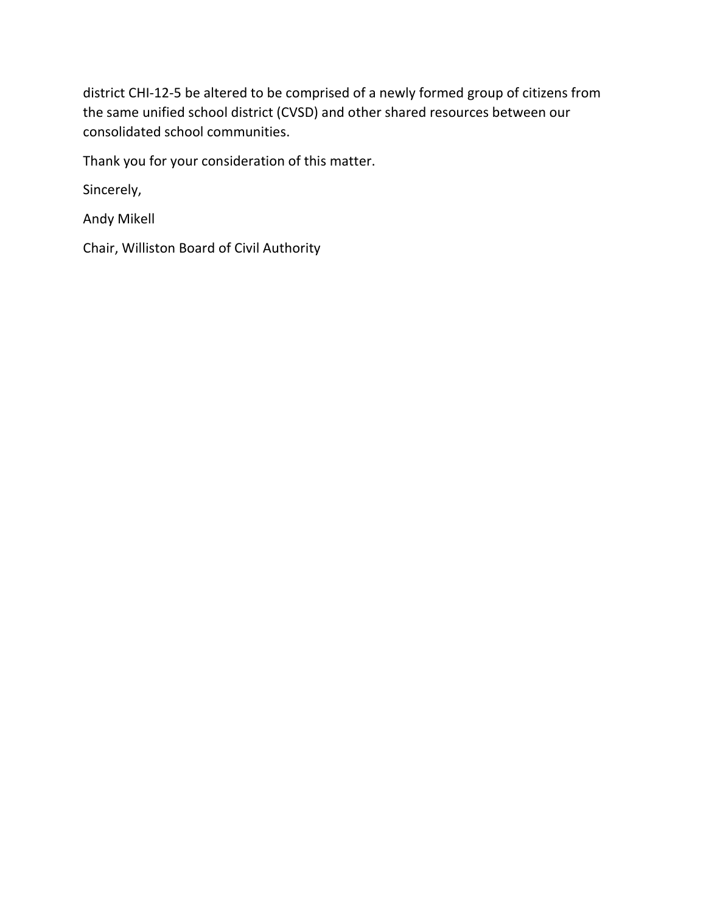district CHI-12-5 be altered to be comprised of a newly formed group of citizens from the same unified school district (CVSD) and other shared resources between our consolidated school communities.

Thank you for your consideration of this matter.

Sincerely,

Andy Mikell

Chair, Williston Board of Civil Authority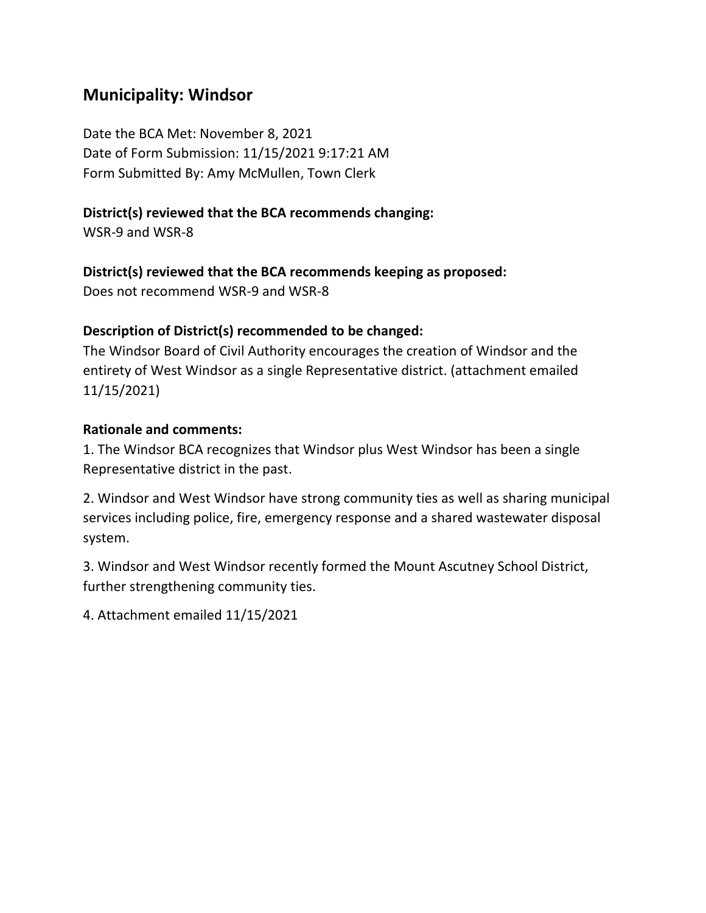# **Municipality: Windsor**

Date the BCA Met: November 8, 2021 Date of Form Submission: 11/15/2021 9:17:21 AM Form Submitted By: Amy McMullen, Town Clerk

## **District(s) reviewed that the BCA recommends changing:**

WSR-9 and WSR-8

## **District(s) reviewed that the BCA recommends keeping as proposed:**

Does not recommend WSR-9 and WSR-8

## **Description of District(s) recommended to be changed:**

The Windsor Board of Civil Authority encourages the creation of Windsor and the entirety of West Windsor as a single Representative district. (attachment emailed 11/15/2021)

## **Rationale and comments:**

1. The Windsor BCA recognizes that Windsor plus West Windsor has been a single Representative district in the past.

2. Windsor and West Windsor have strong community ties as well as sharing municipal services including police, fire, emergency response and a shared wastewater disposal system.

3. Windsor and West Windsor recently formed the Mount Ascutney School District, further strengthening community ties.

4. Attachment emailed 11/15/2021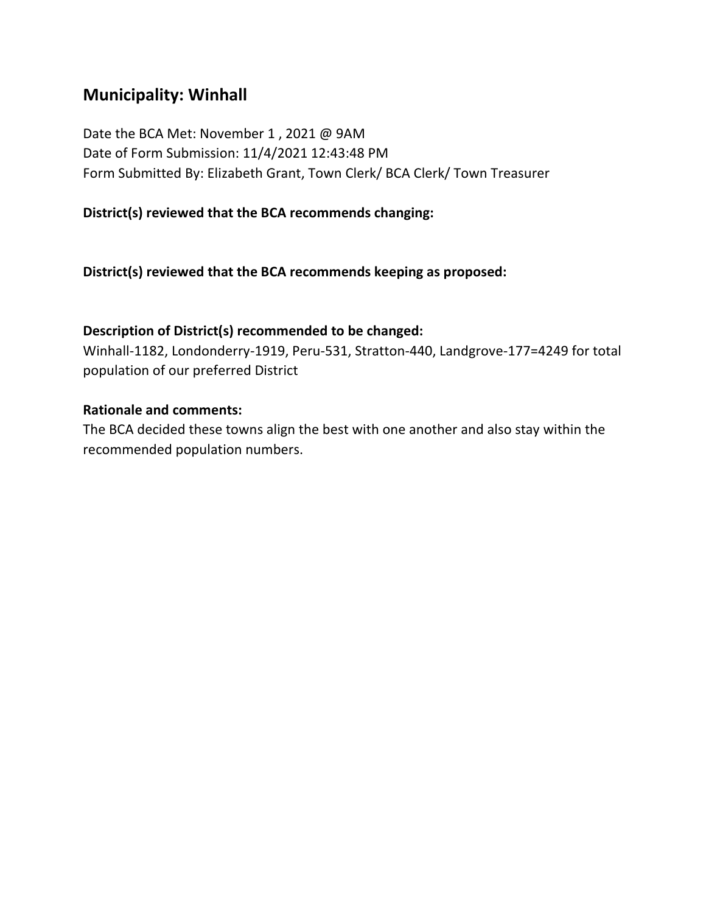# **Municipality: Winhall**

Date the BCA Met: November 1 , 2021 @ 9AM Date of Form Submission: 11/4/2021 12:43:48 PM Form Submitted By: Elizabeth Grant, Town Clerk/ BCA Clerk/ Town Treasurer

### **District(s) reviewed that the BCA recommends changing:**

**District(s) reviewed that the BCA recommends keeping as proposed:**

### **Description of District(s) recommended to be changed:**

Winhall-1182, Londonderry-1919, Peru-531, Stratton-440, Landgrove-177=4249 for total population of our preferred District

### **Rationale and comments:**

The BCA decided these towns align the best with one another and also stay within the recommended population numbers.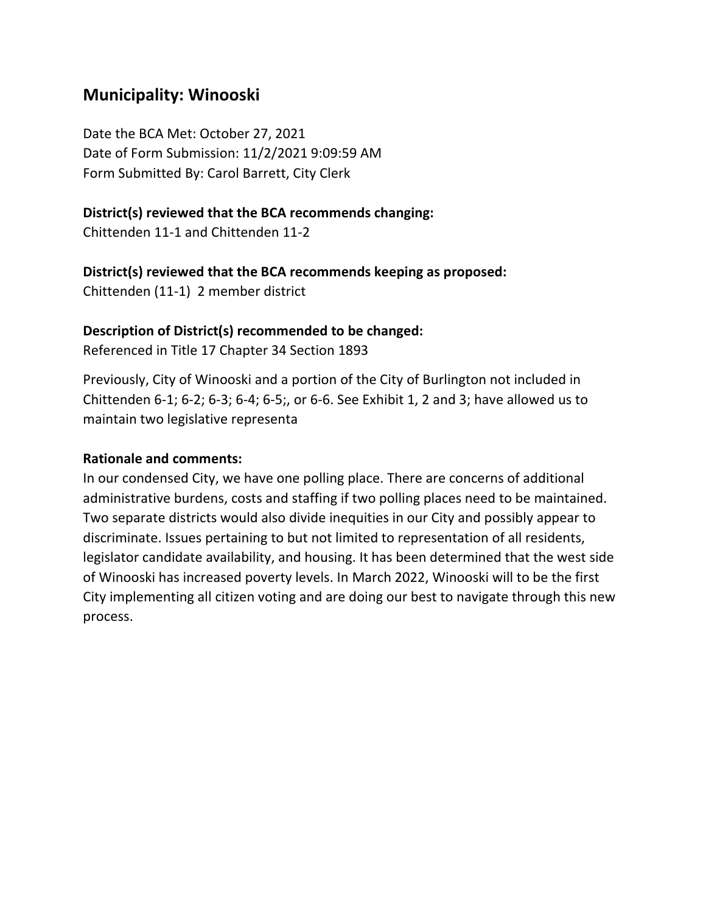# **Municipality: Winooski**

Date the BCA Met: October 27, 2021 Date of Form Submission: 11/2/2021 9:09:59 AM Form Submitted By: Carol Barrett, City Clerk

### **District(s) reviewed that the BCA recommends changing:**

Chittenden 11-1 and Chittenden 11-2

### **District(s) reviewed that the BCA recommends keeping as proposed:**

Chittenden (11-1) 2 member district

### **Description of District(s) recommended to be changed:**

Referenced in Title 17 Chapter 34 Section 1893

Previously, City of Winooski and a portion of the City of Burlington not included in Chittenden 6-1; 6-2; 6-3; 6-4; 6-5;, or 6-6. See Exhibit 1, 2 and 3; have allowed us to maintain two legislative representa

### **Rationale and comments:**

In our condensed City, we have one polling place. There are concerns of additional administrative burdens, costs and staffing if two polling places need to be maintained. Two separate districts would also divide inequities in our City and possibly appear to discriminate. Issues pertaining to but not limited to representation of all residents, legislator candidate availability, and housing. It has been determined that the west side of Winooski has increased poverty levels. In March 2022, Winooski will to be the first City implementing all citizen voting and are doing our best to navigate through this new process.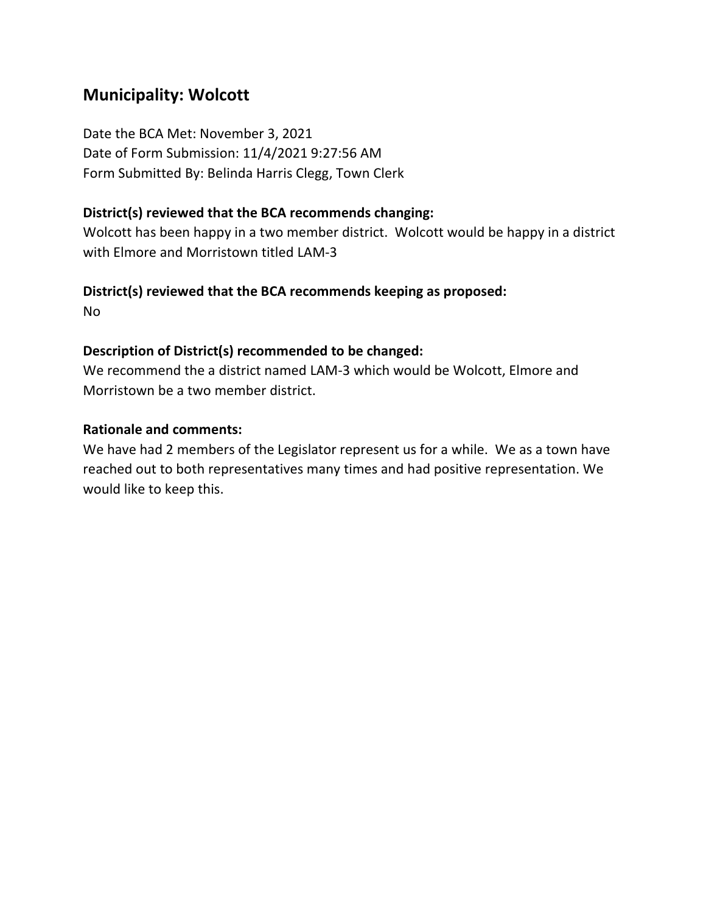# **Municipality: Wolcott**

Date the BCA Met: November 3, 2021 Date of Form Submission: 11/4/2021 9:27:56 AM Form Submitted By: Belinda Harris Clegg, Town Clerk

### **District(s) reviewed that the BCA recommends changing:**

Wolcott has been happy in a two member district. Wolcott would be happy in a district with Elmore and Morristown titled LAM-3

### **District(s) reviewed that the BCA recommends keeping as proposed:**

No

### **Description of District(s) recommended to be changed:**

We recommend the a district named LAM-3 which would be Wolcott, Elmore and Morristown be a two member district.

### **Rationale and comments:**

We have had 2 members of the Legislator represent us for a while. We as a town have reached out to both representatives many times and had positive representation. We would like to keep this.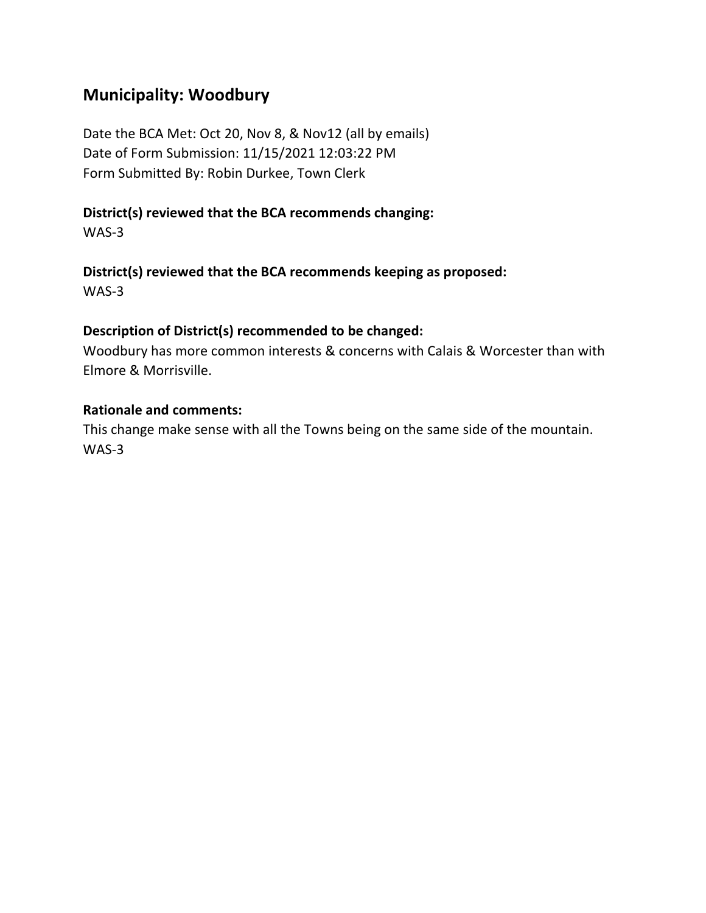# **Municipality: Woodbury**

Date the BCA Met: Oct 20, Nov 8, & Nov12 (all by emails) Date of Form Submission: 11/15/2021 12:03:22 PM Form Submitted By: Robin Durkee, Town Clerk

# **District(s) reviewed that the BCA recommends changing:**

WAS-3

**District(s) reviewed that the BCA recommends keeping as proposed:** WAS-3

## **Description of District(s) recommended to be changed:**

Woodbury has more common interests & concerns with Calais & Worcester than with Elmore & Morrisville.

## **Rationale and comments:**

This change make sense with all the Towns being on the same side of the mountain. WAS-3